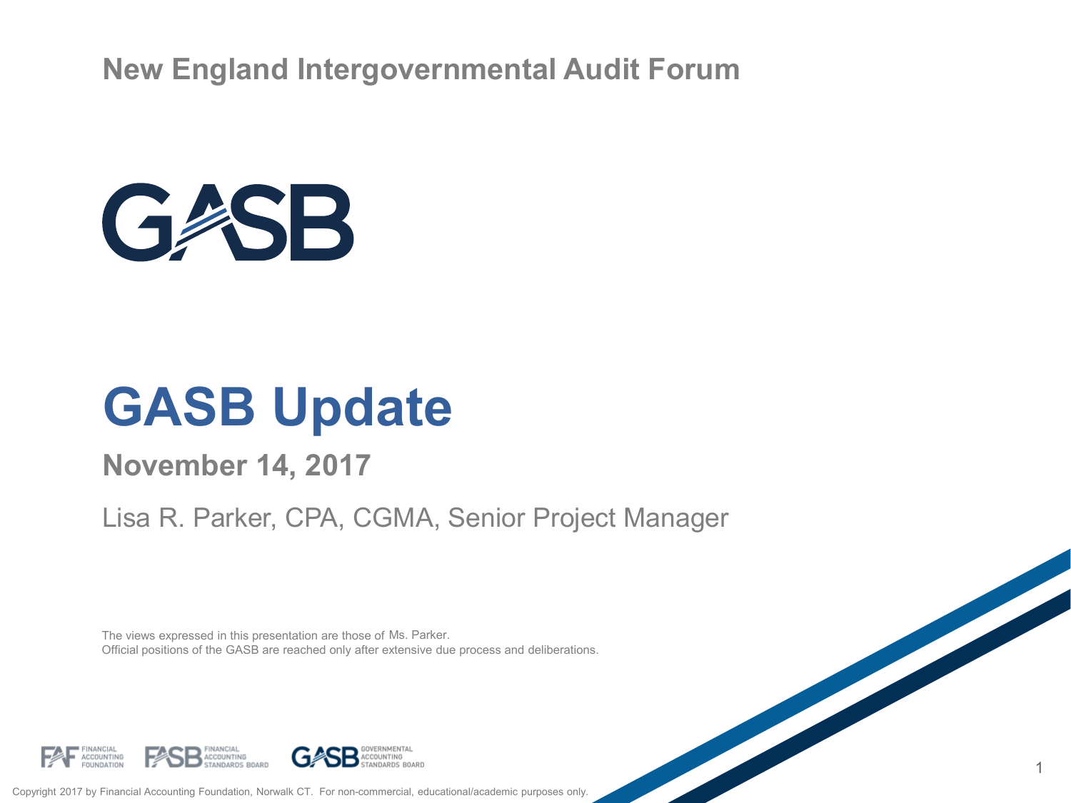**New England Intergovernmental Audit Forum**



### **GASB Update**

#### **November 14, 2017**

#### Lisa R. Parker, CPA, CGMA, Senior Project Manager

1

The views expressed in this presentation are those of Ms. Parker. Official positions of the GASB are reached only after extensive due process and deliberations.



Copyright 2017 by Financial Accounting Foundation, Norwalk CT. For non-commercial, educational/academic purposes only.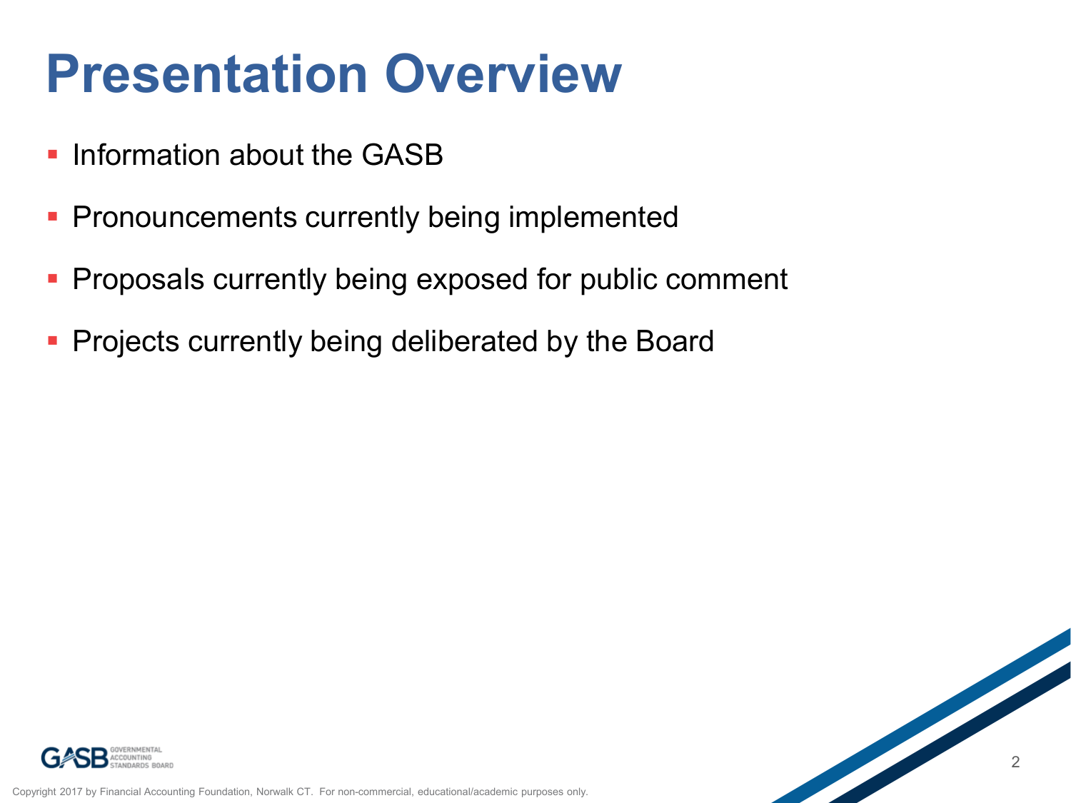### **Presentation Overview**

- **Information about the GASB**
- **Pronouncements currently being implemented**
- Proposals currently being exposed for public comment
- Projects currently being deliberated by the Board

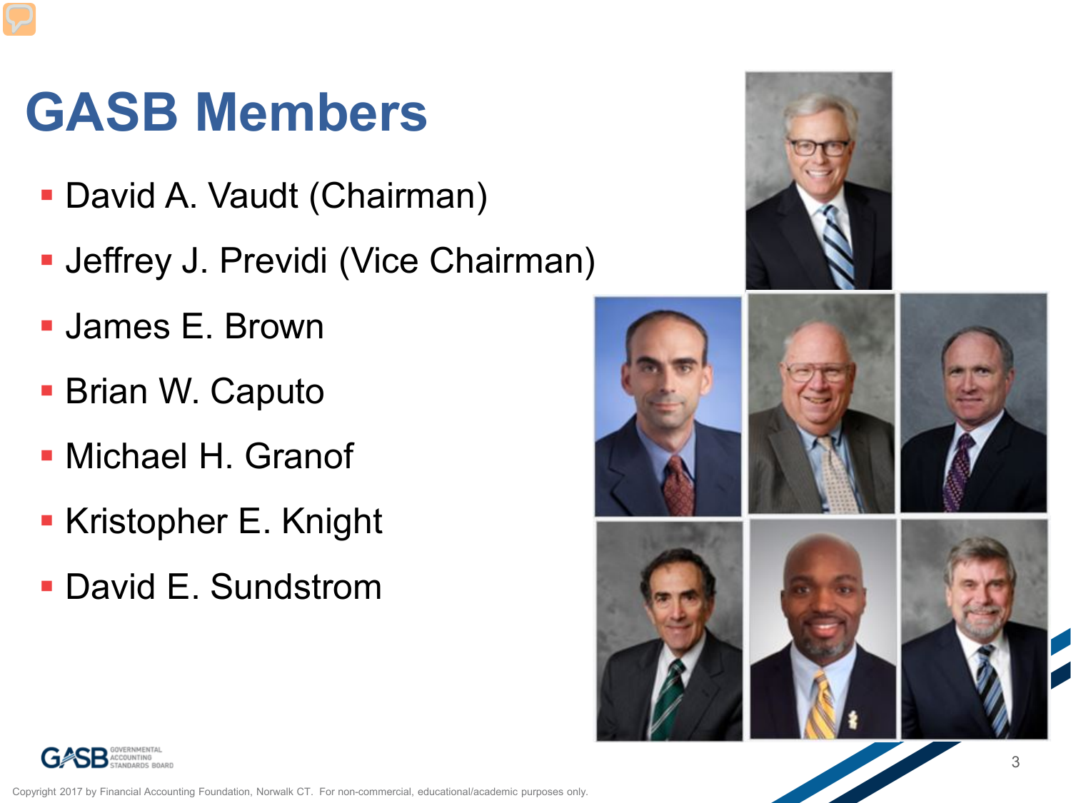## **GASB Members**

- David A. Vaudt (Chairman)
- **Jeffrey J. Previdi (Vice Chairman)**
- James E. Brown
- Brian W. Caputo
- Michael H. Granof
- Kristopher E. Knight
- David E. Sundstrom





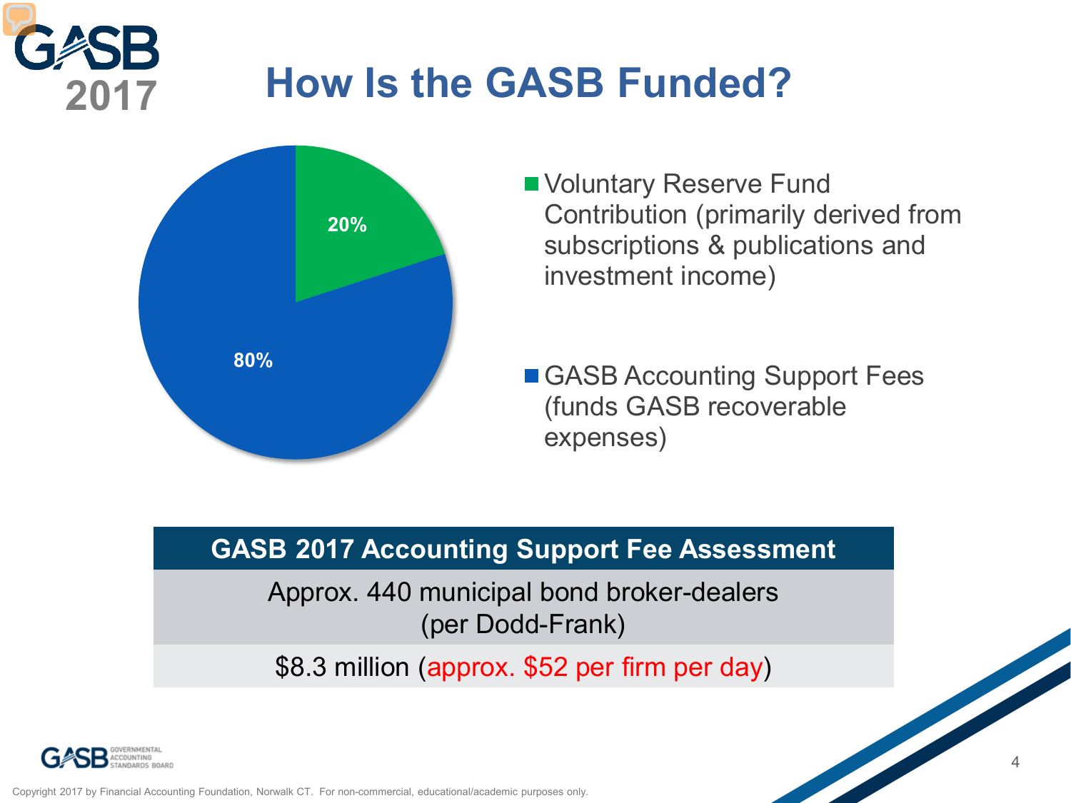#### **How Is the GASB Funded? 2017**



- Voluntary Reserve Fund Contribution (primarily derived from subscriptions & publications and investment income)
- GASB Accounting Support Fees (funds GASB recoverable expenses)

#### **GASB 2017 Accounting Support Fee Assessment**

Approx. 440 municipal bond broker-dealers (per Dodd-Frank)

\$8.3 million (approx. \$52 per firm per day)

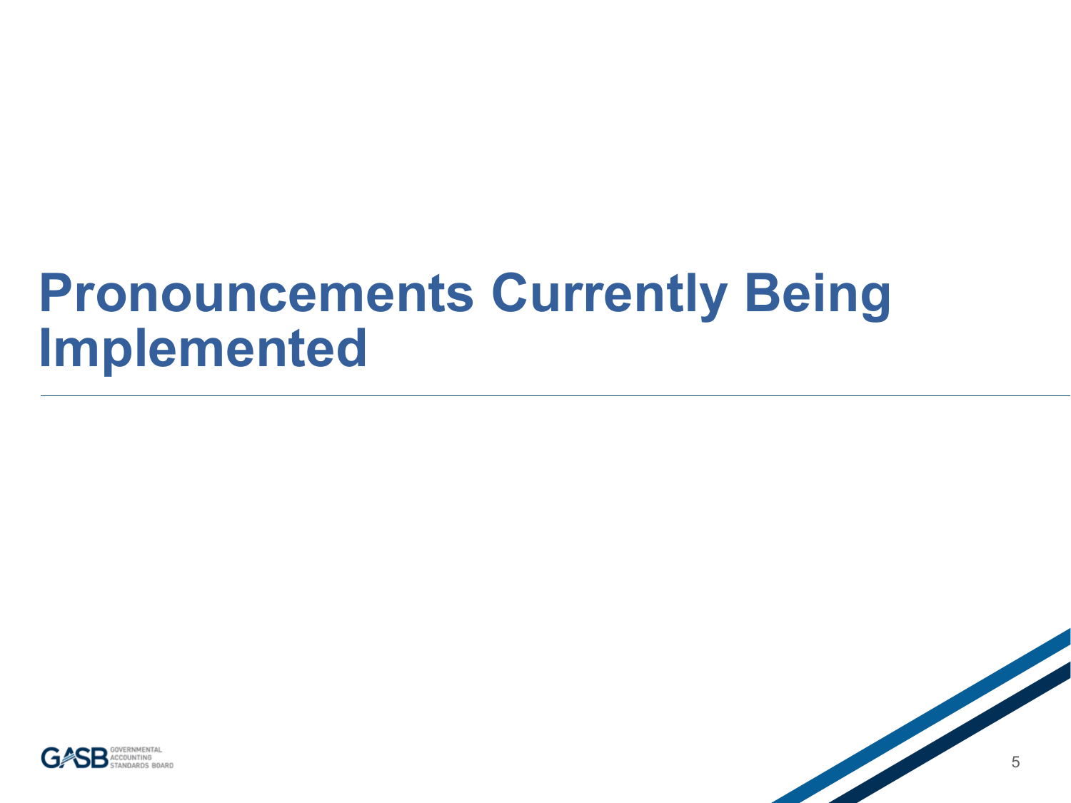### **Pronouncements Currently Being Implemented**



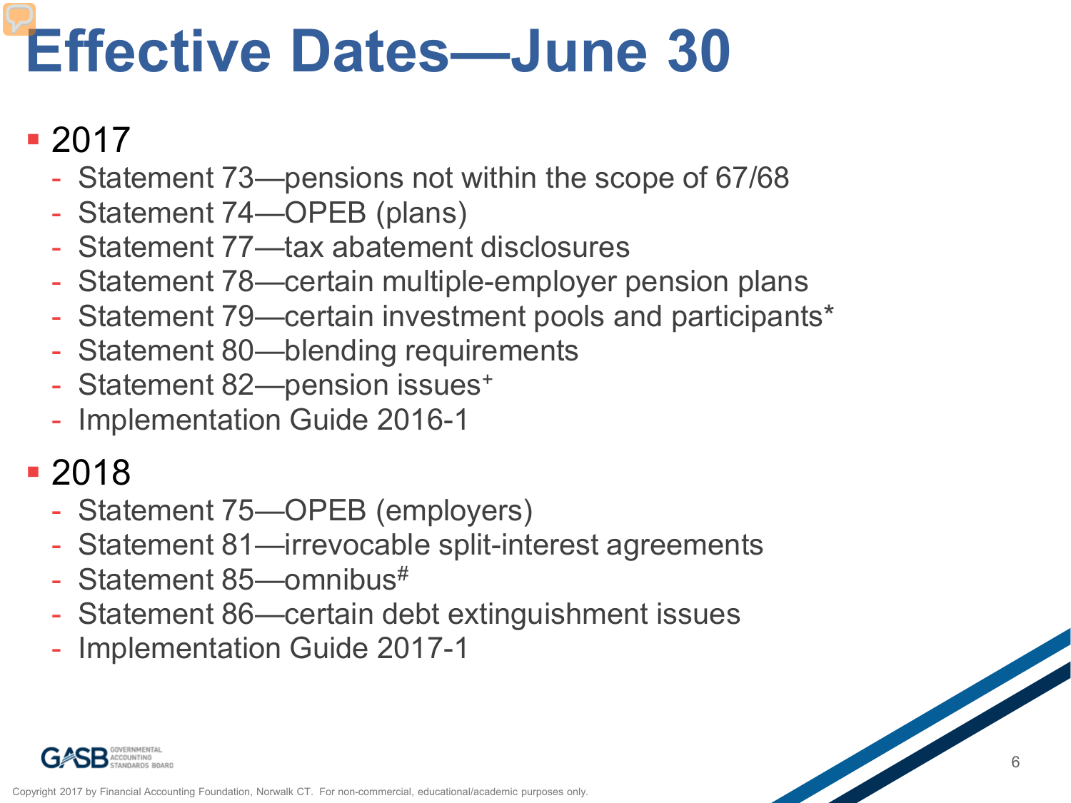# **Effective Dates—June 30**

#### 2017

- Statement 73—pensions not within the scope of 67/68
- Statement 74—OPEB (plans)
- Statement 77—tax abatement disclosures
- Statement 78—certain multiple-employer pension plans
- Statement 79—certain investment pools and participants\*
- Statement 80—blending requirements
- Statement 82-pension issues<sup>+</sup>
- Implementation Guide 2016-1

#### 2018

- Statement 75—OPEB (employers)
- Statement 81—irrevocable split-interest agreements
- Statement 85-omnibus<sup>#</sup>
- Statement 86—certain debt extinguishment issues
- Implementation Guide 2017-1

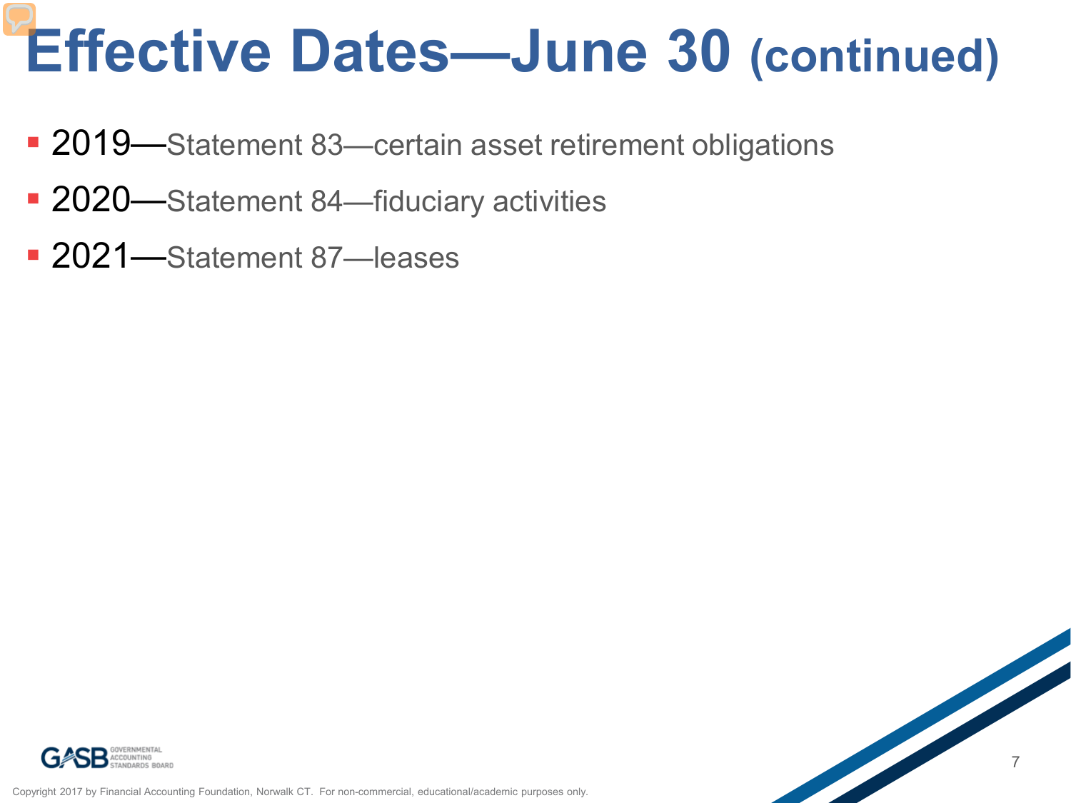# **Effective Dates—June 30 (continued)**

- 2019—Statement 83—certain asset retirement obligations
- 2020—Statement 84—fiduciary activities
- **2021**—Statement 87—leases



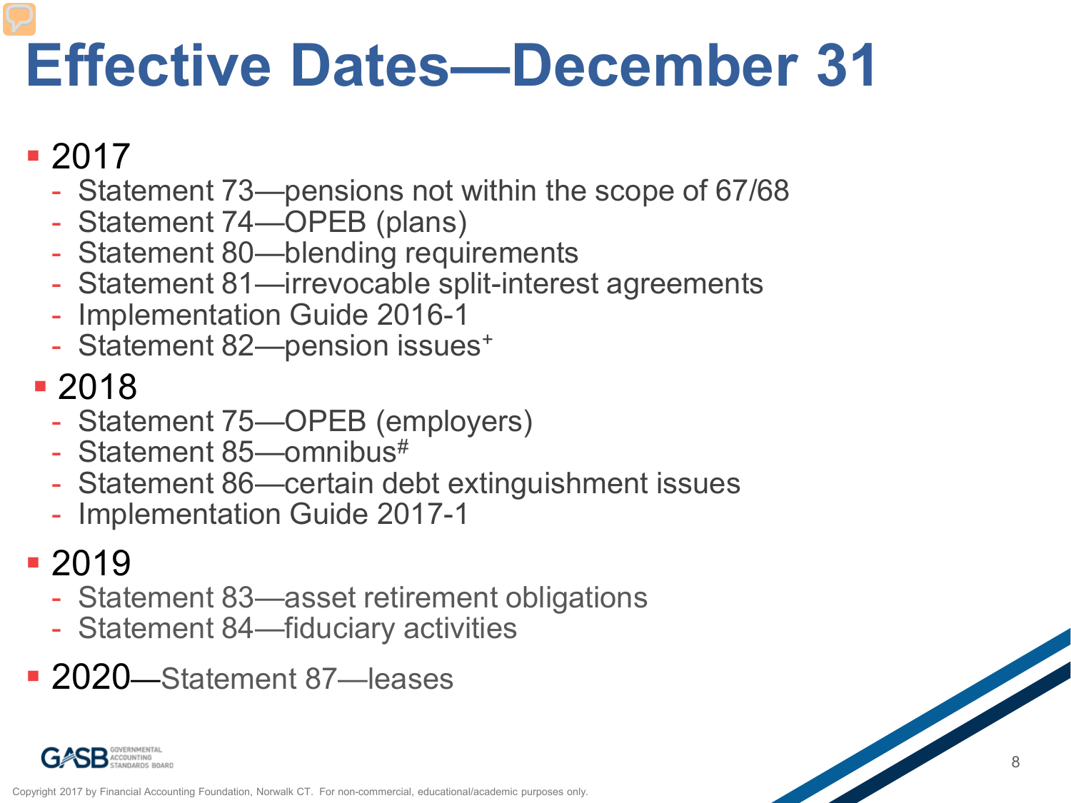# **Effective Dates—December 31**

#### **2017**

- Statement 73—pensions not within the scope of 67/68
- Statement 74—OPEB (plans)
- Statement 80—blending requirements
- Statement 81—irrevocable split-interest agreements
- Implementation Guide 2016-1
- Statement 82-pension issues<sup>+</sup>

#### 2018

- Statement 75—OPEB (employers)
- Statement 85-omnibus<sup>#</sup>
- Statement 86—certain debt extinguishment issues
- Implementation Guide 2017-1

#### ■ 2019

- Statement 83—asset retirement obligations
- Statement 84—fiduciary activities
- 2020—Statement 87—leases

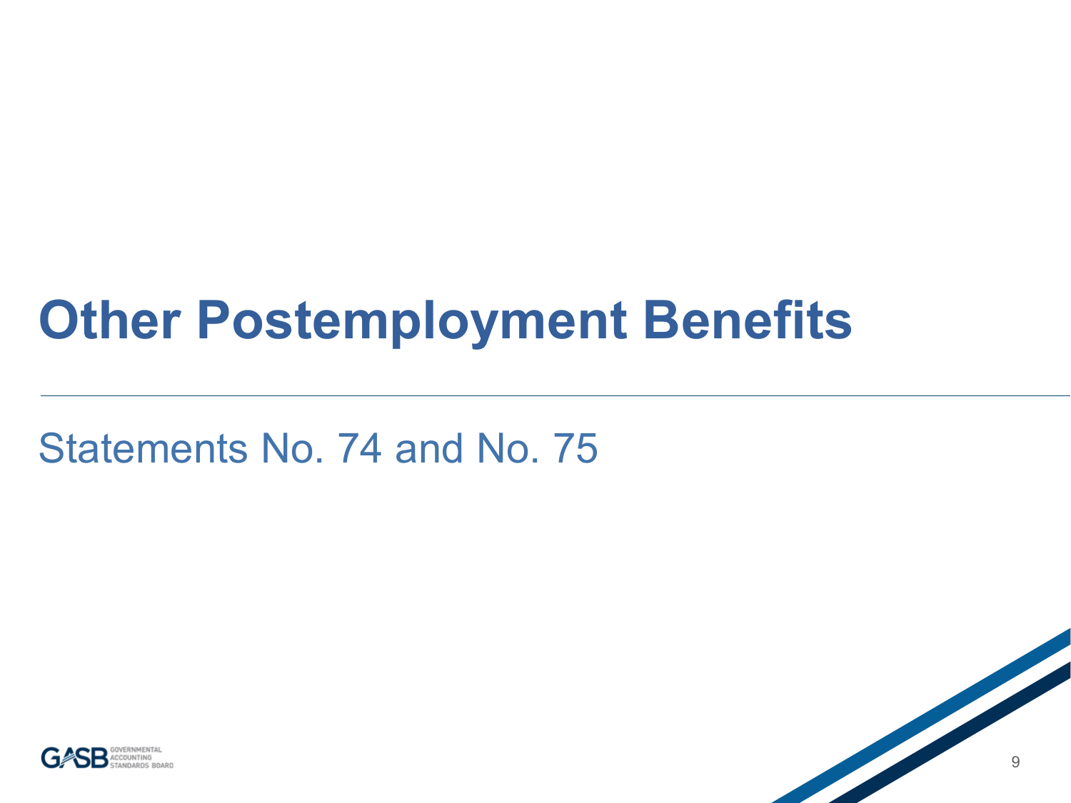## **Other Postemployment Benefits**

#### Statements No. 74 and No. 75



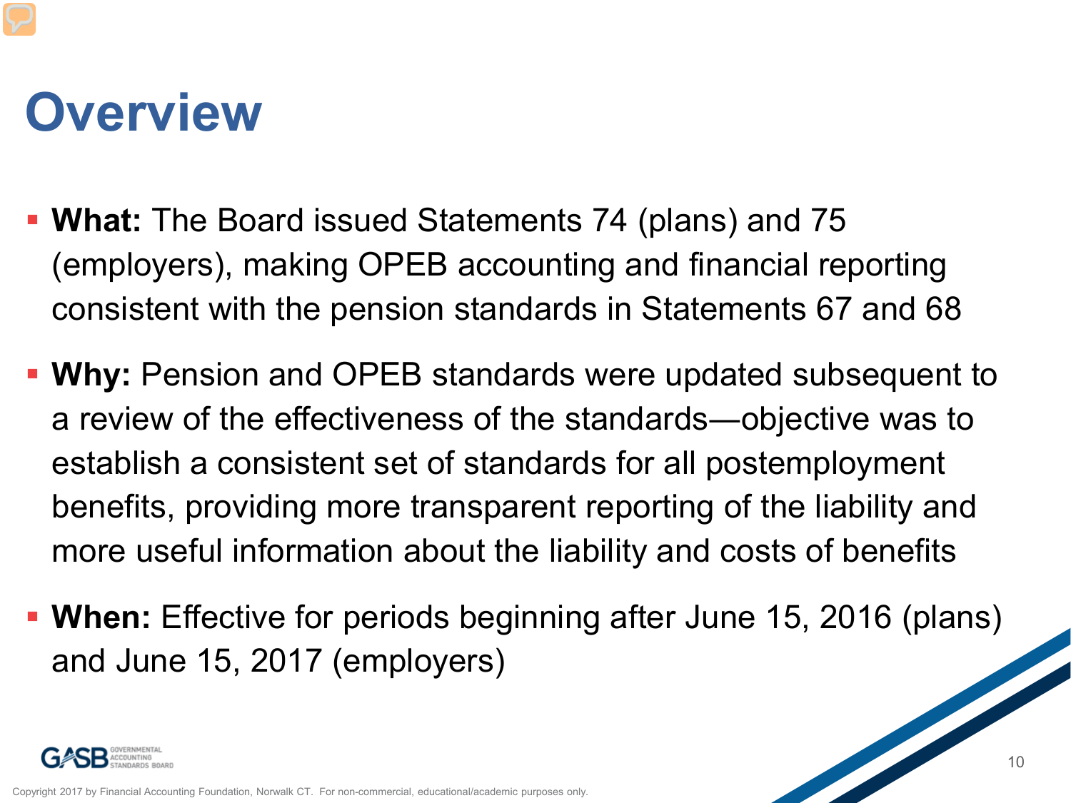## **Overview**

- **What:** The Board issued Statements 74 (plans) and 75 (employers), making OPEB accounting and financial reporting consistent with the pension standards in Statements 67 and 68
- **Why:** Pension and OPEB standards were updated subsequent to a review of the effectiveness of the standards―objective was to establish a consistent set of standards for all postemployment benefits, providing more transparent reporting of the liability and more useful information about the liability and costs of benefits
- **When:** Effective for periods beginning after June 15, 2016 (plans) and June 15, 2017 (employers)

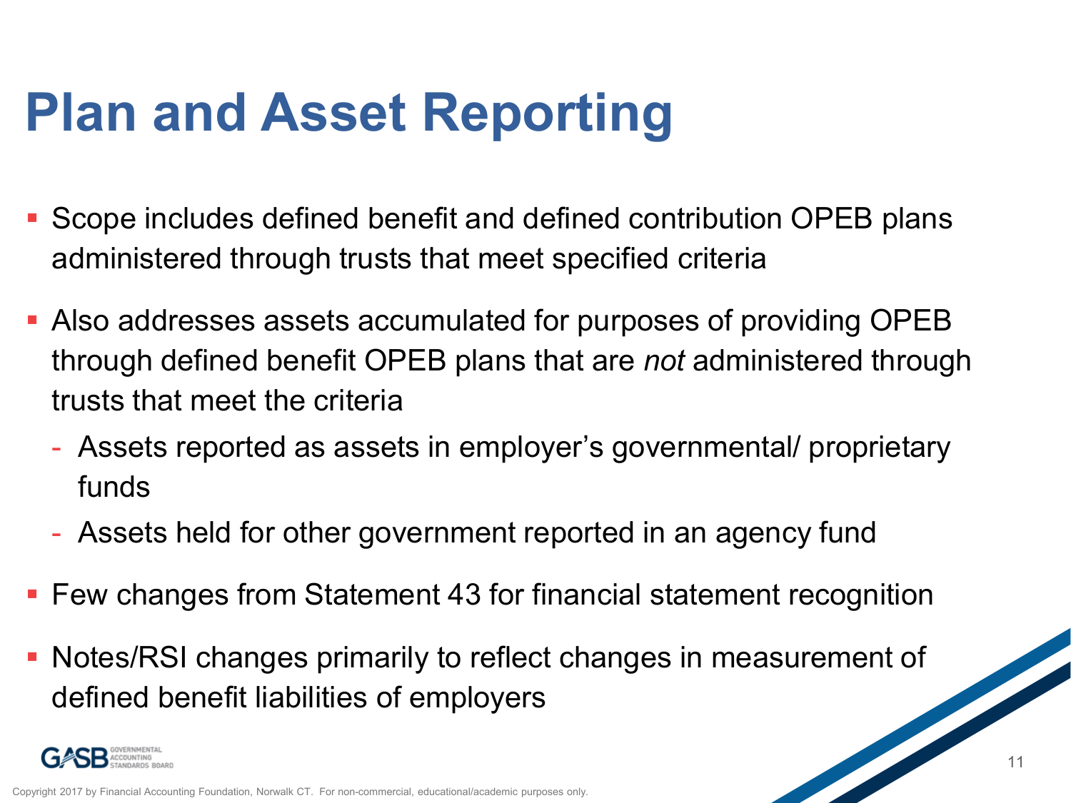## **Plan and Asset Reporting**

- Scope includes defined benefit and defined contribution OPEB plans administered through trusts that meet specified criteria
- Also addresses assets accumulated for purposes of providing OPEB through defined benefit OPEB plans that are *not* administered through trusts that meet the criteria
	- Assets reported as assets in employer's governmental/ proprietary funds
	- Assets held for other government reported in an agency fund
- Few changes from Statement 43 for financial statement recognition
- Notes/RSI changes primarily to reflect changes in measurement of defined benefit liabilities of employers

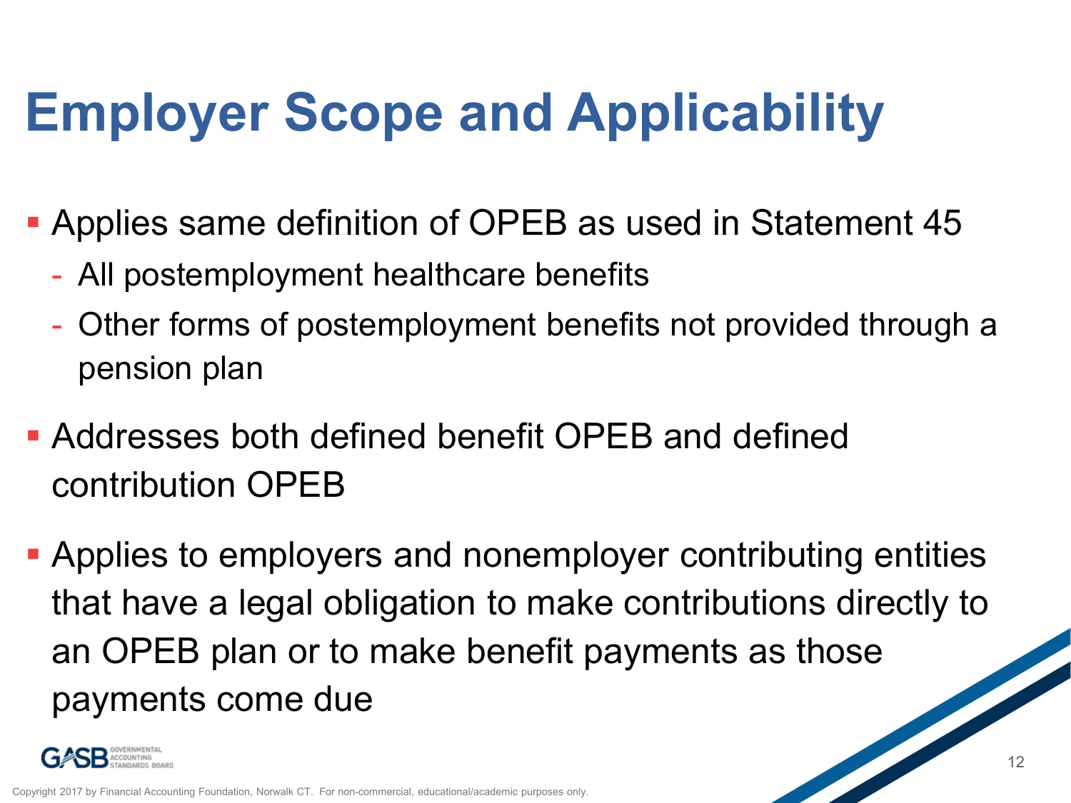# **Employer Scope and Applicability**

- Applies same definition of OPEB as used in Statement 45
	- All postemployment healthcare benefits
	- Other forms of postemployment benefits not provided through a pension plan
- Addresses both defined benefit OPEB and defined contribution OPEB
- Applies to employers and nonemployer contributing entities that have a legal obligation to make contributions directly to an OPEB plan or to make benefit payments as those payments come due

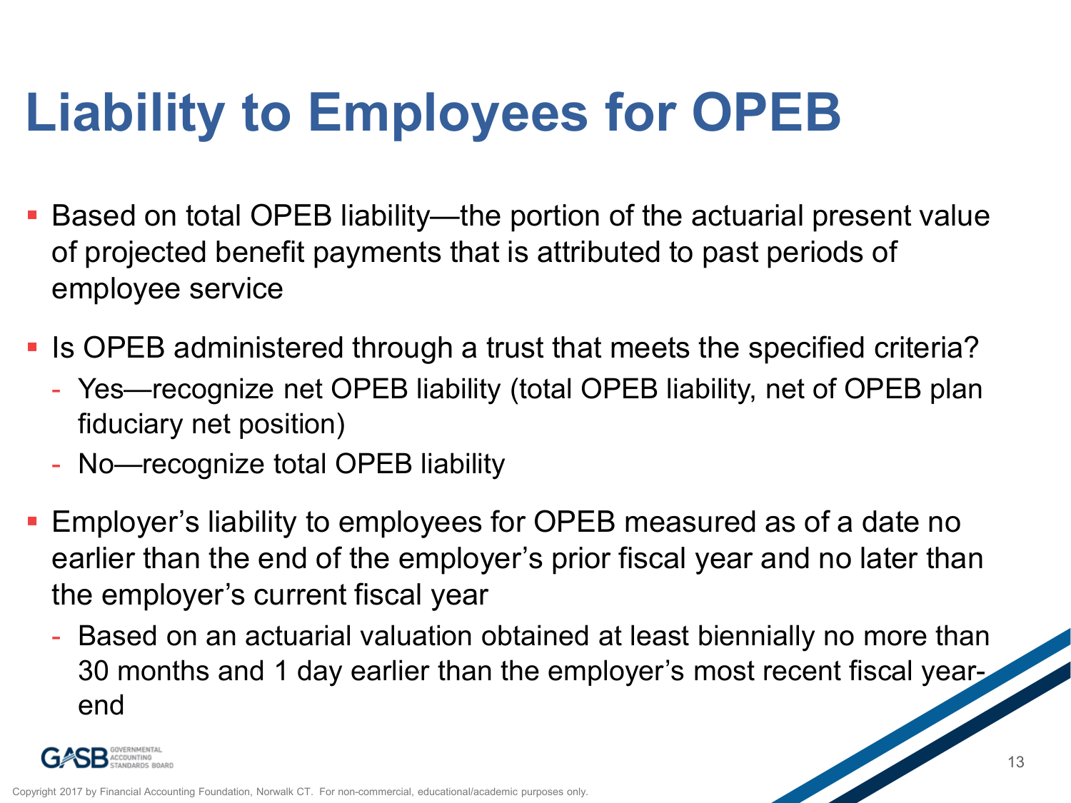# **Liability to Employees for OPEB**

- Based on total OPEB liability—the portion of the actuarial present value of projected benefit payments that is attributed to past periods of employee service
- Is OPEB administered through a trust that meets the specified criteria?
	- Yes—recognize net OPEB liability (total OPEB liability, net of OPEB plan fiduciary net position)
	- No—recognize total OPEB liability
- **Employer's liability to employees for OPEB measured as of a date no** earlier than the end of the employer's prior fiscal year and no later than the employer's current fiscal year
	- Based on an actuarial valuation obtained at least biennially no more than 30 months and 1 day earlier than the employer's most recent fiscal yearend

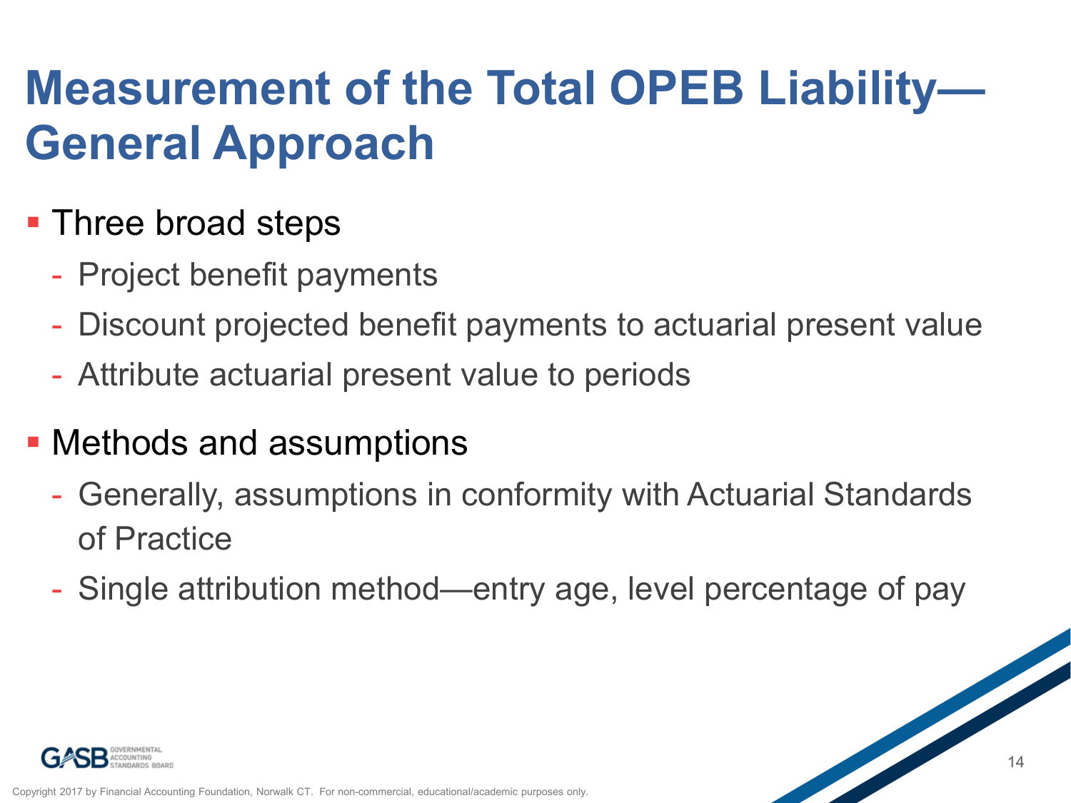#### **Measurement of the Total OPEB Liability— General Approach**

- **Three broad steps** 
	- Project benefit payments
	- Discount projected benefit payments to actuarial present value
	- Attribute actuarial present value to periods
- Methods and assumptions
	- Generally, assumptions in conformity with Actuarial Standards of Practice
	- Single attribution method—entry age, level percentage of pay

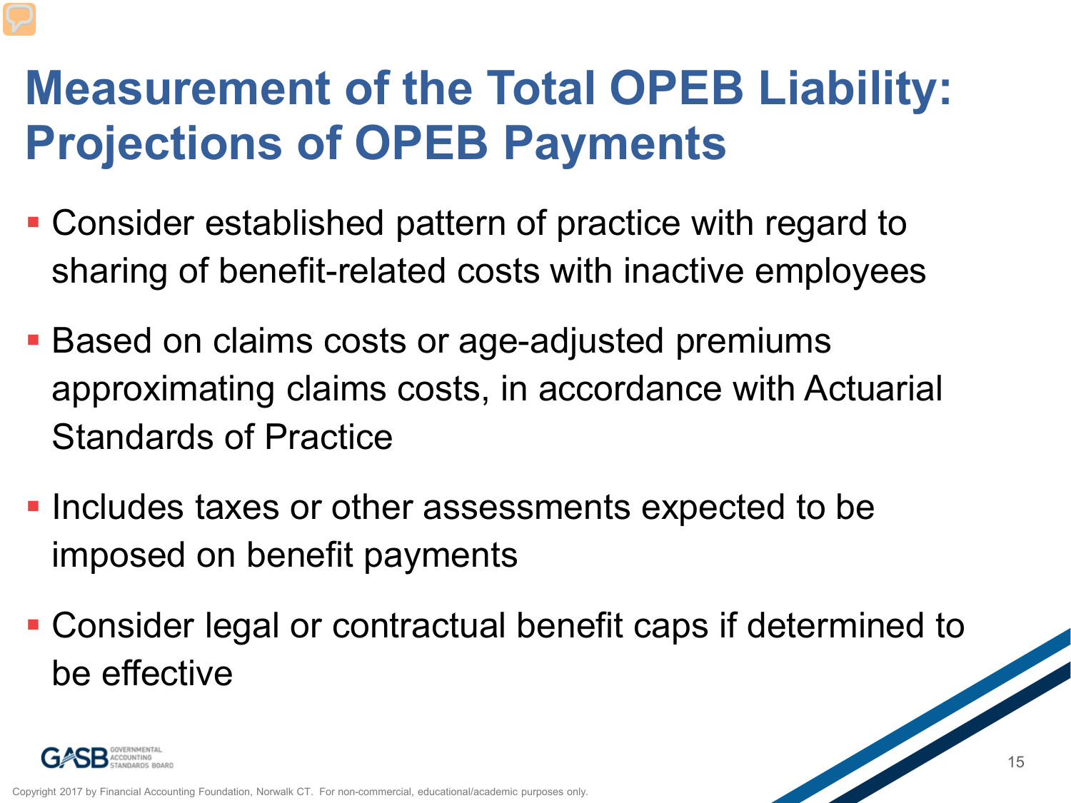#### **Measurement of the Total OPEB Liability: Projections of OPEB Payments**

- Consider established pattern of practice with regard to sharing of benefit-related costs with inactive employees
- **Based on claims costs or age-adjusted premiums** approximating claims costs, in accordance with Actuarial Standards of Practice
- **Includes taxes or other assessments expected to be** imposed on benefit payments
- Consider legal or contractual benefit caps if determined to be effective

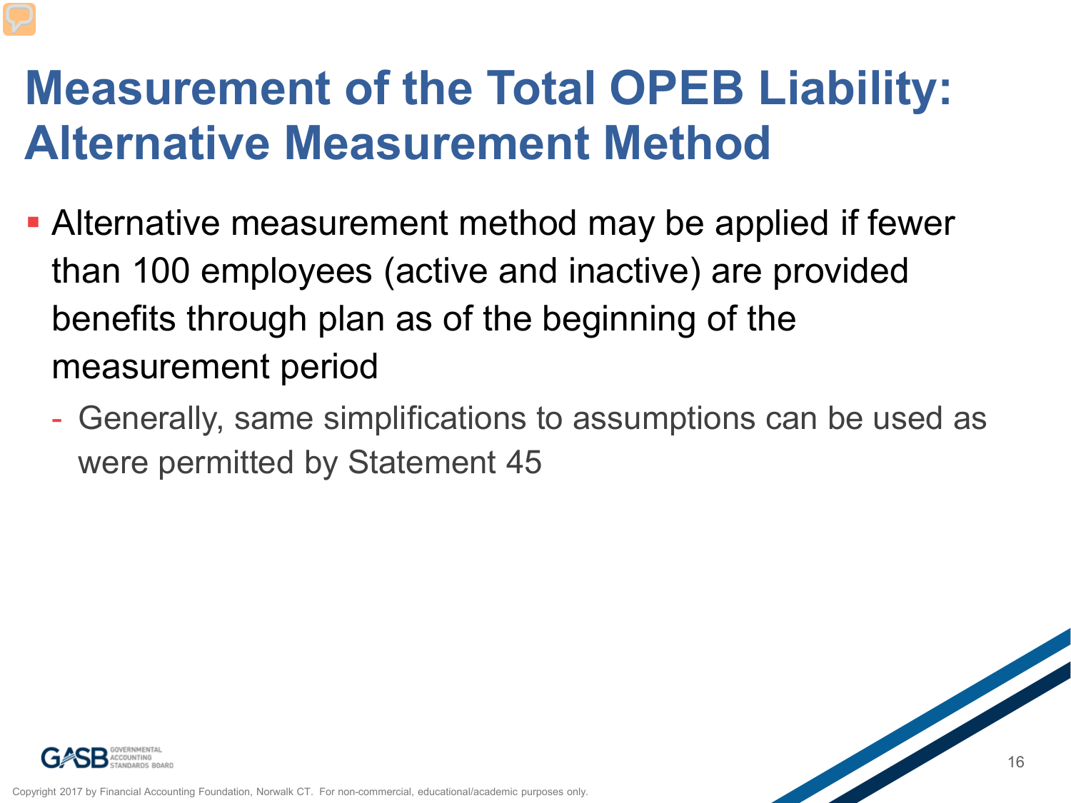#### **Measurement of the Total OPEB Liability: Alternative Measurement Method**

- Alternative measurement method may be applied if fewer than 100 employees (active and inactive) are provided benefits through plan as of the beginning of the measurement period
	- Generally, same simplifications to assumptions can be used as were permitted by Statement 45

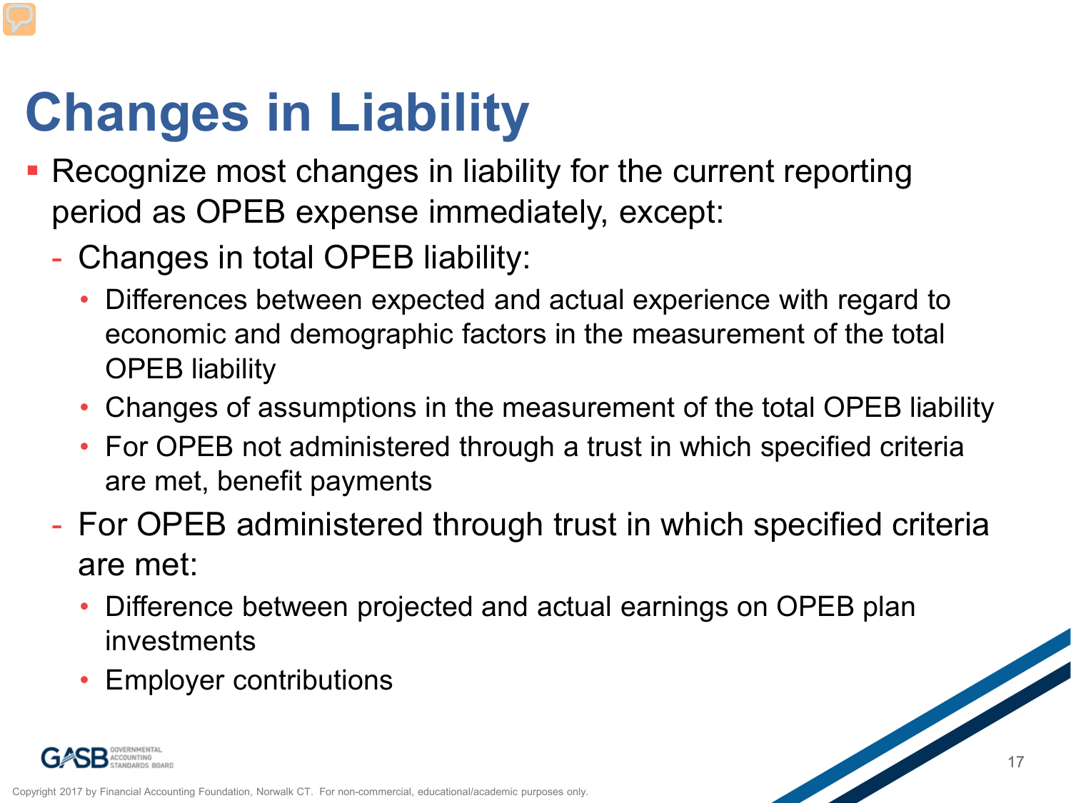# **Changes in Liability**

- **Recognize most changes in liability for the current reporting** period as OPEB expense immediately, except:
	- Changes in total OPEB liability:
		- Differences between expected and actual experience with regard to economic and demographic factors in the measurement of the total OPEB liability
		- Changes of assumptions in the measurement of the total OPEB liability
		- For OPEB not administered through a trust in which specified criteria are met, benefit payments
	- For OPEB administered through trust in which specified criteria are met:
		- Difference between projected and actual earnings on OPEB plan investments 17
		- Employer contributions

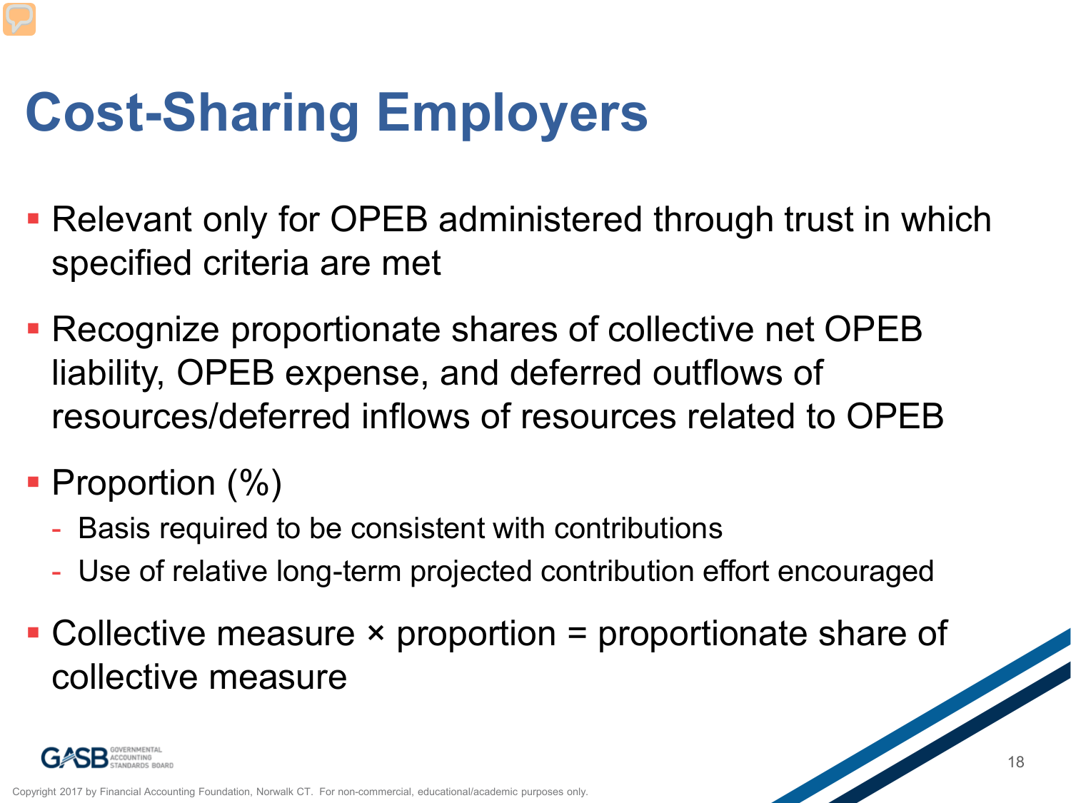# **Cost-Sharing Employers**

- **Relevant only for OPEB administered through trust in which** specified criteria are met
- Recognize proportionate shares of collective net OPEB liability, OPEB expense, and deferred outflows of resources/deferred inflows of resources related to OPEB
- Proportion (%)
	- Basis required to be consistent with contributions
	- Use of relative long-term projected contribution effort encouraged
- $\blacksquare$  Collective measure  $\times$  proportion = proportionate share of collective measure

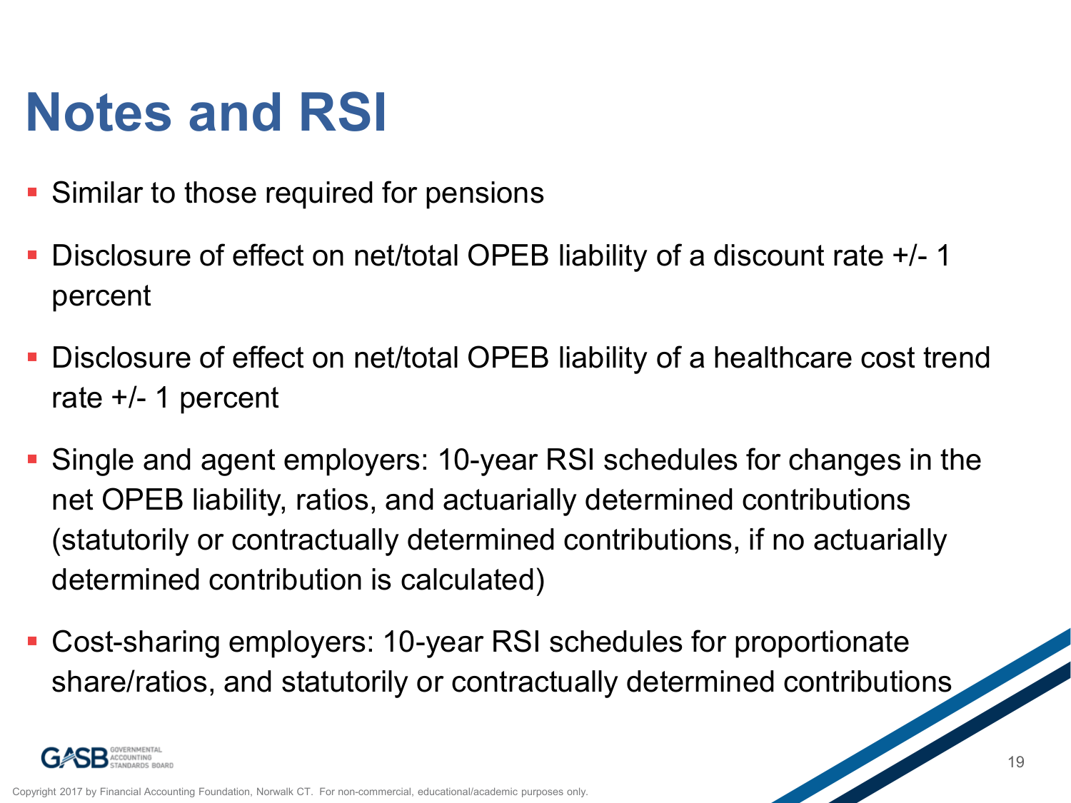## **Notes and RSI**

- **Similar to those required for pensions**
- Disclosure of effect on net/total OPEB liability of a discount rate +/- 1 percent
- Disclosure of effect on net/total OPEB liability of a healthcare cost trend rate +/- 1 percent
- Single and agent employers: 10-year RSI schedules for changes in the net OPEB liability, ratios, and actuarially determined contributions (statutorily or contractually determined contributions, if no actuarially determined contribution is calculated)
- Cost-sharing employers: 10-year RSI schedules for proportionate share/ratios, and statutorily or contractually determined contributions

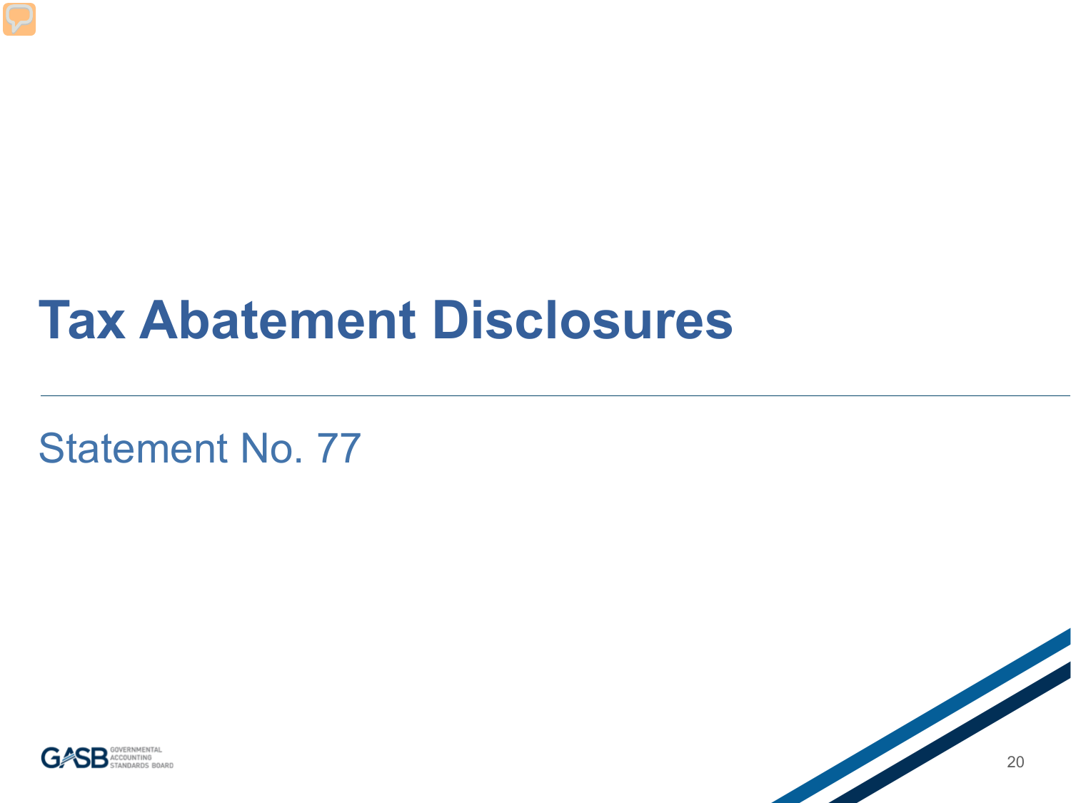### **Tax Abatement Disclosures**

Statement No. 77



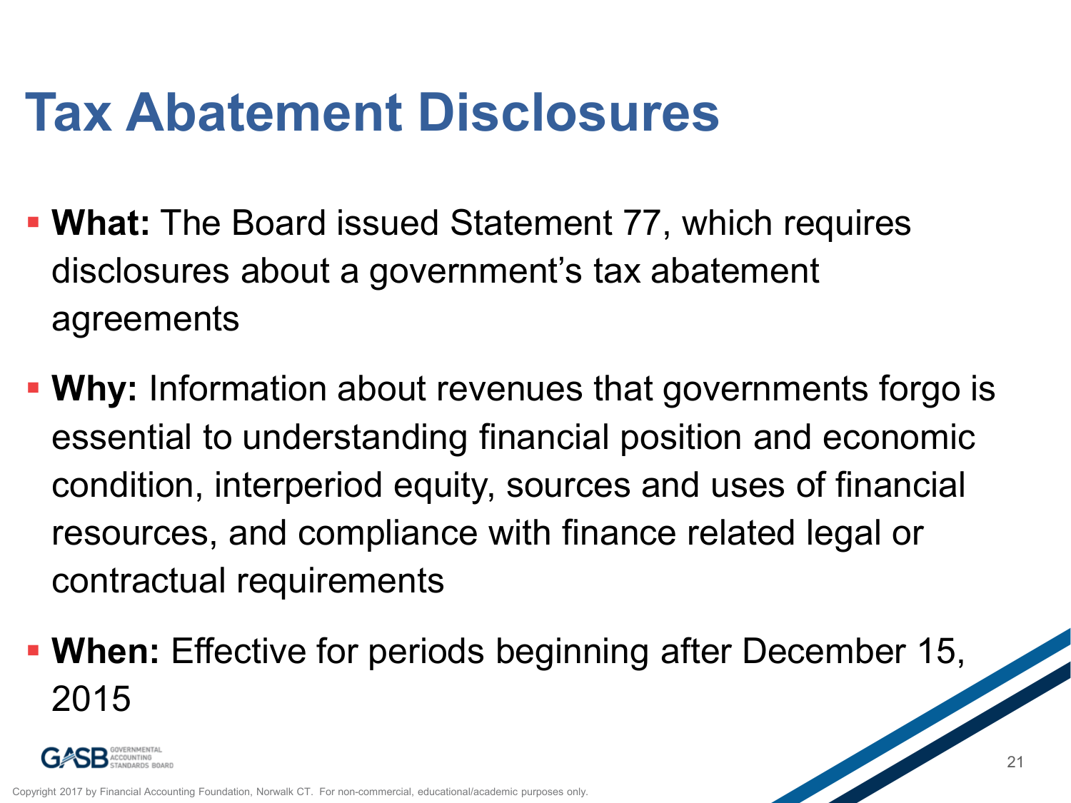## **Tax Abatement Disclosures**

- **What:** The Board issued Statement 77, which requires disclosures about a government's tax abatement agreements
- **Why:** Information about revenues that governments forgo is essential to understanding financial position and economic condition, interperiod equity, sources and uses of financial resources, and compliance with finance related legal or contractual requirements
- **When:** Effective for periods beginning after December 15, 2015

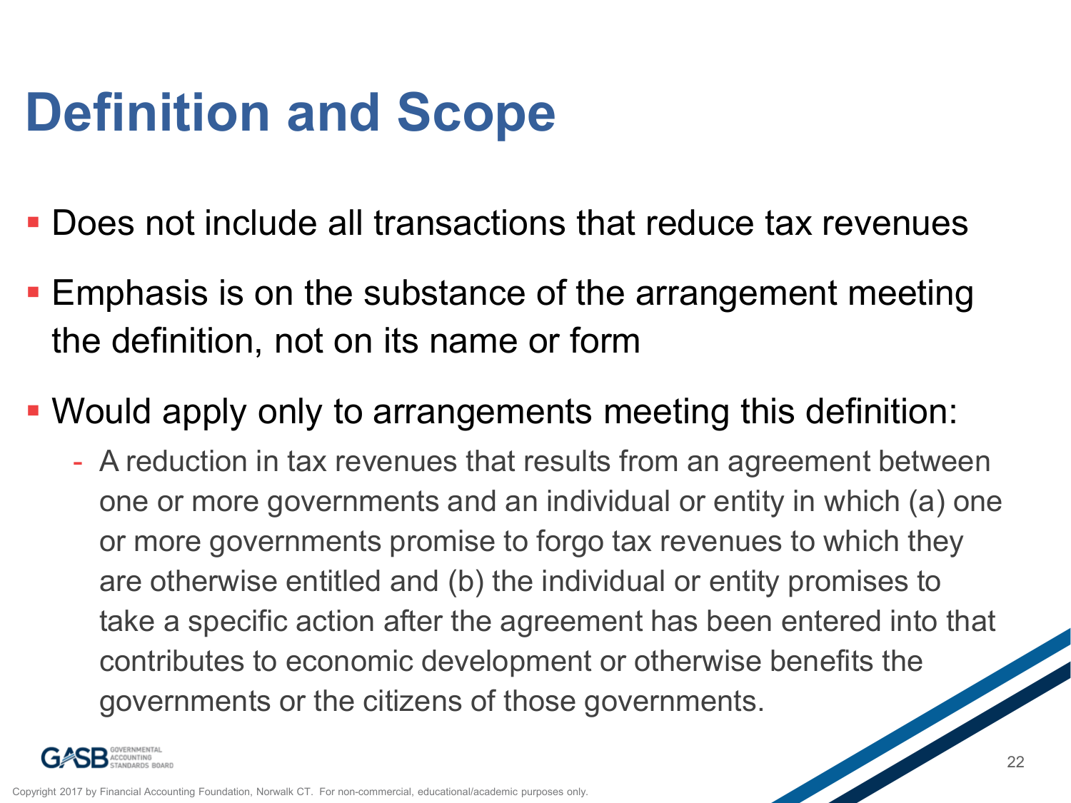## **Definition and Scope**

- Does not include all transactions that reduce tax revenues
- **Emphasis is on the substance of the arrangement meeting** the definition, not on its name or form
- Would apply only to arrangements meeting this definition:
	- A reduction in tax revenues that results from an agreement between one or more governments and an individual or entity in which (a) one or more governments promise to forgo tax revenues to which they are otherwise entitled and (b) the individual or entity promises to take a specific action after the agreement has been entered into that contributes to economic development or otherwise benefits the governments or the citizens of those governments.

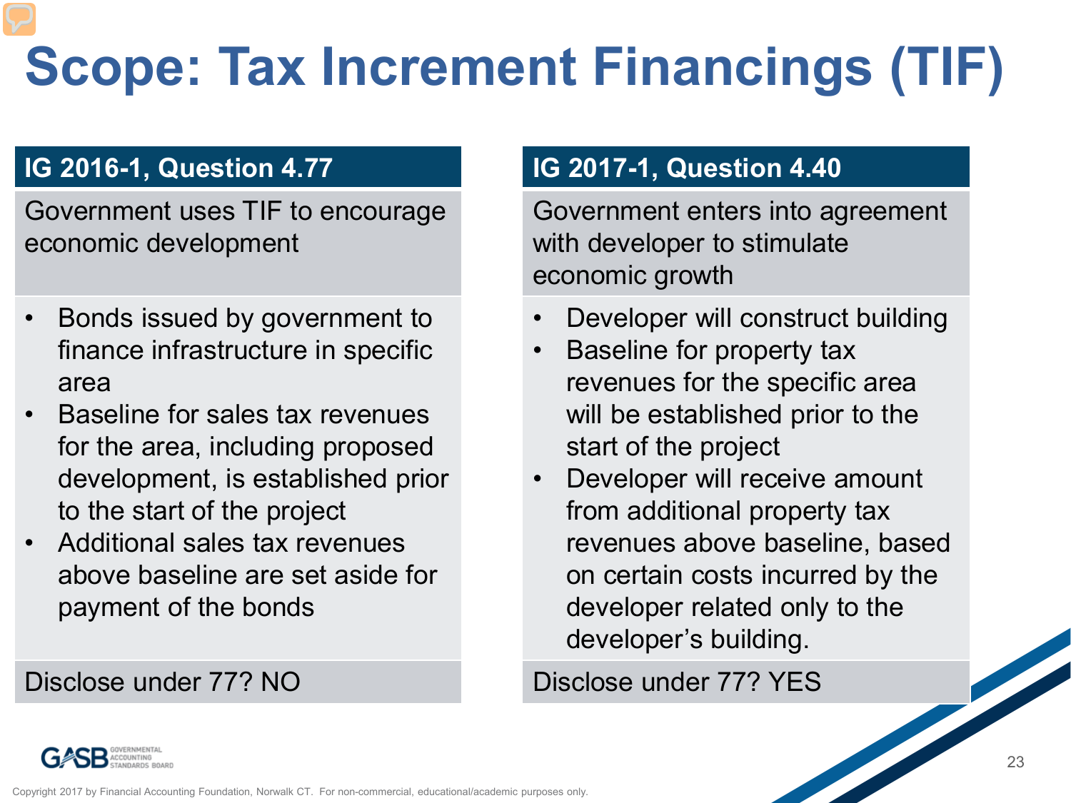# **Scope: Tax Increment Financings (TIF)**

#### **IG 2016-1, Question 4.77**

Government uses TIF to encourage economic development

- Bonds issued by government to finance infrastructure in specific area
- Baseline for sales tax revenues for the area, including proposed development, is established prior to the start of the project
- Additional sales tax revenues above baseline are set aside for payment of the bonds

#### Disclose under 77? NO

#### **IG 2017-1, Question 4.40**

Government enters into agreement with developer to stimulate economic growth

- Developer will construct building
- Baseline for property tax revenues for the specific area will be established prior to the start of the project
- Developer will receive amount from additional property tax revenues above baseline, based on certain costs incurred by the developer related only to the developer's building.

#### Disclose under 77? YES

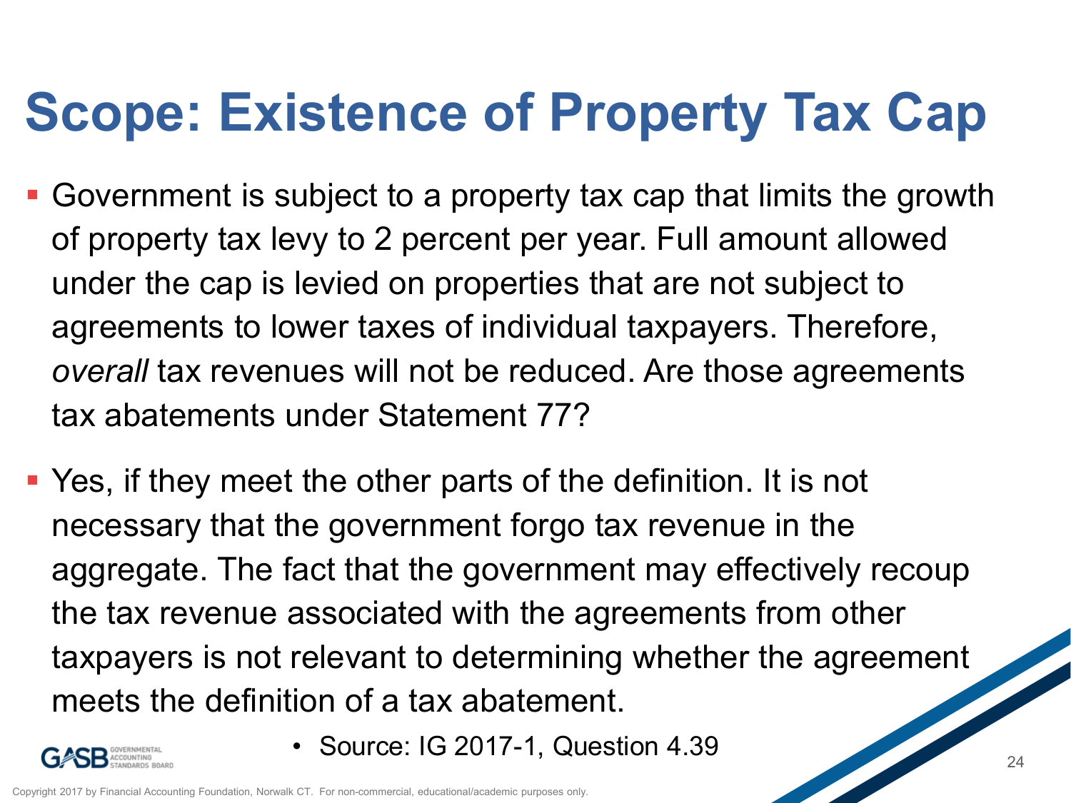# **Scope: Existence of Property Tax Cap**

- Government is subject to a property tax cap that limits the growth of property tax levy to 2 percent per year. Full amount allowed under the cap is levied on properties that are not subject to agreements to lower taxes of individual taxpayers. Therefore, *overall* tax revenues will not be reduced. Are those agreements tax abatements under Statement 77?
- Yes, if they meet the other parts of the definition. It is not necessary that the government forgo tax revenue in the aggregate. The fact that the government may effectively recoup the tax revenue associated with the agreements from other taxpayers is not relevant to determining whether the agreement meets the definition of a tax abatement.



• Source: IG 2017-1, Question 4.39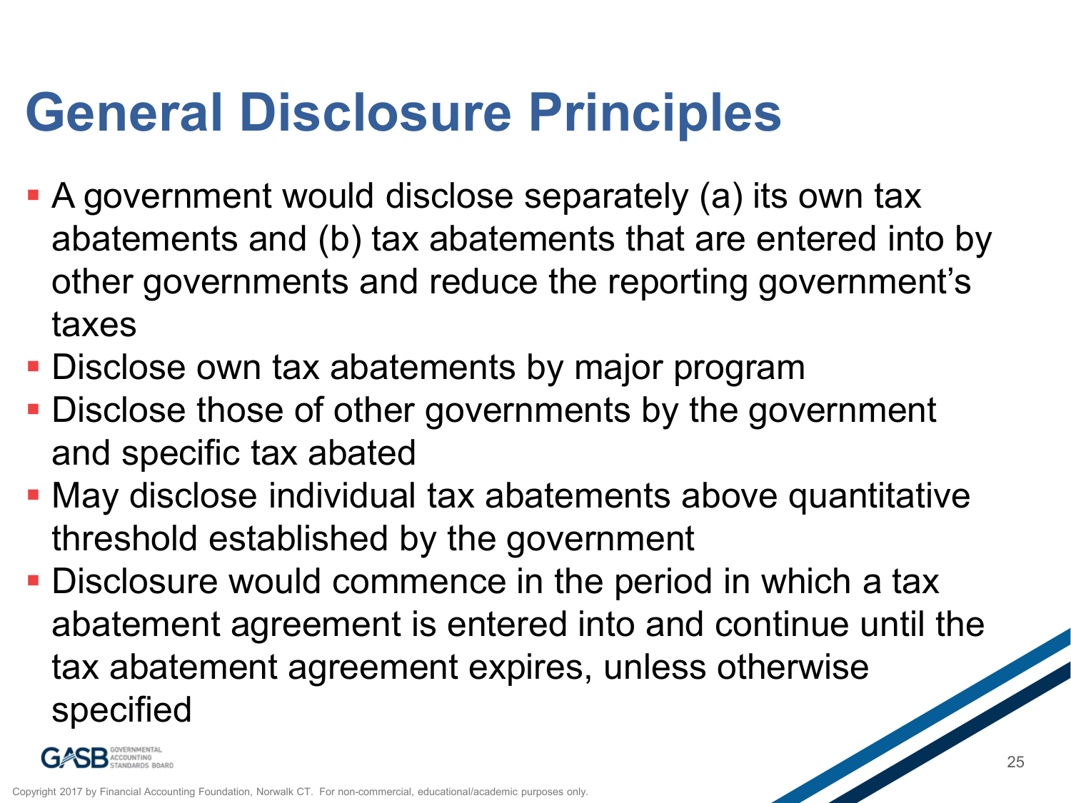## **General Disclosure Principles**

- A government would disclose separately (a) its own tax abatements and (b) tax abatements that are entered into by other governments and reduce the reporting government's taxes
- **Disclose own tax abatements by major program**
- **Disclose those of other governments by the government** and specific tax abated
- May disclose individual tax abatements above quantitative threshold established by the government
- **Disclosure would commence in the period in which a tax** abatement agreement is entered into and continue until the tax abatement agreement expires, unless otherwise specified

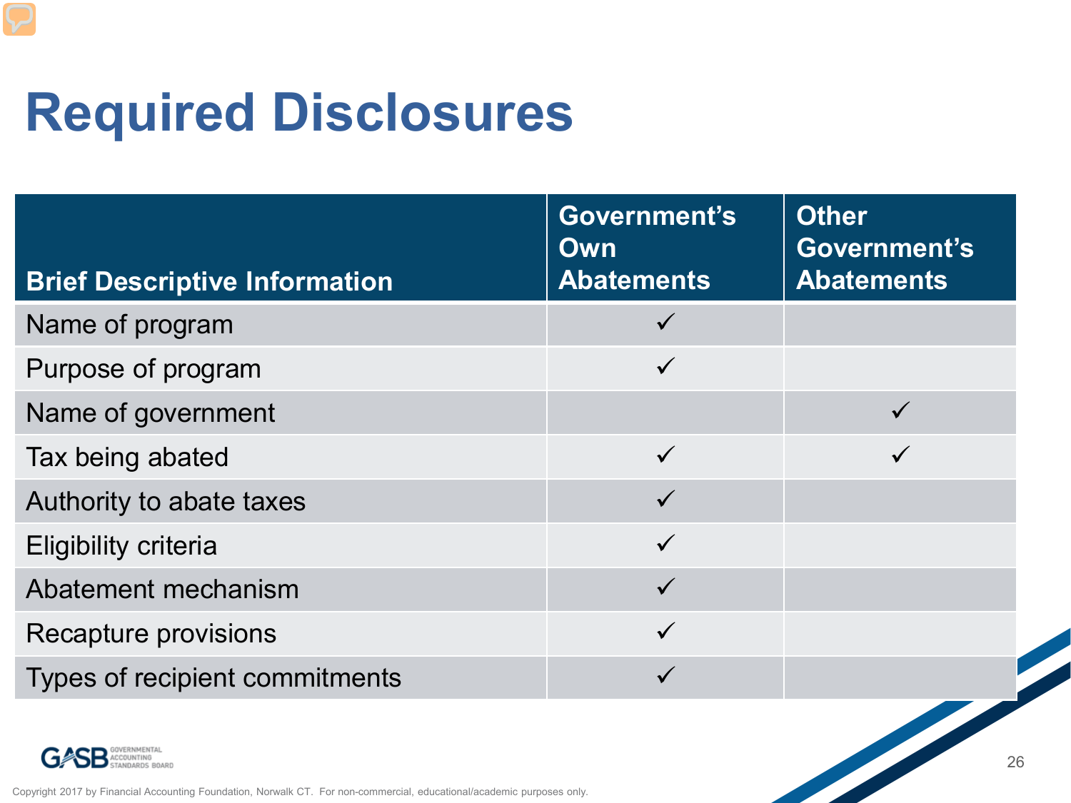## **Required Disclosures**

| <b>Brief Descriptive Information</b>                                                                                   | Government's<br><b>Own</b><br><b>Abatements</b> | <b>Other</b><br>Government's<br><b>Abatements</b> |
|------------------------------------------------------------------------------------------------------------------------|-------------------------------------------------|---------------------------------------------------|
| Name of program                                                                                                        |                                                 |                                                   |
| Purpose of program                                                                                                     |                                                 |                                                   |
| Name of government                                                                                                     |                                                 |                                                   |
| Tax being abated                                                                                                       | $\checkmark$                                    |                                                   |
| Authority to abate taxes                                                                                               |                                                 |                                                   |
| <b>Eligibility criteria</b>                                                                                            |                                                 |                                                   |
| Abatement mechanism                                                                                                    | $\checkmark$                                    |                                                   |
| <b>Recapture provisions</b>                                                                                            |                                                 |                                                   |
| Types of recipient commitments                                                                                         |                                                 |                                                   |
| Copyright 2017 by Financial Accounting Foundation, Norwalk CT. For non-commercial, educational/academic purposes only. |                                                 | $\frac{1}{\sqrt{2}}$                              |

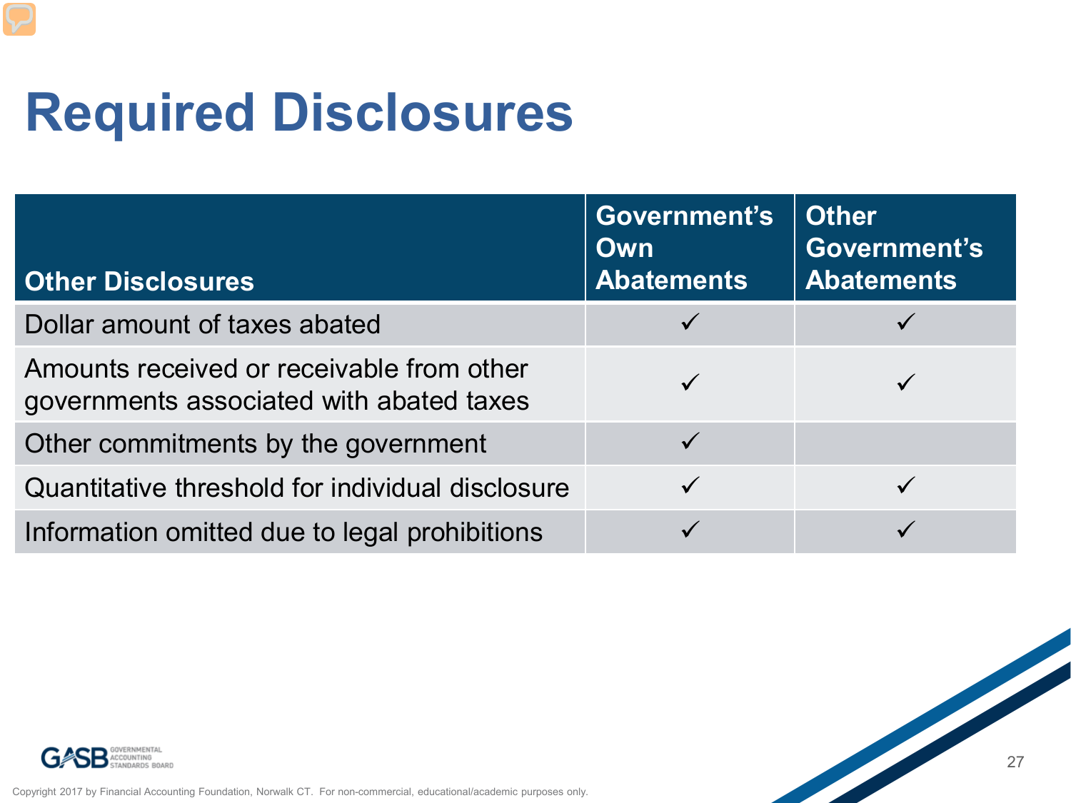## **Required Disclosures**

| <b>Other Disclosures</b>                                                              | Government's<br><b>Own</b><br><b>Abatements</b> | <b>Other</b><br>Government's<br><b>Abatements</b> |
|---------------------------------------------------------------------------------------|-------------------------------------------------|---------------------------------------------------|
| Dollar amount of taxes abated                                                         |                                                 |                                                   |
| Amounts received or receivable from other<br>governments associated with abated taxes |                                                 |                                                   |
| Other commitments by the government                                                   | $\checkmark$                                    |                                                   |
| Quantitative threshold for individual disclosure                                      | $\checkmark$                                    |                                                   |
| Information omitted due to legal prohibitions                                         |                                                 |                                                   |



Copyright 2017 by Financial Accounting Foundation, Norwalk CT. For non-commercial, educational/academic purposes only.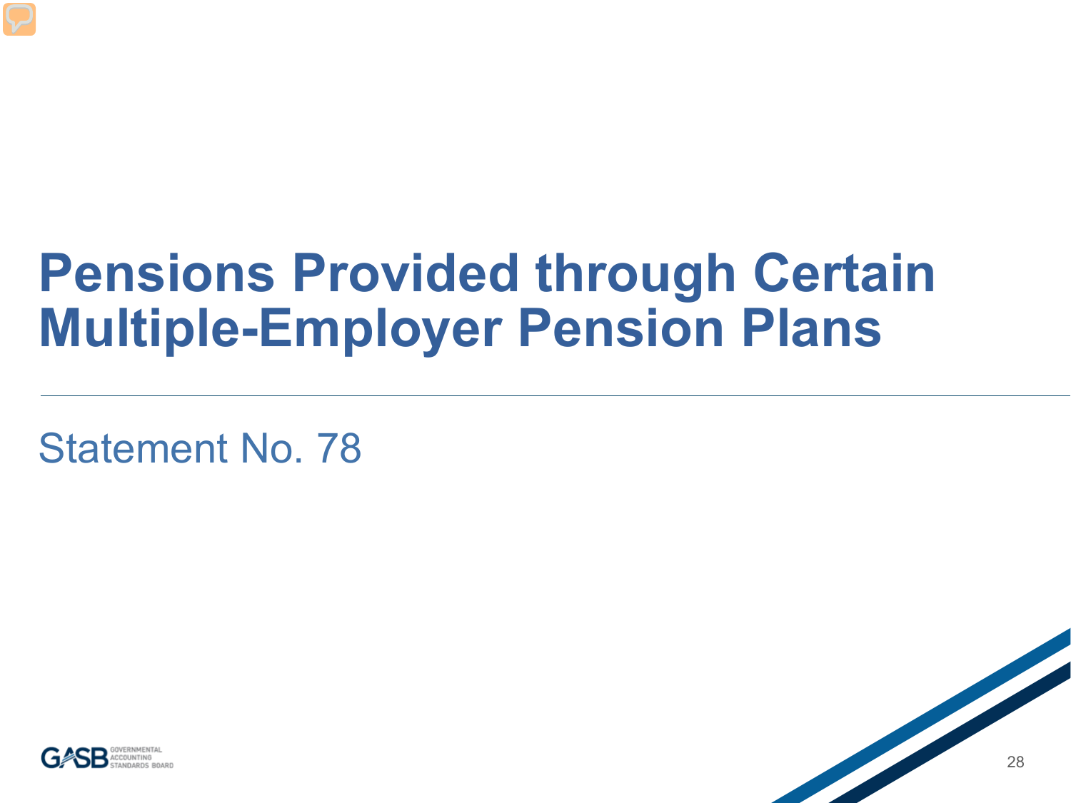### **Pensions Provided through Certain Multiple-Employer Pension Plans**

Statement No. 78



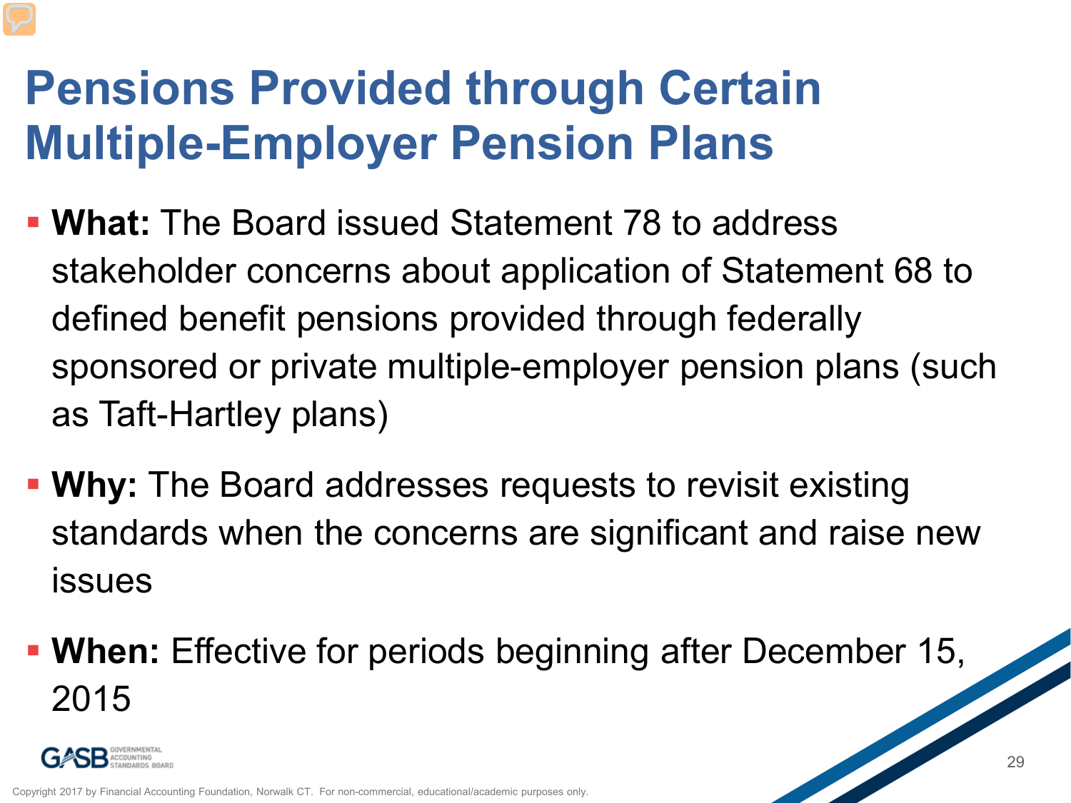#### **Pensions Provided through Certain Multiple-Employer Pension Plans**

- **What:** The Board issued Statement 78 to address stakeholder concerns about application of Statement 68 to defined benefit pensions provided through federally sponsored or private multiple-employer pension plans (such as Taft-Hartley plans)
- **Why:** The Board addresses requests to revisit existing standards when the concerns are significant and raise new issues
- **When:** Effective for periods beginning after December 15, 2015

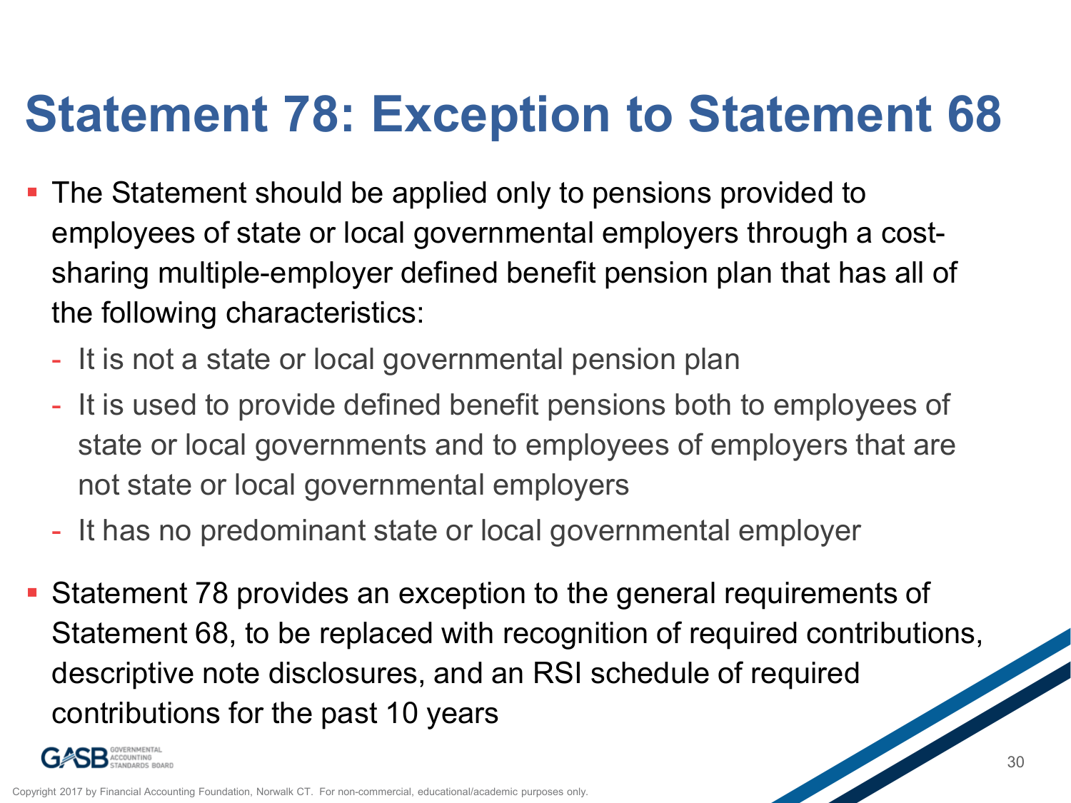### **Statement 78: Exception to Statement 68**

- **The Statement should be applied only to pensions provided to** employees of state or local governmental employers through a costsharing multiple-employer defined benefit pension plan that has all of the following characteristics:
	- It is not a state or local governmental pension plan
	- It is used to provide defined benefit pensions both to employees of state or local governments and to employees of employers that are not state or local governmental employers
	- It has no predominant state or local governmental employer
- Statement 78 provides an exception to the general requirements of Statement 68, to be replaced with recognition of required contributions, descriptive note disclosures, and an RSI schedule of required contributions for the past 10 years

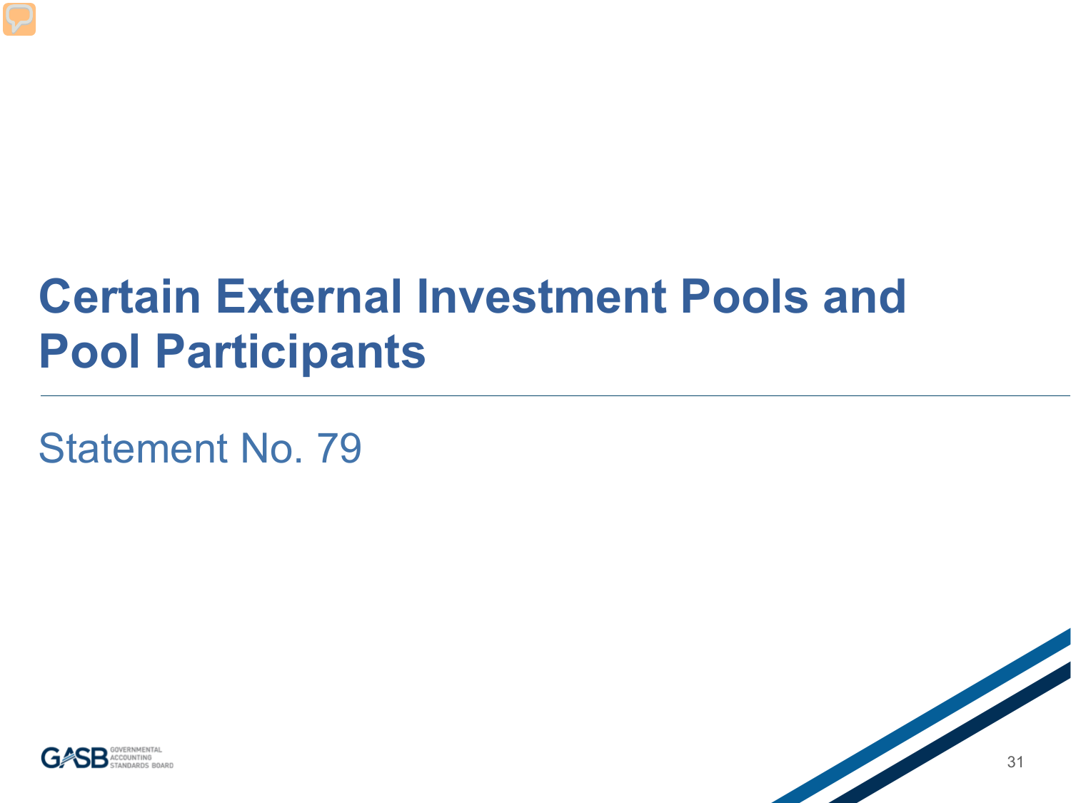#### **Certain External Investment Pools and Pool Participants**

Statement No. 79



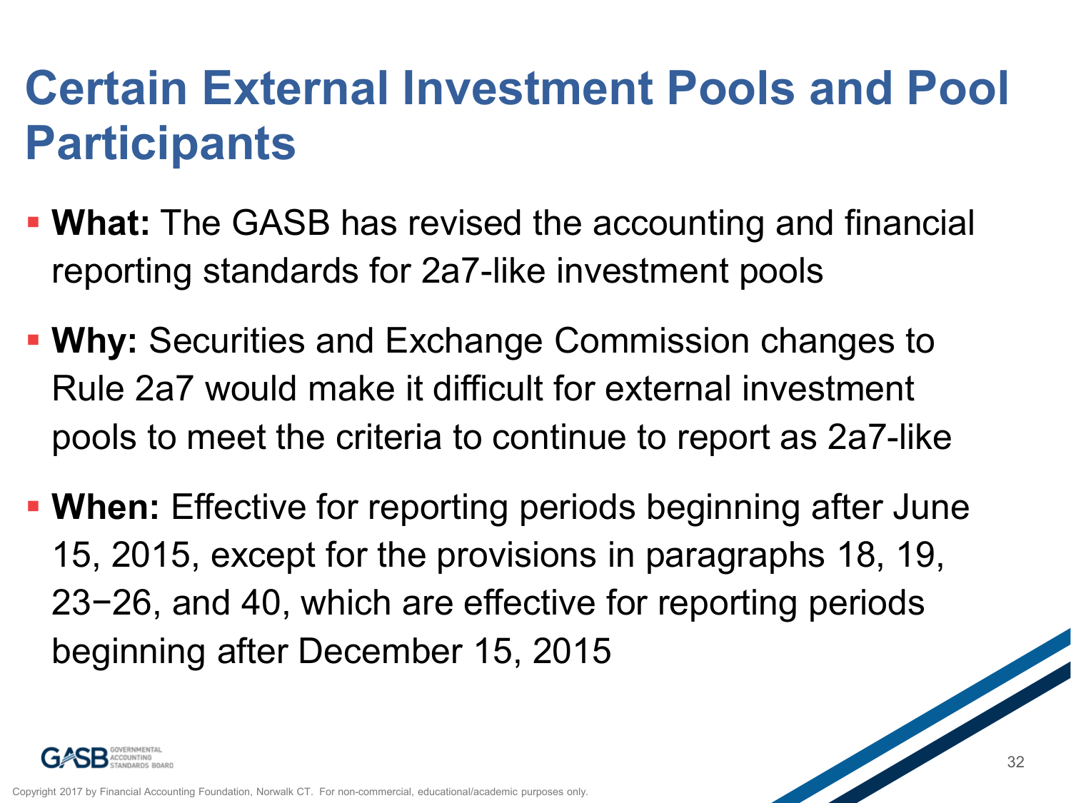#### **Certain External Investment Pools and Pool Participants**

- **What:** The GASB has revised the accounting and financial reporting standards for 2a7-like investment pools
- **Why:** Securities and Exchange Commission changes to Rule 2a7 would make it difficult for external investment pools to meet the criteria to continue to report as 2a7-like
- **When:** Effective for reporting periods beginning after June 15, 2015, except for the provisions in paragraphs 18, 19, 23−26, and 40, which are effective for reporting periods beginning after December 15, 2015

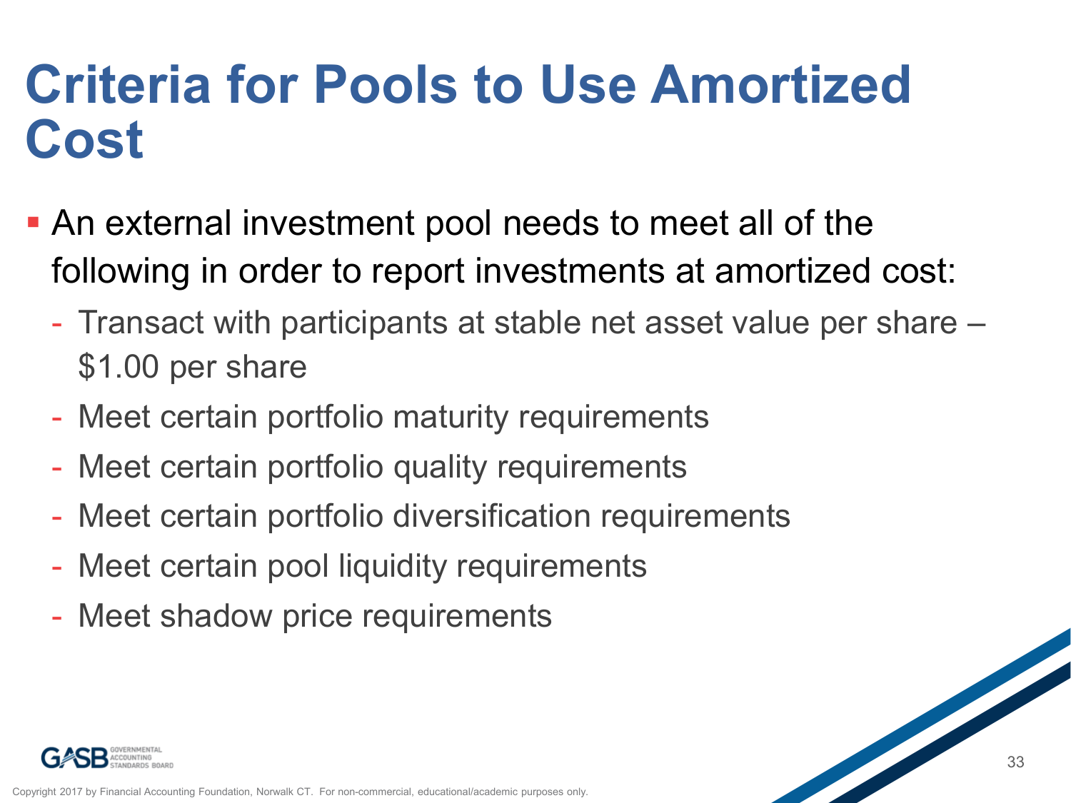### **Criteria for Pools to Use Amortized Cost**

- An external investment pool needs to meet all of the following in order to report investments at amortized cost:
	- Transact with participants at stable net asset value per share \$1.00 per share
	- Meet certain portfolio maturity requirements
	- Meet certain portfolio quality requirements
	- Meet certain portfolio diversification requirements
	- Meet certain pool liquidity requirements
	- Meet shadow price requirements

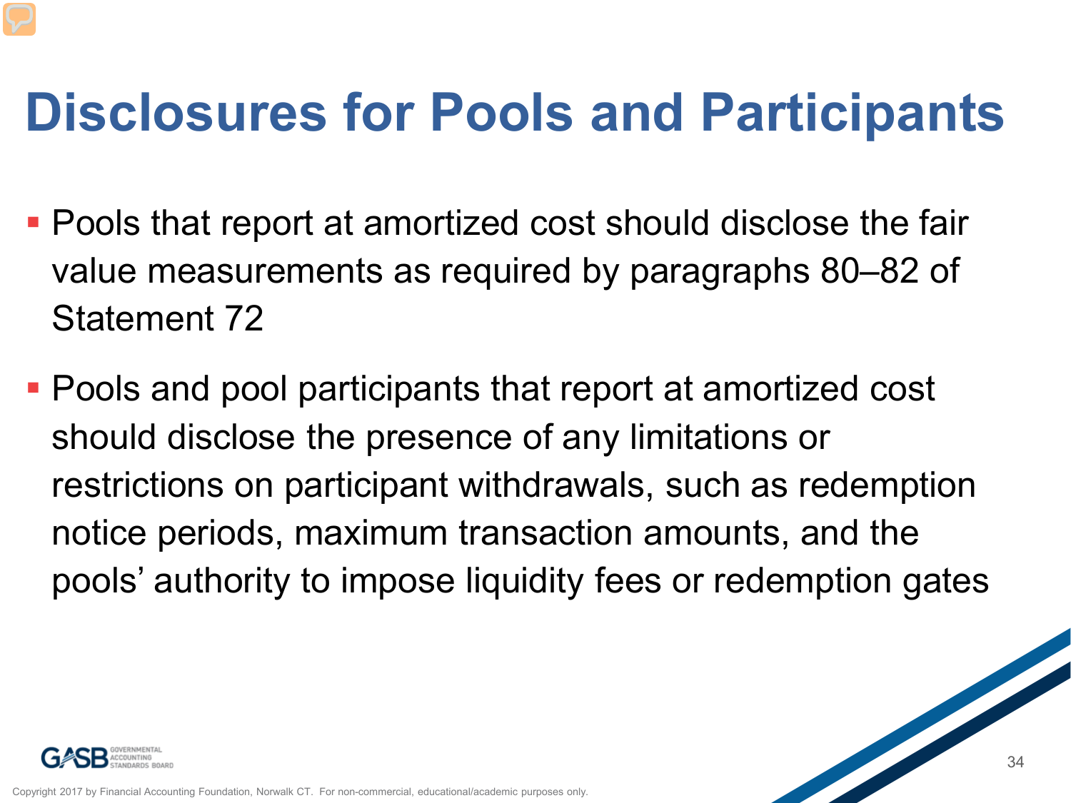## **Disclosures for Pools and Participants**

- Pools that report at amortized cost should disclose the fair value measurements as required by paragraphs 80–82 of Statement 72
- Pools and pool participants that report at amortized cost should disclose the presence of any limitations or restrictions on participant withdrawals, such as redemption notice periods, maximum transaction amounts, and the pools' authority to impose liquidity fees or redemption gates

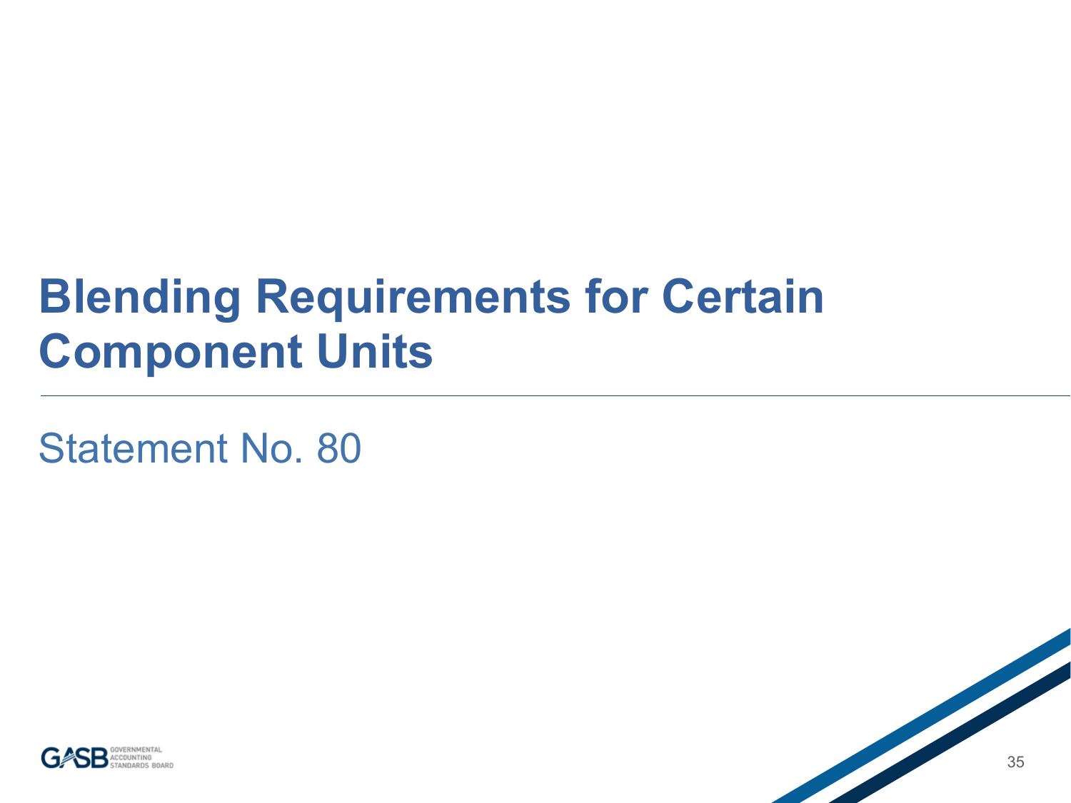#### **Blending Requirements for Certain Component Units**

Statement No. 80



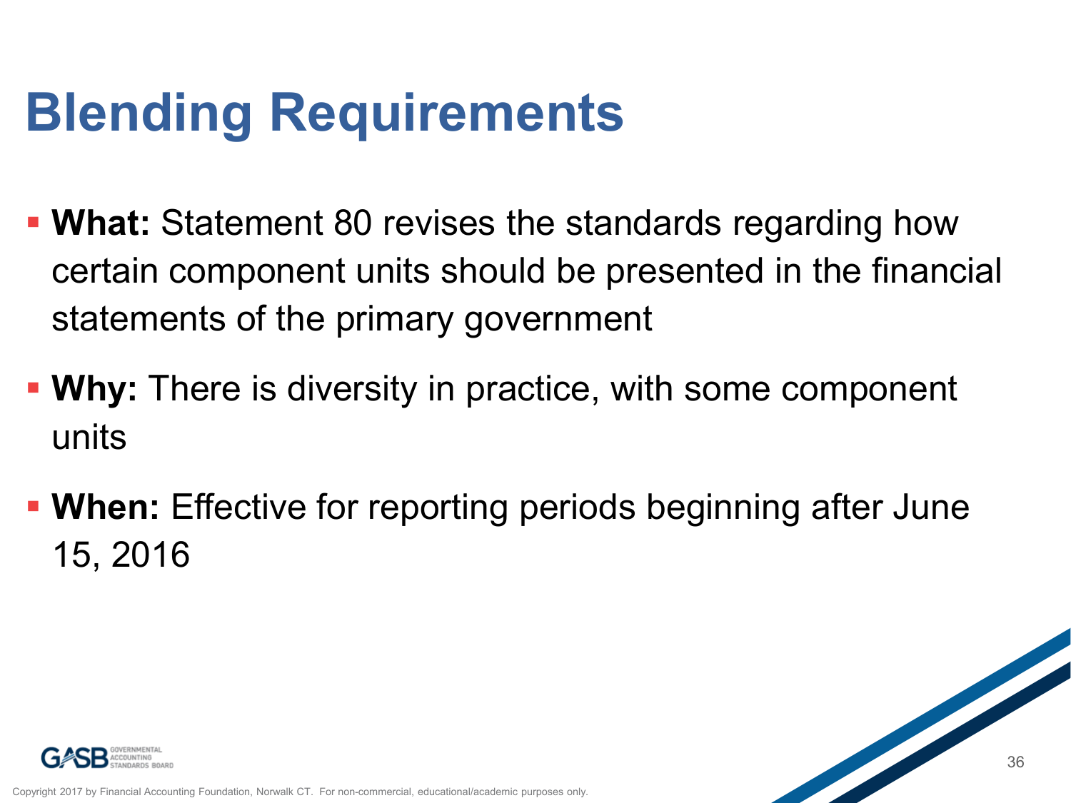## **Blending Requirements**

- **What:** Statement 80 revises the standards regarding how certain component units should be presented in the financial statements of the primary government
- **Why:** There is diversity in practice, with some component units
- **When:** Effective for reporting periods beginning after June 15, 2016

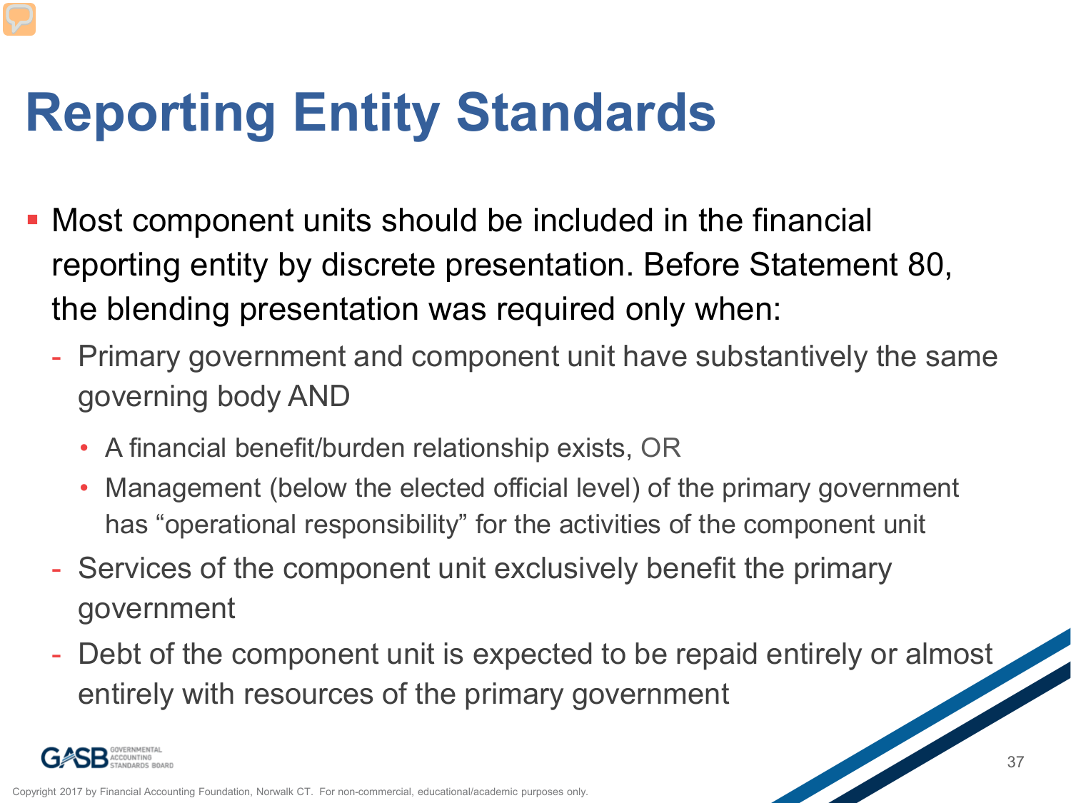## **Reporting Entity Standards**

- Most component units should be included in the financial reporting entity by discrete presentation. Before Statement 80, the blending presentation was required only when:
	- Primary government and component unit have substantively the same governing body AND
		- A financial benefit/burden relationship exists, OR
		- Management (below the elected official level) of the primary government has "operational responsibility" for the activities of the component unit
	- Services of the component unit exclusively benefit the primary government
	- Debt of the component unit is expected to be repaid entirely or almost entirely with resources of the primary government

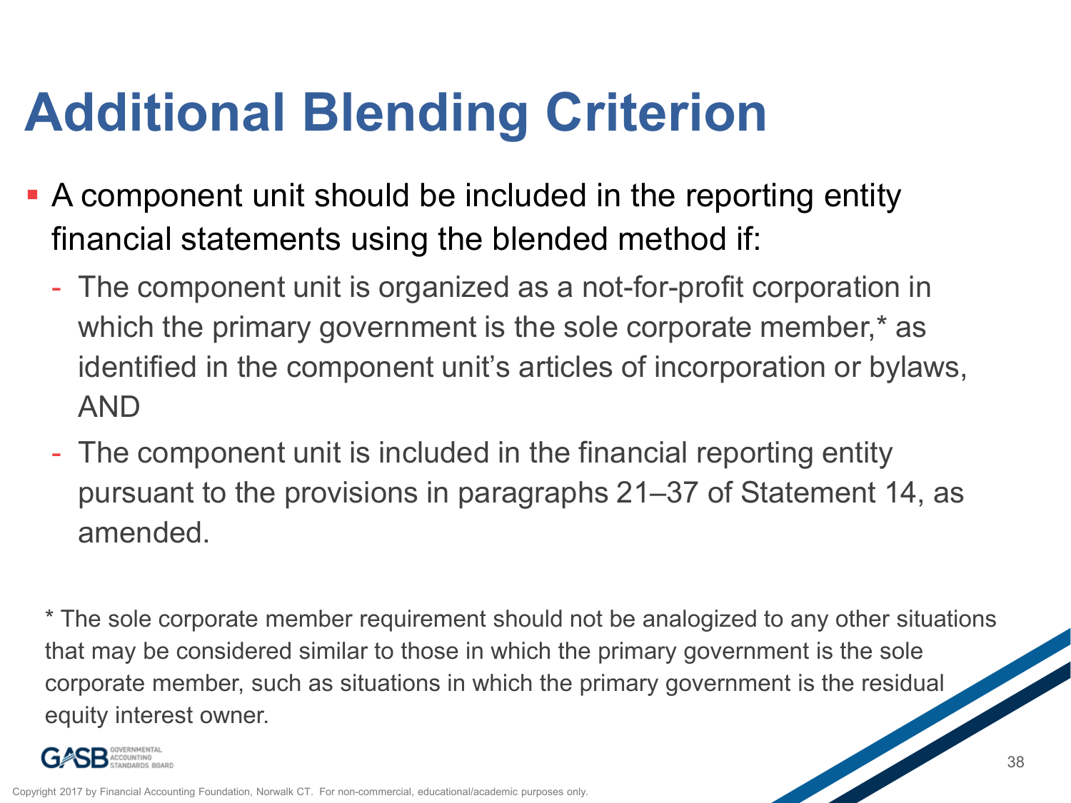## **Additional Blending Criterion**

- A component unit should be included in the reporting entity financial statements using the blended method if:
	- The component unit is organized as a not-for-profit corporation in which the primary government is the sole corporate member,<sup>\*</sup> as identified in the component unit's articles of incorporation or bylaws, AND
	- The component unit is included in the financial reporting entity pursuant to the provisions in paragraphs 21–37 of Statement 14, as amended.

\* The sole corporate member requirement should not be analogized to any other situations that may be considered similar to those in which the primary government is the sole corporate member, such as situations in which the primary government is the residual equity interest owner.

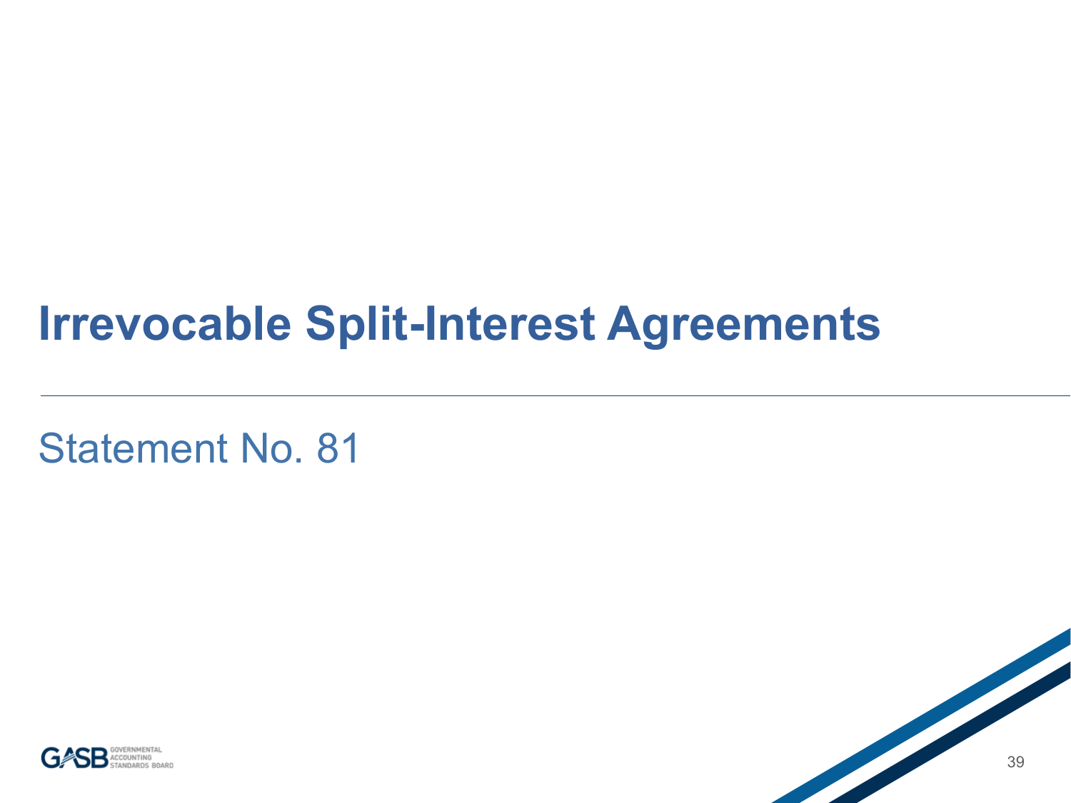#### **Irrevocable Split-Interest Agreements**

Statement No. 81



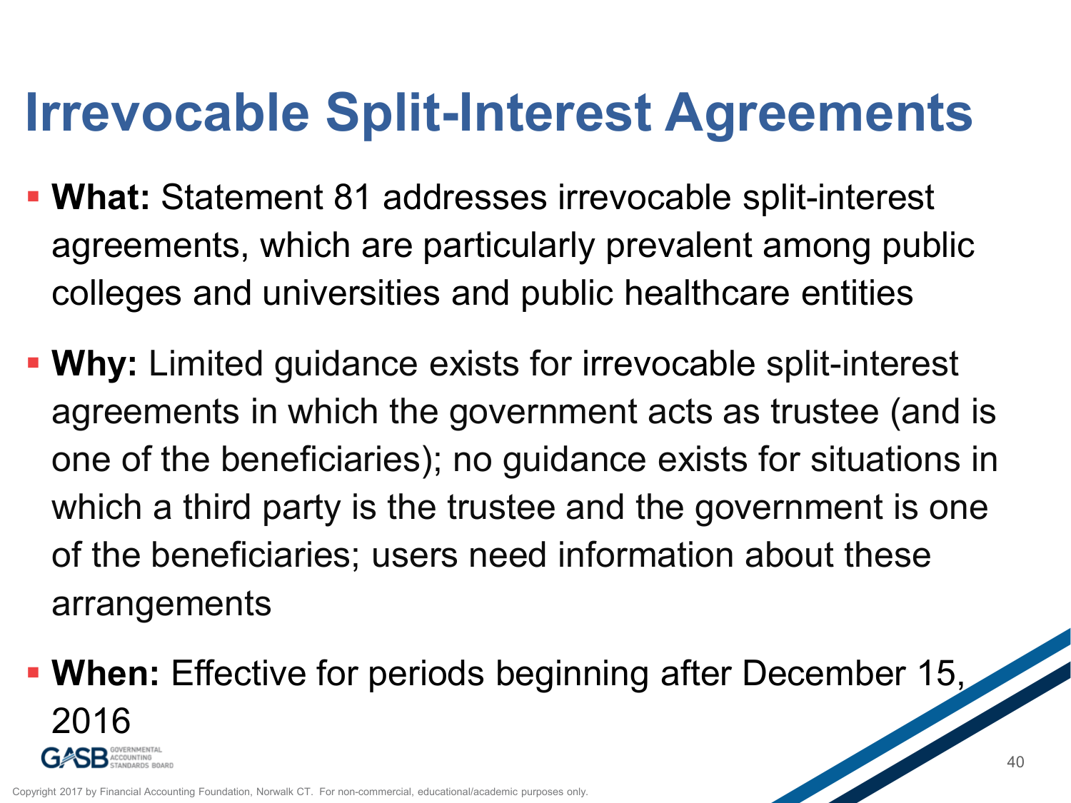## **Irrevocable Split-Interest Agreements**

- **What:** Statement 81 addresses irrevocable split-interest agreements, which are particularly prevalent among public colleges and universities and public healthcare entities
- **Why:** Limited guidance exists for irrevocable split-interest agreements in which the government acts as trustee (and is one of the beneficiaries); no guidance exists for situations in which a third party is the trustee and the government is one of the beneficiaries; users need information about these arrangements
- **When:** Effective for periods beginning after December 15, 2016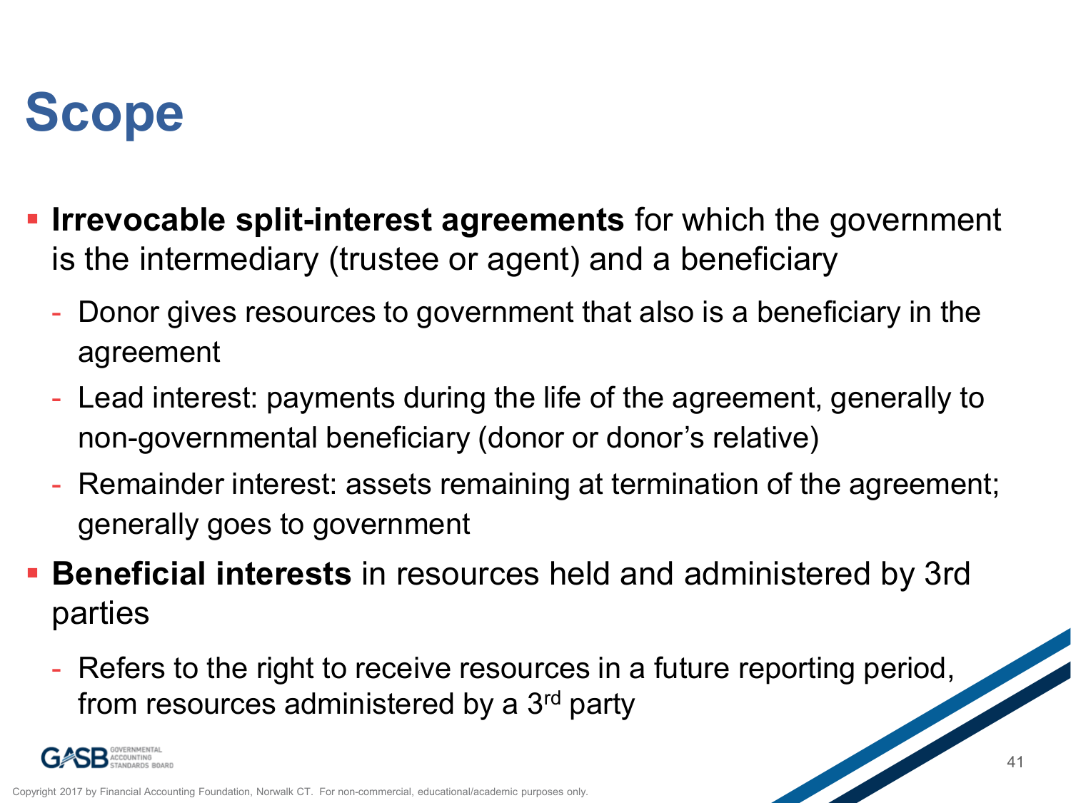## **Scope**

- **Irrevocable split-interest agreements** for which the government is the intermediary (trustee or agent) and a beneficiary
	- Donor gives resources to government that also is a beneficiary in the agreement
	- Lead interest: payments during the life of the agreement, generally to non-governmental beneficiary (donor or donor's relative)
	- Remainder interest: assets remaining at termination of the agreement; generally goes to government
- **Beneficial interests** in resources held and administered by 3rd parties
	- Refers to the right to receive resources in a future reporting period, from resources administered by a 3<sup>rd</sup> party

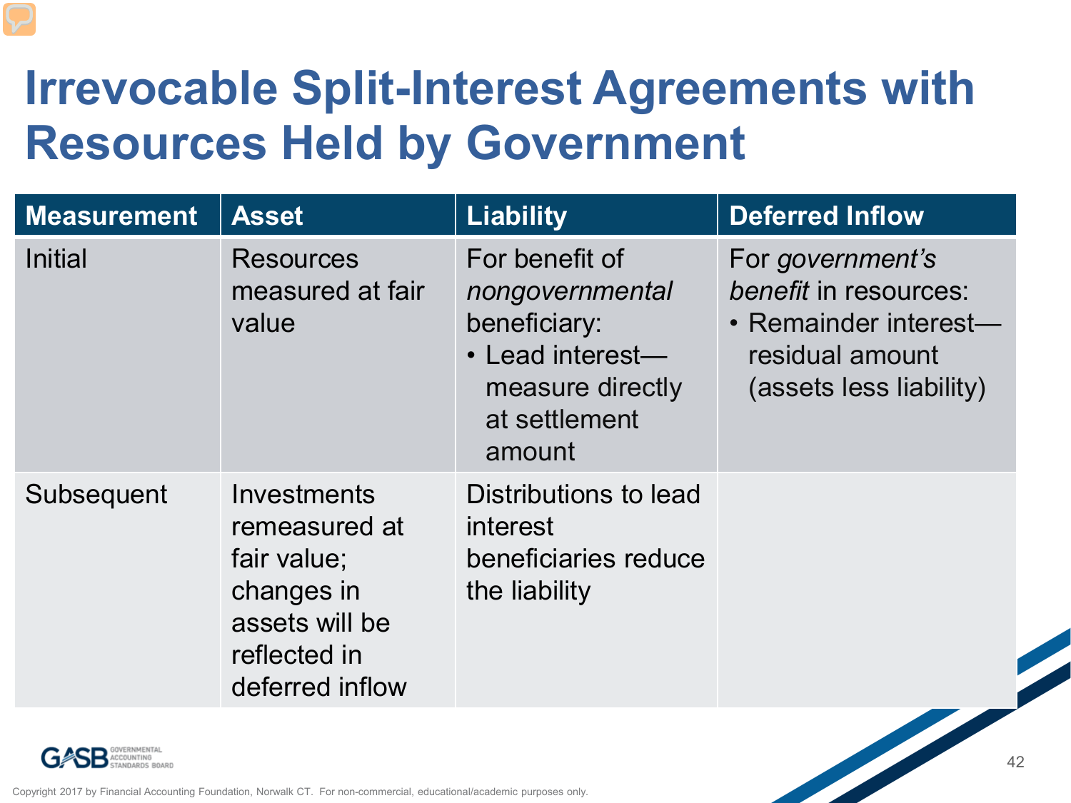#### **Irrevocable Split-Interest Agreements with Resources Held by Government**

| <b>Measurement</b> | <b>Asset</b>                                                                                                   | <b>Liability</b>                                                                                                     | <b>Deferred Inflow</b>                                                                                           |
|--------------------|----------------------------------------------------------------------------------------------------------------|----------------------------------------------------------------------------------------------------------------------|------------------------------------------------------------------------------------------------------------------|
| <b>Initial</b>     | <b>Resources</b><br>measured at fair<br>value                                                                  | For benefit of<br>nongovernmental<br>beneficiary:<br>• Lead interest-<br>measure directly<br>at settlement<br>amount | For government's<br>benefit in resources:<br>• Remainder interest-<br>residual amount<br>(assets less liability) |
| Subsequent         | Investments<br>remeasured at<br>fair value;<br>changes in<br>assets will be<br>reflected in<br>deferred inflow | Distributions to lead<br>interest<br>beneficiaries reduce<br>the liability                                           |                                                                                                                  |



Copyright 2017 by Financial Accounting Foundation, Norwalk CT. For non-commercial, educational/academic purposes only.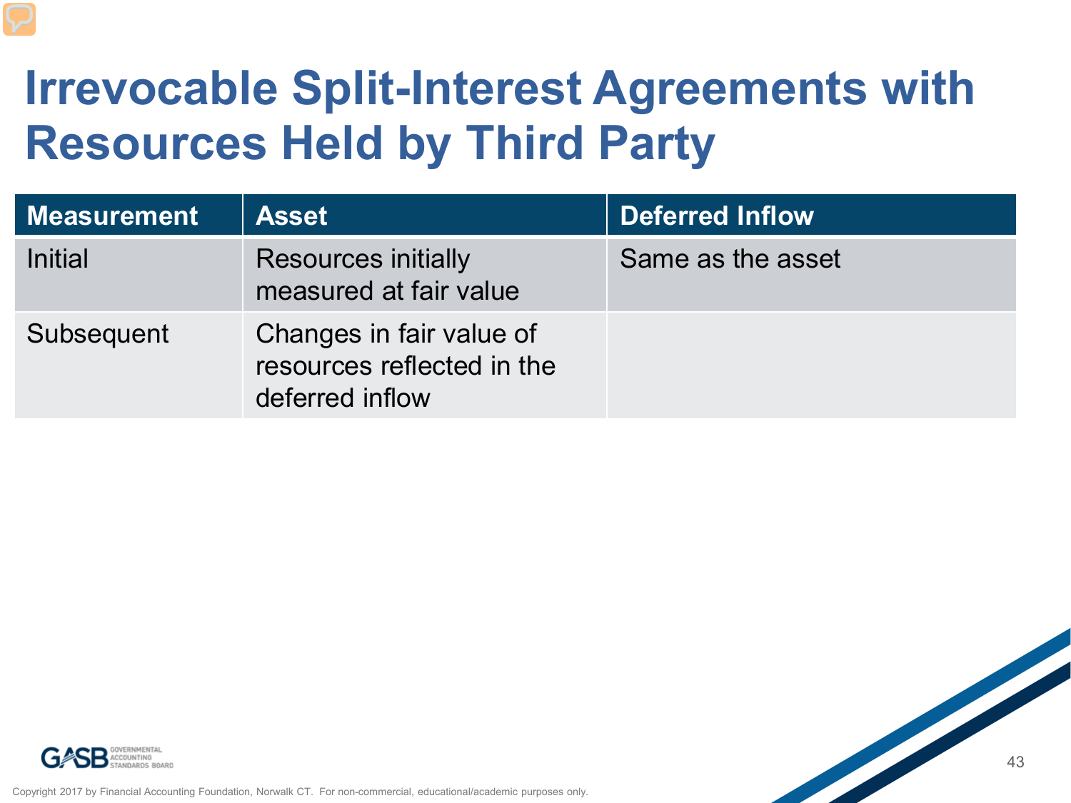### **Irrevocable Split-Interest Agreements with Resources Held by Third Party**

| <b>Measurement</b> | <b>Asset</b>                                                              | Deferred Inflow   |
|--------------------|---------------------------------------------------------------------------|-------------------|
| Initial            | <b>Resources initially</b><br>measured at fair value                      | Same as the asset |
| Subsequent         | Changes in fair value of<br>resources reflected in the<br>deferred inflow |                   |





Copyright 2017 by Financial Accounting Foundation, Norwalk CT. For non-commercial, educational/academic purposes only.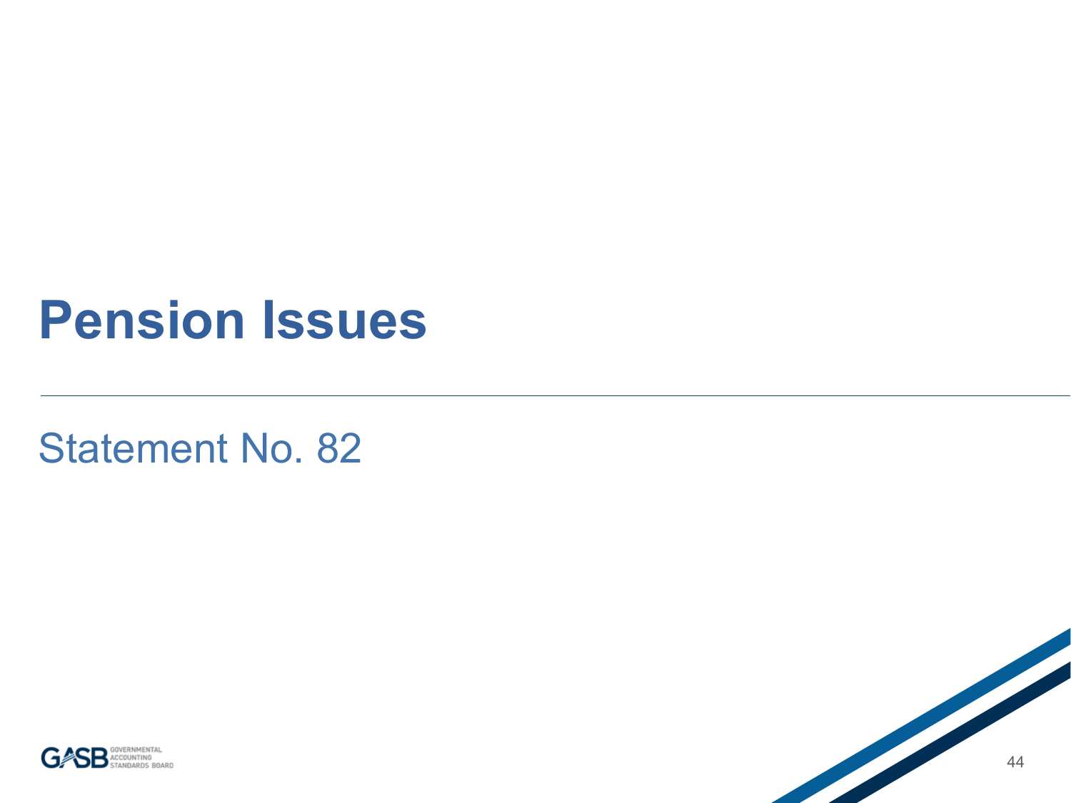#### **Pension Issues**

Statement No. 82



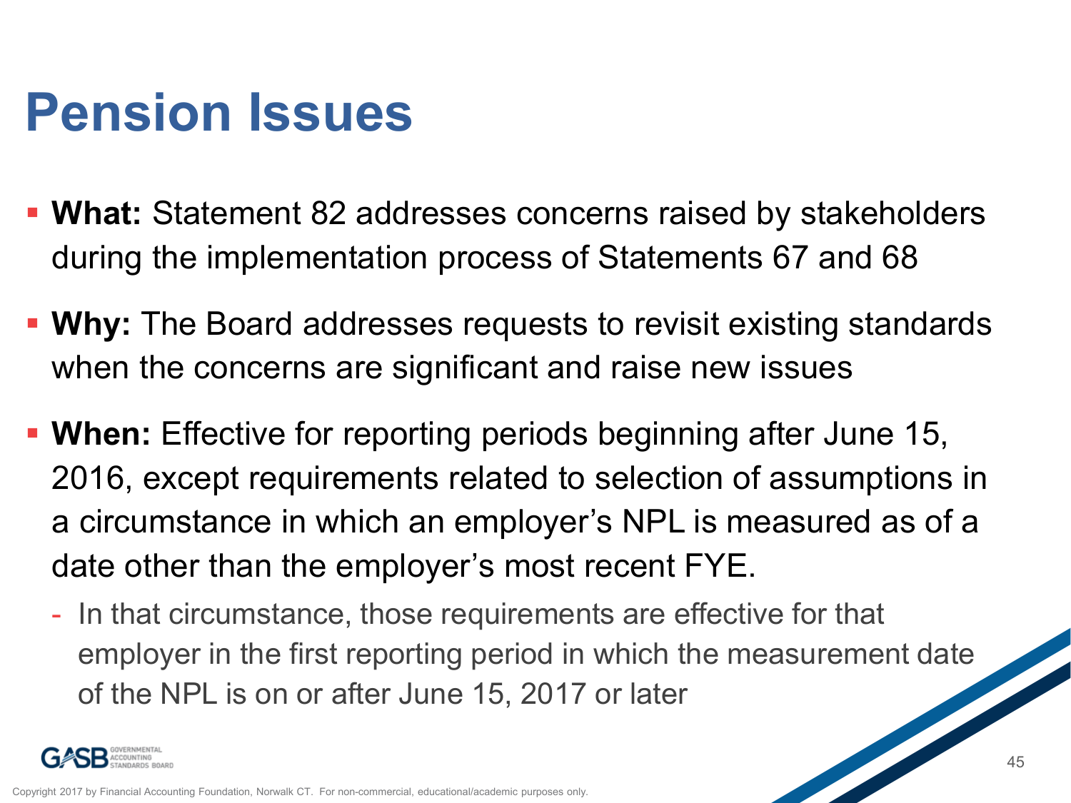## **Pension Issues**

- **What:** Statement 82 addresses concerns raised by stakeholders during the implementation process of Statements 67 and 68
- **Why:** The Board addresses requests to revisit existing standards when the concerns are significant and raise new issues
- **When:** Effective for reporting periods beginning after June 15, 2016, except requirements related to selection of assumptions in a circumstance in which an employer's NPL is measured as of a date other than the employer's most recent FYE.
	- In that circumstance, those requirements are effective for that employer in the first reporting period in which the measurement date of the NPL is on or after June 15, 2017 or later

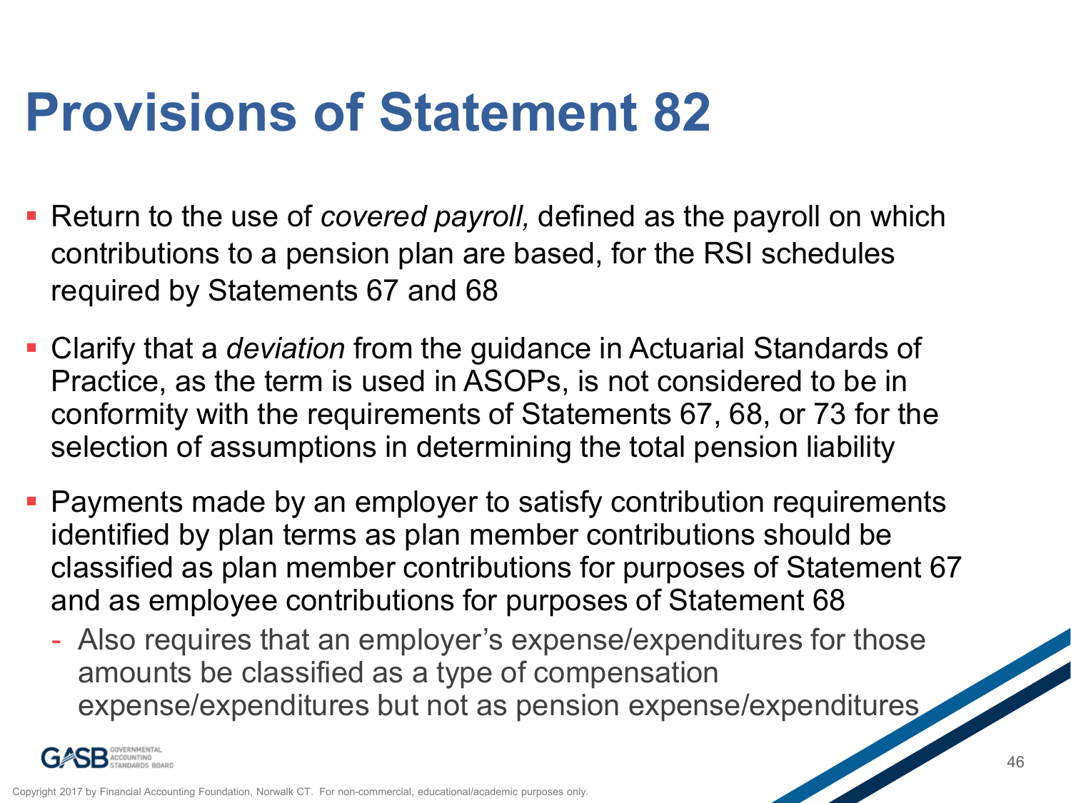## **Provisions of Statement 82**

- Return to the use of *covered payroll,* defined as the payroll on which contributions to a pension plan are based, for the RSI schedules required by Statements 67 and 68
- Clarify that a *deviation* from the guidance in Actuarial Standards of Practice, as the term is used in ASOPs, is not considered to be in conformity with the requirements of Statements 67, 68, or 73 for the selection of assumptions in determining the total pension liability
- Payments made by an employer to satisfy contribution requirements identified by plan terms as plan member contributions should be classified as plan member contributions for purposes of Statement 67 and as employee contributions for purposes of Statement 68
	- Also requires that an employer's expense/expenditures for those amounts be classified as a type of compensation expense/expenditures but not as pension expense/expenditures

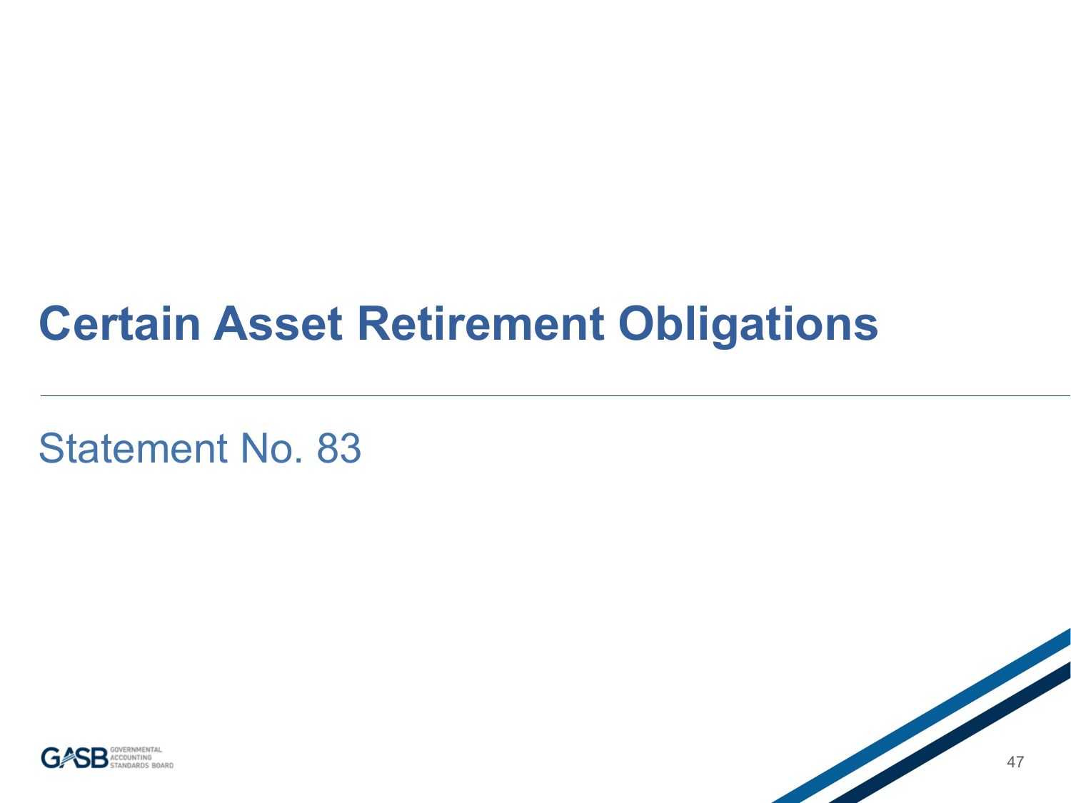#### **Certain Asset Retirement Obligations**

Statement No. 83



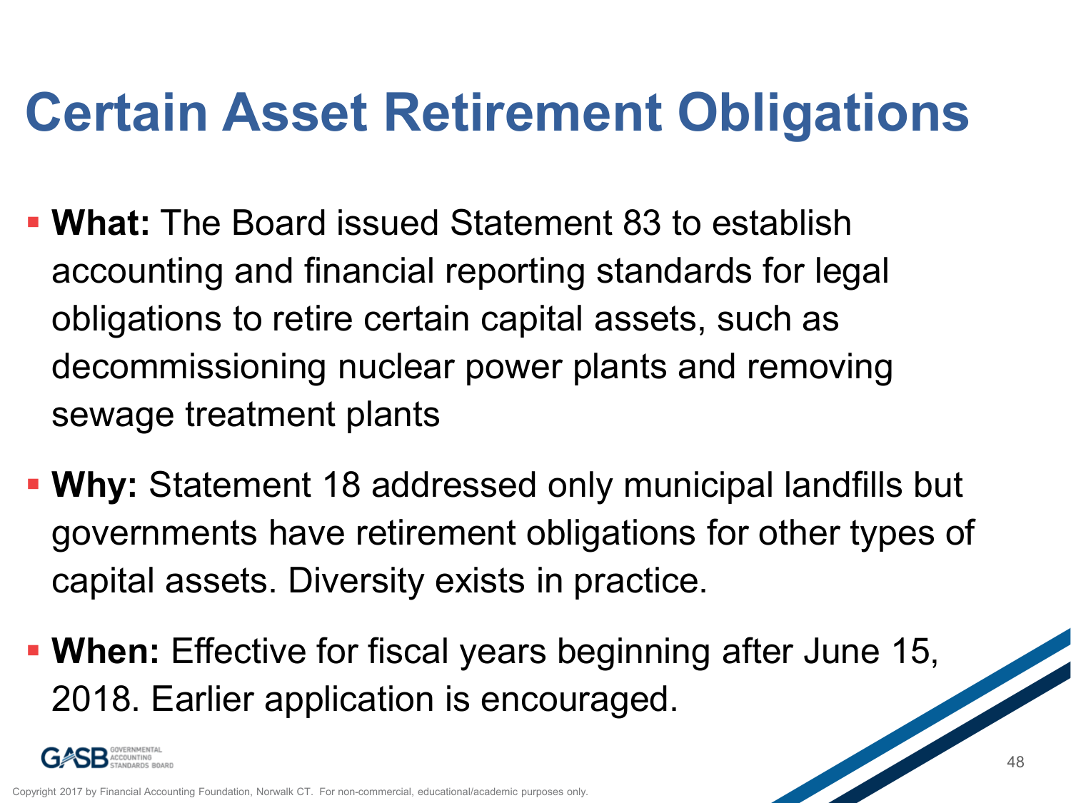## **Certain Asset Retirement Obligations**

- **What:** The Board issued Statement 83 to establish accounting and financial reporting standards for legal obligations to retire certain capital assets, such as decommissioning nuclear power plants and removing sewage treatment plants
- **Why:** Statement 18 addressed only municipal landfills but governments have retirement obligations for other types of capital assets. Diversity exists in practice.
- **When:** Effective for fiscal years beginning after June 15, 2018. Earlier application is encouraged.

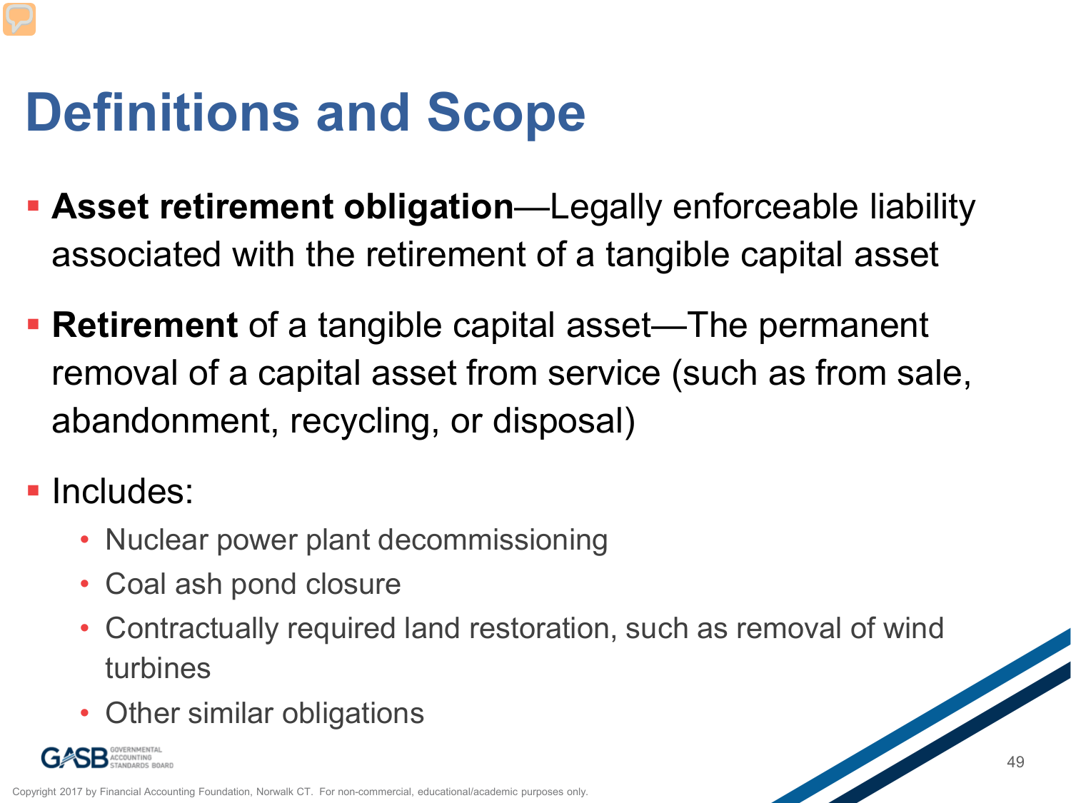## **Definitions and Scope**

- **Asset retirement obligation**—Legally enforceable liability associated with the retirement of a tangible capital asset
- **Retirement** of a tangible capital asset—The permanent removal of a capital asset from service (such as from sale, abandonment, recycling, or disposal)
- **Includes:** 
	- Nuclear power plant decommissioning
	- Coal ash pond closure
	- Contractually required land restoration, such as removal of wind turbines
	- Other similar obligations

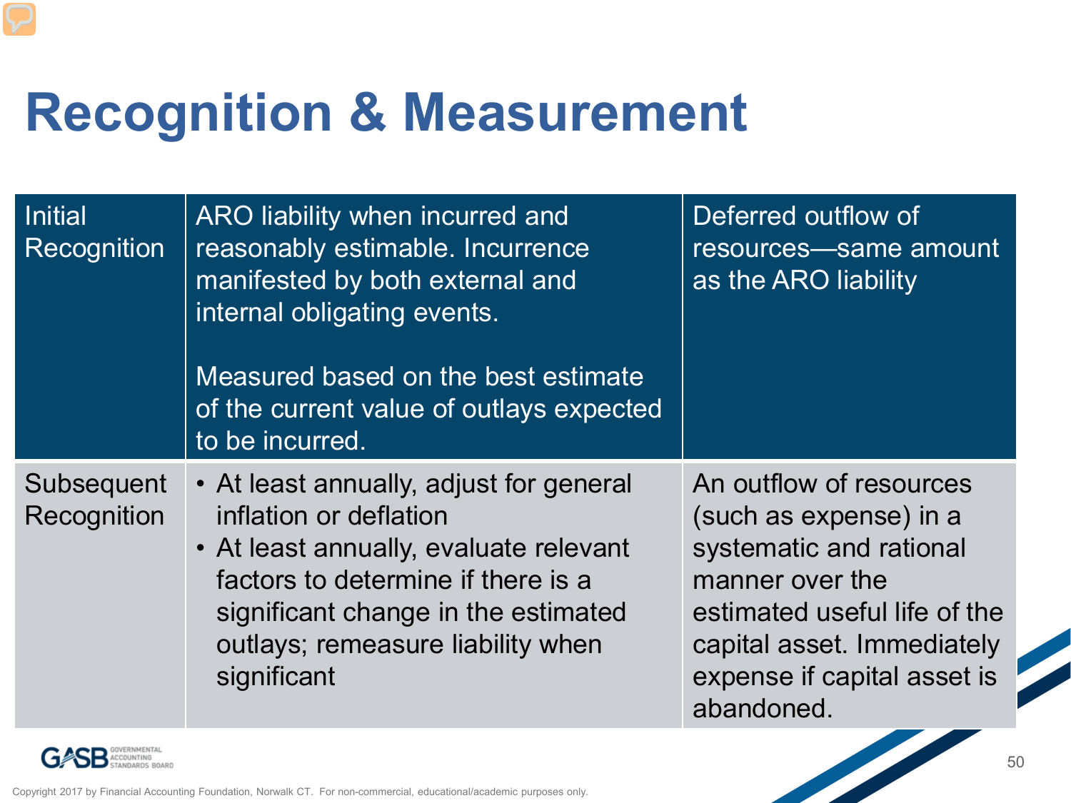## **Recognition & Measurement**

| <b>Initial</b><br>Recognition | ARO liability when incurred and<br>reasonably estimable. Incurrence<br>manifested by both external and<br>internal obligating events.<br>Measured based on the best estimate<br>of the current value of outlays expected<br>to be incurred.  | Deferred outflow of<br>resources—same amount<br>as the ARO liability                                                                                                                                       |
|-------------------------------|----------------------------------------------------------------------------------------------------------------------------------------------------------------------------------------------------------------------------------------------|------------------------------------------------------------------------------------------------------------------------------------------------------------------------------------------------------------|
| Subsequent<br>Recognition     | • At least annually, adjust for general<br>inflation or deflation<br>• At least annually, evaluate relevant<br>factors to determine if there is a<br>significant change in the estimated<br>outlays; remeasure liability when<br>significant | An outflow of resources<br>(such as expense) in a<br>systematic and rational<br>manner over the<br>estimated useful life of the<br>capital asset. Immediately<br>expense if capital asset is<br>abandoned. |

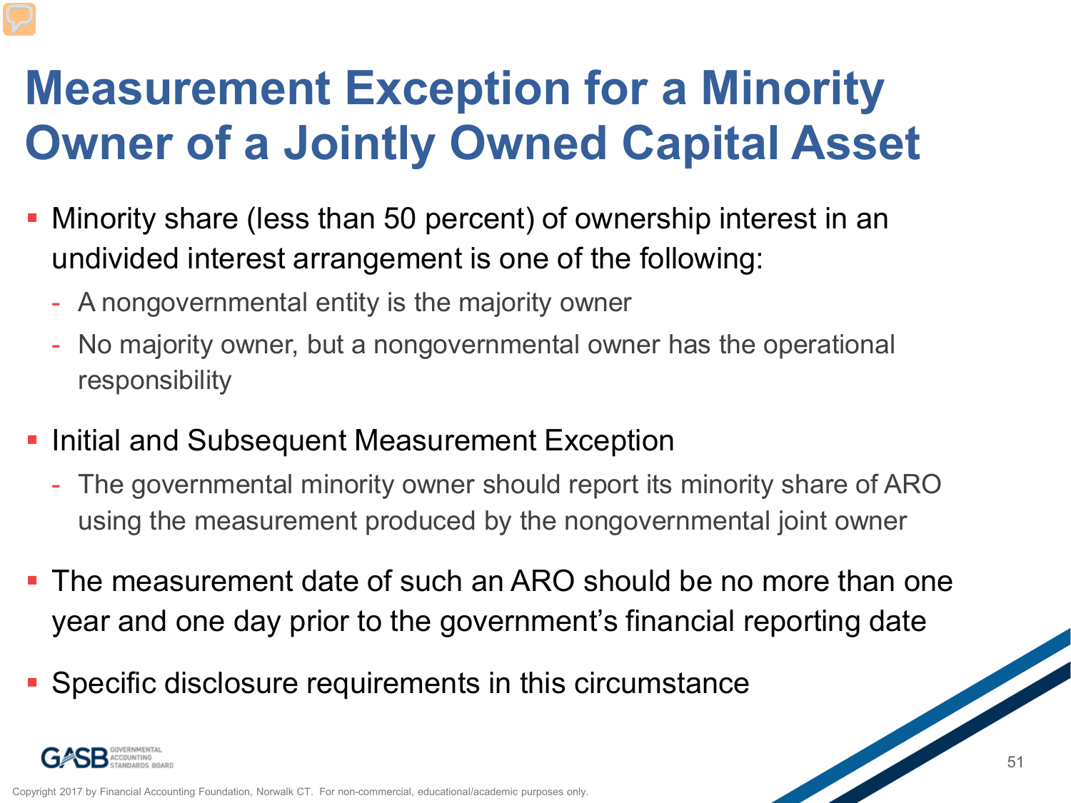### **Measurement Exception for a Minority Owner of a Jointly Owned Capital Asset**

- Minority share (less than 50 percent) of ownership interest in an undivided interest arrangement is one of the following:
	- A nongovernmental entity is the majority owner
	- No majority owner, but a nongovernmental owner has the operational responsibility
- **Initial and Subsequent Measurement Exception** 
	- The governmental minority owner should report its minority share of ARO using the measurement produced by the nongovernmental joint owner
- **The measurement date of such an ARO should be no more than one** year and one day prior to the government's financial reporting date
- **Specific disclosure requirements in this circumstance**

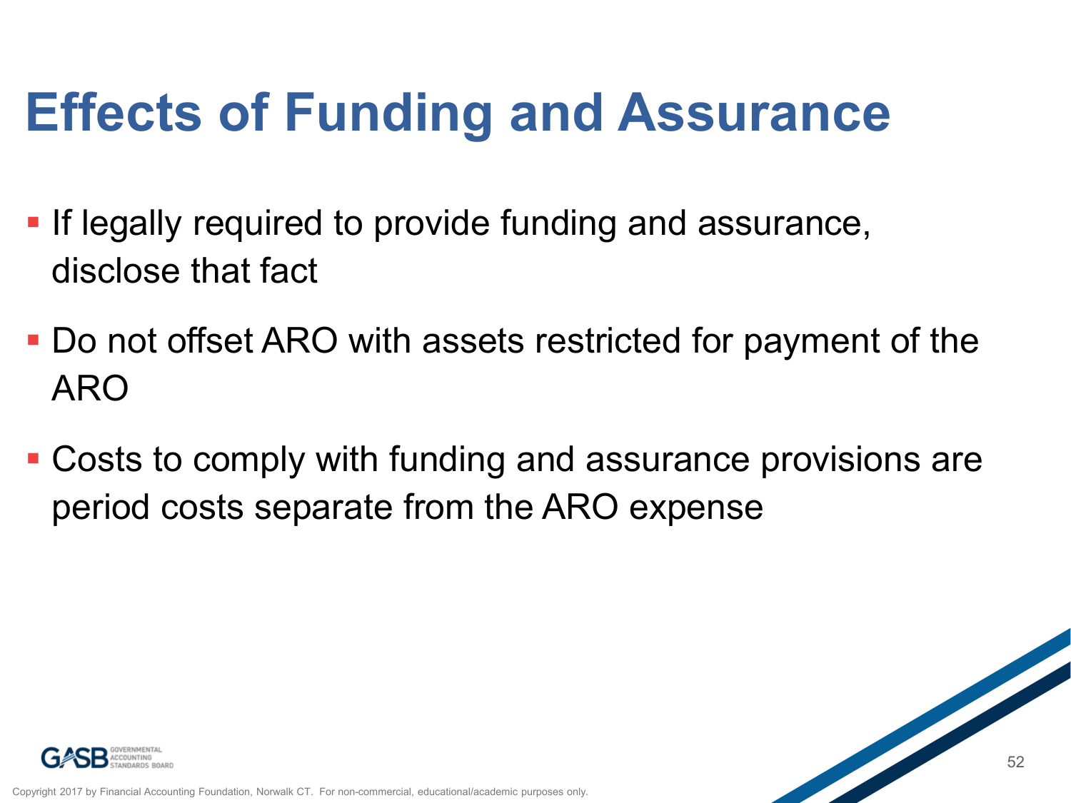## **Effects of Funding and Assurance**

- **If legally required to provide funding and assurance,** disclose that fact
- Do not offset ARO with assets restricted for payment of the ARO
- Costs to comply with funding and assurance provisions are period costs separate from the ARO expense



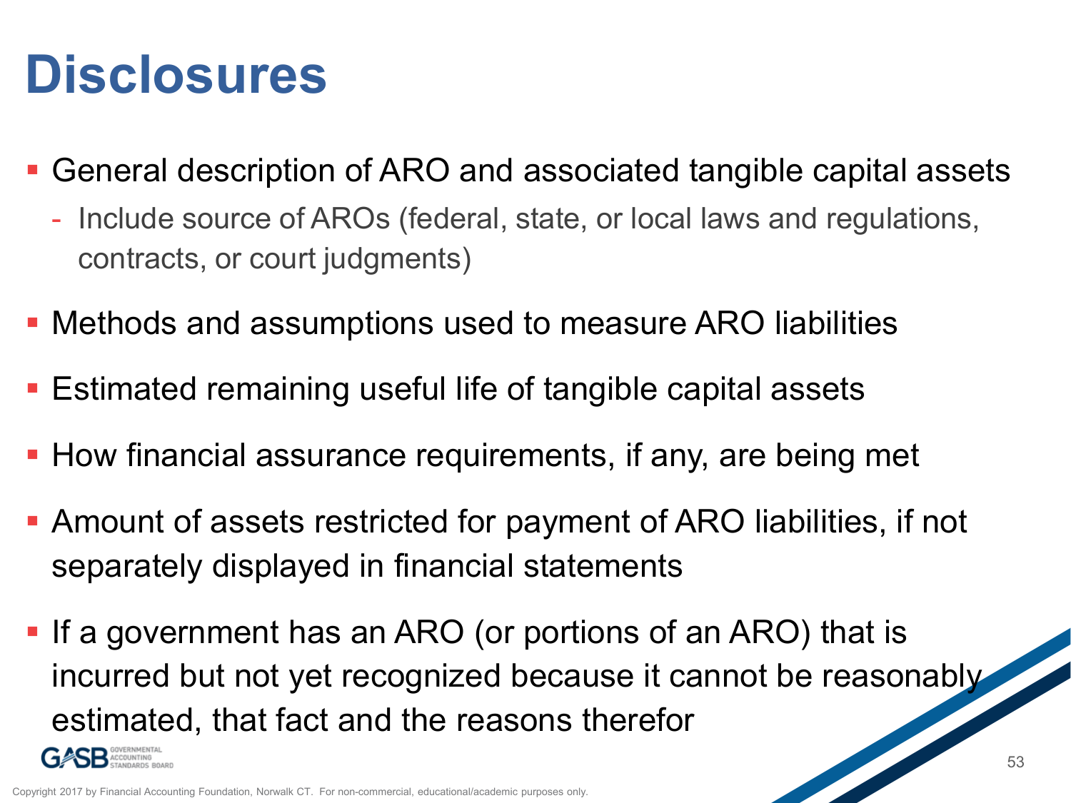## **Disclosures**

- General description of ARO and associated tangible capital assets
	- Include source of AROs (federal, state, or local laws and regulations, contracts, or court judgments)
- Methods and assumptions used to measure ARO liabilities
- Estimated remaining useful life of tangible capital assets
- **How financial assurance requirements, if any, are being met**
- Amount of assets restricted for payment of ARO liabilities, if not separately displayed in financial statements
- **If a government has an ARO (or portions of an ARO) that is** incurred but not yet recognized because it cannot be reasonably estimated, that fact and the reasons therefor

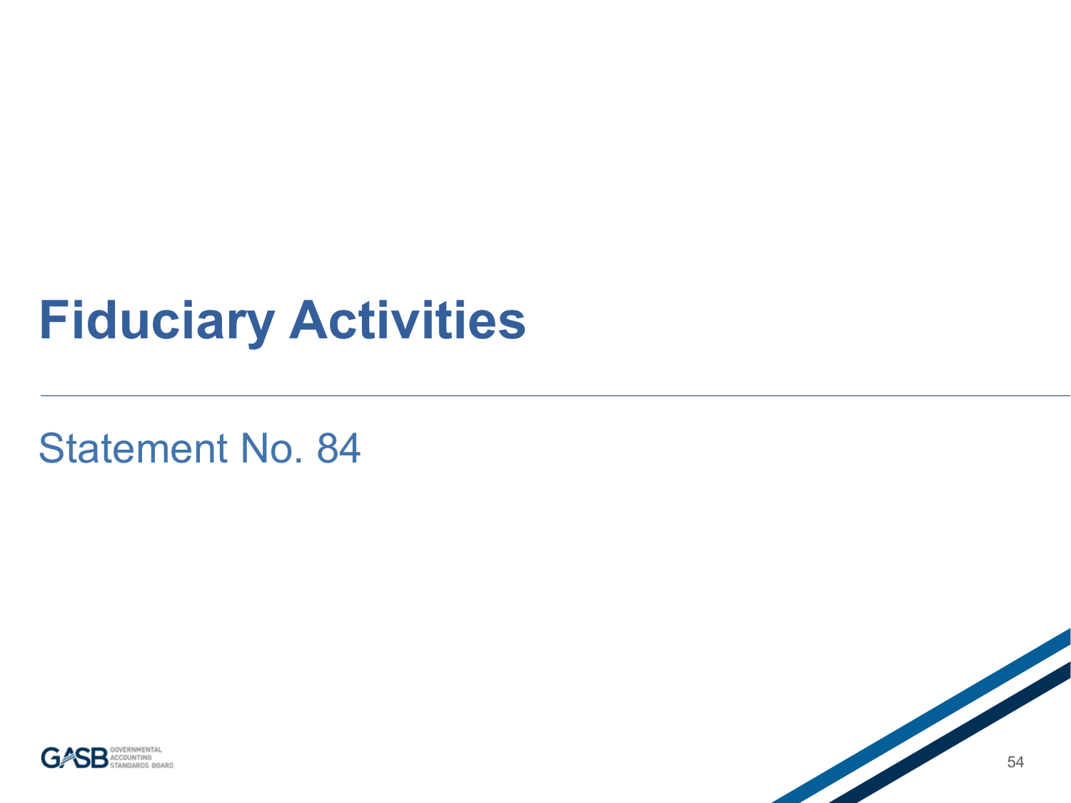## **Fiduciary Activities**

Statement No. 84



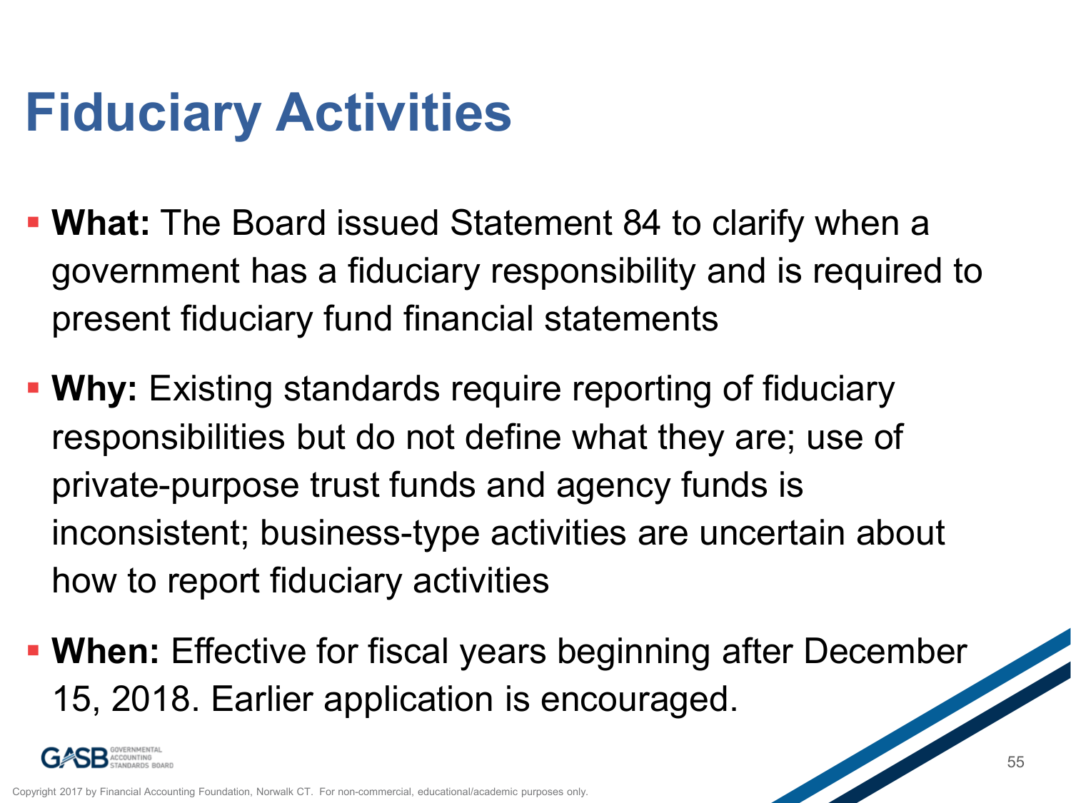## **Fiduciary Activities**

- **What:** The Board issued Statement 84 to clarify when a government has a fiduciary responsibility and is required to present fiduciary fund financial statements
- **Why:** Existing standards require reporting of fiduciary responsibilities but do not define what they are; use of private-purpose trust funds and agency funds is inconsistent; business-type activities are uncertain about how to report fiduciary activities
- **When:** Effective for fiscal years beginning after December 15, 2018. Earlier application is encouraged.

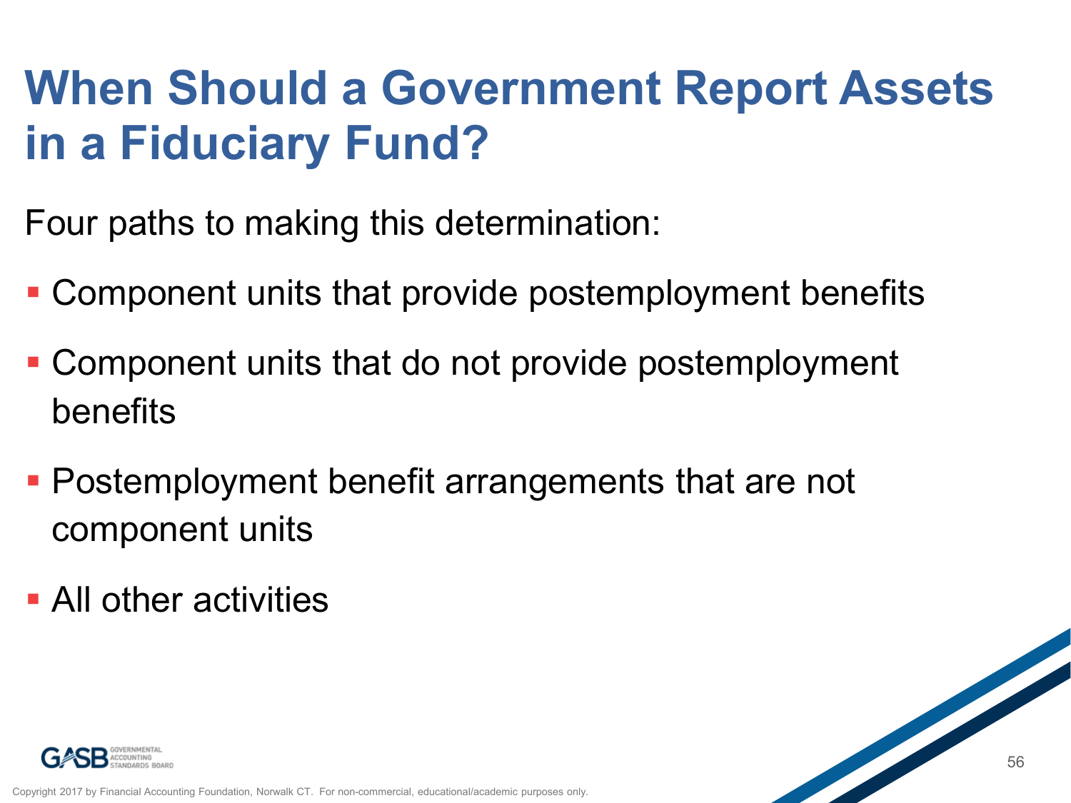#### **When Should a Government Report Assets in a Fiduciary Fund?**

Four paths to making this determination:

- Component units that provide postemployment benefits
- Component units that do not provide postemployment benefits
- **Postemployment benefit arrangements that are not** component units
- **All other activities**



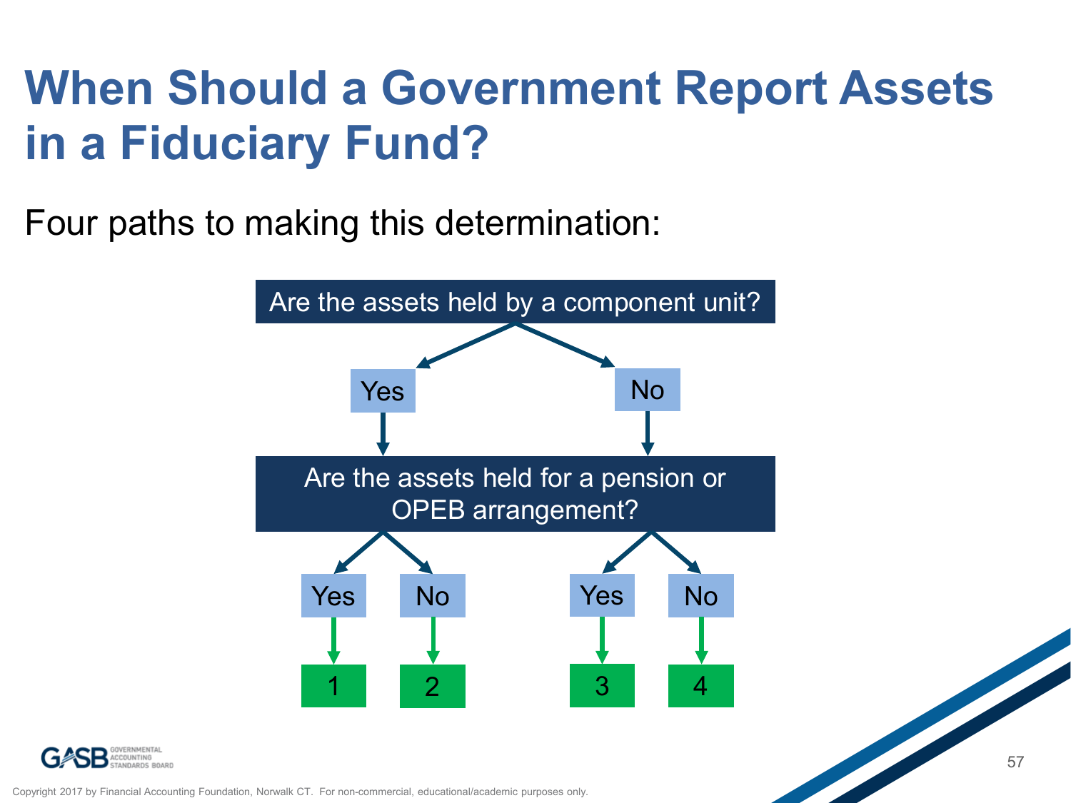### **When Should a Government Report Assets in a Fiduciary Fund?**

Four paths to making this determination:





Copyright 2017 by Financial Accounting Foundation, Norwalk CT. For non-commercial, educational/academic purposes only.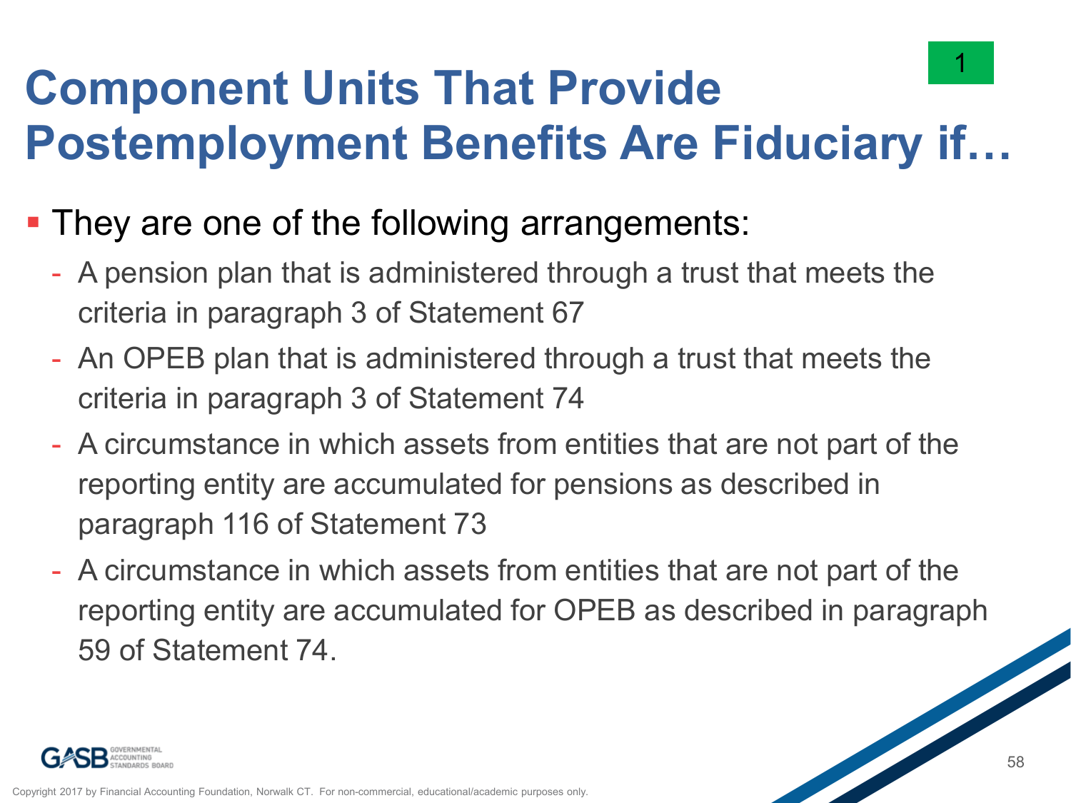

#### **Component Units That Provide Postemployment Benefits Are Fiduciary if…**

- **They are one of the following arrangements:** 
	- A pension plan that is administered through a trust that meets the criteria in paragraph 3 of Statement 67
	- An OPEB plan that is administered through a trust that meets the criteria in paragraph 3 of Statement 74
	- A circumstance in which assets from entities that are not part of the reporting entity are accumulated for pensions as described in paragraph 116 of Statement 73
	- A circumstance in which assets from entities that are not part of the reporting entity are accumulated for OPEB as described in paragraph 59 of Statement 74.

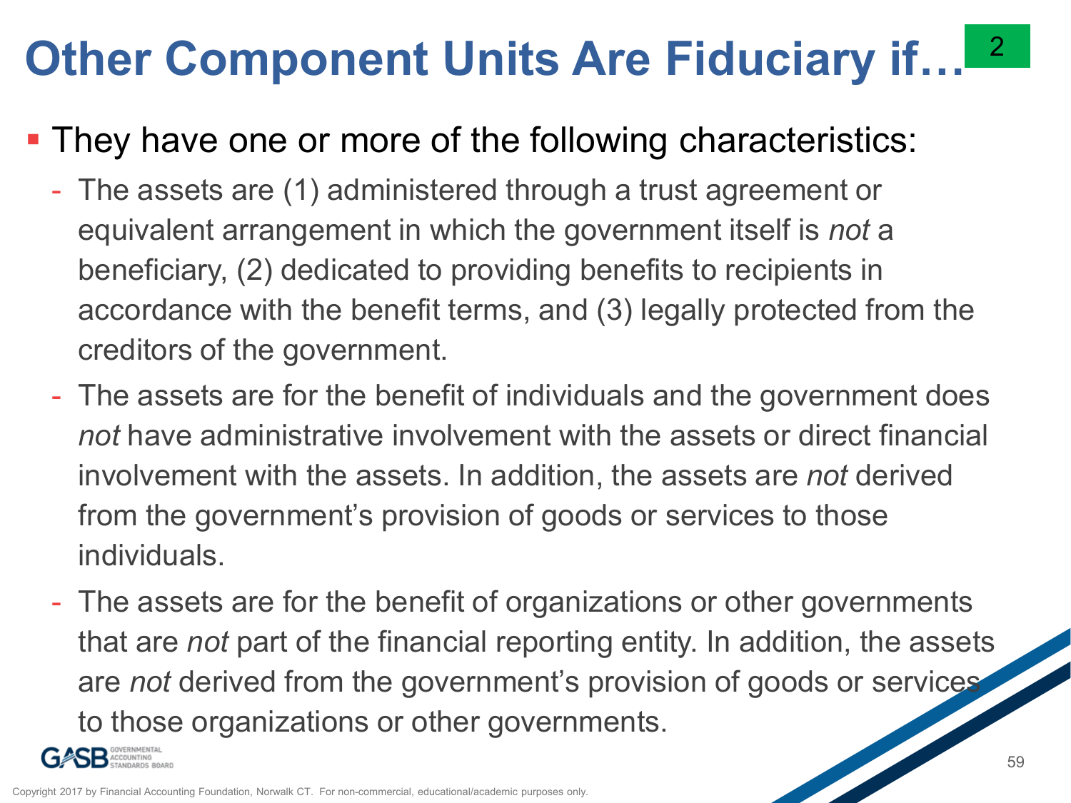#### **Other Component Units Are Fiduciary if…** 2

#### **They have one or more of the following characteristics:**

- The assets are (1) administered through a trust agreement or equivalent arrangement in which the government itself is *not* a beneficiary, (2) dedicated to providing benefits to recipients in accordance with the benefit terms, and (3) legally protected from the creditors of the government.
- The assets are for the benefit of individuals and the government does *not* have administrative involvement with the assets or direct financial involvement with the assets. In addition, the assets are *not* derived from the government's provision of goods or services to those individuals.
- The assets are for the benefit of organizations or other governments that are *not* part of the financial reporting entity. In addition, the assets are *not* derived from the government's provision of goods or services to those organizations or other governments.

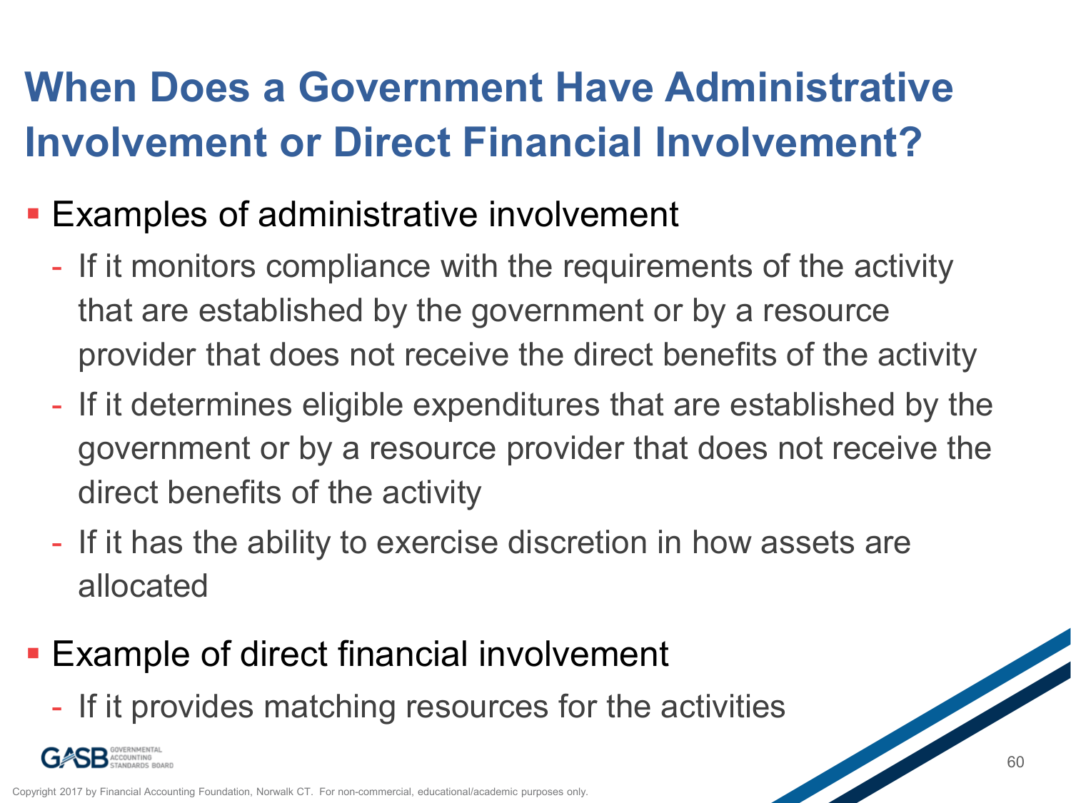#### **When Does a Government Have Administrative Involvement or Direct Financial Involvement?**

- **Examples of administrative involvement** 
	- If it monitors compliance with the requirements of the activity that are established by the government or by a resource provider that does not receive the direct benefits of the activity
	- If it determines eligible expenditures that are established by the government or by a resource provider that does not receive the direct benefits of the activity
	- If it has the ability to exercise discretion in how assets are allocated
- **Example of direct financial involvement** 
	- If it provides matching resources for the activities

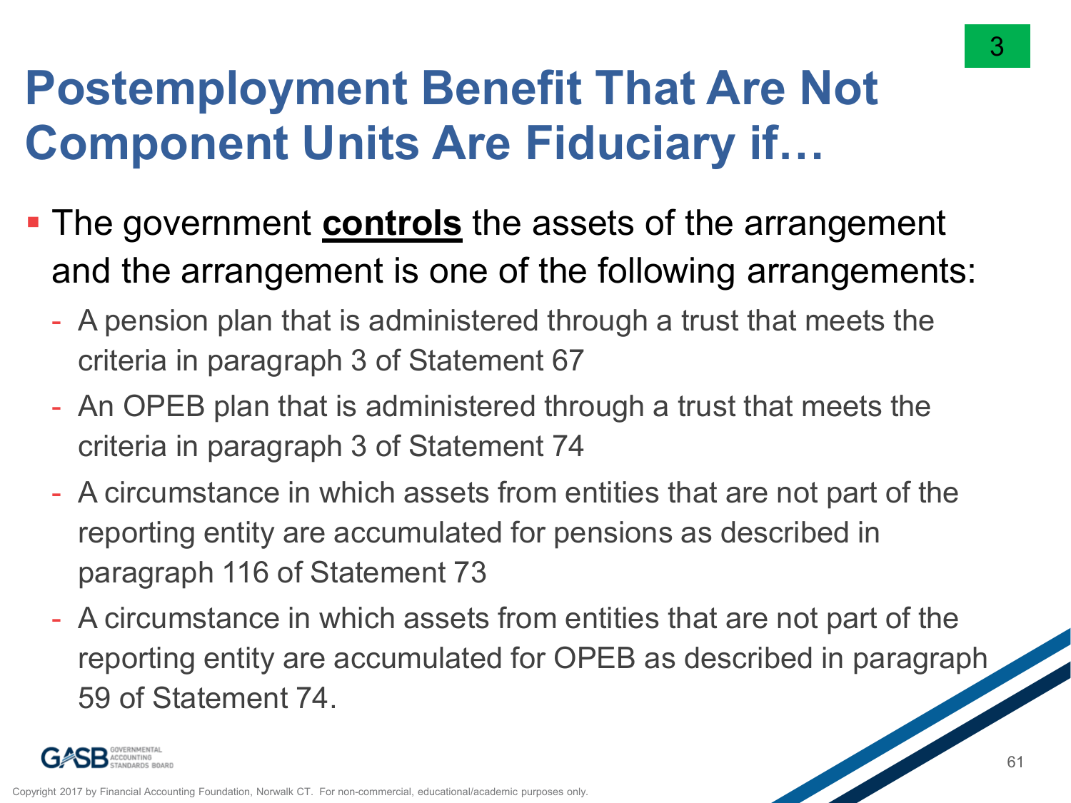#### **Postemployment Benefit That Are Not Component Units Are Fiduciary if…**

- **The government controls** the assets of the arrangement and the arrangement is one of the following arrangements:
	- A pension plan that is administered through a trust that meets the criteria in paragraph 3 of Statement 67
	- An OPEB plan that is administered through a trust that meets the criteria in paragraph 3 of Statement 74
	- A circumstance in which assets from entities that are not part of the reporting entity are accumulated for pensions as described in paragraph 116 of Statement 73
	- A circumstance in which assets from entities that are not part of the reporting entity are accumulated for OPEB as described in paragraph 59 of Statement 74.



3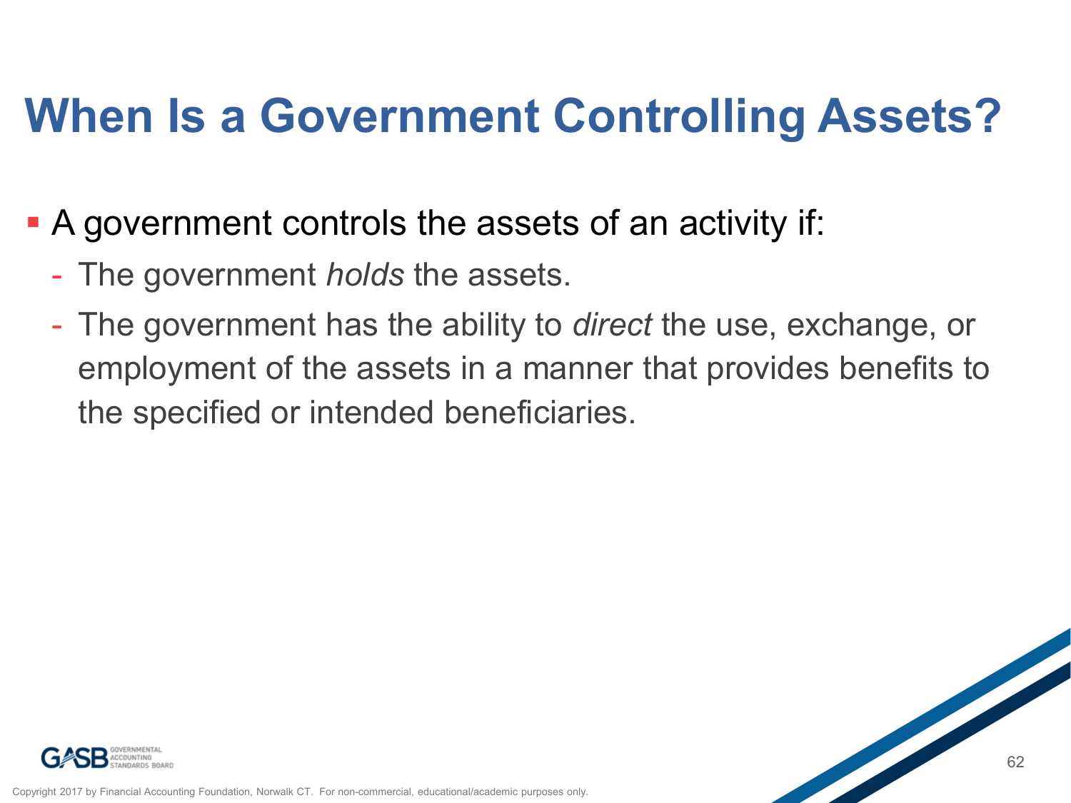### **When Is a Government Controlling Assets?**

- A government controls the assets of an activity if:
	- The government *holds* the assets.
	- The government has the ability to *direct* the use, exchange, or employment of the assets in a manner that provides benefits to the specified or intended beneficiaries.



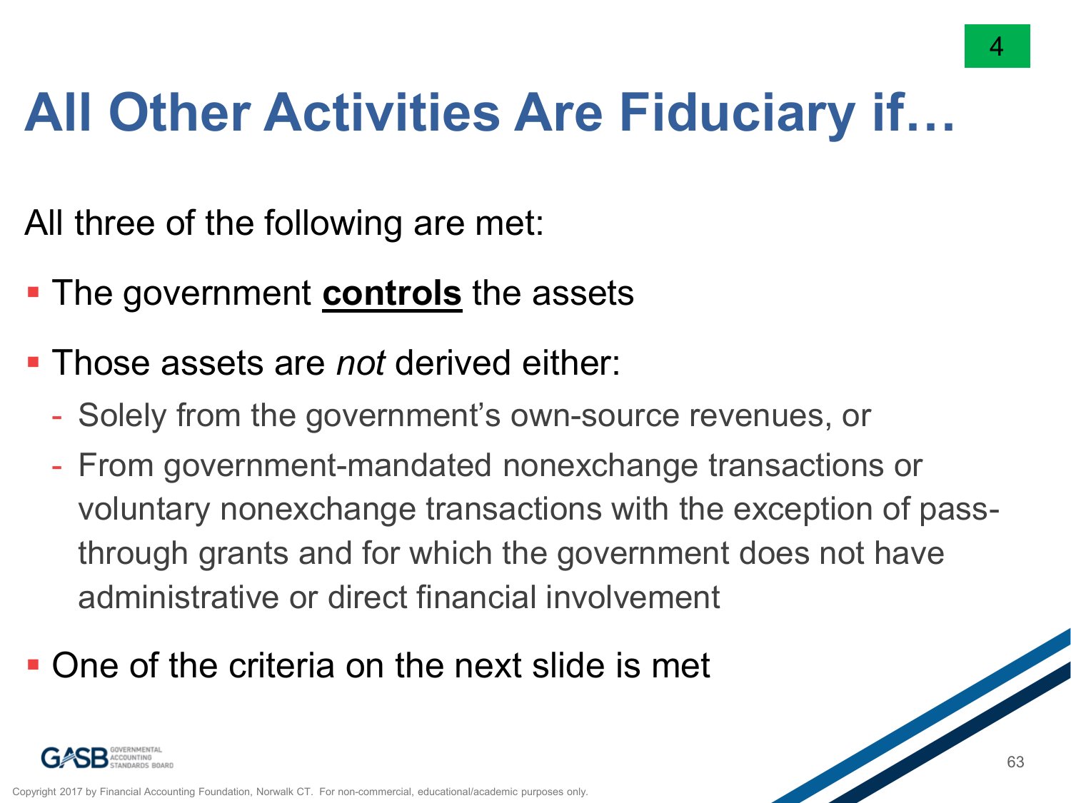## **All Other Activities Are Fiduciary if…**

All three of the following are met:

- **The government controls** the assets
- Those assets are *not* derived either:
	- Solely from the government's own-source revenues, or
	- From government-mandated nonexchange transactions or voluntary nonexchange transactions with the exception of passthrough grants and for which the government does not have administrative or direct financial involvement
- One of the criteria on the next slide is met

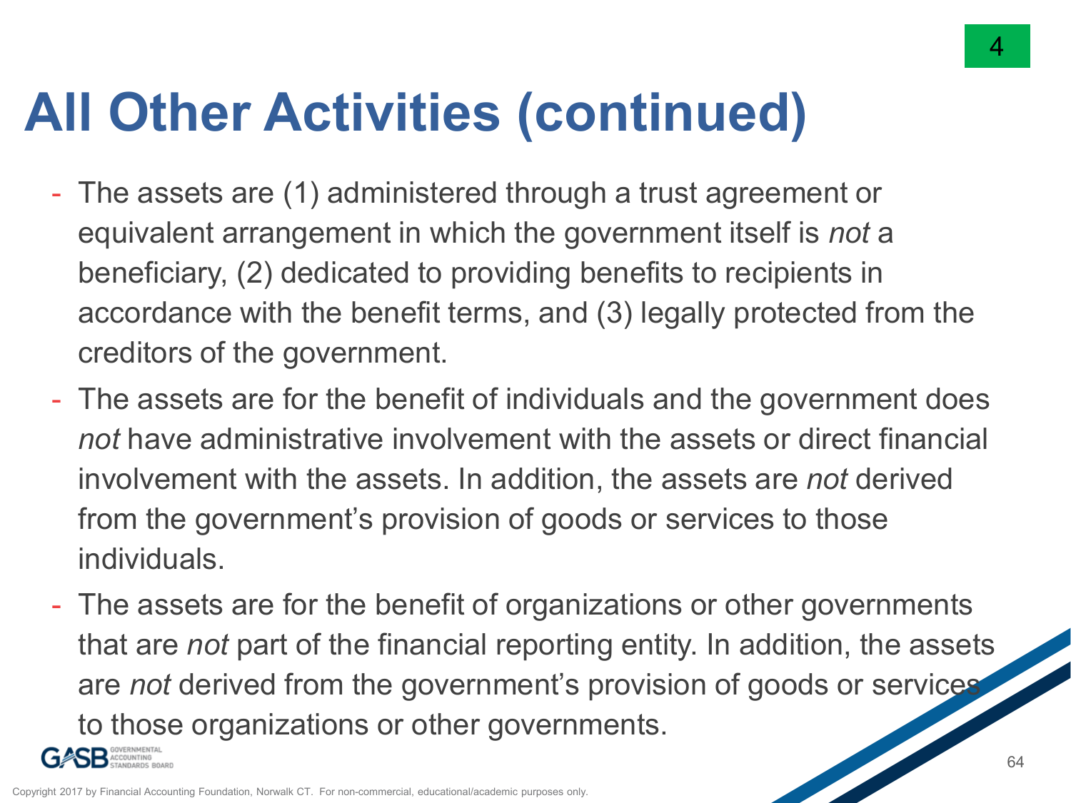## **All Other Activities (continued)**

- The assets are (1) administered through a trust agreement or equivalent arrangement in which the government itself is *not* a beneficiary, (2) dedicated to providing benefits to recipients in accordance with the benefit terms, and (3) legally protected from the creditors of the government.
- The assets are for the benefit of individuals and the government does *not* have administrative involvement with the assets or direct financial involvement with the assets. In addition, the assets are *not* derived from the government's provision of goods or services to those individuals.
- The assets are for the benefit of organizations or other governments that are *not* part of the financial reporting entity. In addition, the assets are *not* derived from the government's provision of goods or services to those organizations or other governments.



4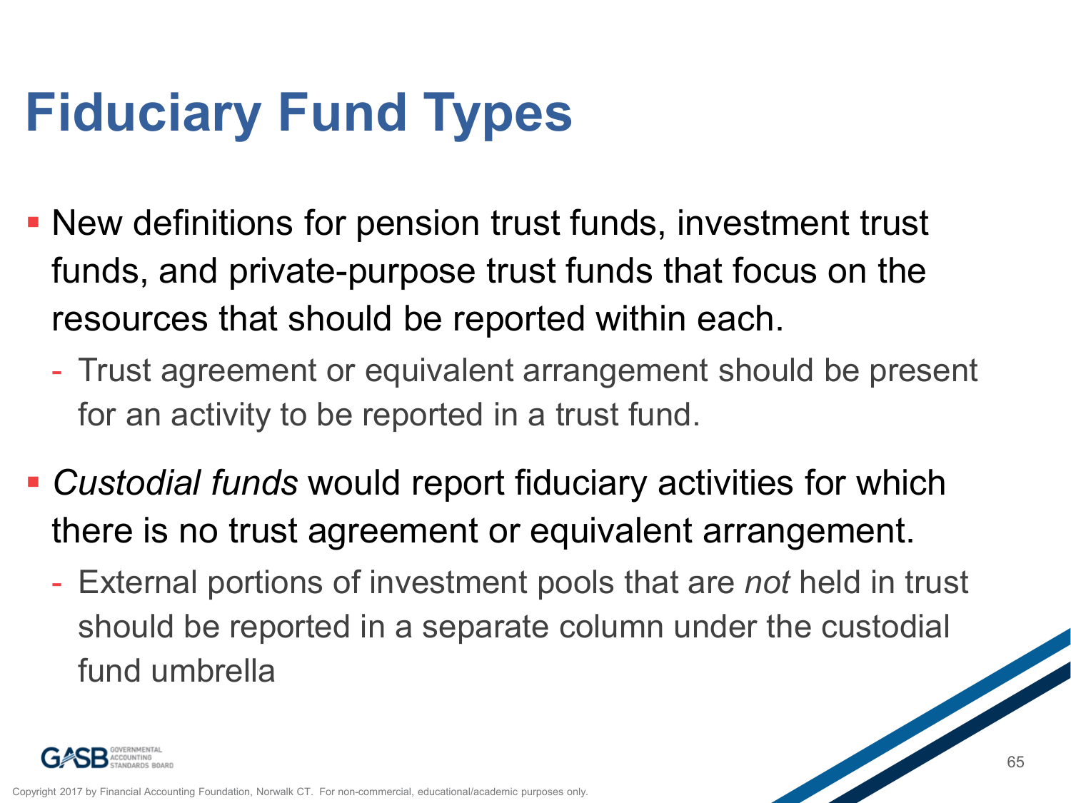# **Fiduciary Fund Types**

- New definitions for pension trust funds, investment trust funds, and private-purpose trust funds that focus on the resources that should be reported within each.
	- Trust agreement or equivalent arrangement should be present for an activity to be reported in a trust fund.
- *Custodial funds* would report fiduciary activities for which there is no trust agreement or equivalent arrangement.
	- External portions of investment pools that are *not* held in trust should be reported in a separate column under the custodial fund umbrella

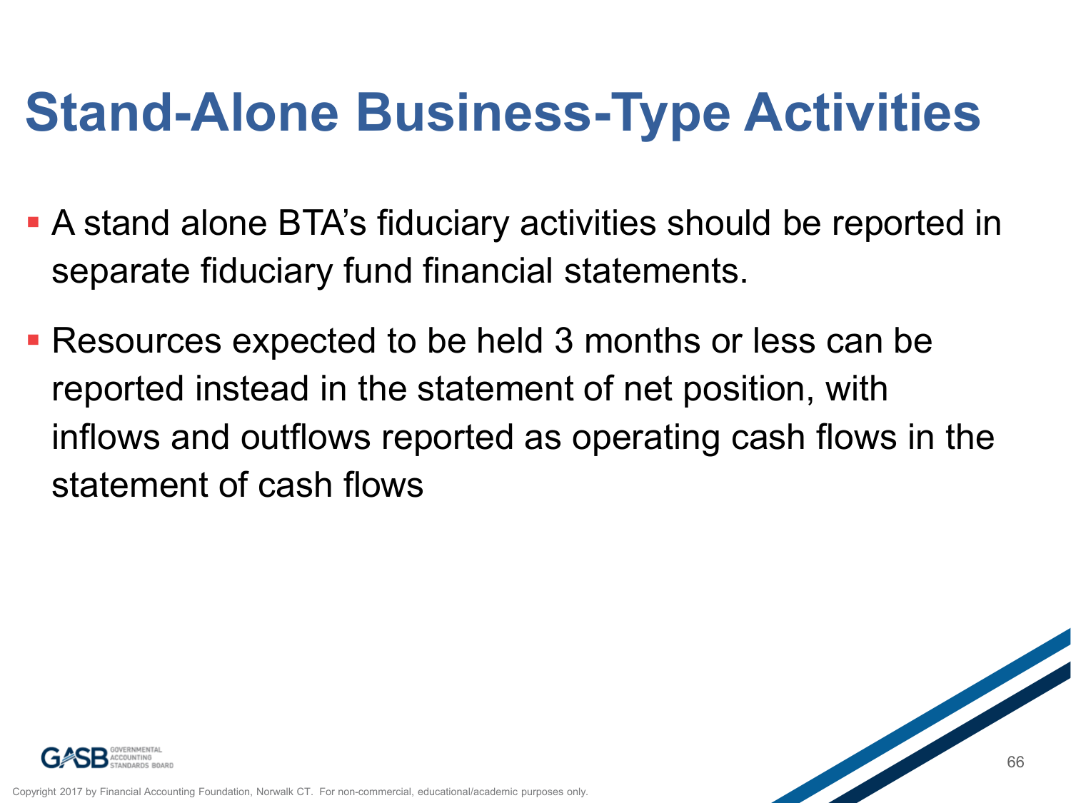## **Stand-Alone Business-Type Activities**

- A stand alone BTA's fiduciary activities should be reported in separate fiduciary fund financial statements.
- Resources expected to be held 3 months or less can be reported instead in the statement of net position, with inflows and outflows reported as operating cash flows in the statement of cash flows



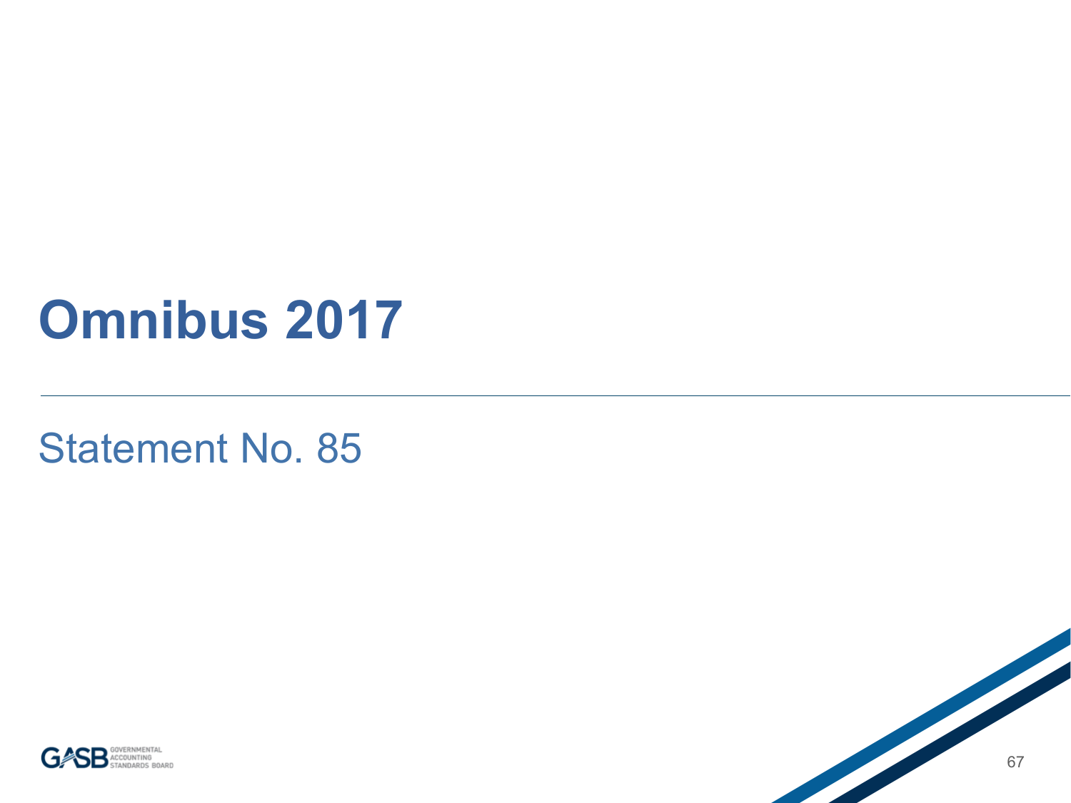### **Omnibus 2017**

#### Statement No. 85



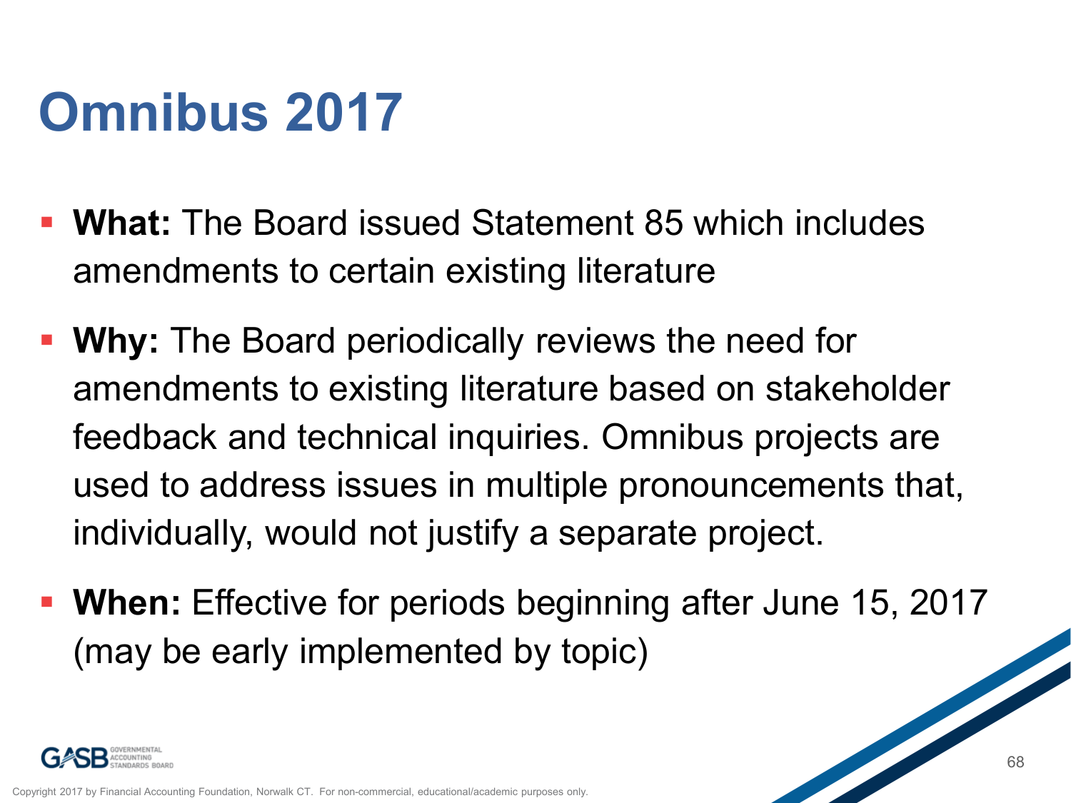## **Omnibus 2017**

- **What:** The Board issued Statement 85 which includes amendments to certain existing literature
- **Why:** The Board periodically reviews the need for amendments to existing literature based on stakeholder feedback and technical inquiries. Omnibus projects are used to address issues in multiple pronouncements that, individually, would not justify a separate project.
- **When:** Effective for periods beginning after June 15, 2017 (may be early implemented by topic)

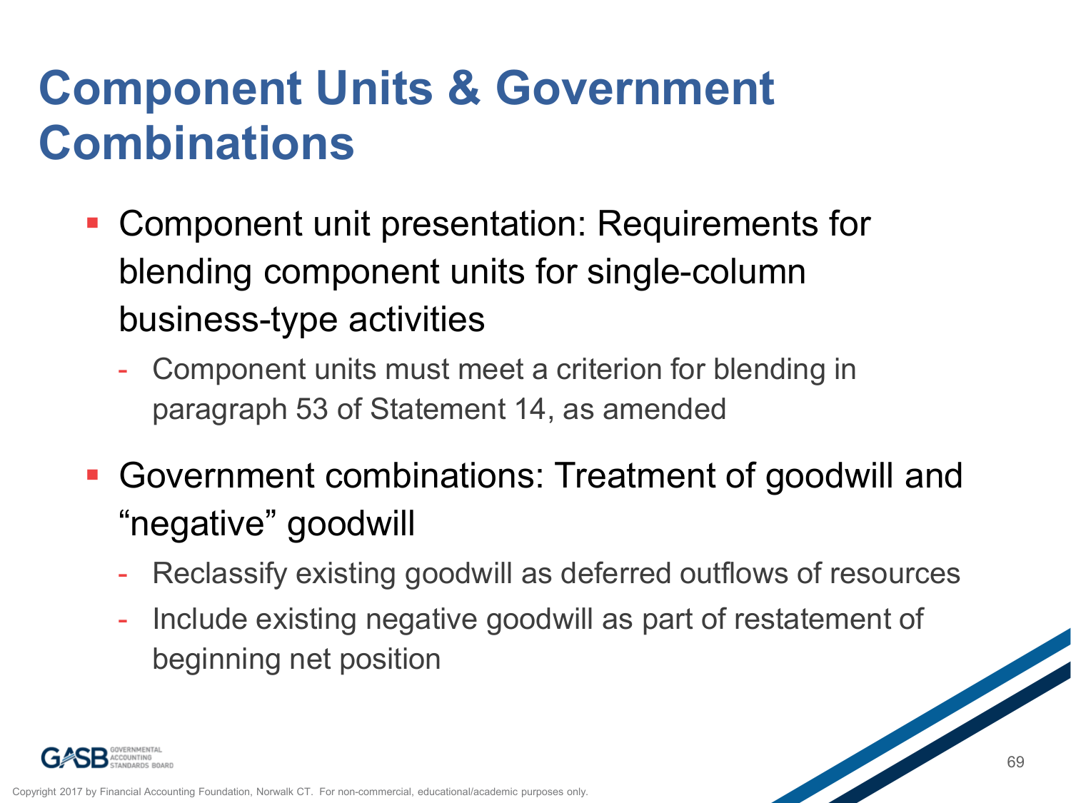#### **Component Units & Government Combinations**

- Component unit presentation: Requirements for blending component units for single-column business-type activities
	- Component units must meet a criterion for blending in paragraph 53 of Statement 14, as amended
- Government combinations: Treatment of goodwill and "negative" goodwill
	- Reclassify existing goodwill as deferred outflows of resources
	- Include existing negative goodwill as part of restatement of beginning net position

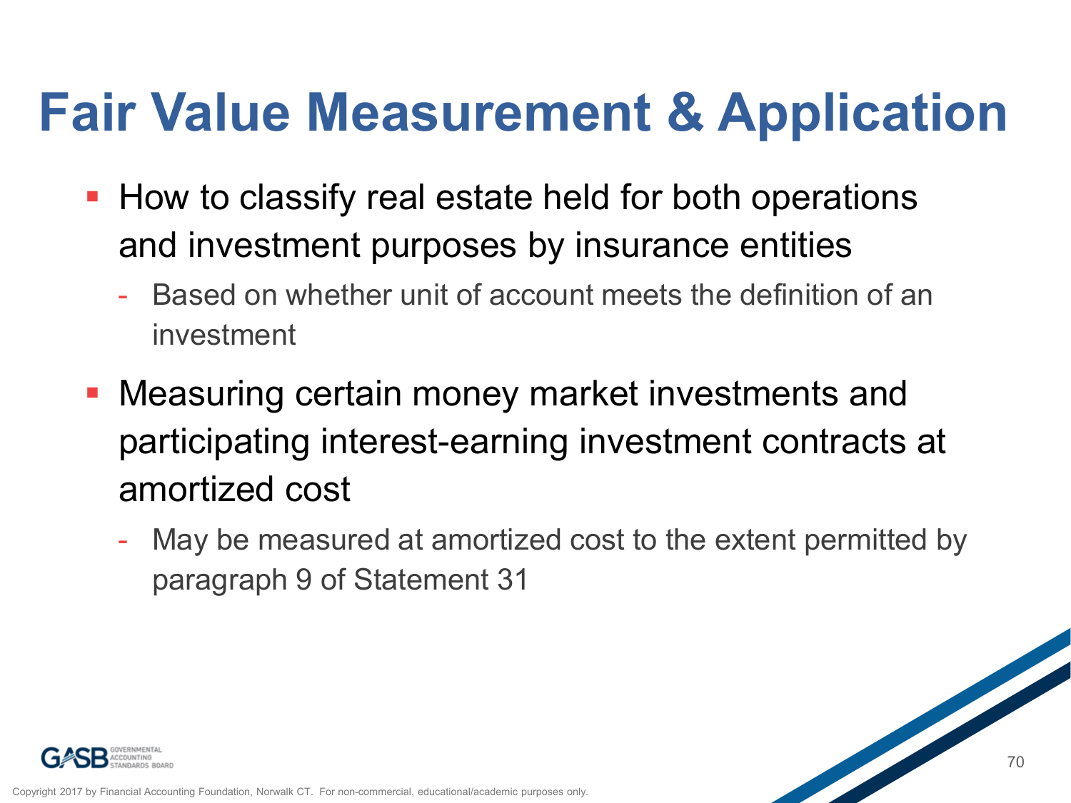## **Fair Value Measurement & Application**

- **How to classify real estate held for both operations** and investment purposes by insurance entities
	- Based on whether unit of account meets the definition of an investment
- Measuring certain money market investments and participating interest-earning investment contracts at amortized cost
	- May be measured at amortized cost to the extent permitted by paragraph 9 of Statement 31

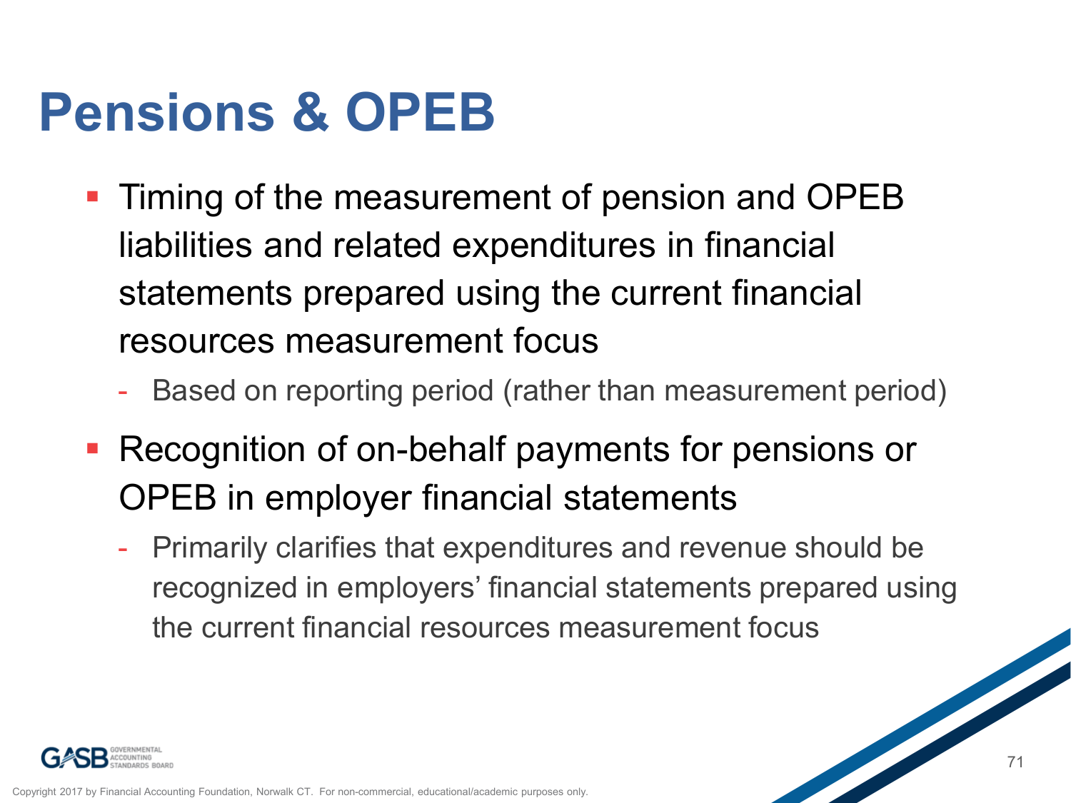## **Pensions & OPEB**

- **Timing of the measurement of pension and OPEB** liabilities and related expenditures in financial statements prepared using the current financial resources measurement focus
	- Based on reporting period (rather than measurement period)
- Recognition of on-behalf payments for pensions or OPEB in employer financial statements
	- Primarily clarifies that expenditures and revenue should be recognized in employers' financial statements prepared using the current financial resources measurement focus

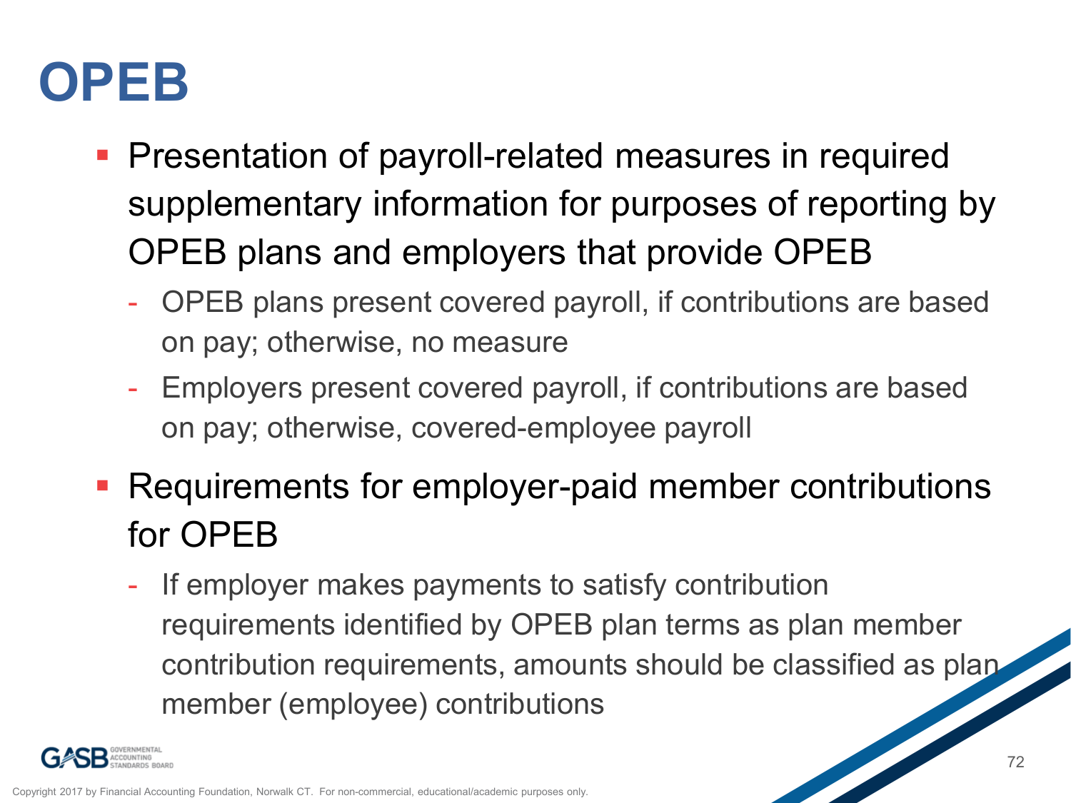## **OPEB**

- **Presentation of payroll-related measures in required** supplementary information for purposes of reporting by OPEB plans and employers that provide OPEB
	- OPEB plans present covered payroll, if contributions are based on pay; otherwise, no measure
	- Employers present covered payroll, if contributions are based on pay; otherwise, covered-employee payroll
- **Requirements for employer-paid member contributions** for OPEB
	- If employer makes payments to satisfy contribution requirements identified by OPEB plan terms as plan member contribution requirements, amounts should be classified as plan member (employee) contributions

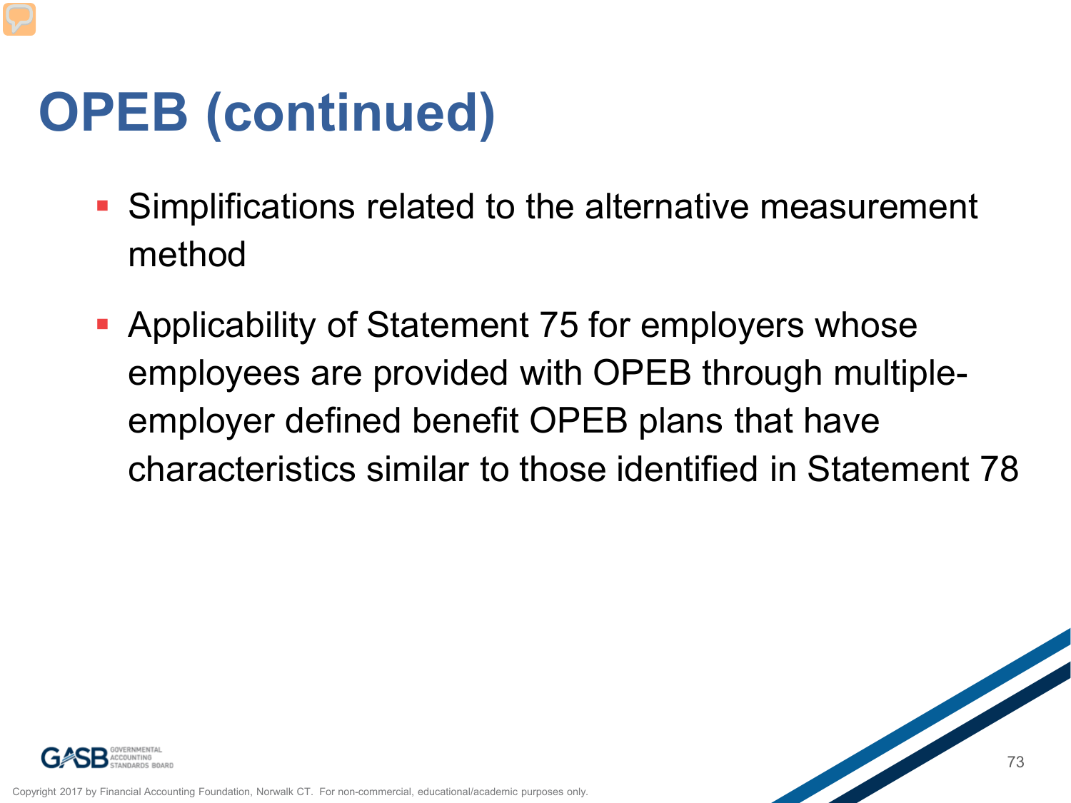## **OPEB (continued)**

- Simplifications related to the alternative measurement method
- **Applicability of Statement 75 for employers whose** employees are provided with OPEB through multipleemployer defined benefit OPEB plans that have characteristics similar to those identified in Statement 78



Copyright 2017 by Financial Accounting Foundation, Norwalk CT. For non-commercial, educational/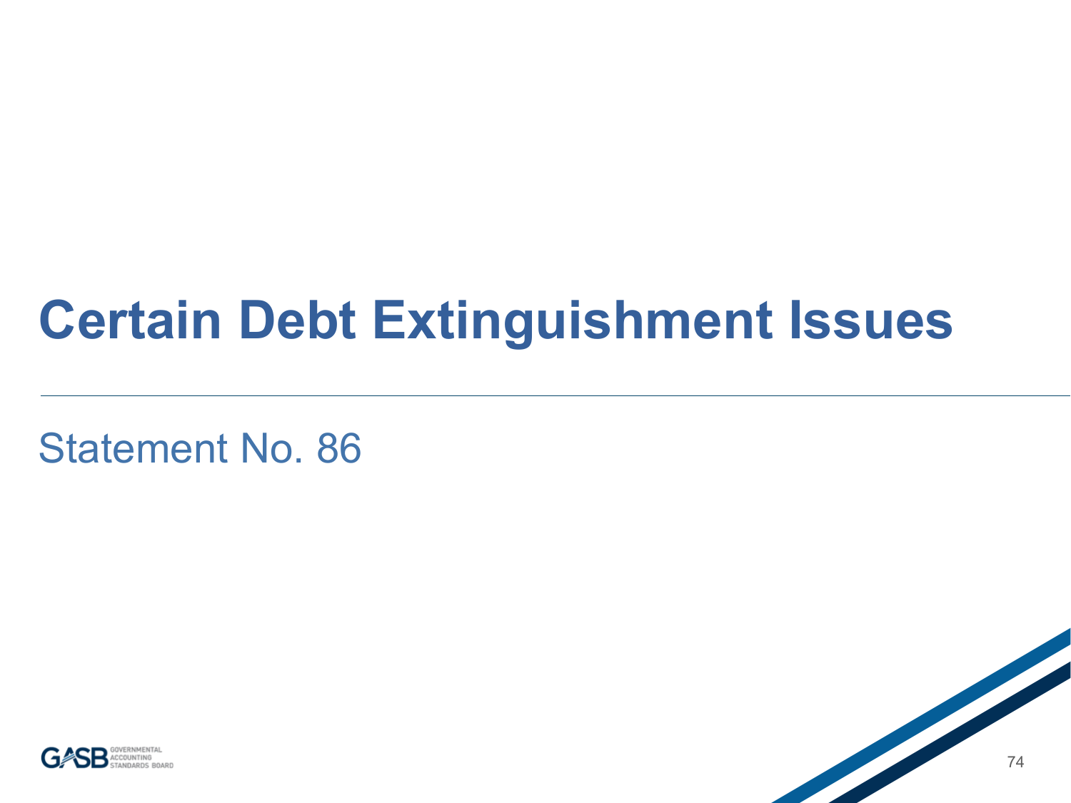#### **Certain Debt Extinguishment Issues**

Statement No. 86



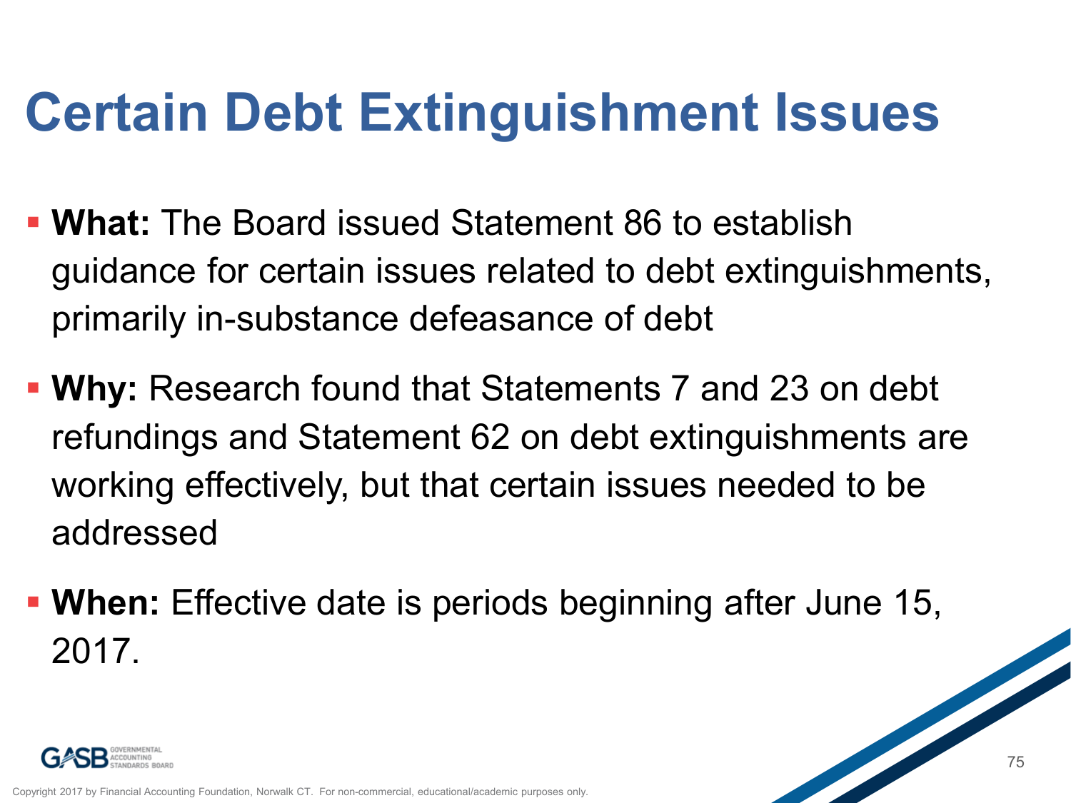## **Certain Debt Extinguishment Issues**

- **What:** The Board issued Statement 86 to establish guidance for certain issues related to debt extinguishments, primarily in-substance defeasance of debt
- **Why:** Research found that Statements 7 and 23 on debt refundings and Statement 62 on debt extinguishments are working effectively, but that certain issues needed to be addressed
- **When:** Effective date is periods beginning after June 15, 2017.

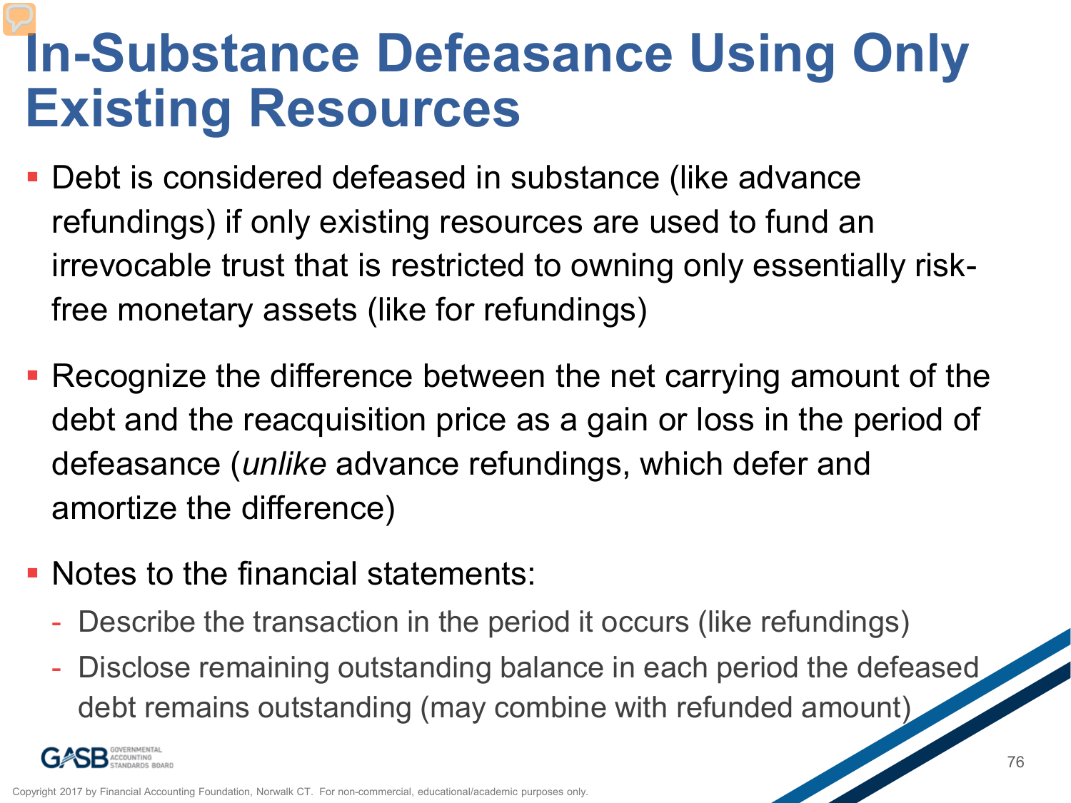#### **In-Substance Defeasance Using Only Existing Resources**

- Debt is considered defeased in substance (like advance refundings) if only existing resources are used to fund an irrevocable trust that is restricted to owning only essentially riskfree monetary assets (like for refundings)
- Recognize the difference between the net carrying amount of the debt and the reacquisition price as a gain or loss in the period of defeasance (*unlike* advance refundings, which defer and amortize the difference)
- Notes to the financial statements:
	- Describe the transaction in the period it occurs (like refundings)
	- Disclose remaining outstanding balance in each period the defeased debt remains outstanding (may combine with refunded amount)

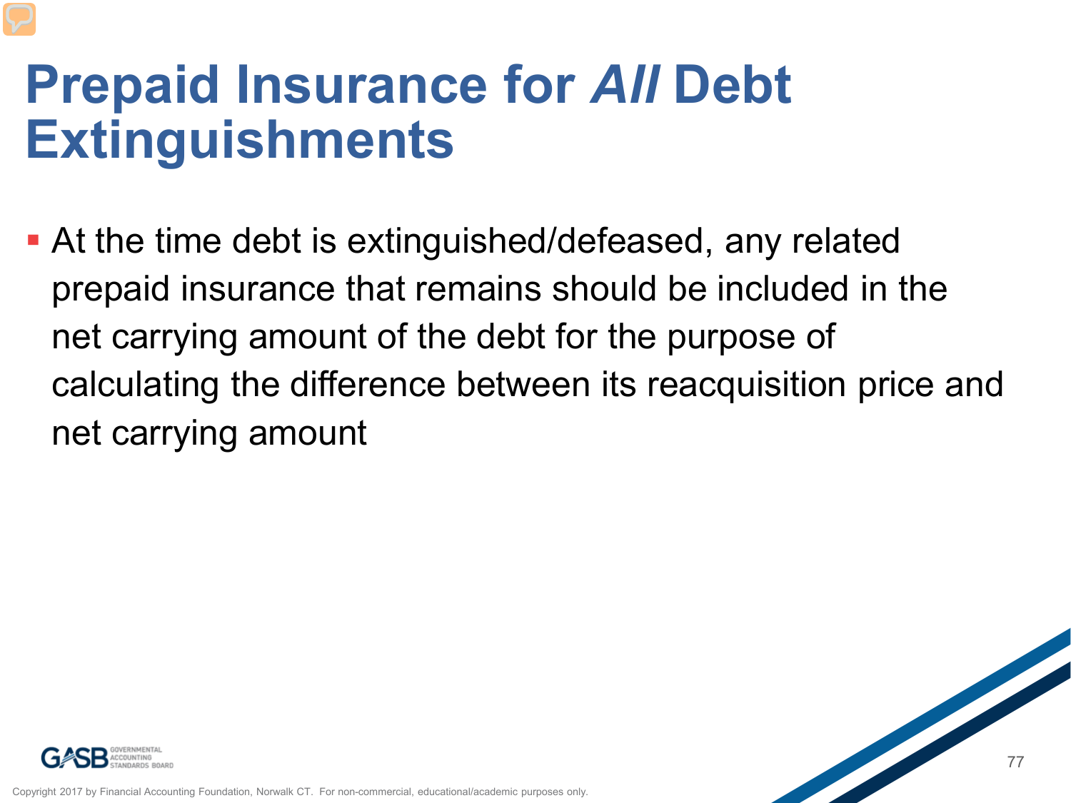#### **Prepaid Insurance for** *All* **Debt Extinguishments**

 At the time debt is extinguished/defeased, any related prepaid insurance that remains should be included in the net carrying amount of the debt for the purpose of calculating the difference between its reacquisition price and net carrying amount



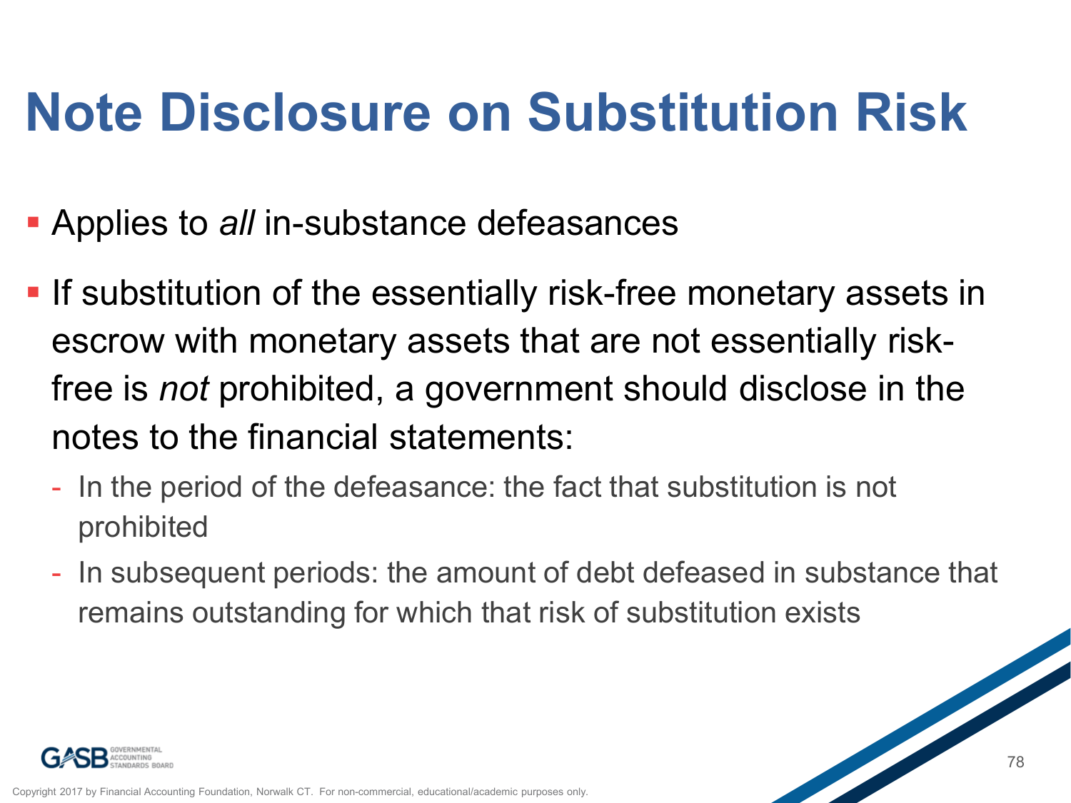### **Note Disclosure on Substitution Risk**

- Applies to *all* in-substance defeasances
- **If substitution of the essentially risk-free monetary assets in** escrow with monetary assets that are not essentially riskfree is *not* prohibited, a government should disclose in the notes to the financial statements:
	- In the period of the defeasance: the fact that substitution is not prohibited
	- In subsequent periods: the amount of debt defeased in substance that remains outstanding for which that risk of substitution exists

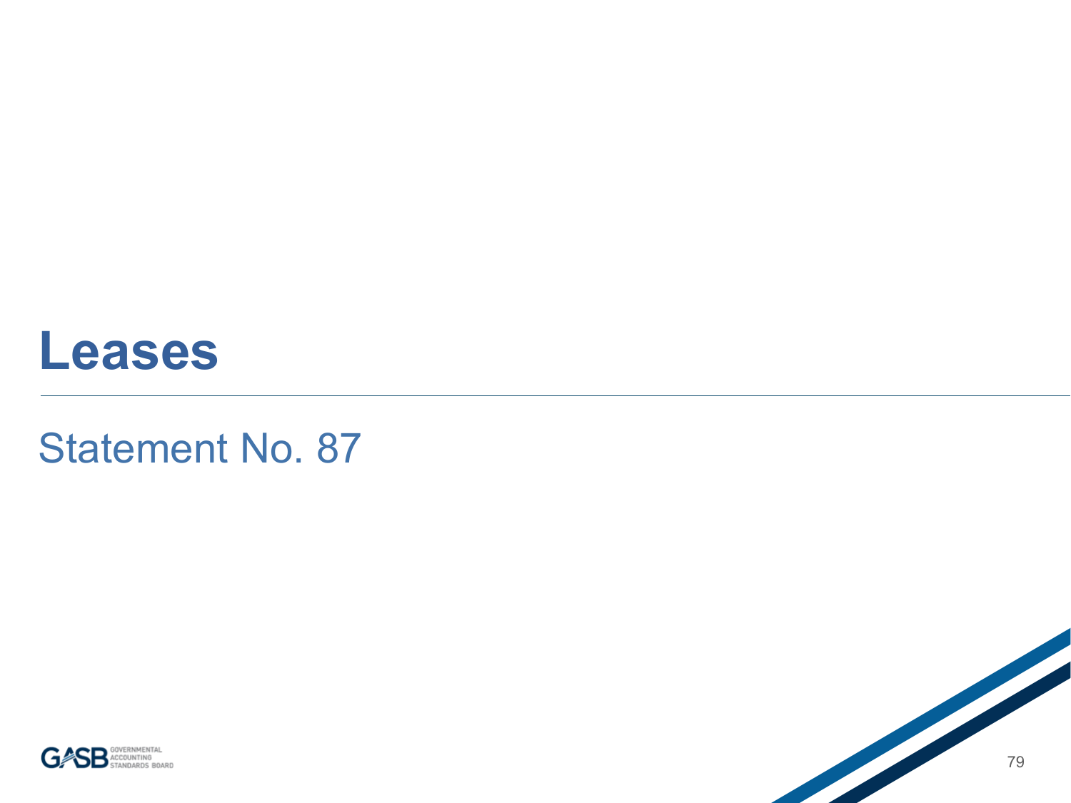#### **Leases**

#### Statement No. 87



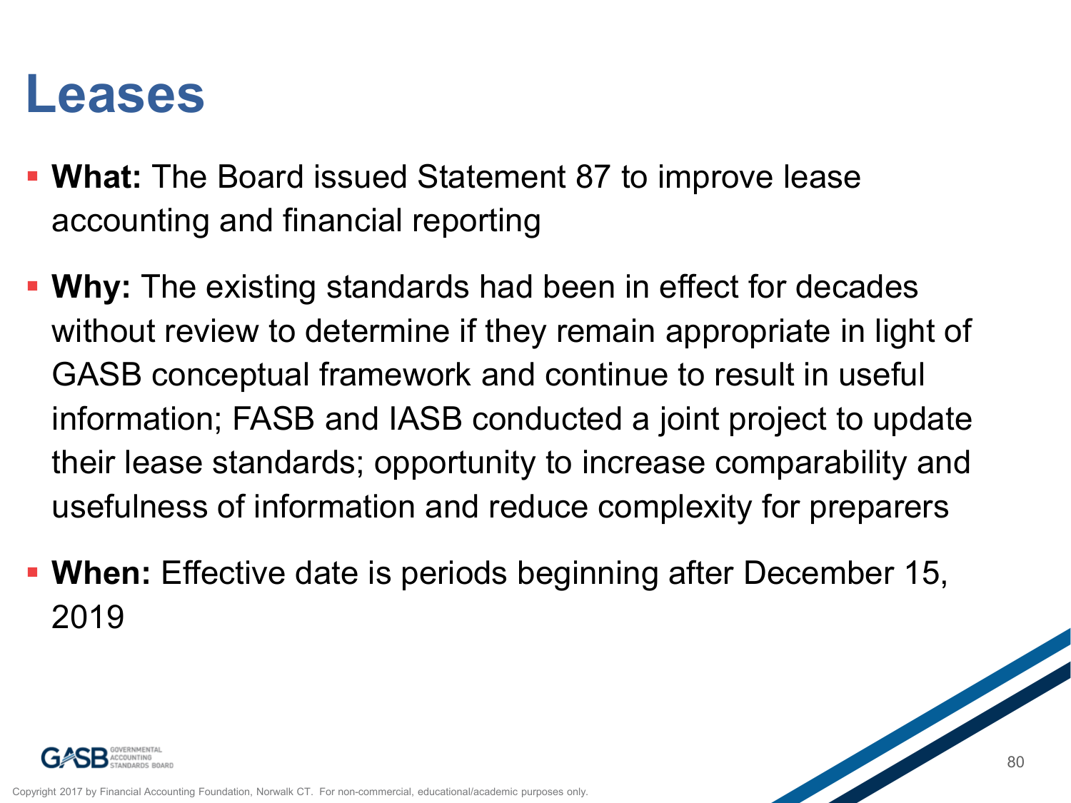#### **Leases**

- **What:** The Board issued Statement 87 to improve lease accounting and financial reporting
- **Why:** The existing standards had been in effect for decades without review to determine if they remain appropriate in light of GASB conceptual framework and continue to result in useful information; FASB and IASB conducted a joint project to update their lease standards; opportunity to increase comparability and usefulness of information and reduce complexity for preparers
- **When:** Effective date is periods beginning after December 15, 2019

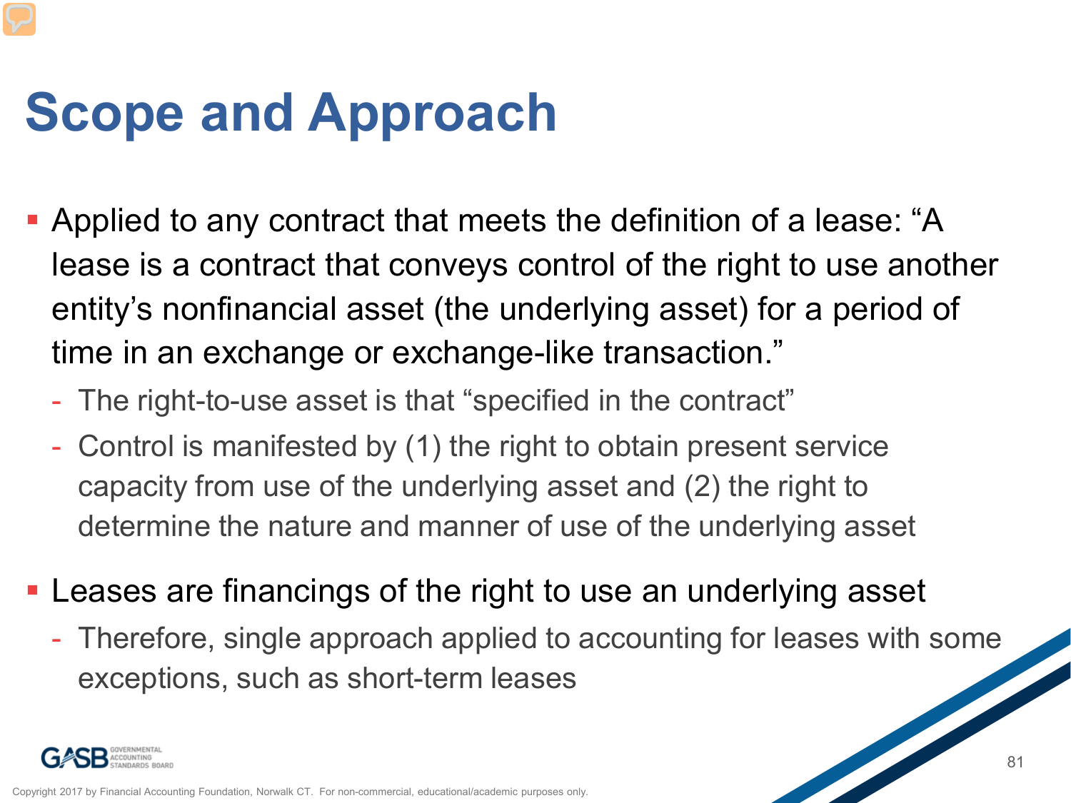## **Scope and Approach**

- Applied to any contract that meets the definition of a lease: "A lease is a contract that conveys control of the right to use another entity's nonfinancial asset (the underlying asset) for a period of time in an exchange or exchange-like transaction."
	- The right-to-use asset is that "specified in the contract"
	- Control is manifested by (1) the right to obtain present service capacity from use of the underlying asset and (2) the right to determine the nature and manner of use of the underlying asset
- Leases are financings of the right to use an underlying asset
	- Therefore, single approach applied to accounting for leases with some exceptions, such as short-term leases

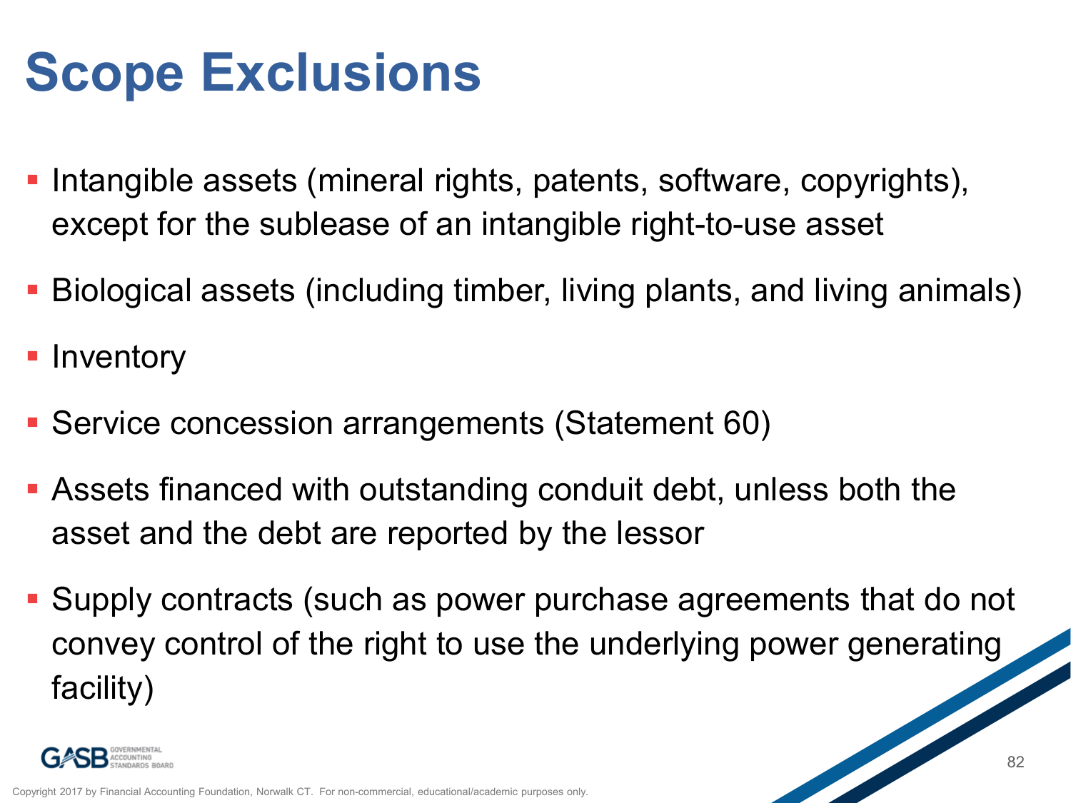### **Scope Exclusions**

- **-** Intangible assets (mineral rights, patents, software, copyrights), except for the sublease of an intangible right-to-use asset
- Biological assets (including timber, living plants, and living animals)
- **Inventory**
- Service concession arrangements (Statement 60)
- Assets financed with outstanding conduit debt, unless both the asset and the debt are reported by the lessor
- Supply contracts (such as power purchase agreements that do not convey control of the right to use the underlying power generating facility)

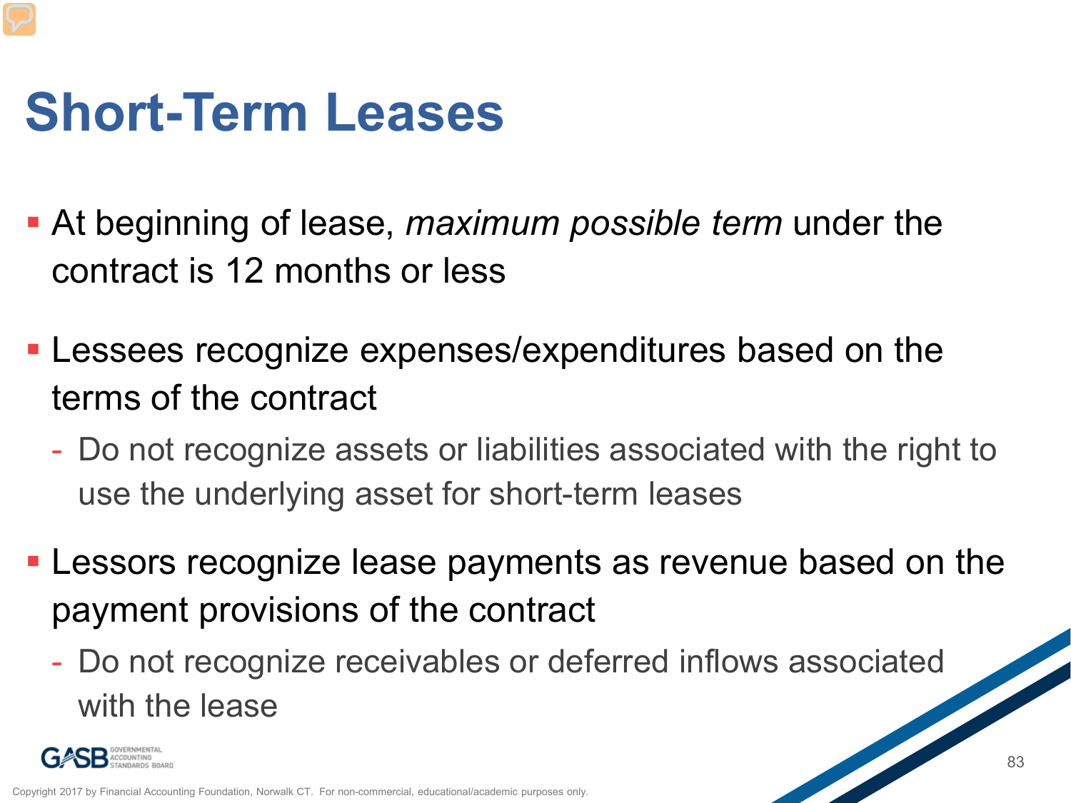## **Short-Term Leases**

- At beginning of lease, *maximum possible term* under the contract is 12 months or less
- Lessees recognize expenses/expenditures based on the terms of the contract
	- Do not recognize assets or liabilities associated with the right to use the underlying asset for short-term leases
- Lessors recognize lease payments as revenue based on the payment provisions of the contract
	- Do not recognize receivables or deferred inflows associated with the lease

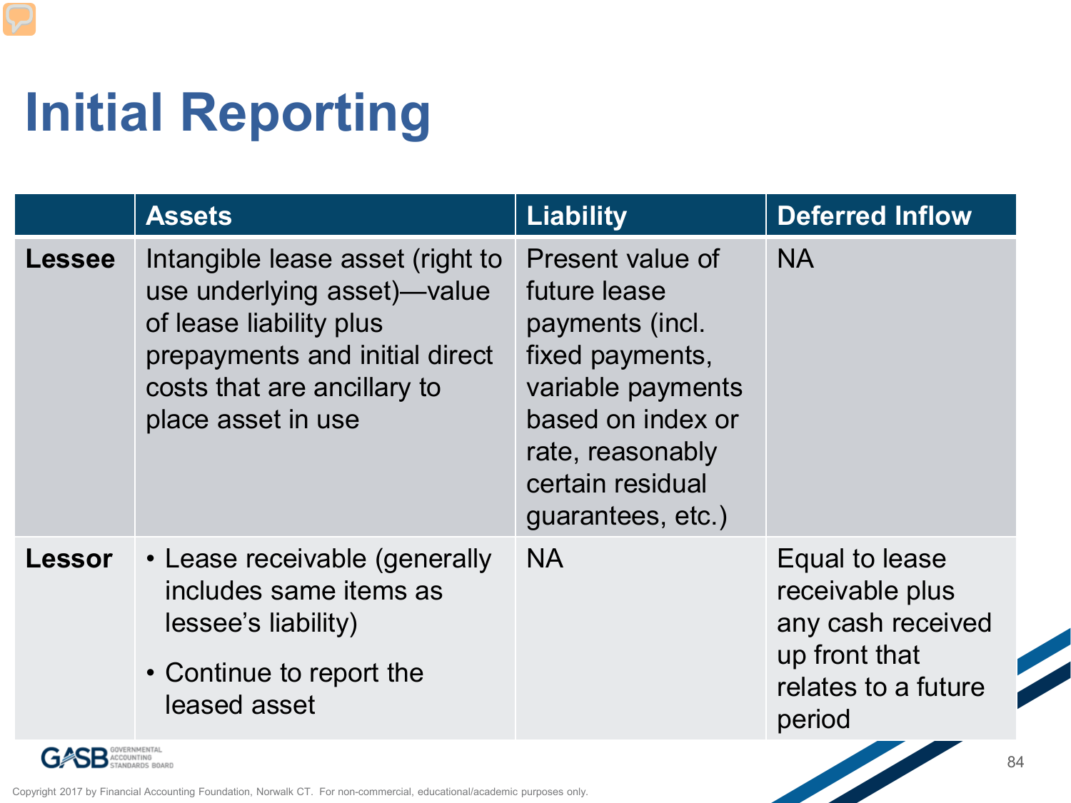# **Initial Reporting**

|               | <b>Assets</b>                                                                                                                                                                     | <b>Liability</b>                                                                                                                                                              | <b>Deferred Inflow</b>                                                                                   |
|---------------|-----------------------------------------------------------------------------------------------------------------------------------------------------------------------------------|-------------------------------------------------------------------------------------------------------------------------------------------------------------------------------|----------------------------------------------------------------------------------------------------------|
| <b>Lessee</b> | Intangible lease asset (right to<br>use underlying asset)—value<br>of lease liability plus<br>prepayments and initial direct<br>costs that are ancillary to<br>place asset in use | Present value of<br>future lease<br>payments (incl.<br>fixed payments,<br>variable payments<br>based on index or<br>rate, reasonably<br>certain residual<br>guarantees, etc.) | <b>NA</b>                                                                                                |
| <b>Lessor</b> | • Lease receivable (generally<br>includes same items as<br>lessee's liability)<br>• Continue to report the<br>leased asset                                                        | NA.                                                                                                                                                                           | Equal to lease<br>receivable plus<br>any cash received<br>up front that<br>relates to a future<br>period |

**SB** <sup>GOVERNMENTAL<br>STANDARDS BOARD</sup> G

Copyright 2017 by Financial Accounting Foundation, Norwalk CT. For non-commercial, educational/academic purposes only.

**Stational Contract Contract Contract Contract Contract Contract Contract Contract Contract Contract Contract C** 

Z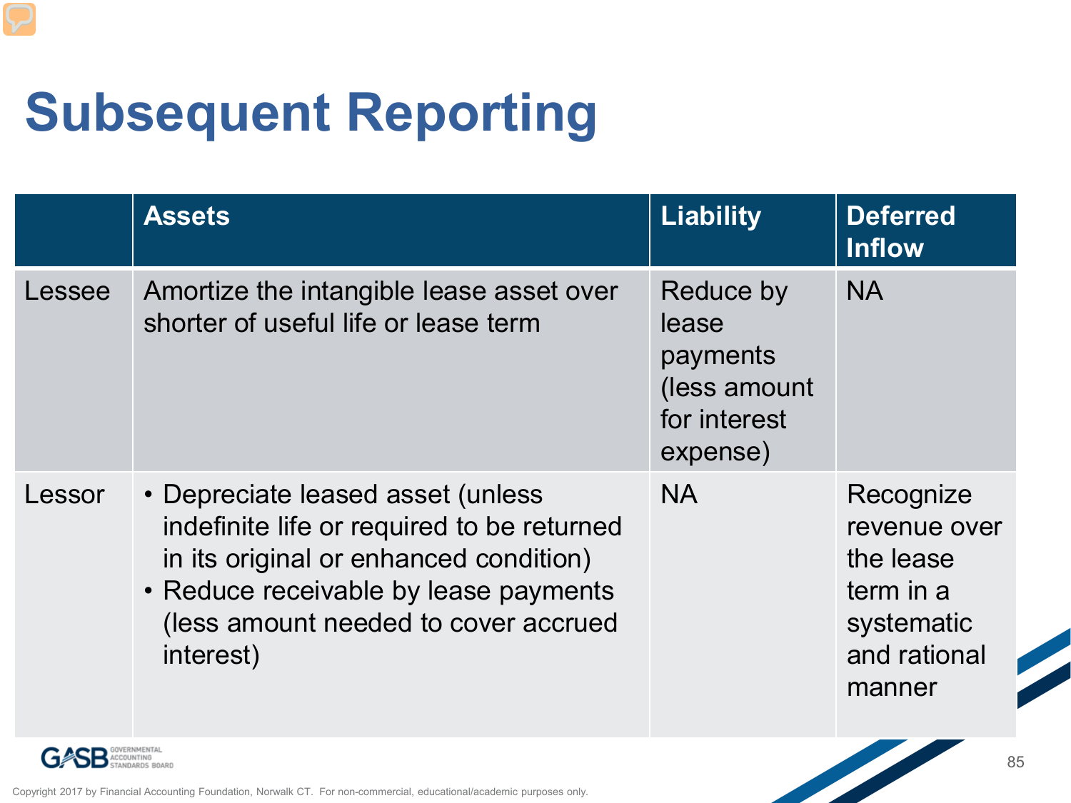## **Subsequent Reporting**

|        | <b>Assets</b>                                                                                                                                                                                                           | <b>Liability</b>                                                           | <b>Deferred</b><br><b>Inflow</b>                                                            |
|--------|-------------------------------------------------------------------------------------------------------------------------------------------------------------------------------------------------------------------------|----------------------------------------------------------------------------|---------------------------------------------------------------------------------------------|
| Lessee | Amortize the intangible lease asset over<br>shorter of useful life or lease term                                                                                                                                        | Reduce by<br>lease<br>payments<br>(less amount<br>for interest<br>expense) | <b>NA</b>                                                                                   |
| Lessor | • Depreciate leased asset (unless<br>indefinite life or required to be returned<br>in its original or enhanced condition)<br>• Reduce receivable by lease payments<br>(less amount needed to cover accrued<br>interest) | <b>NA</b>                                                                  | Recognize<br>revenue over<br>the lease<br>term in a<br>systematic<br>and rational<br>manner |

**SB** GOVERNMENTAL G

Copyright 2017 by Financial Accounting Foundation, Norwalk CT. For non-commercial, educational/academic purposes only.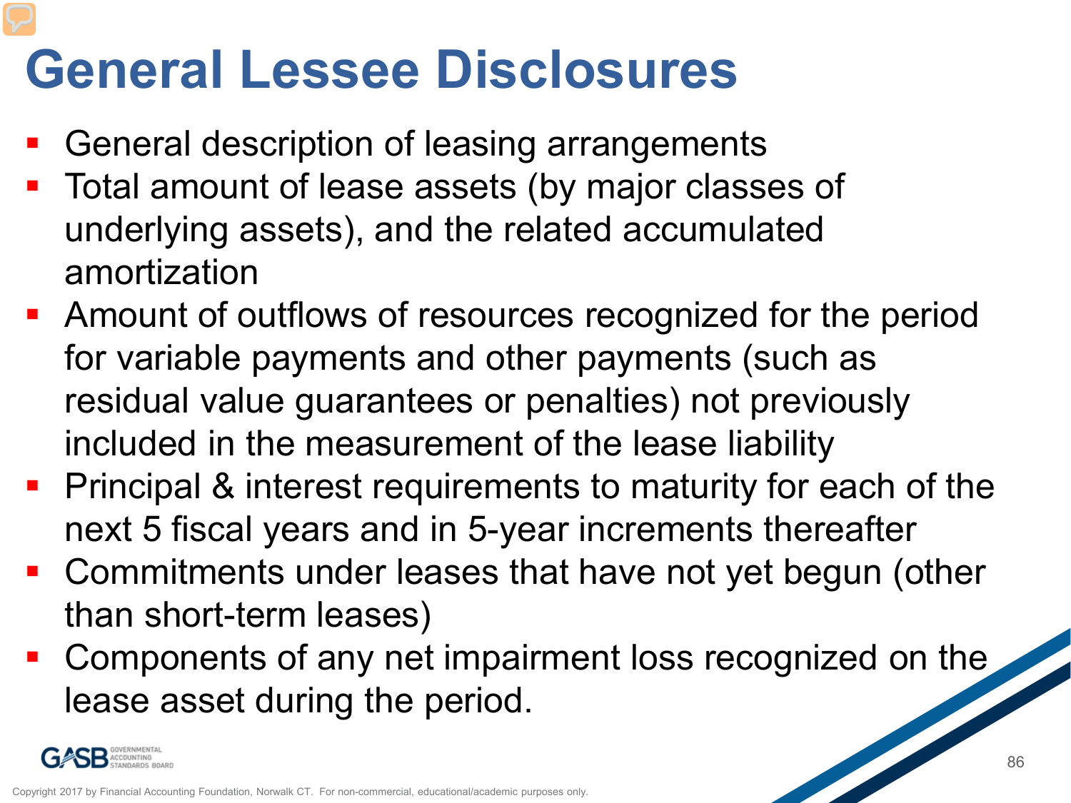#### **General Lessee Disclosures**

- General description of leasing arrangements
- Total amount of lease assets (by major classes of underlying assets), and the related accumulated amortization
- Amount of outflows of resources recognized for the period for variable payments and other payments (such as residual value guarantees or penalties) not previously included in the measurement of the lease liability
- Principal & interest requirements to maturity for each of the next 5 fiscal years and in 5-year increments thereafter
- Commitments under leases that have not yet begun (other than short-term leases)
- Components of any net impairment loss recognized on the lease asset during the period.

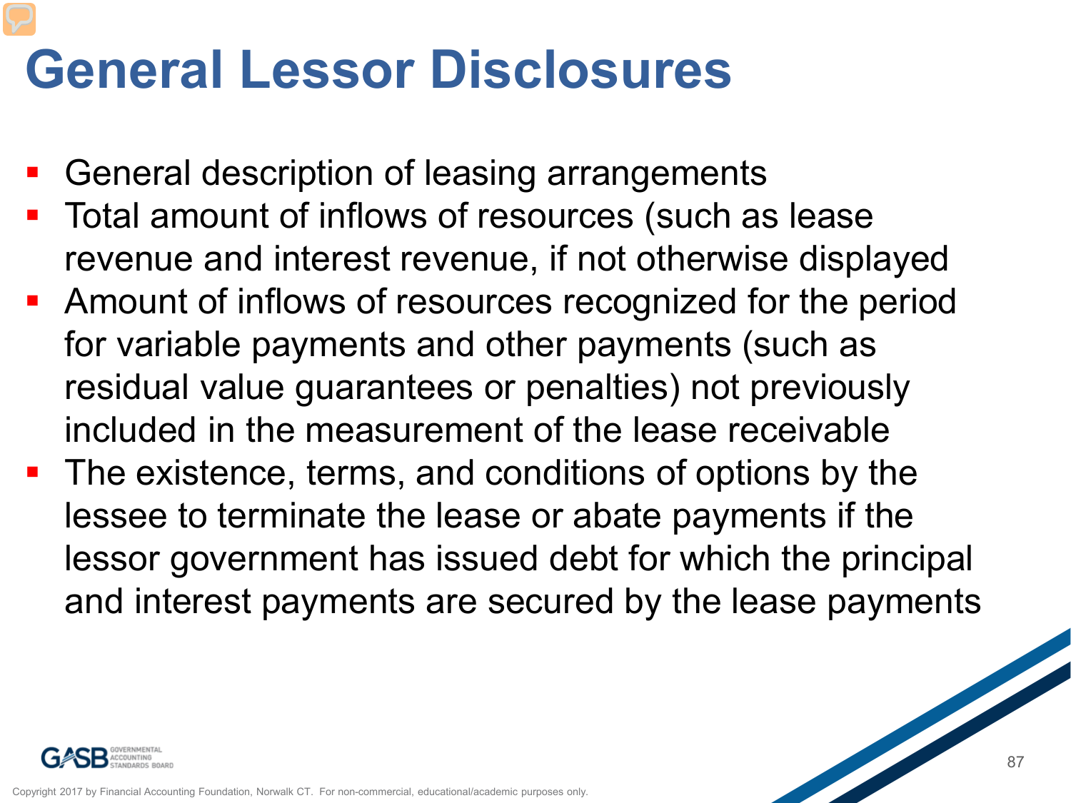#### **General Lessor Disclosures**

- General description of leasing arrangements
- Total amount of inflows of resources (such as lease revenue and interest revenue, if not otherwise displayed
- **-** Amount of inflows of resources recognized for the period for variable payments and other payments (such as residual value guarantees or penalties) not previously included in the measurement of the lease receivable
- **The existence, terms, and conditions of options by the** lessee to terminate the lease or abate payments if the lessor government has issued debt for which the principal and interest payments are secured by the lease payments

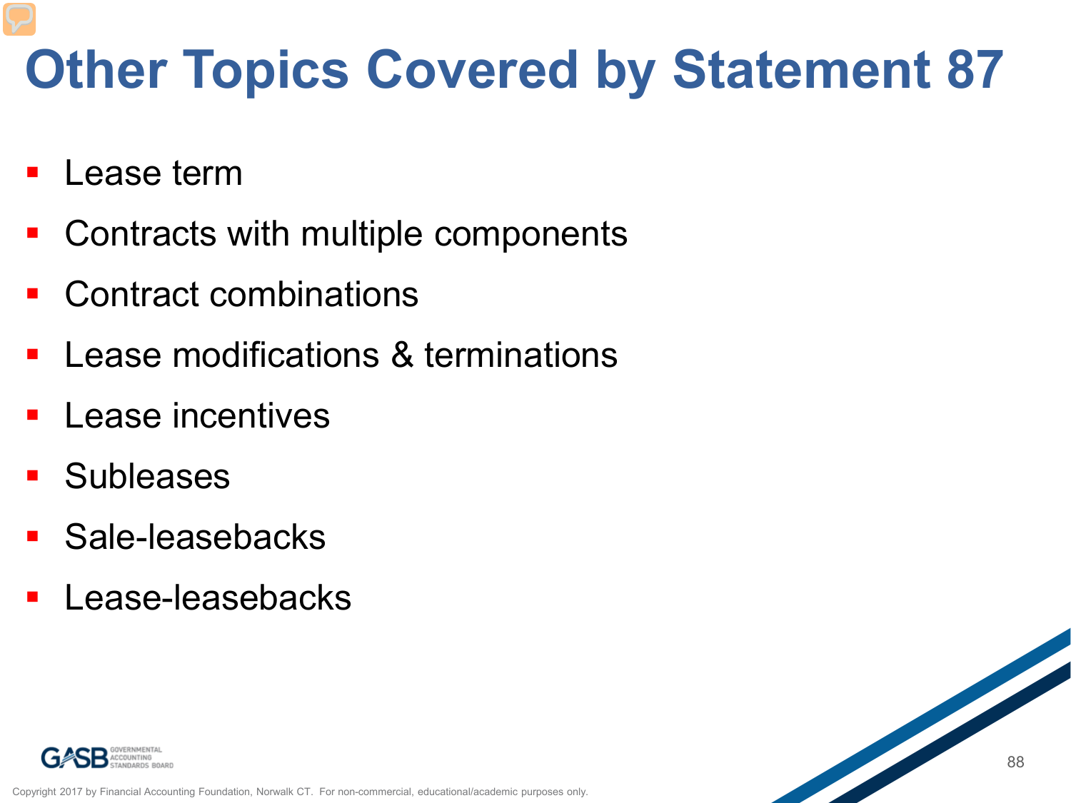## **Other Topics Covered by Statement 87**

- Lease term
- Contracts with multiple components
- Contract combinations
- Lease modifications & terminations
- Lease incentives
- **Subleases**
- Sale-leasebacks
- Lease-leasebacks



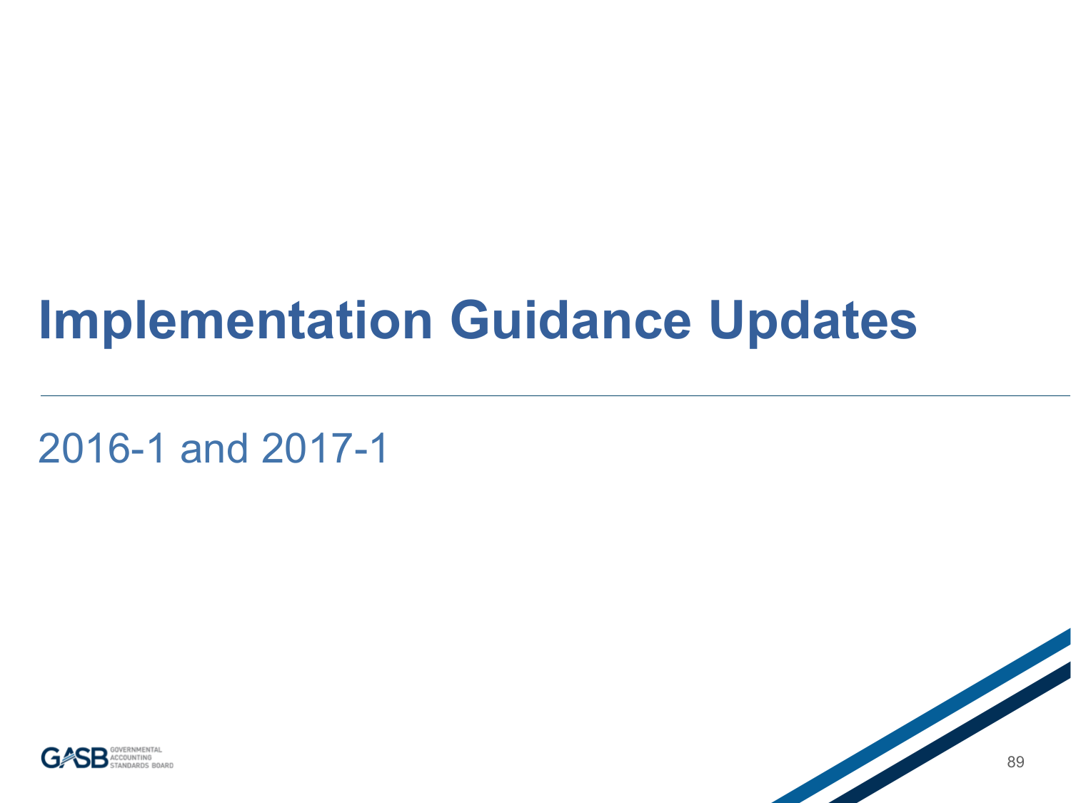#### **Implementation Guidance Updates**

2016-1 and 2017-1



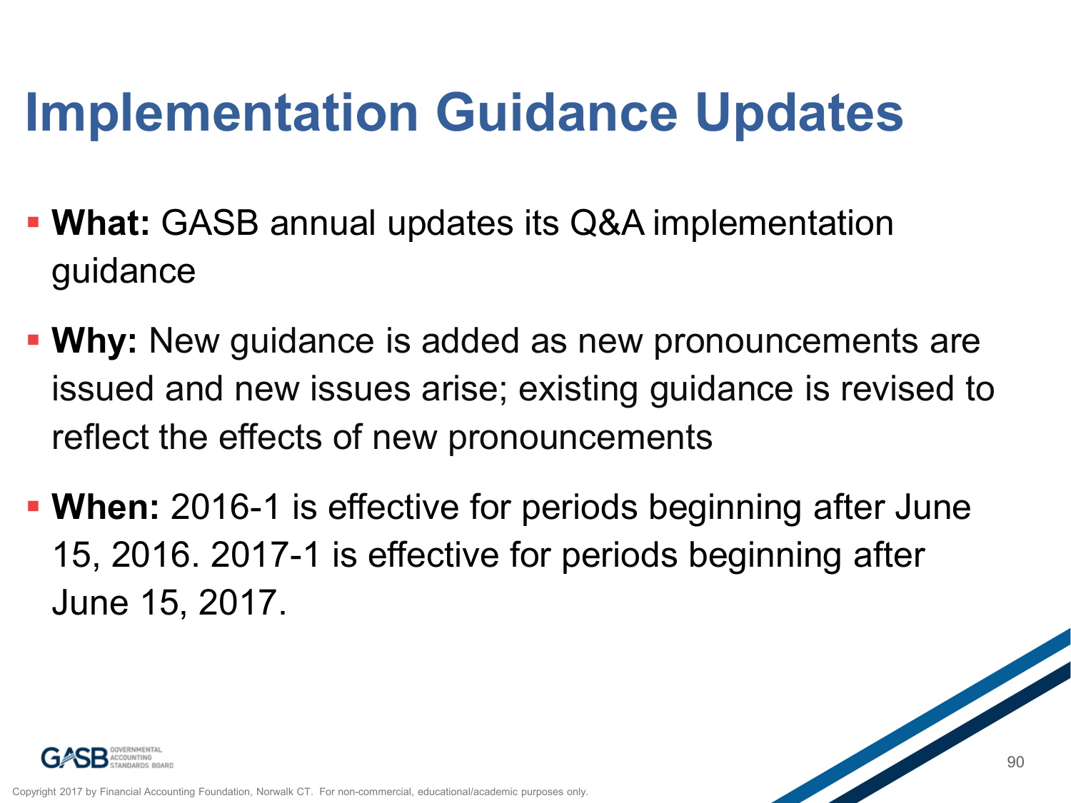#### **Implementation Guidance Updates**

- **What:** GASB annual updates its Q&A implementation guidance
- **Why:** New guidance is added as new pronouncements are issued and new issues arise; existing guidance is revised to reflect the effects of new pronouncements
- **When:** 2016-1 is effective for periods beginning after June 15, 2016. 2017-1 is effective for periods beginning after June 15, 2017.

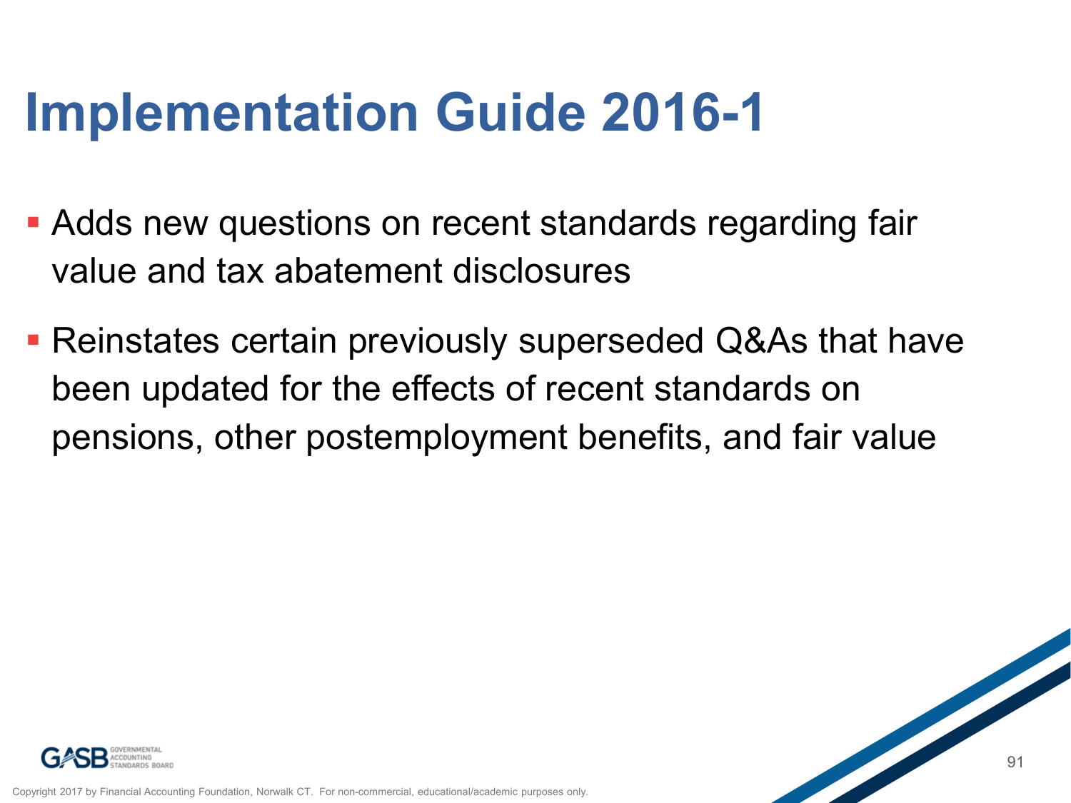#### **Implementation Guide 2016-1**

- Adds new questions on recent standards regarding fair value and tax abatement disclosures
- Reinstates certain previously superseded Q&As that have been updated for the effects of recent standards on pensions, other postemployment benefits, and fair value



Financial Accounting Foundation, Norwalk CT. For non-commercial, educational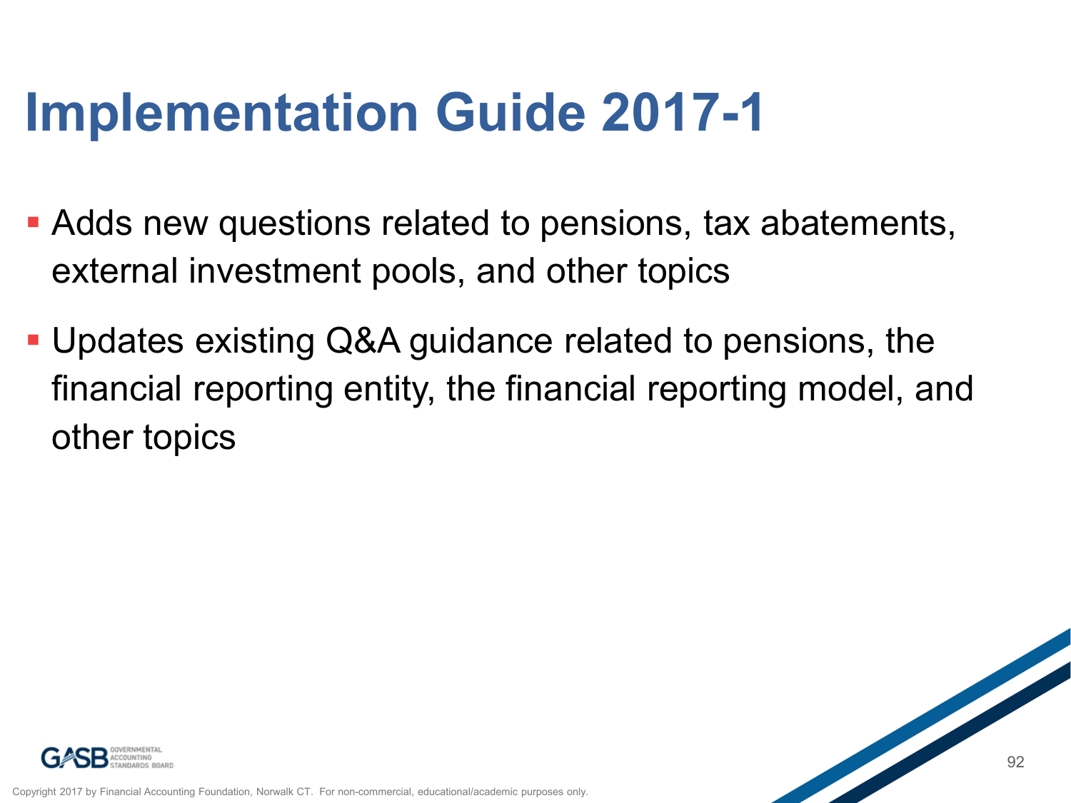#### **Implementation Guide 2017-1**

- Adds new questions related to pensions, tax abatements, external investment pools, and other topics
- Updates existing Q&A guidance related to pensions, the financial reporting entity, the financial reporting model, and other topics



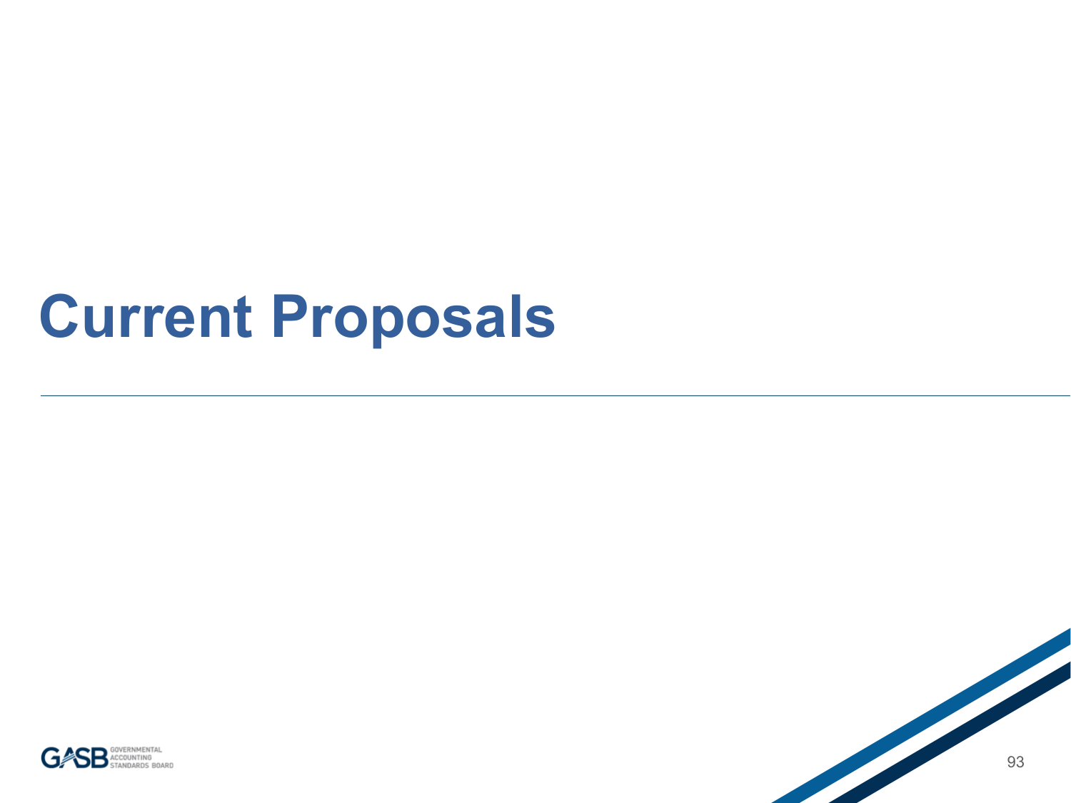### **Current Proposals**



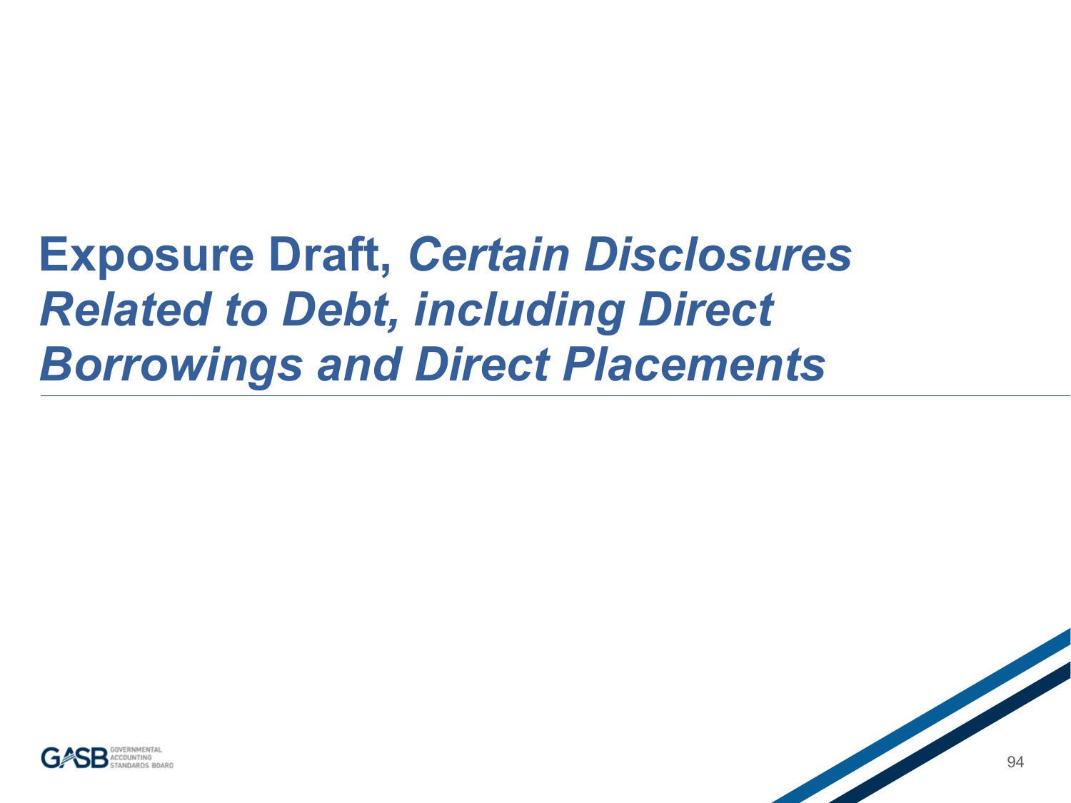#### **Exposure Draft,** *Certain Disclosures Related to Debt, including Direct Borrowings and Direct Placements*

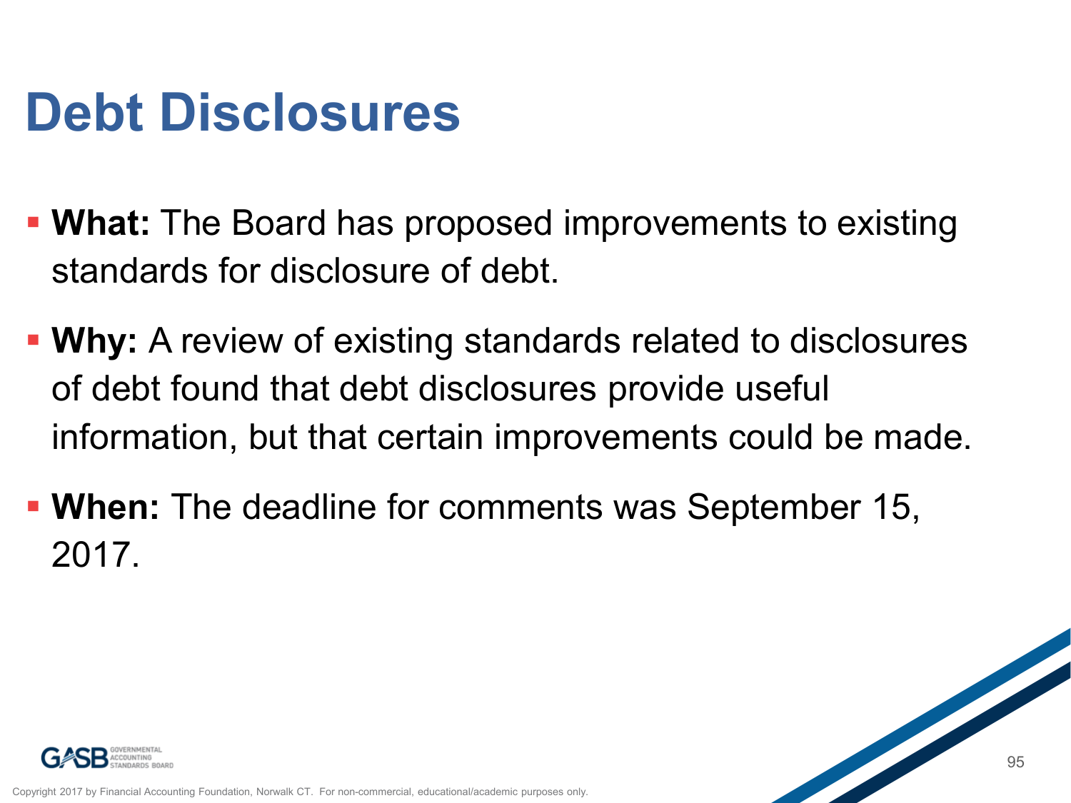#### **Debt Disclosures**

- **What:** The Board has proposed improvements to existing standards for disclosure of debt.
- **Why:** A review of existing standards related to disclosures of debt found that debt disclosures provide useful information, but that certain improvements could be made.
- **When:** The deadline for comments was September 15, 2017.



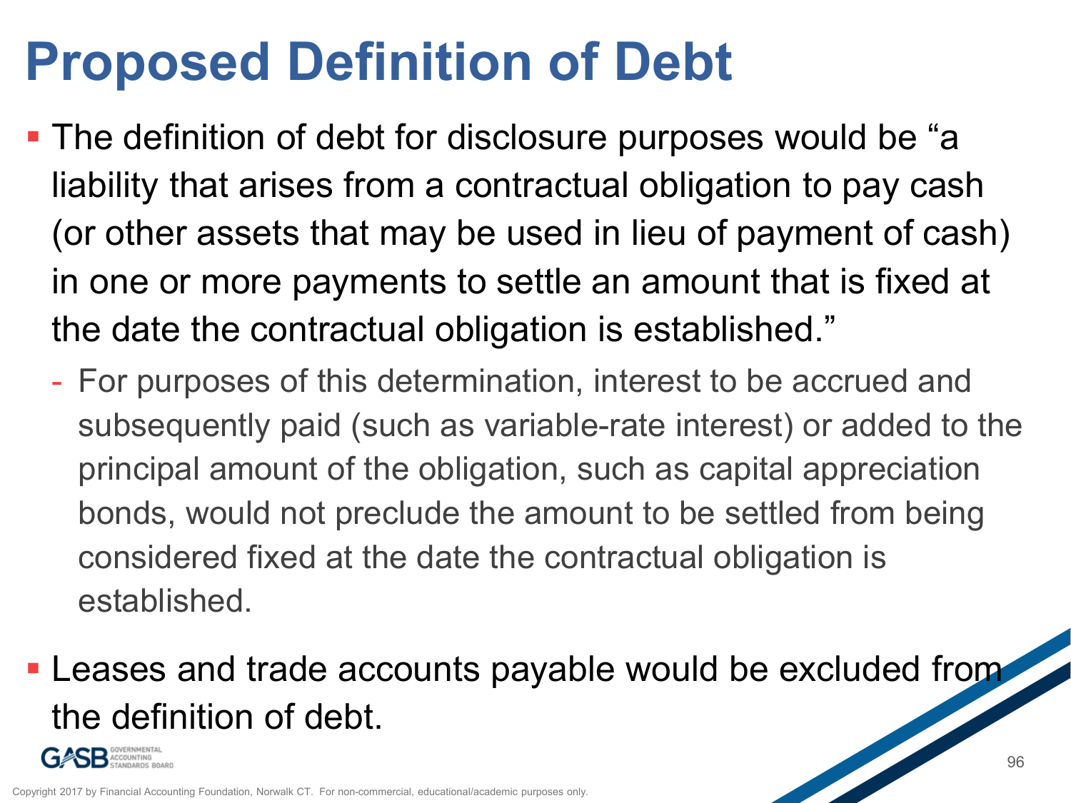## **Proposed Definition of Debt**

- **The definition of debt for disclosure purposes would be "a** liability that arises from a contractual obligation to pay cash (or other assets that may be used in lieu of payment of cash) in one or more payments to settle an amount that is fixed at the date the contractual obligation is established."
	- For purposes of this determination, interest to be accrued and subsequently paid (such as variable-rate interest) or added to the principal amount of the obligation, such as capital appreciation bonds, would not preclude the amount to be settled from being considered fixed at the date the contractual obligation is established.
- **Leases and trade accounts payable would be excluded from** the definition of debt.

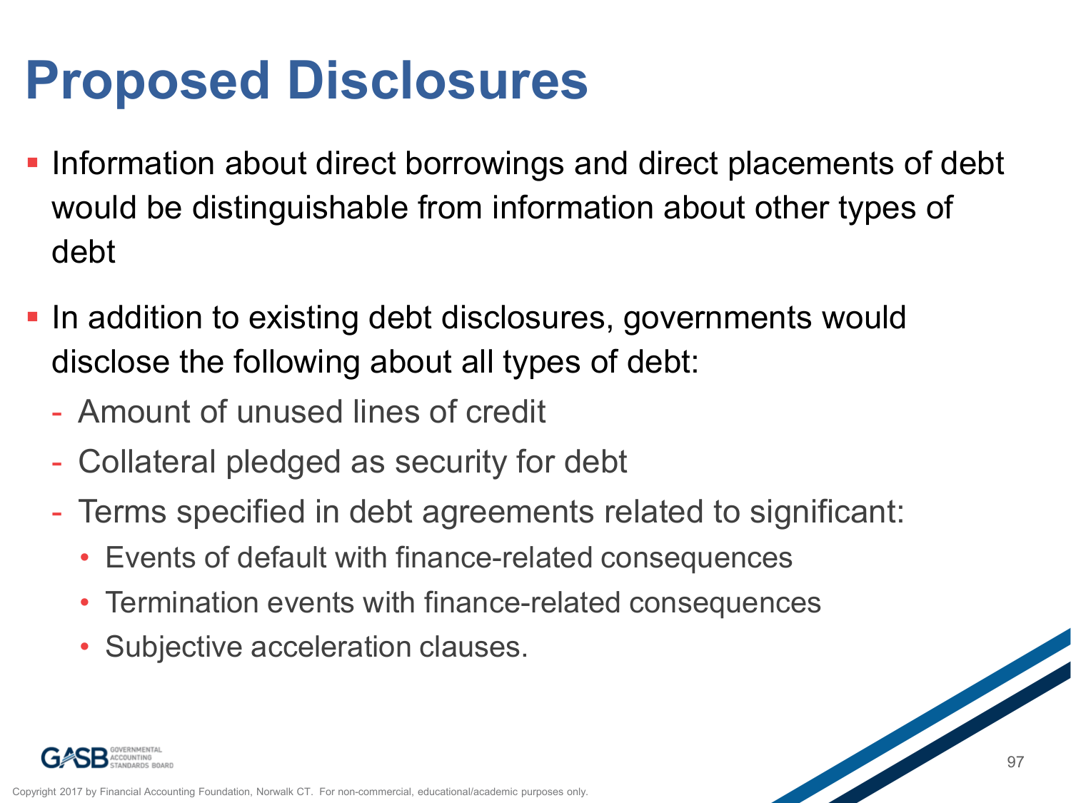## **Proposed Disclosures**

- **Information about direct borrowings and direct placements of debt** would be distinguishable from information about other types of debt
- **In addition to existing debt disclosures, governments would** disclose the following about all types of debt:
	- Amount of unused lines of credit
	- Collateral pledged as security for debt
	- Terms specified in debt agreements related to significant:
		- Events of default with finance-related consequences
		- Termination events with finance-related consequences
		- Subjective acceleration clauses.

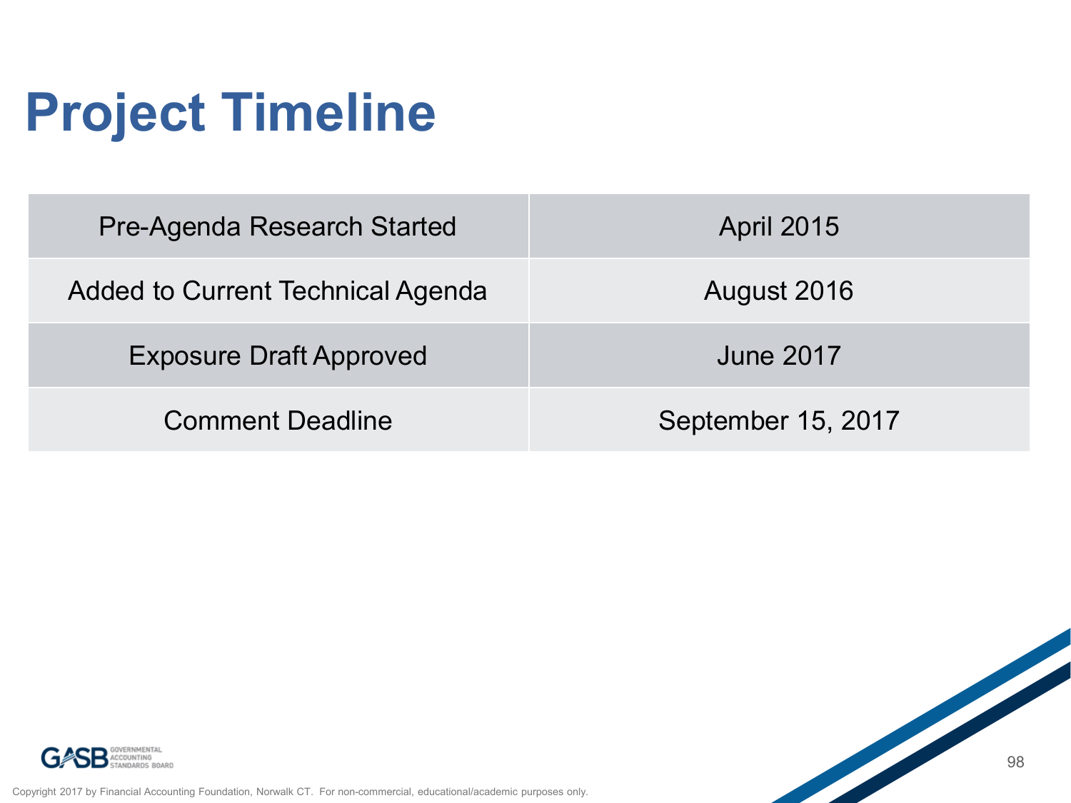## **Project Timeline**

| Pre-Agenda Research Started       | <b>April 2015</b>  |
|-----------------------------------|--------------------|
| Added to Current Technical Agenda | August 2016        |
| <b>Exposure Draft Approved</b>    | June 2017          |
| <b>Comment Deadline</b>           | September 15, 2017 |



Copyright 2017 by Financial Accounting Foundation, Norwalk CT. For non-commercial, educational/academic purposes only.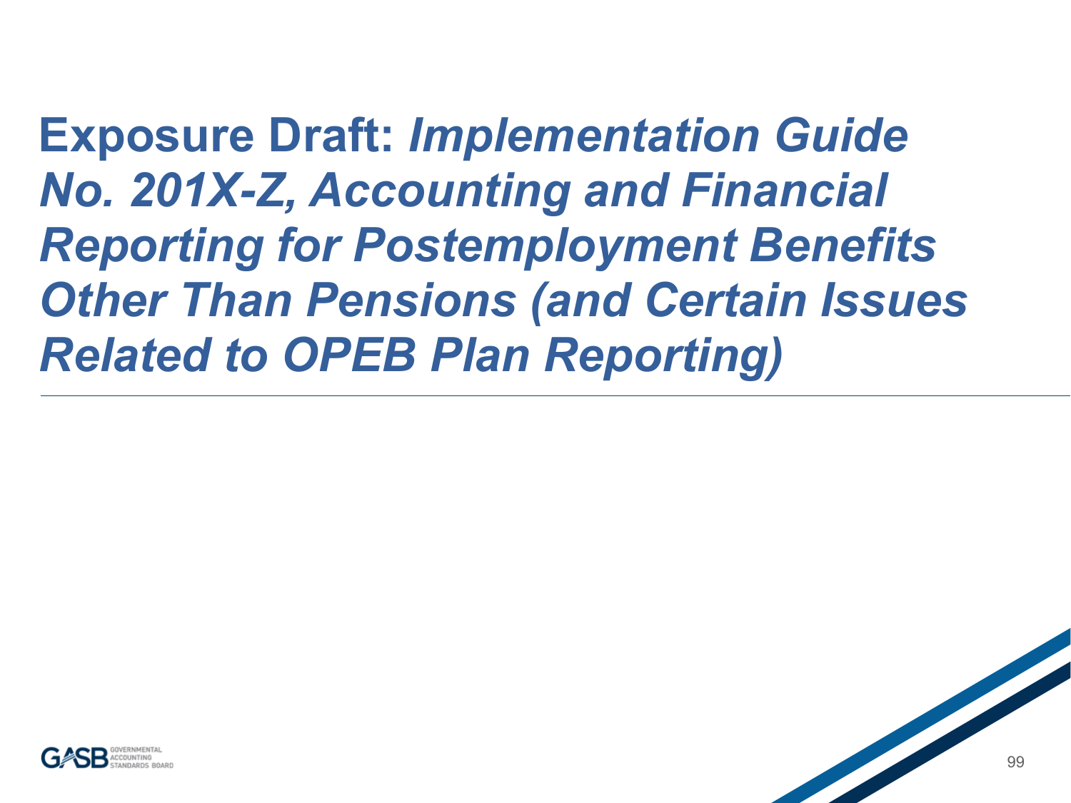**Exposure Draft:** *Implementation Guide No. 201X-Z, Accounting and Financial Reporting for Postemployment Benefits Other Than Pensions (and Certain Issues Related to OPEB Plan Reporting)*

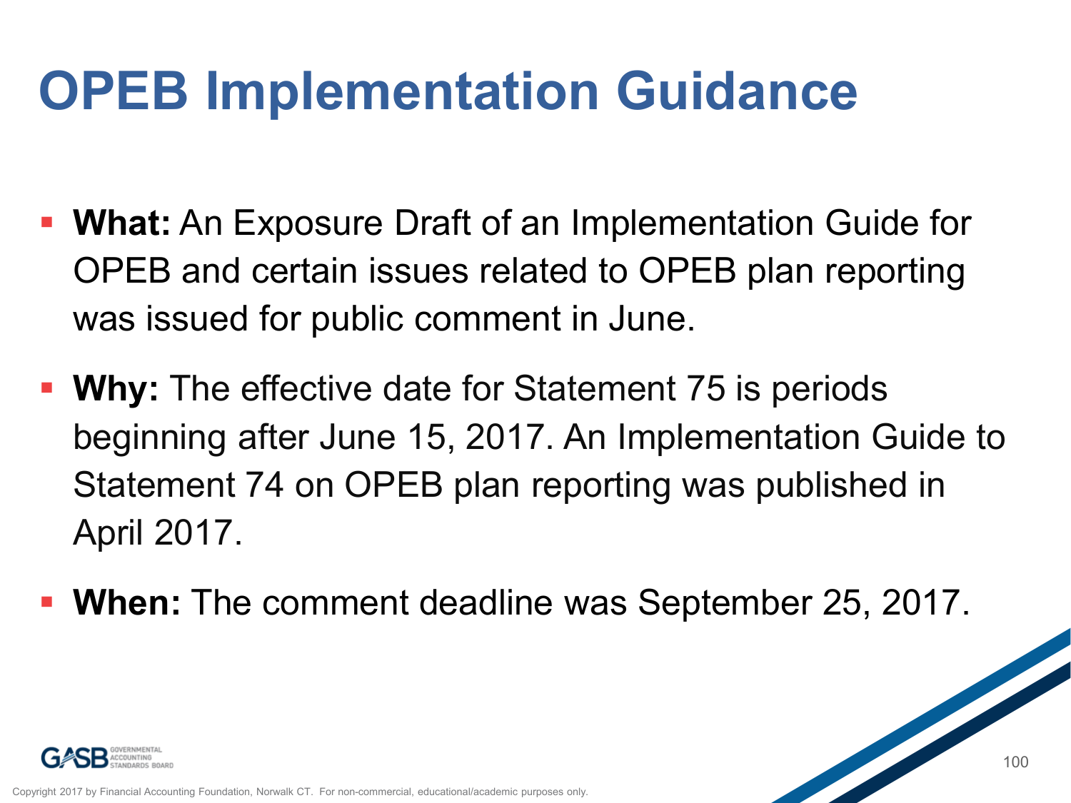#### **OPEB Implementation Guidance**

- **What:** An Exposure Draft of an Implementation Guide for OPEB and certain issues related to OPEB plan reporting was issued for public comment in June.
- **Why:** The effective date for Statement 75 is periods beginning after June 15, 2017. An Implementation Guide to Statement 74 on OPEB plan reporting was published in April 2017.
- **When:** The comment deadline was September 25, 2017.

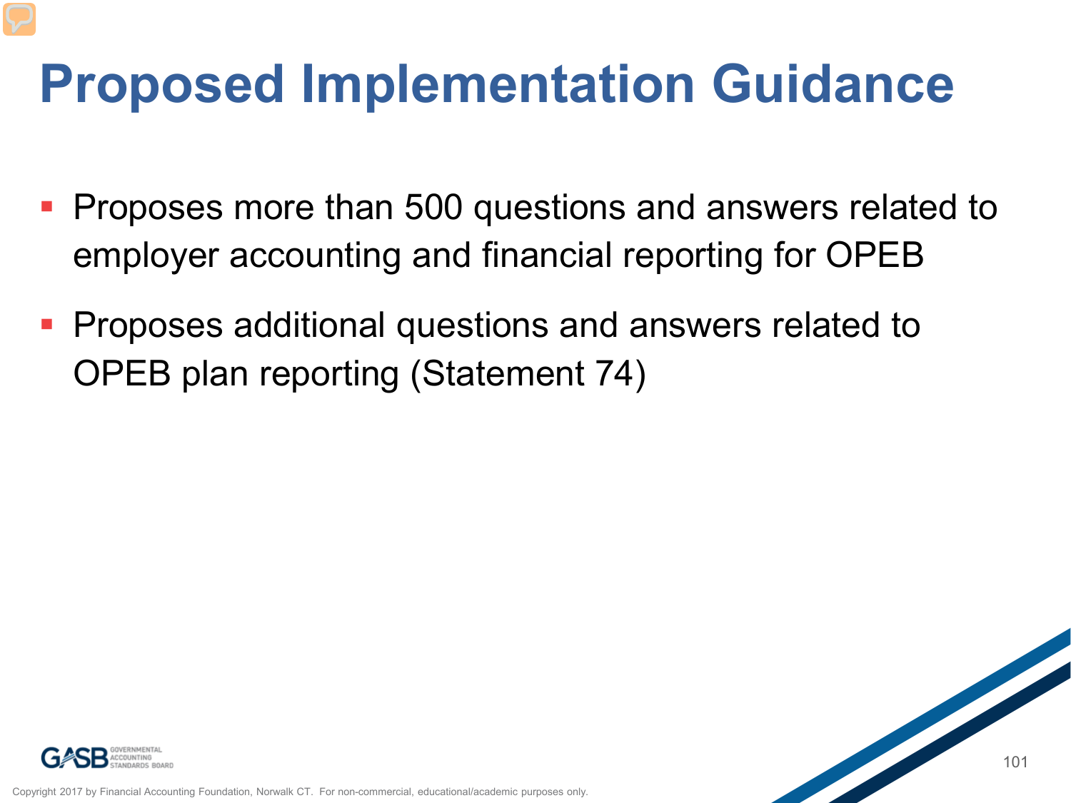#### **Proposed Implementation Guidance**

- **Proposes more than 500 questions and answers related to** employer accounting and financial reporting for OPEB
- **Proposes additional questions and answers related to** OPEB plan reporting (Statement 74)



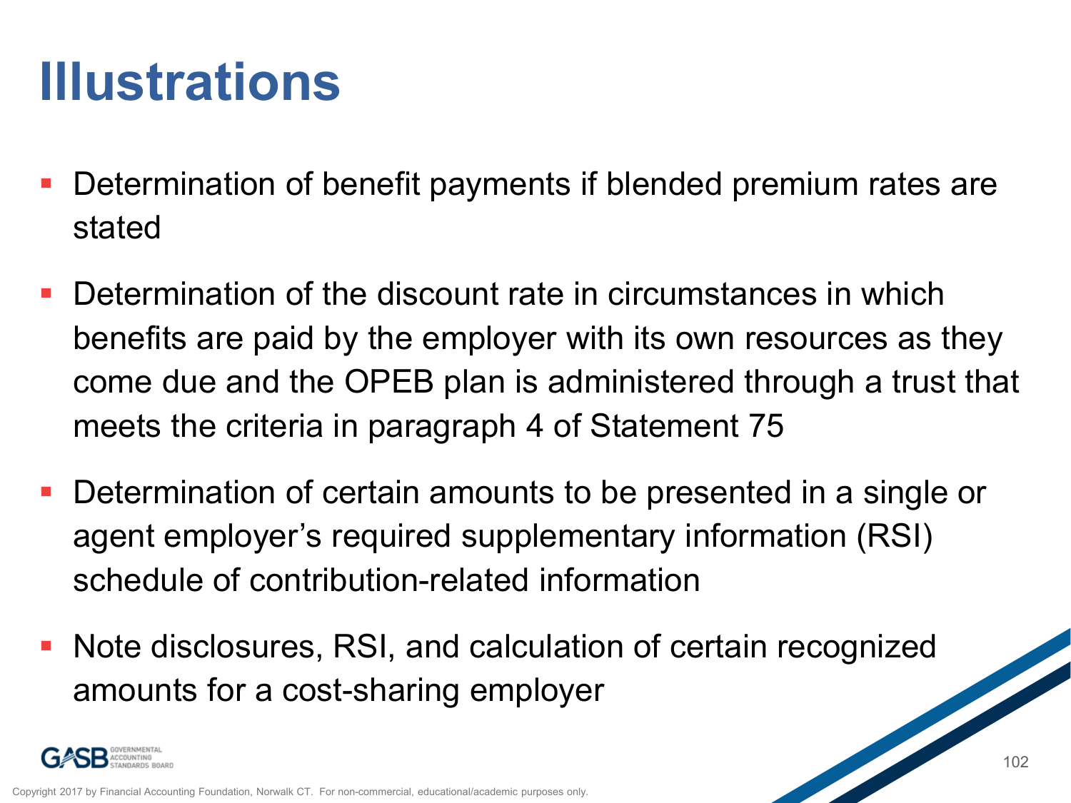### **Illustrations**

- Determination of benefit payments if blended premium rates are stated
- Determination of the discount rate in circumstances in which benefits are paid by the employer with its own resources as they come due and the OPEB plan is administered through a trust that meets the criteria in paragraph 4 of Statement 75
- Determination of certain amounts to be presented in a single or agent employer's required supplementary information (RSI) schedule of contribution-related information
- Note disclosures, RSI, and calculation of certain recognized amounts for a cost-sharing employer

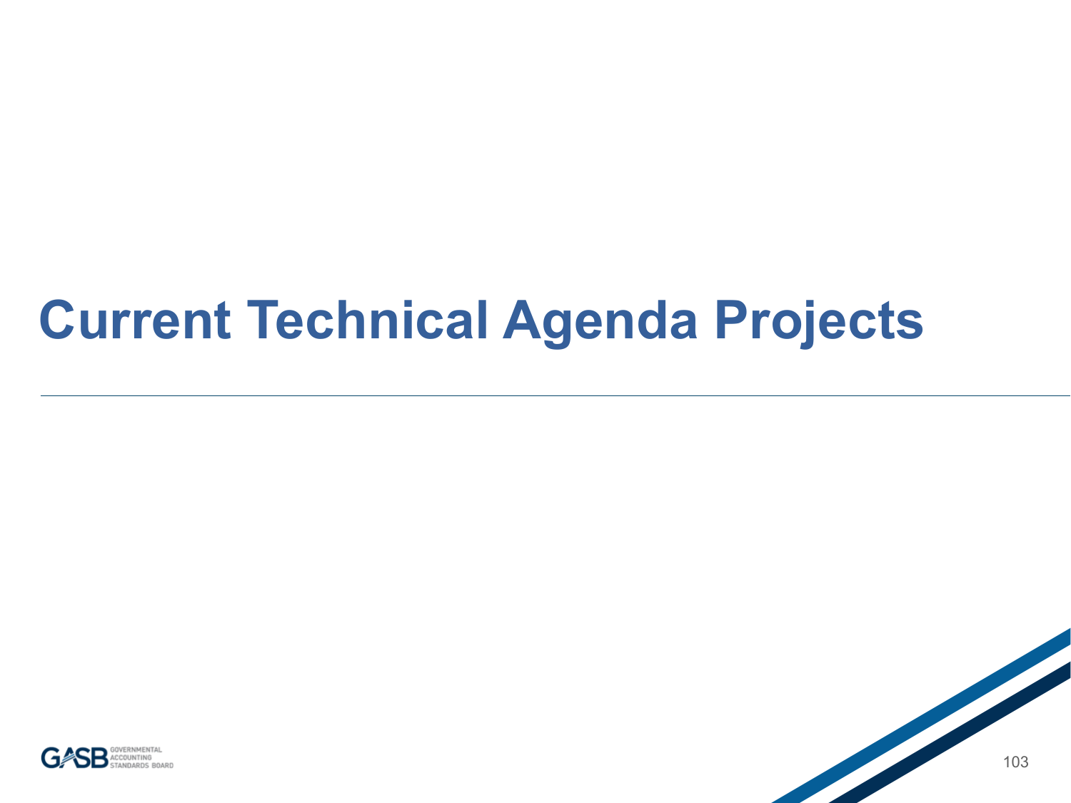#### **Current Technical Agenda Projects**

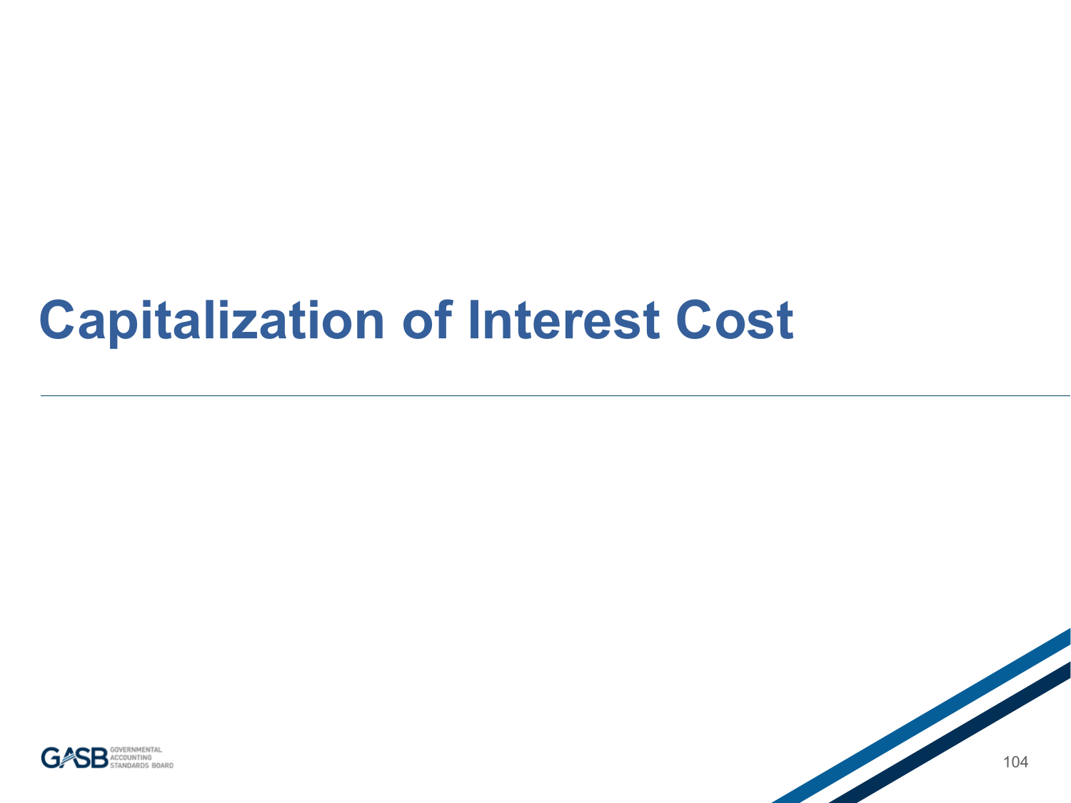#### **Capitalization of Interest Cost**



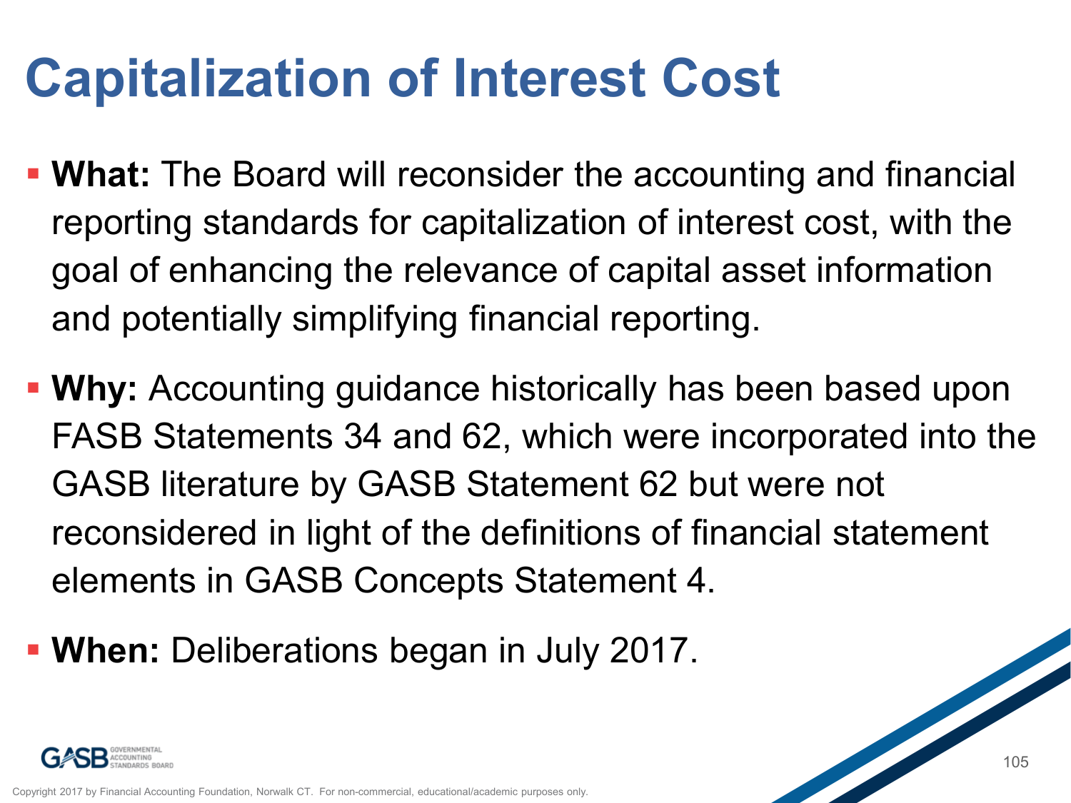## **Capitalization of Interest Cost**

- **What:** The Board will reconsider the accounting and financial reporting standards for capitalization of interest cost, with the goal of enhancing the relevance of capital asset information and potentially simplifying financial reporting.
- **Why:** Accounting guidance historically has been based upon FASB Statements 34 and 62, which were incorporated into the GASB literature by GASB Statement 62 but were not reconsidered in light of the definitions of financial statement elements in GASB Concepts Statement 4.
- **When:** Deliberations began in July 2017.

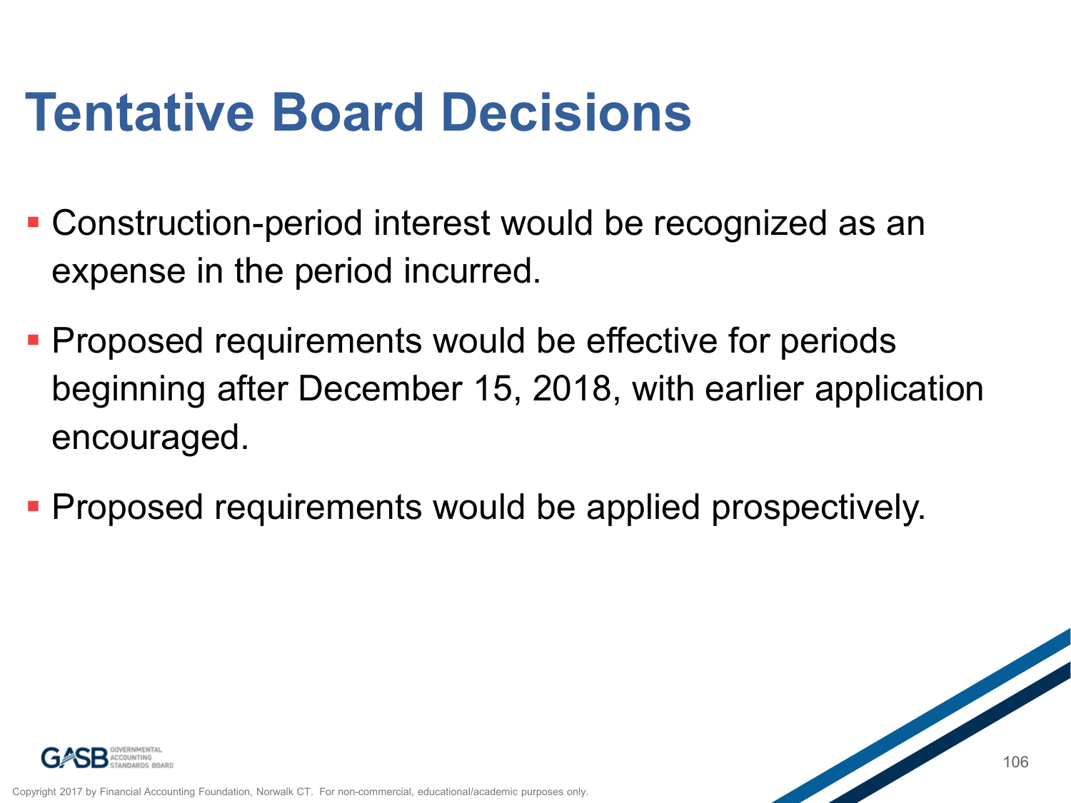### **Tentative Board Decisions**

- Construction-period interest would be recognized as an expense in the period incurred.
- **Proposed requirements would be effective for periods** beginning after December 15, 2018, with earlier application encouraged.
- **Proposed requirements would be applied prospectively.**

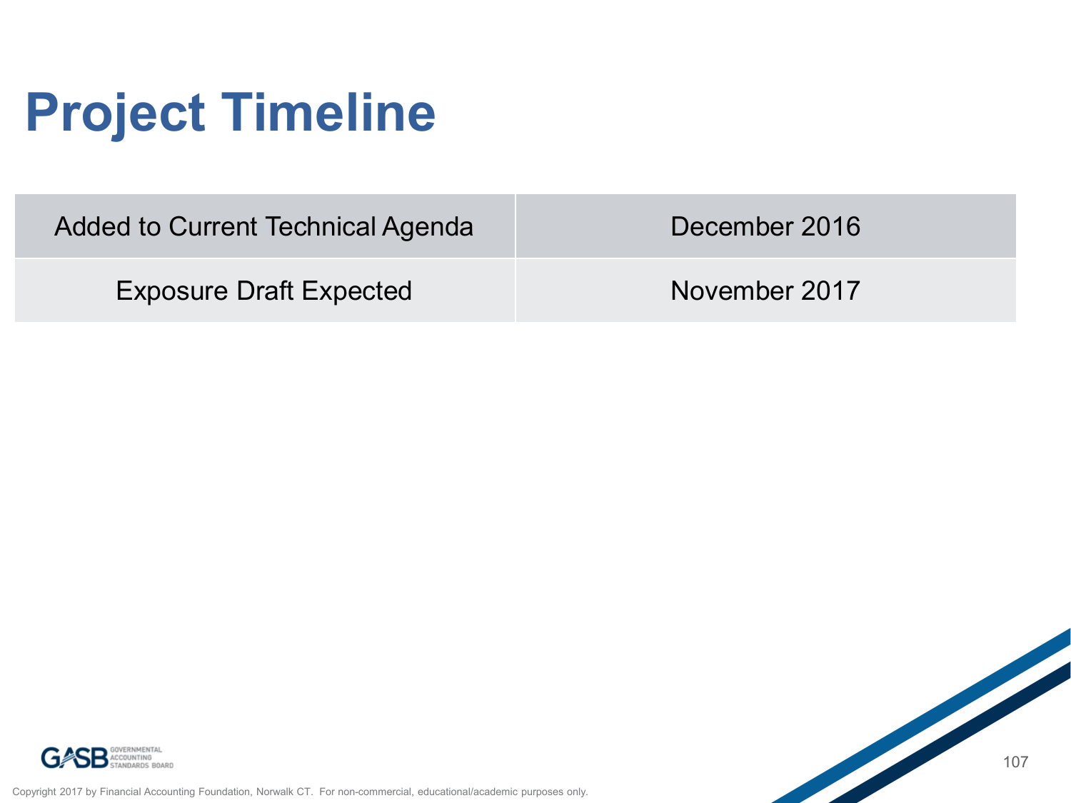## **Project Timeline**

| Added to Current Technical Agenda | December 2016 |  |
|-----------------------------------|---------------|--|
| <b>Exposure Draft Expected</b>    | November 2017 |  |



Copyright 2017 by Financial Accounting Foundation, Norwalk CT. For non-commercial, educational/academic purposes only.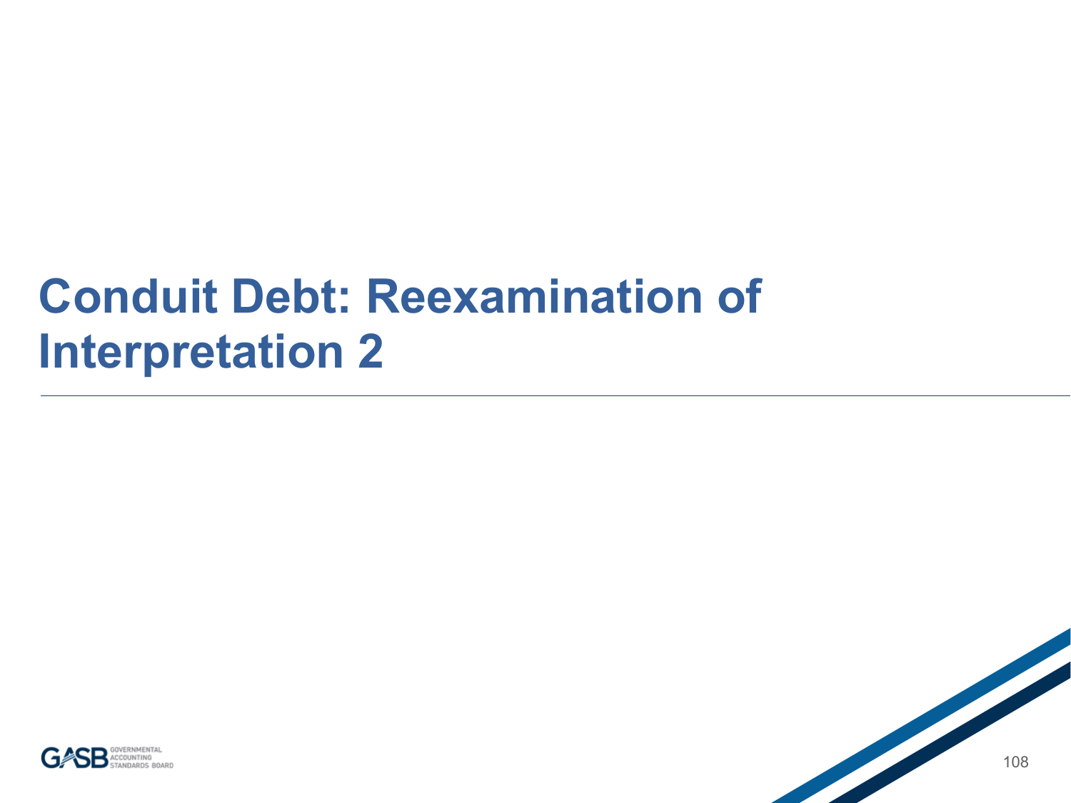#### **Conduit Debt: Reexamination of Interpretation 2**



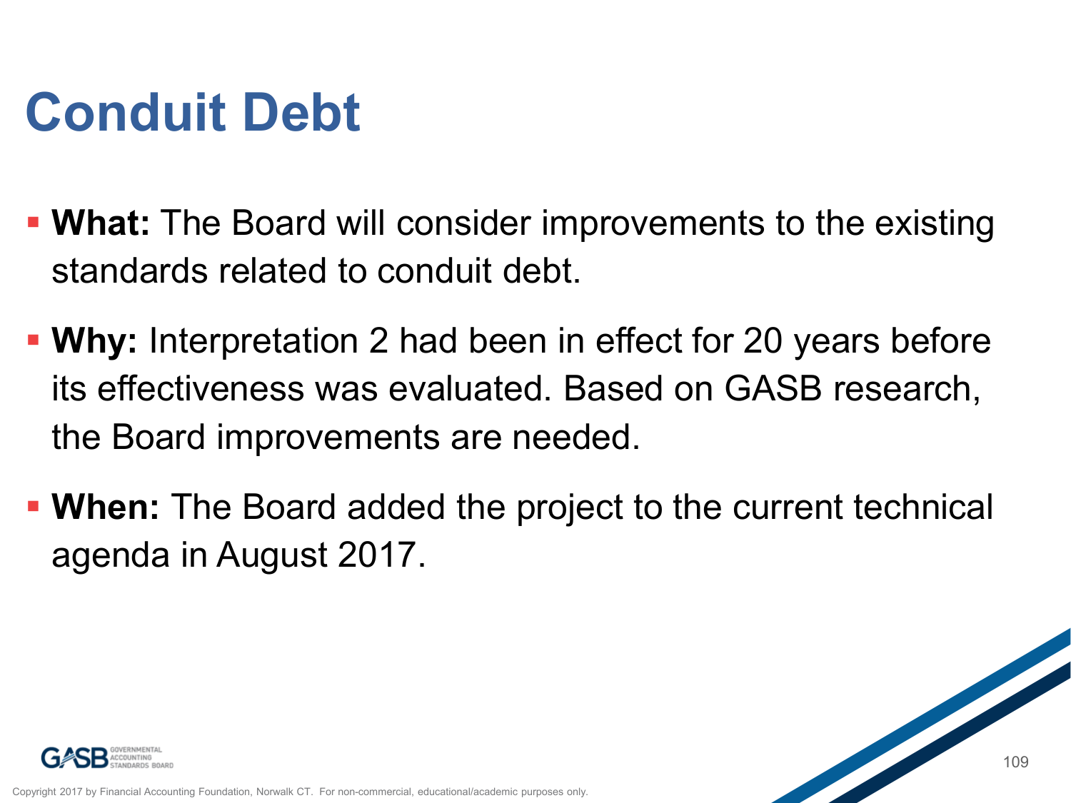# **Conduit Debt**

- **What:** The Board will consider improvements to the existing standards related to conduit debt.
- **Why:** Interpretation 2 had been in effect for 20 years before its effectiveness was evaluated. Based on GASB research, the Board improvements are needed.
- **When:** The Board added the project to the current technical agenda in August 2017.



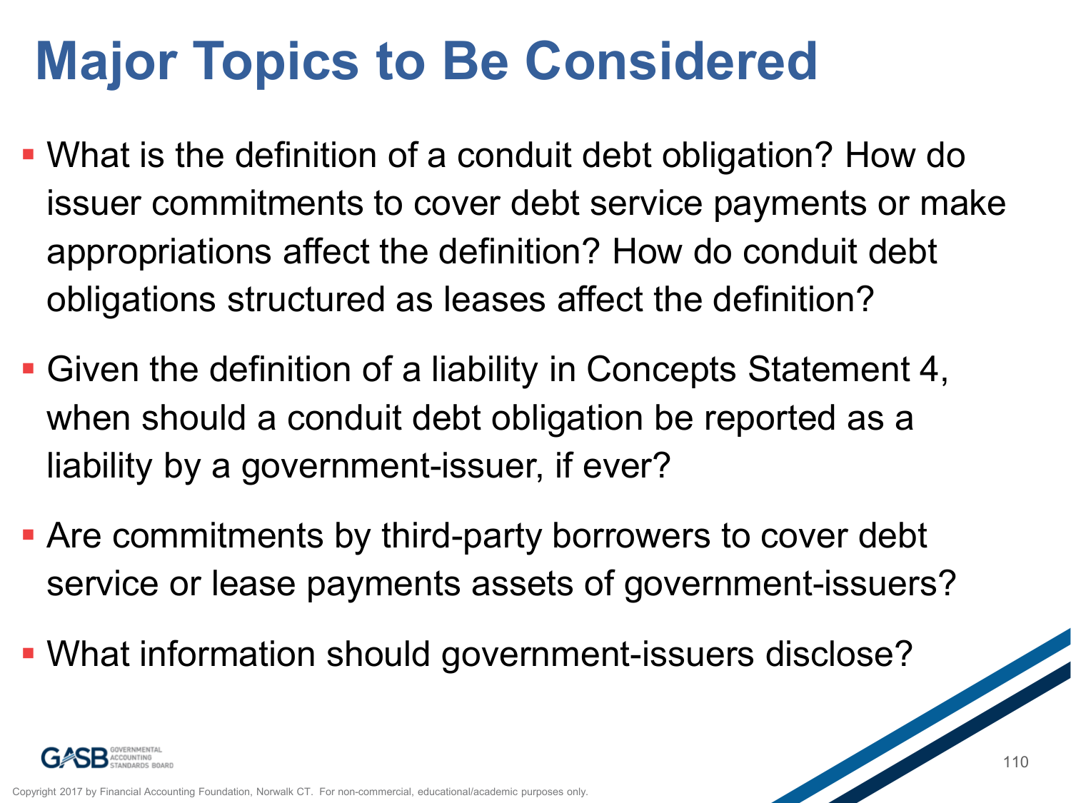## **Major Topics to Be Considered**

- What is the definition of a conduit debt obligation? How do issuer commitments to cover debt service payments or make appropriations affect the definition? How do conduit debt obligations structured as leases affect the definition?
- Given the definition of a liability in Concepts Statement 4, when should a conduit debt obligation be reported as a liability by a government-issuer, if ever?
- Are commitments by third-party borrowers to cover debt service or lease payments assets of government-issuers?
- What information should government-issuers disclose?

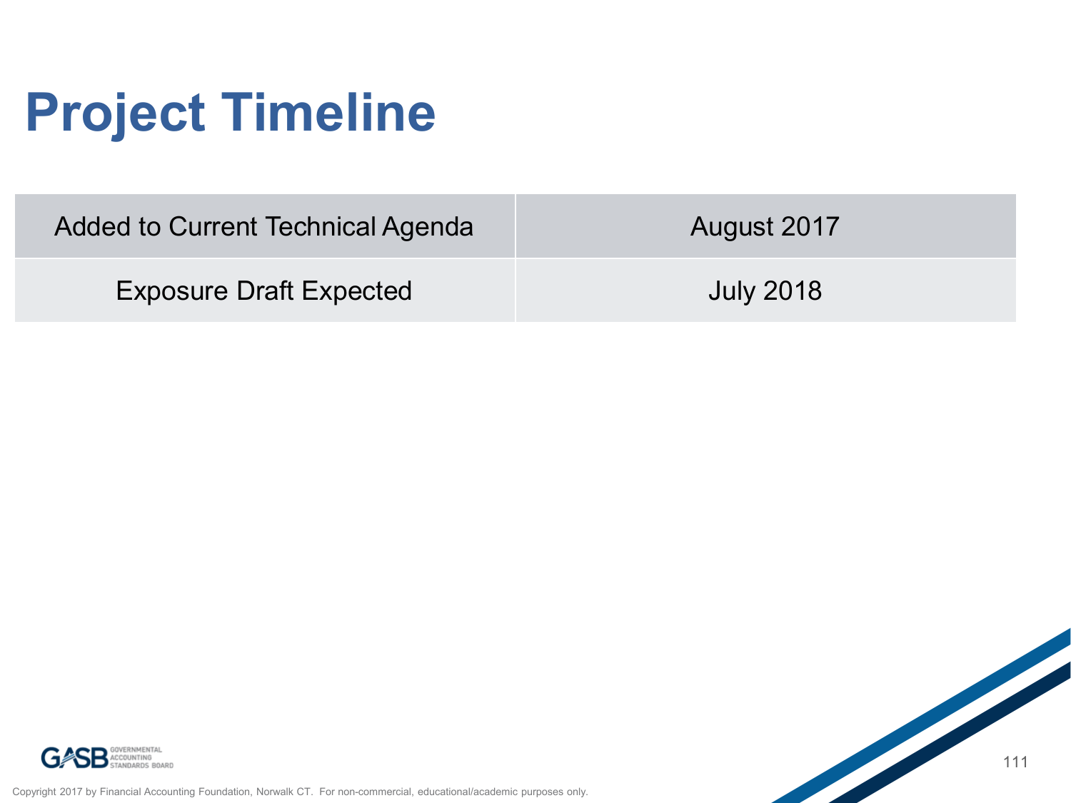# **Project Timeline**

| Added to Current Technical Agenda | August 2017      |
|-----------------------------------|------------------|
| <b>Exposure Draft Expected</b>    | <b>July 2018</b> |

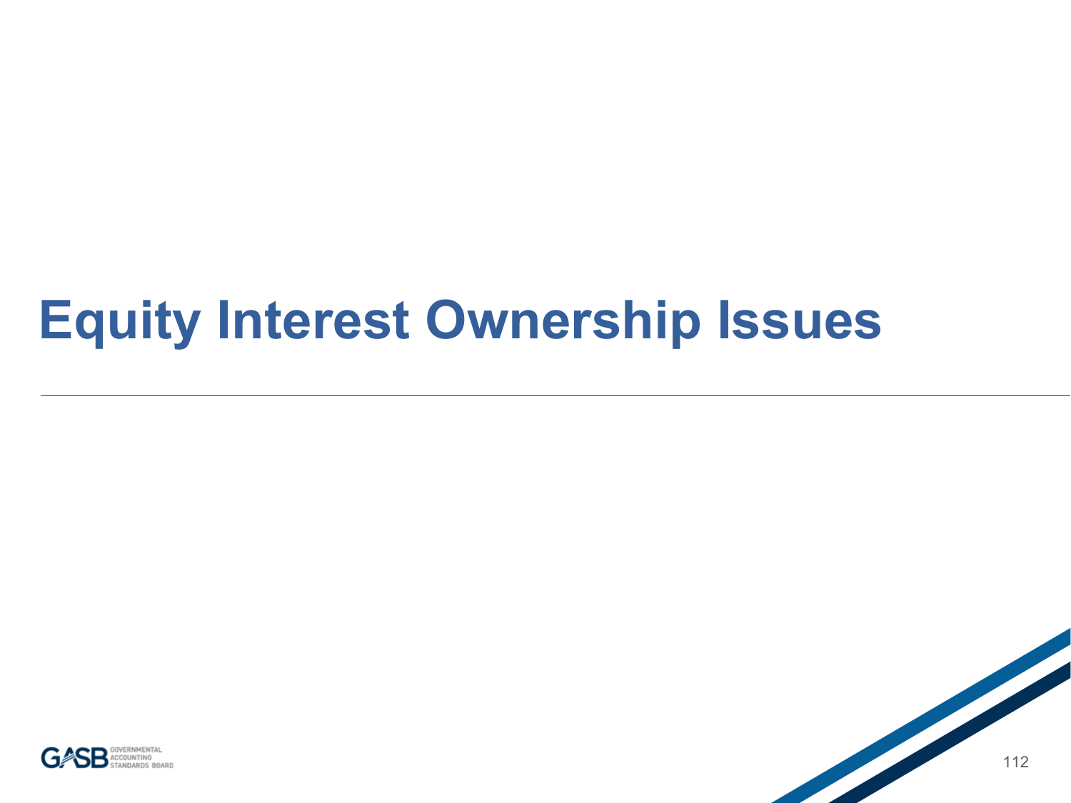### **Equity Interest Ownership Issues**



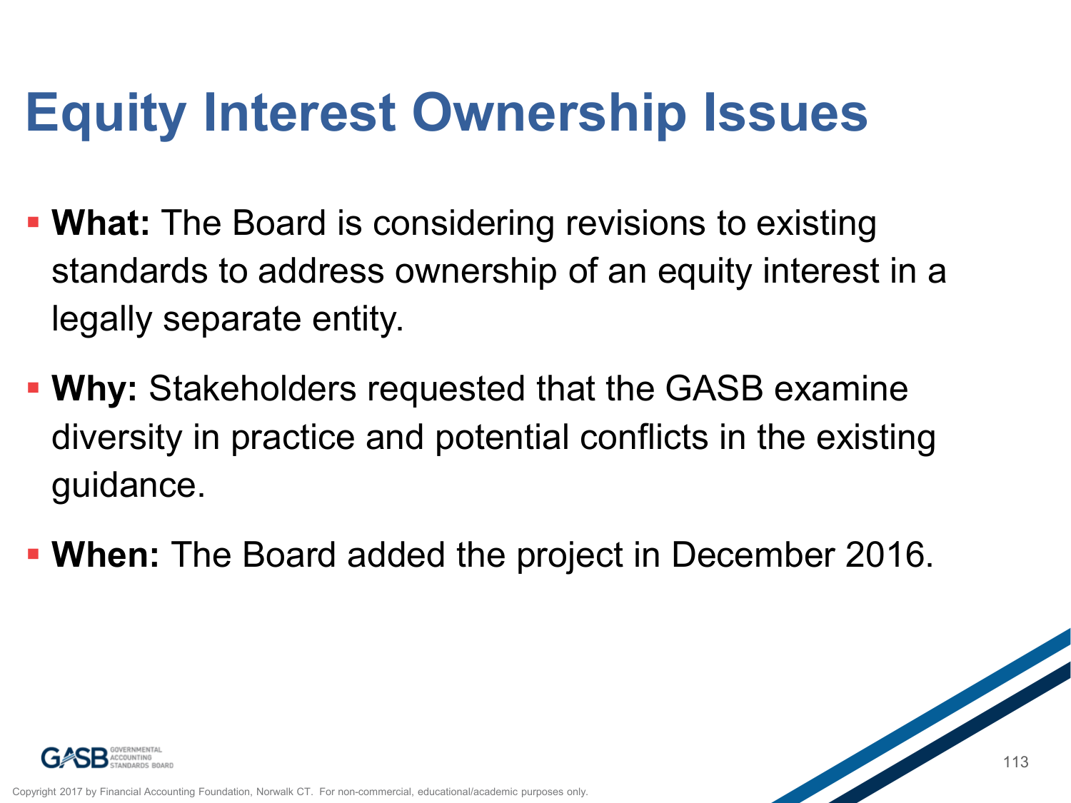## **Equity Interest Ownership Issues**

- **What:** The Board is considering revisions to existing standards to address ownership of an equity interest in a legally separate entity.
- **Why:** Stakeholders requested that the GASB examine diversity in practice and potential conflicts in the existing guidance.
- **When:** The Board added the project in December 2016.

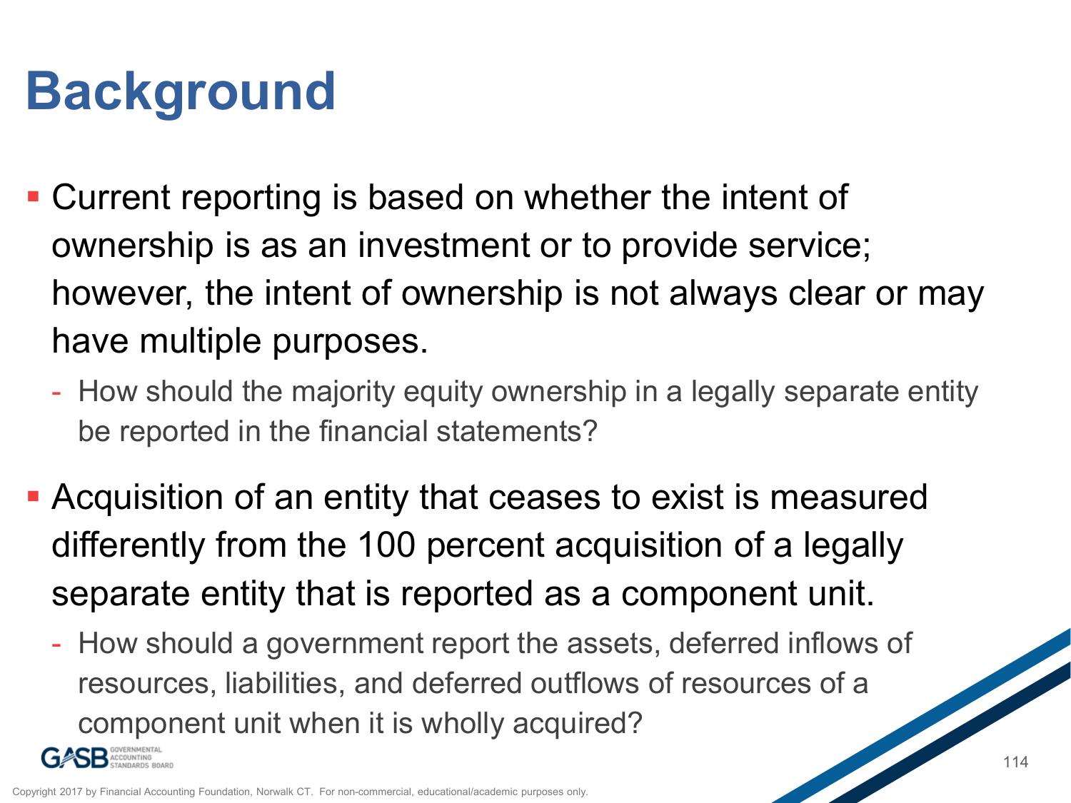# **Background**

- Current reporting is based on whether the intent of ownership is as an investment or to provide service; however, the intent of ownership is not always clear or may have multiple purposes.
	- How should the majority equity ownership in a legally separate entity be reported in the financial statements?
- Acquisition of an entity that ceases to exist is measured differently from the 100 percent acquisition of a legally separate entity that is reported as a component unit.
	- How should a government report the assets, deferred inflows of resources, liabilities, and deferred outflows of resources of a component unit when it is wholly acquired?

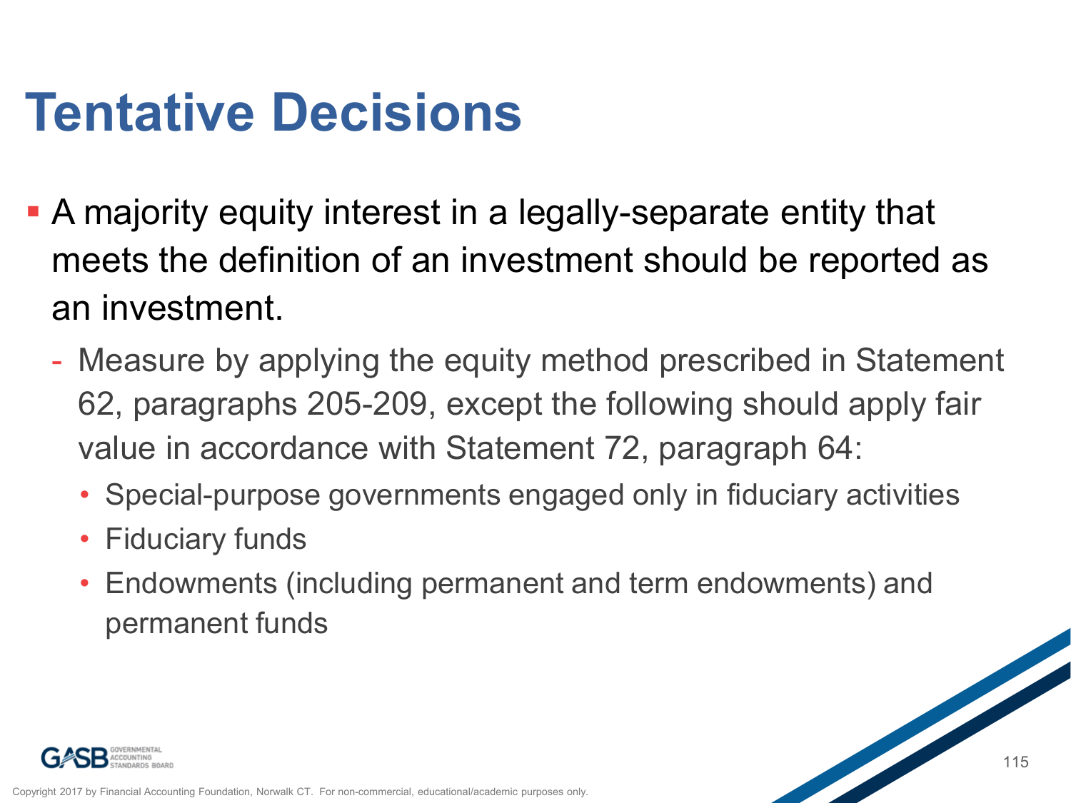# **Tentative Decisions**

- A majority equity interest in a legally-separate entity that meets the definition of an investment should be reported as an investment.
	- Measure by applying the equity method prescribed in Statement 62, paragraphs 205-209, except the following should apply fair value in accordance with Statement 72, paragraph 64:
		- Special-purpose governments engaged only in fiduciary activities
		- Fiduciary funds
		- Endowments (including permanent and term endowments) and permanent funds

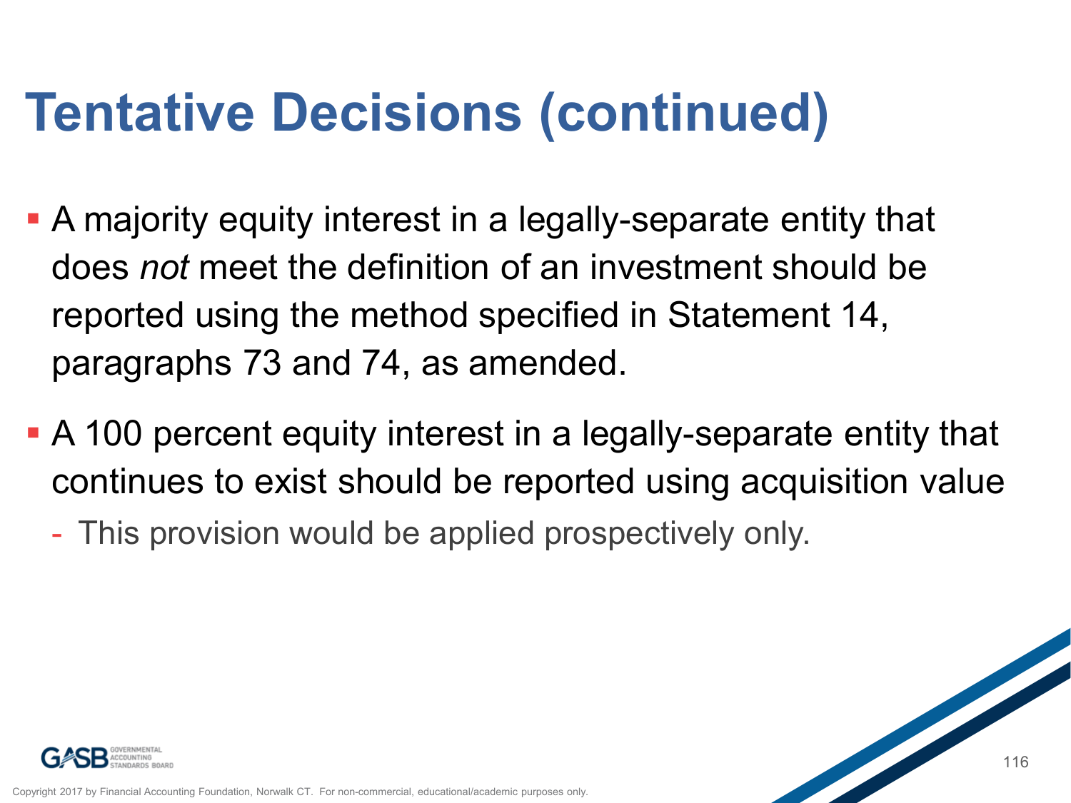# **Tentative Decisions (continued)**

- A majority equity interest in a legally-separate entity that does *not* meet the definition of an investment should be reported using the method specified in Statement 14, paragraphs 73 and 74, as amended.
- A 100 percent equity interest in a legally-separate entity that continues to exist should be reported using acquisition value
	- This provision would be applied prospectively only.

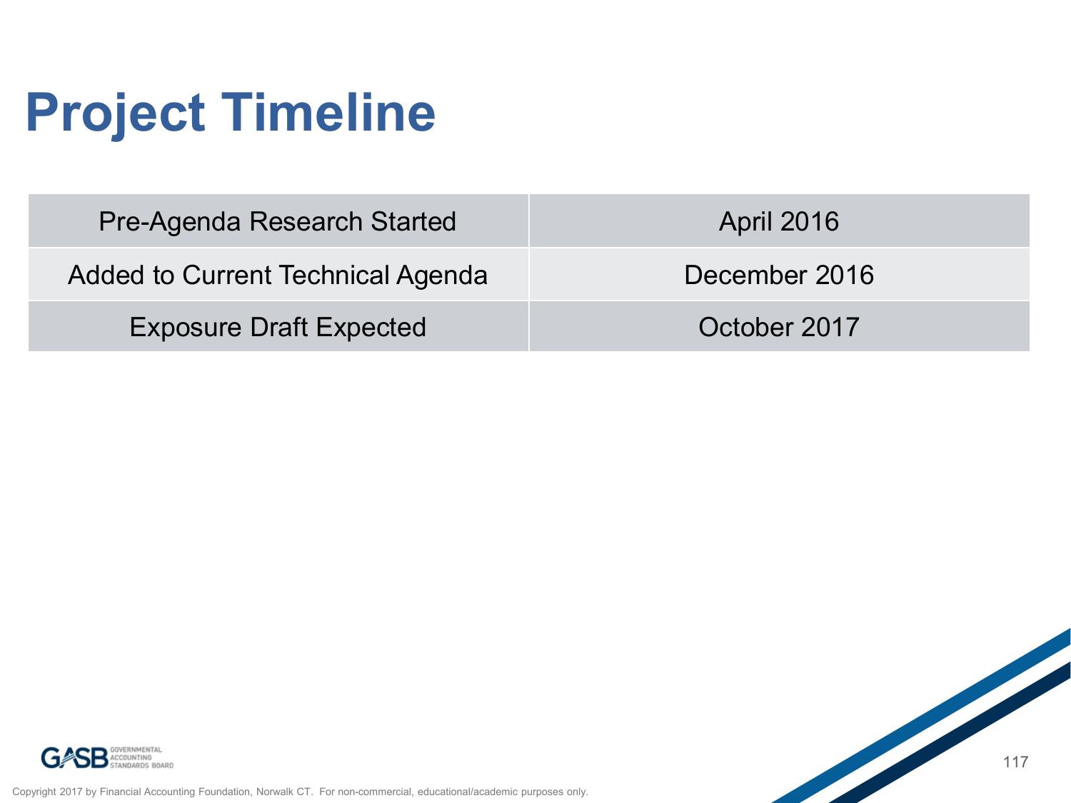# **Project Timeline**

| <b>Pre-Agenda Research Started</b> | <b>April 2016</b> |
|------------------------------------|-------------------|
| Added to Current Technical Agenda  | December 2016     |
| <b>Exposure Draft Expected</b>     | October 2017      |



Copyright 2017 by Financial Accounting Foundation, Norwalk CT. For non-commercial, educational/academic purposes only.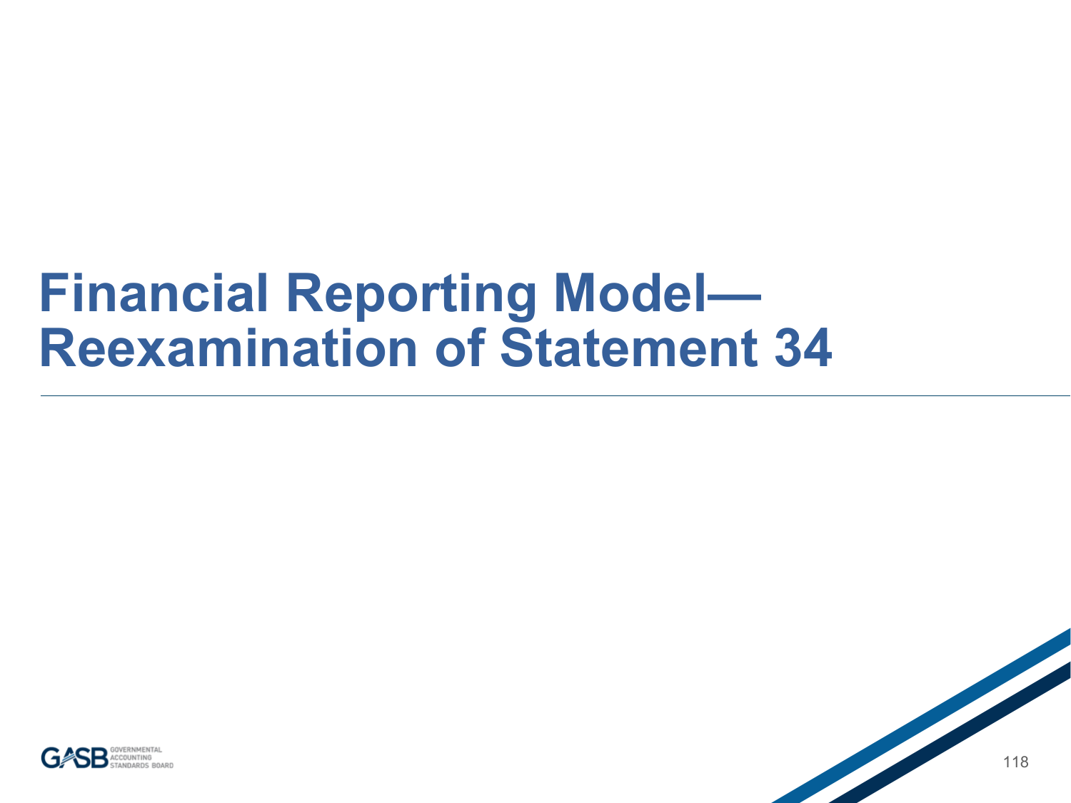### **Financial Reporting Model— Reexamination of Statement 34**

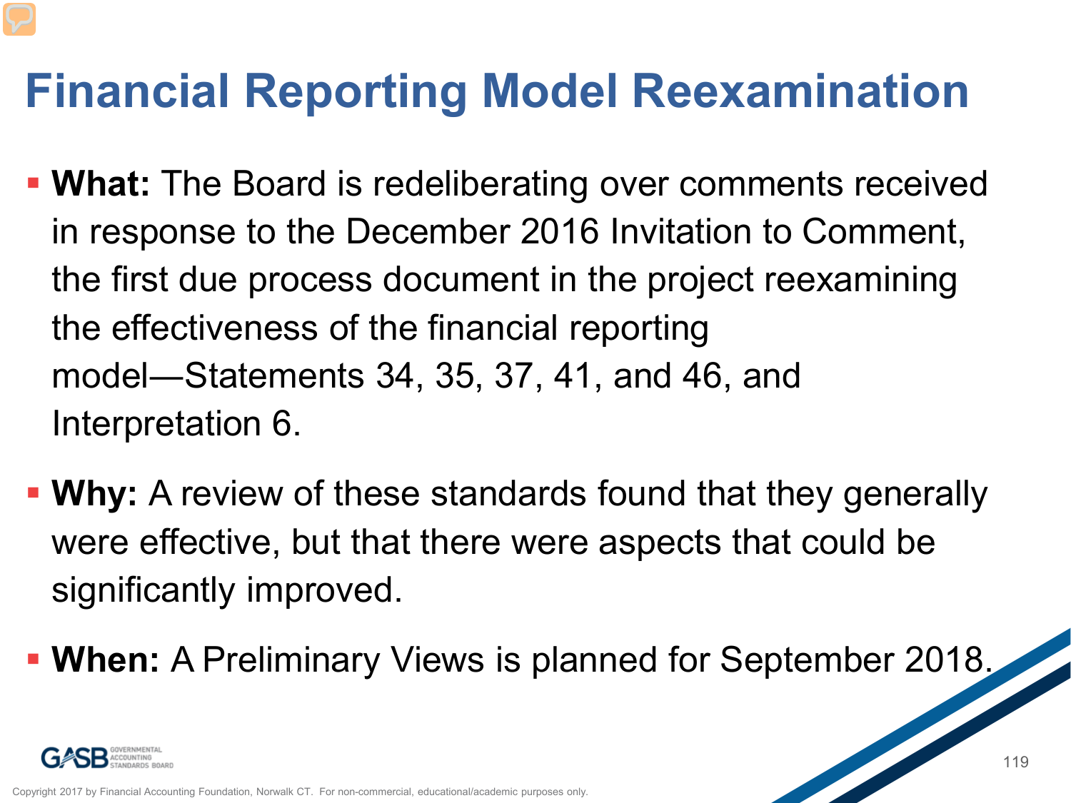### **Financial Reporting Model Reexamination**

- **What:** The Board is redeliberating over comments received in response to the December 2016 Invitation to Comment, the first due process document in the project reexamining the effectiveness of the financial reporting model―Statements 34, 35, 37, 41, and 46, and Interpretation 6.
- **Why:** A review of these standards found that they generally were effective, but that there were aspects that could be significantly improved.
- **When:** A Preliminary Views is planned for September 2018.

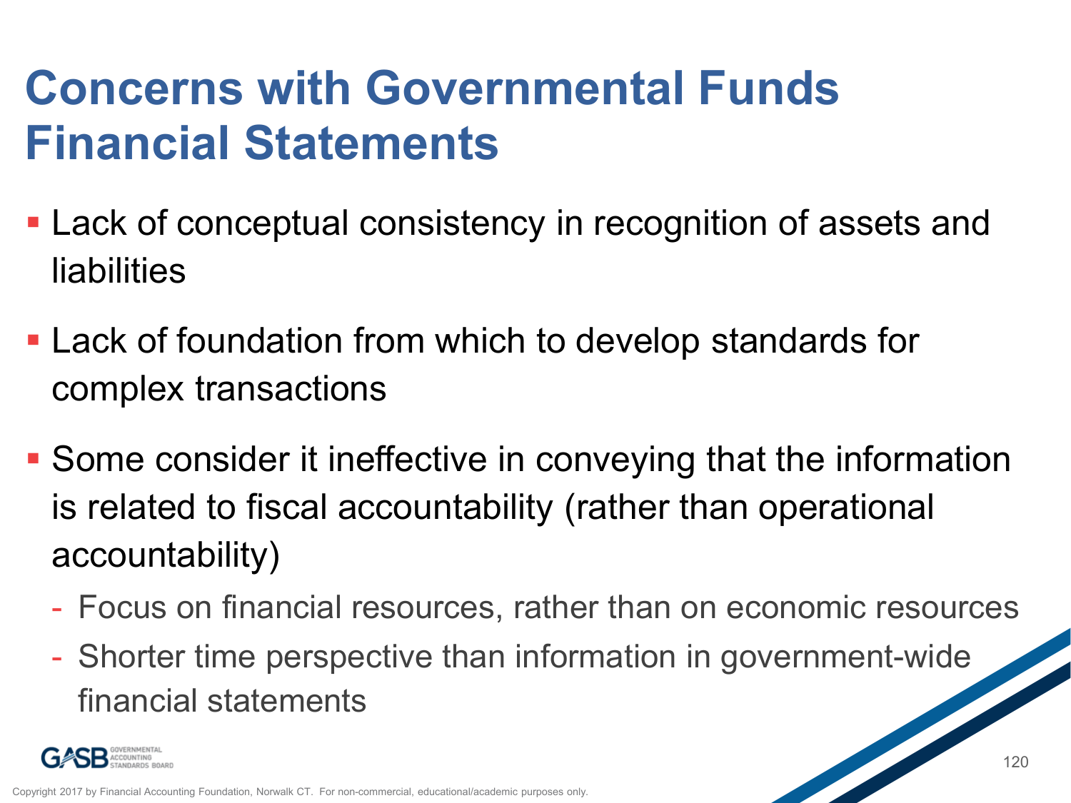### **Concerns with Governmental Funds Financial Statements**

- Lack of conceptual consistency in recognition of assets and liabilities
- Lack of foundation from which to develop standards for complex transactions
- Some consider it ineffective in conveying that the information is related to fiscal accountability (rather than operational accountability)
	- Focus on financial resources, rather than on economic resources
	- Shorter time perspective than information in government-wide financial statements

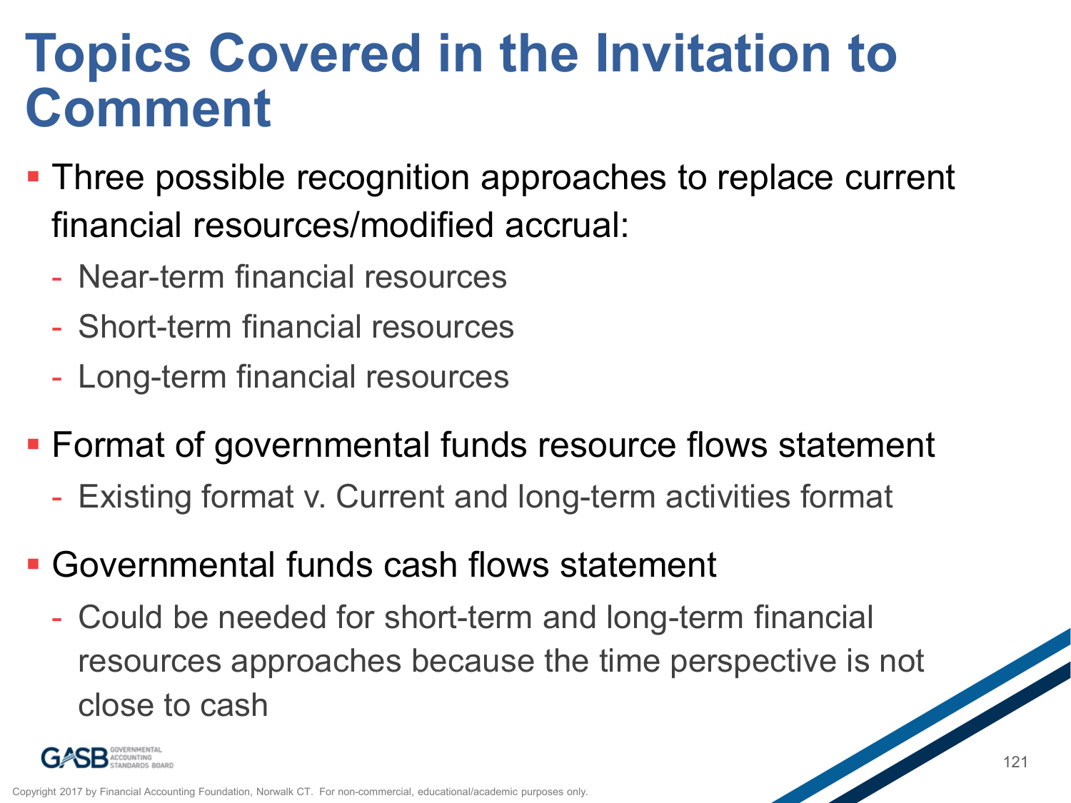### **Topics Covered in the Invitation to Comment**

- **Three possible recognition approaches to replace current** financial resources/modified accrual:
	- Near-term financial resources
	- Short-term financial resources
	- Long-term financial resources
- Format of governmental funds resource flows statement
	- Existing format v. Current and long-term activities format
- Governmental funds cash flows statement
	- Could be needed for short-term and long-term financial resources approaches because the time perspective is not close to cash

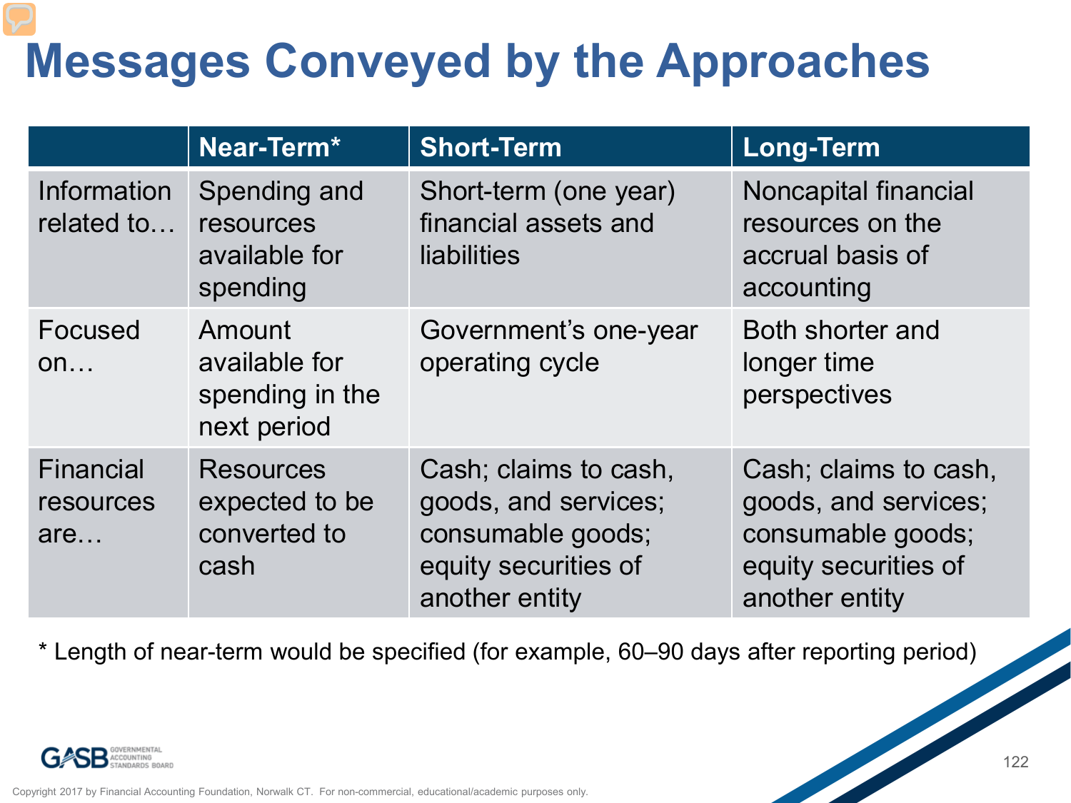### **Messages Conveyed by the Approaches**

|                                      | Near-Term*                                                 | <b>Short-Term</b>                                                                                            | <b>Long-Term</b>                                                                                             |
|--------------------------------------|------------------------------------------------------------|--------------------------------------------------------------------------------------------------------------|--------------------------------------------------------------------------------------------------------------|
| <b>Information</b><br>related to     | Spending and<br>resources<br>available for<br>spending     | Short-term (one year)<br>financial assets and<br>liabilities                                                 | Noncapital financial<br>resources on the<br>accrual basis of<br>accounting                                   |
| Focused<br>on                        | Amount<br>available for<br>spending in the<br>next period  | Government's one-year<br>operating cycle                                                                     | Both shorter and<br>longer time<br>perspectives                                                              |
| <b>Financial</b><br>resources<br>are | <b>Resources</b><br>expected to be<br>converted to<br>cash | Cash; claims to cash,<br>goods, and services;<br>consumable goods;<br>equity securities of<br>another entity | Cash; claims to cash,<br>goods, and services;<br>consumable goods;<br>equity securities of<br>another entity |

\* Length of near-term would be specified (for example, 60–90 days after reporting period)

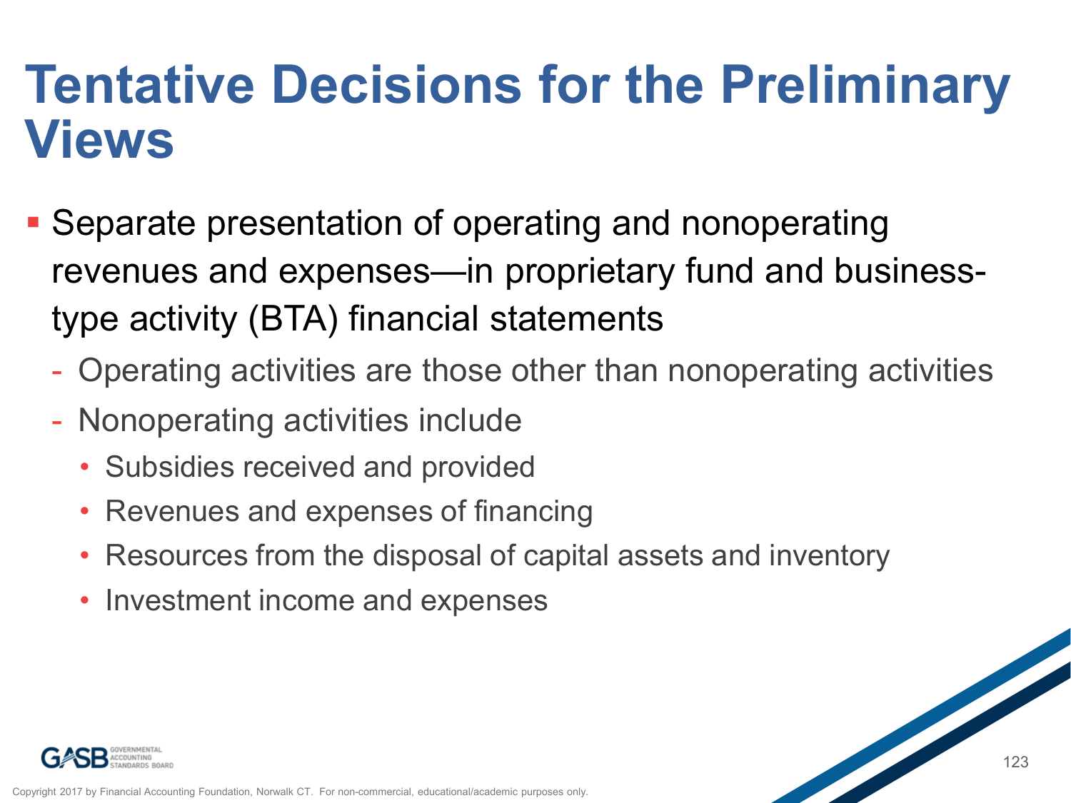### **Tentative Decisions for the Preliminary Views**

- Separate presentation of operating and nonoperating revenues and expenses—in proprietary fund and businesstype activity (BTA) financial statements
	- Operating activities are those other than nonoperating activities
	- Nonoperating activities include
		- Subsidies received and provided
		- Revenues and expenses of financing
		- Resources from the disposal of capital assets and inventory
		- Investment income and expenses

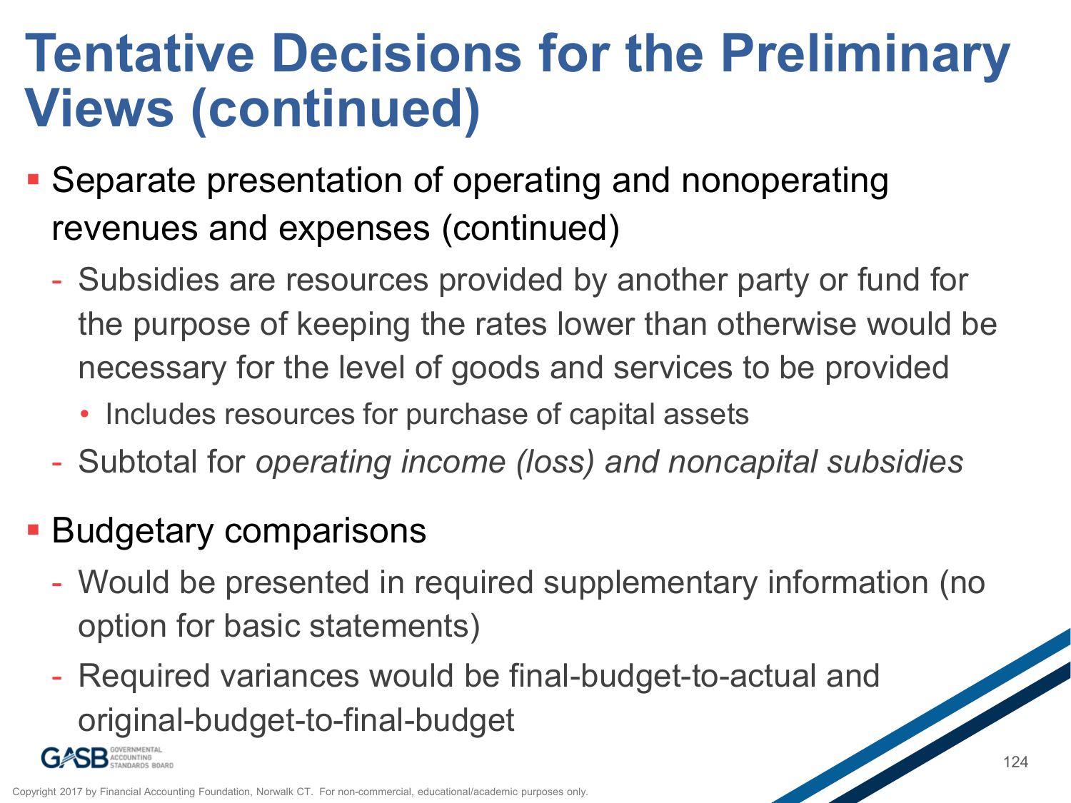### **Tentative Decisions for the Preliminary Views (continued)**

- Separate presentation of operating and nonoperating revenues and expenses (continued)
	- Subsidies are resources provided by another party or fund for the purpose of keeping the rates lower than otherwise would be necessary for the level of goods and services to be provided
		- Includes resources for purchase of capital assets
	- Subtotal for *operating income (loss) and noncapital subsidies*
- **Budgetary comparisons** 
	- Would be presented in required supplementary information (no option for basic statements)
	- Required variances would be final-budget-to-actual and original-budget-to-final-budget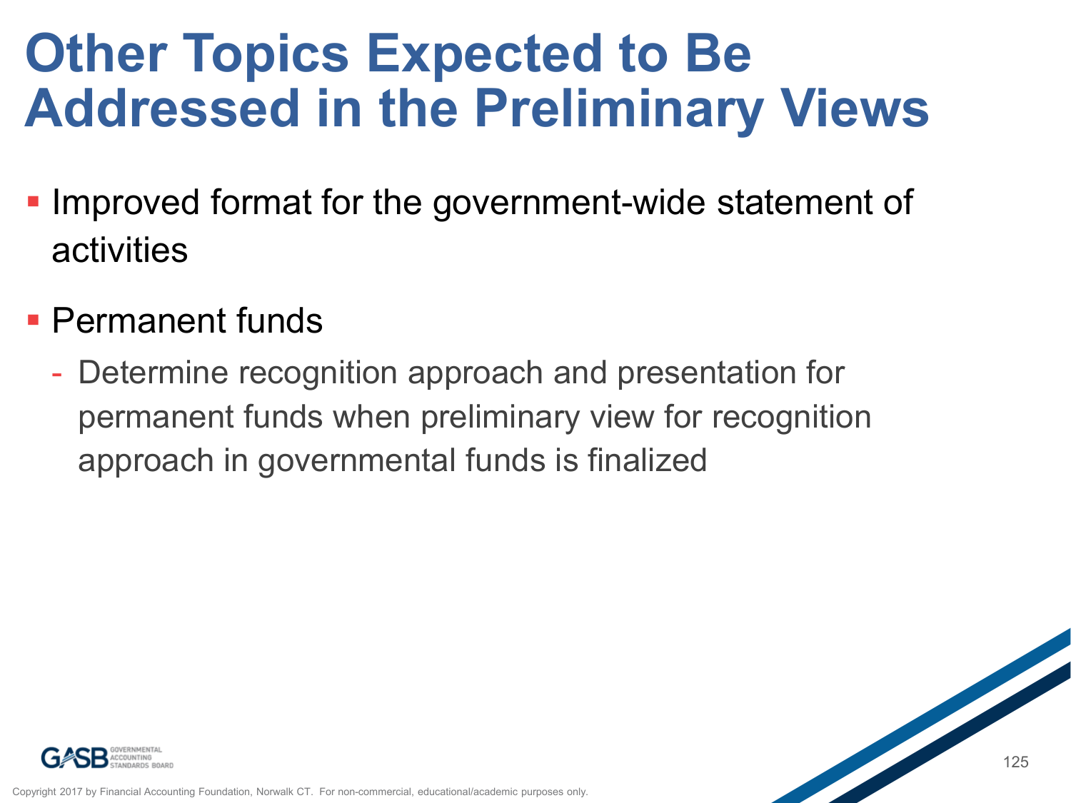### **Other Topics Expected to Be Addressed in the Preliminary Views**

- **Improved format for the government-wide statement of** activities
- **Permanent funds** 
	- Determine recognition approach and presentation for permanent funds when preliminary view for recognition approach in governmental funds is finalized

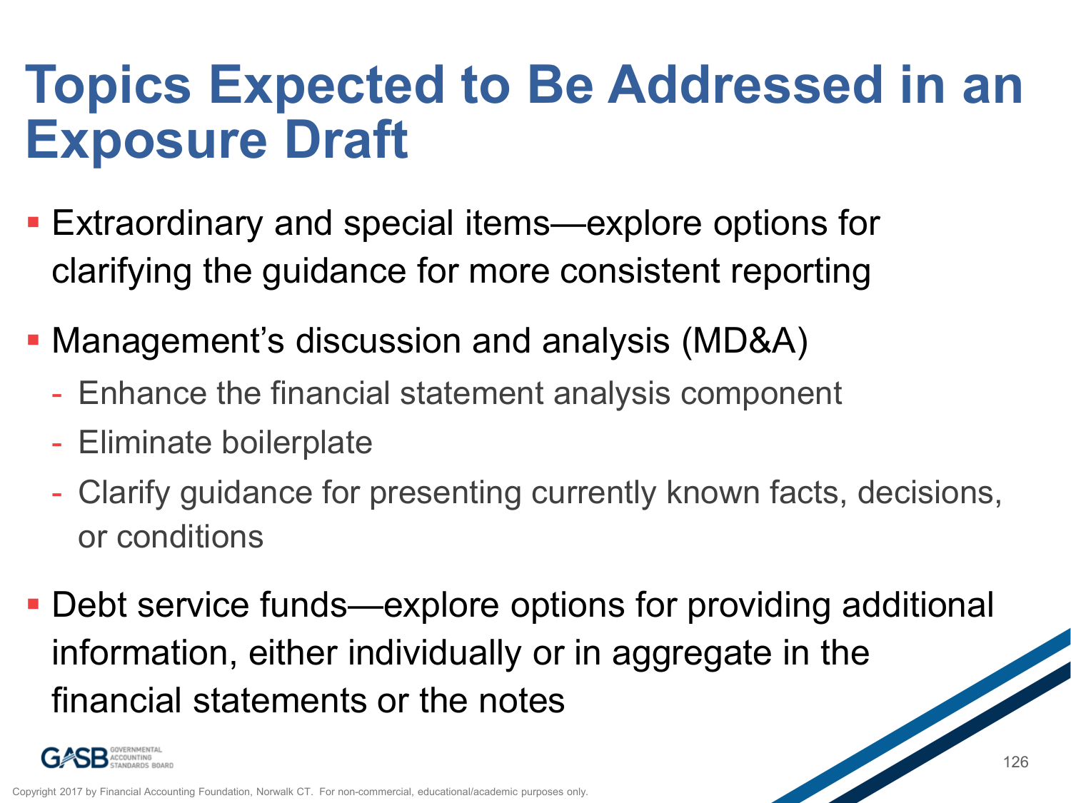### **Topics Expected to Be Addressed in an Exposure Draft**

- Extraordinary and special items—explore options for clarifying the guidance for more consistent reporting
- Management's discussion and analysis (MD&A)
	- Enhance the financial statement analysis component
	- Eliminate boilerplate
	- Clarify guidance for presenting currently known facts, decisions, or conditions
- Debt service funds—explore options for providing additional information, either individually or in aggregate in the financial statements or the notes

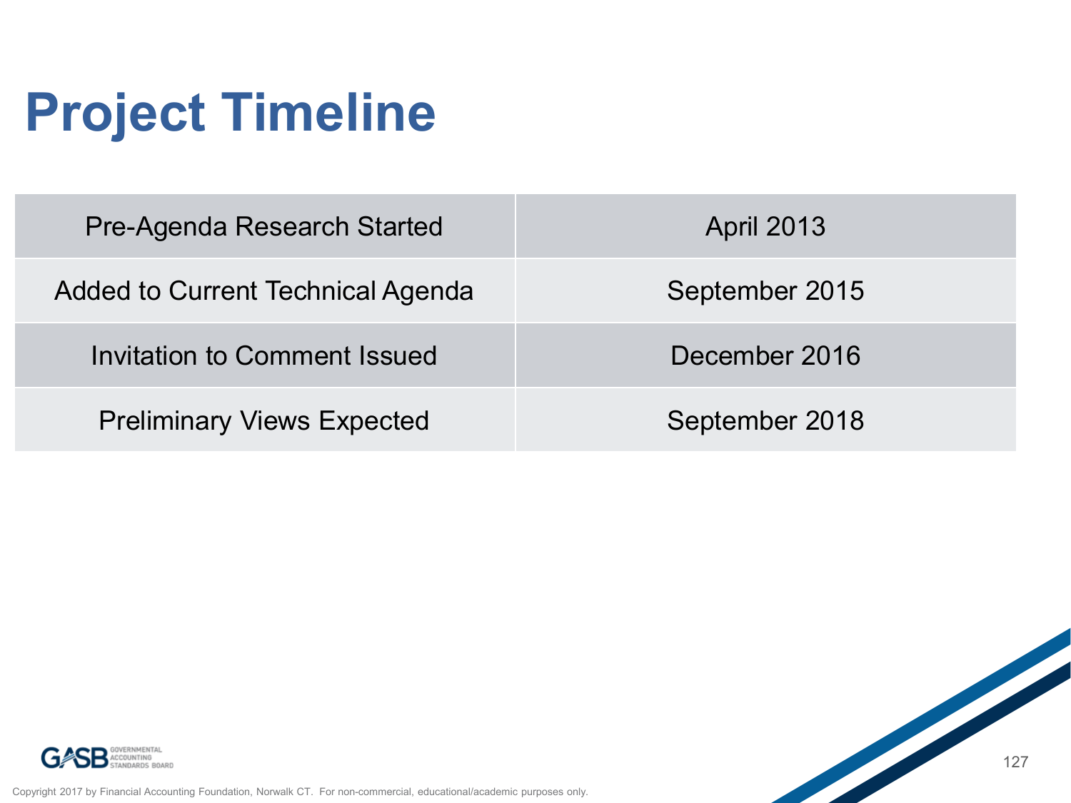# **Project Timeline**

| Pre-Agenda Research Started       | <b>April 2013</b> |
|-----------------------------------|-------------------|
| Added to Current Technical Agenda | September 2015    |
| Invitation to Comment Issued      | December 2016     |
| <b>Preliminary Views Expected</b> | September 2018    |



Copyright 2017 by Financial Accounting Foundation, Norwalk CT. For non-commercial, educational/academic purposes only.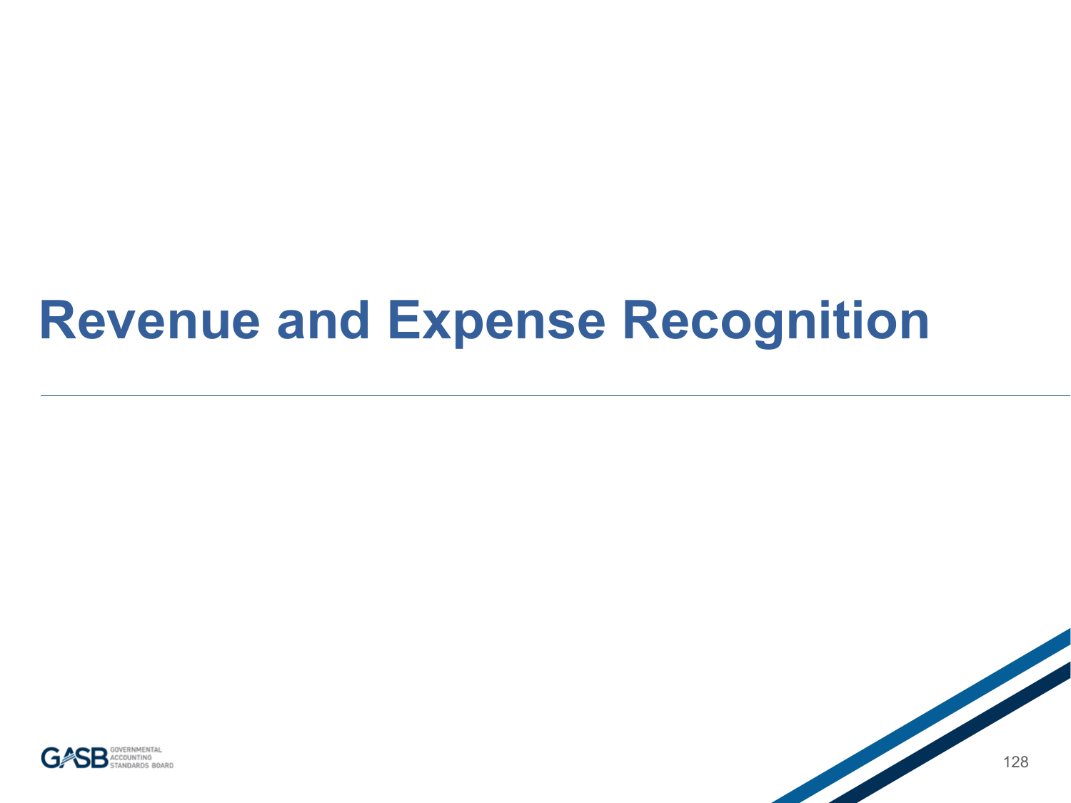### **Revenue and Expense Recognition**



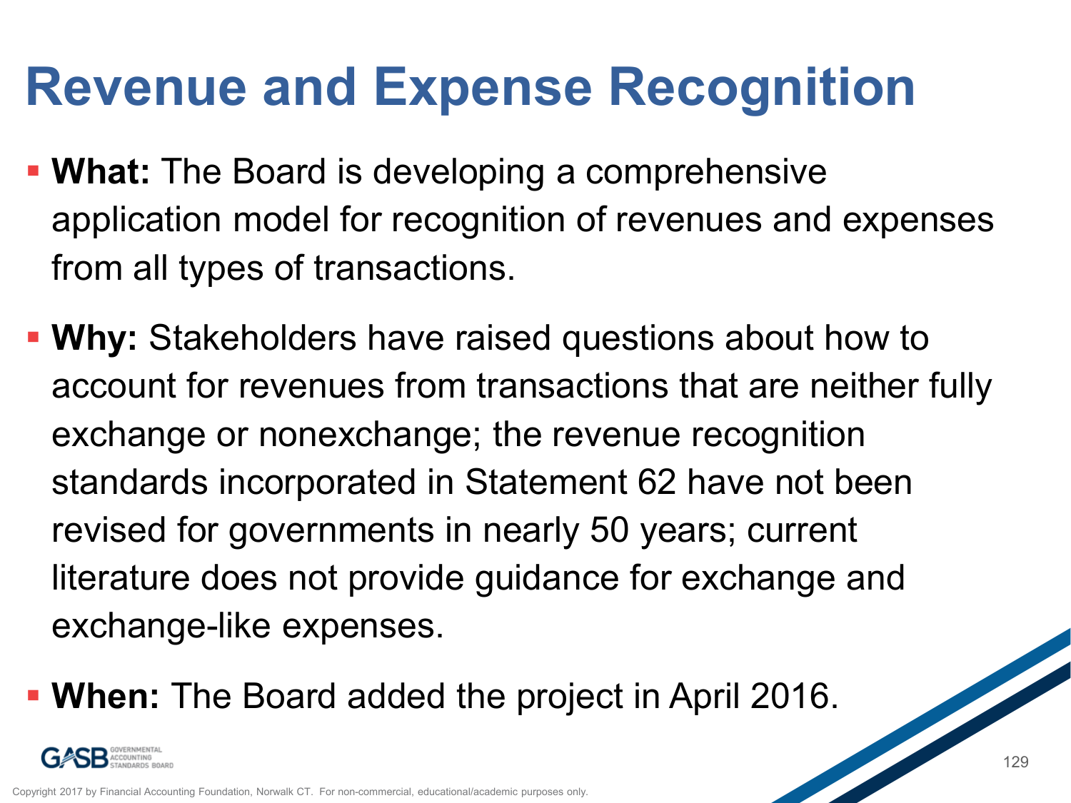### **Revenue and Expense Recognition**

- **What:** The Board is developing a comprehensive application model for recognition of revenues and expenses from all types of transactions.
- **Why:** Stakeholders have raised questions about how to account for revenues from transactions that are neither fully exchange or nonexchange; the revenue recognition standards incorporated in Statement 62 have not been revised for governments in nearly 50 years; current literature does not provide guidance for exchange and exchange-like expenses.
- **When:** The Board added the project in April 2016.

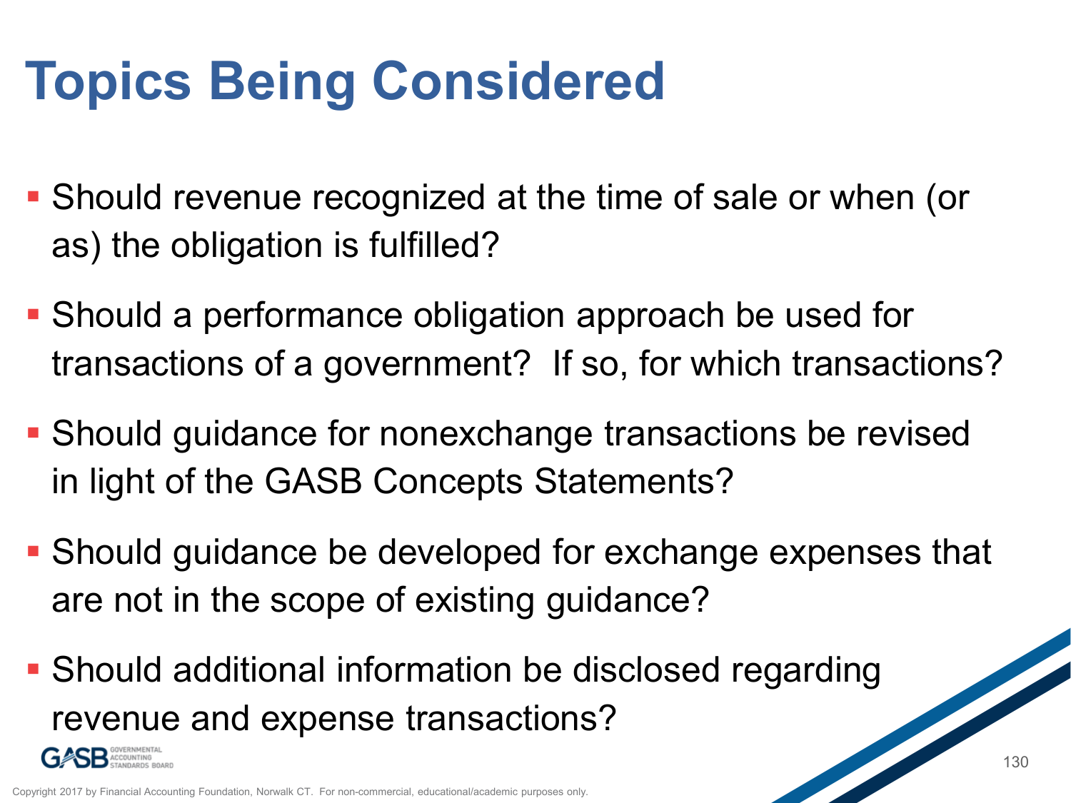# **Topics Being Considered**

- Should revenue recognized at the time of sale or when (or as) the obligation is fulfilled?
- Should a performance obligation approach be used for transactions of a government? If so, for which transactions?
- Should guidance for nonexchange transactions be revised in light of the GASB Concepts Statements?
- Should guidance be developed for exchange expenses that are not in the scope of existing guidance?
- Should additional information be disclosed regarding revenue and expense transactions?



Copyright 2017 by Financial Accounting Foundation, Norwalk CT. For non-commercial, edu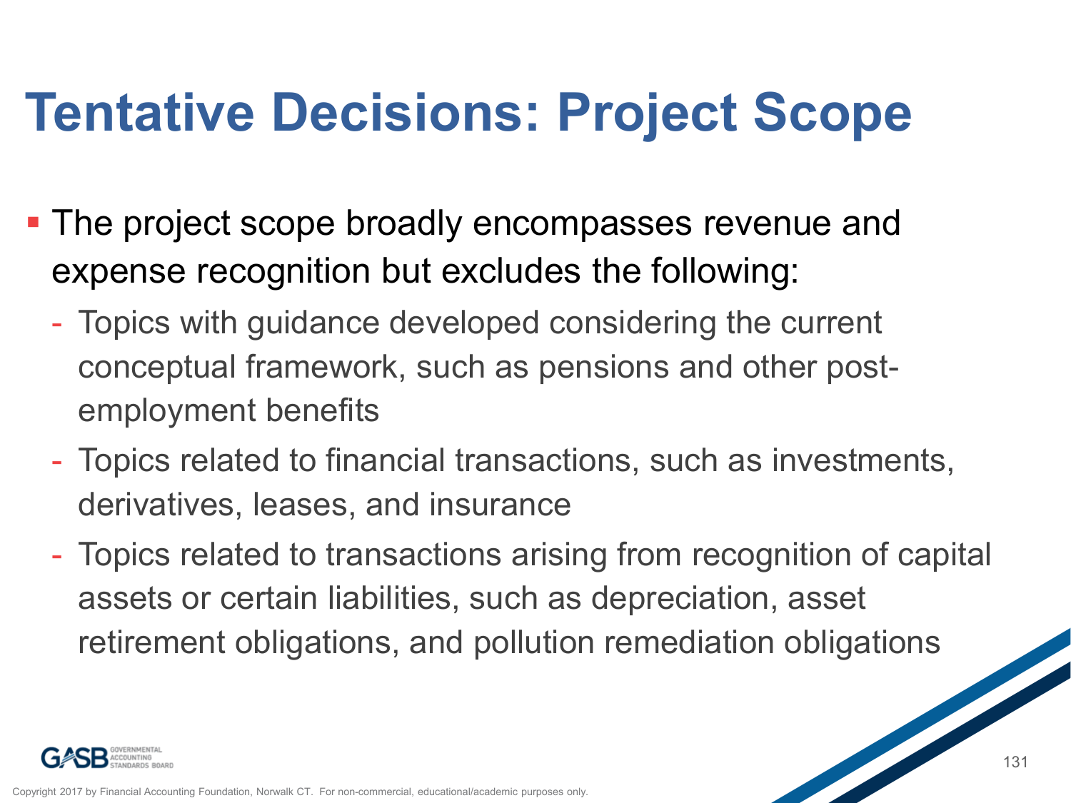## **Tentative Decisions: Project Scope**

- **The project scope broadly encompasses revenue and** expense recognition but excludes the following:
	- Topics with guidance developed considering the current conceptual framework, such as pensions and other postemployment benefits
	- Topics related to financial transactions, such as investments, derivatives, leases, and insurance
	- Topics related to transactions arising from recognition of capital assets or certain liabilities, such as depreciation, asset retirement obligations, and pollution remediation obligations

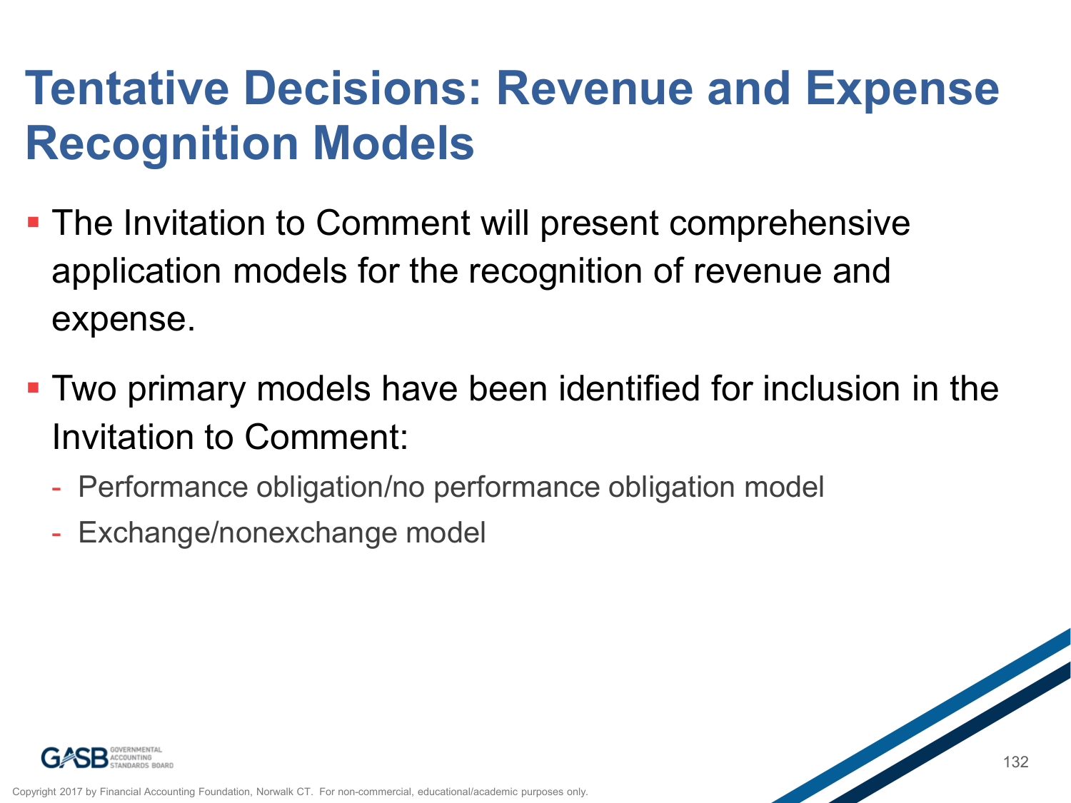### **Tentative Decisions: Revenue and Expense Recognition Models**

- **The Invitation to Comment will present comprehensive** application models for the recognition of revenue and expense.
- Two primary models have been identified for inclusion in the Invitation to Comment:
	- Performance obligation/no performance obligation model
	- Exchange/nonexchange model



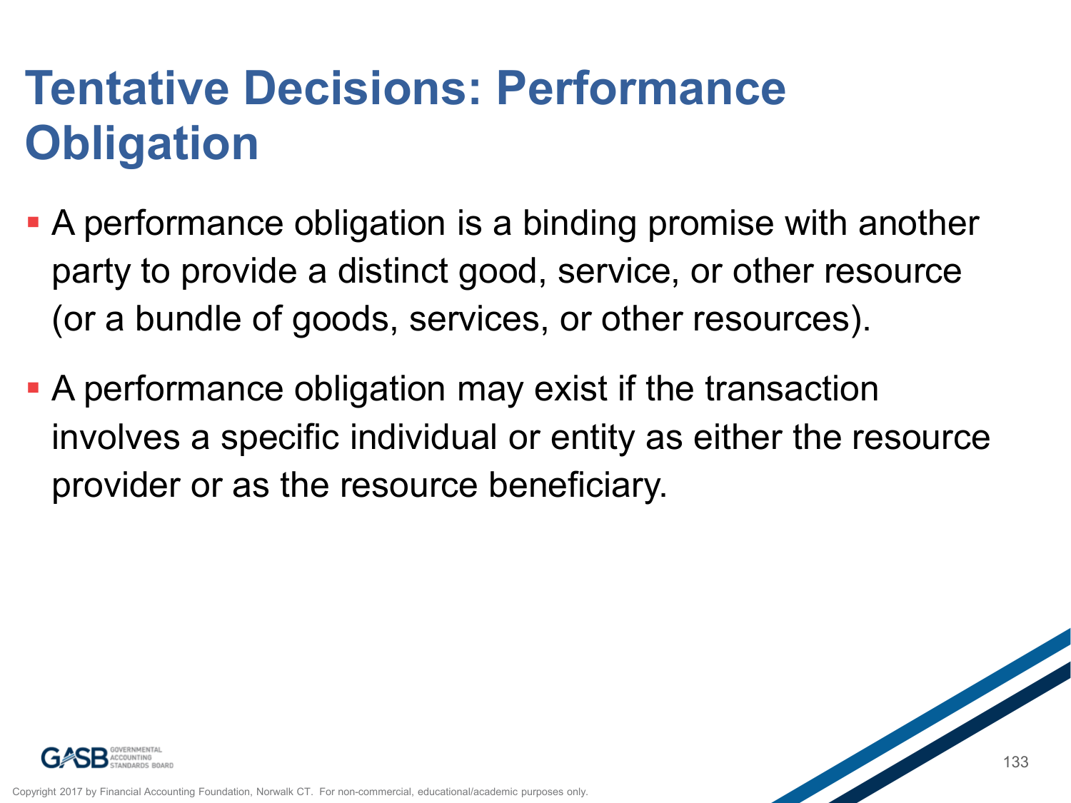### **Tentative Decisions: Performance Obligation**

- A performance obligation is a binding promise with another party to provide a distinct good, service, or other resource (or a bundle of goods, services, or other resources).
- A performance obligation may exist if the transaction involves a specific individual or entity as either the resource provider or as the resource beneficiary.

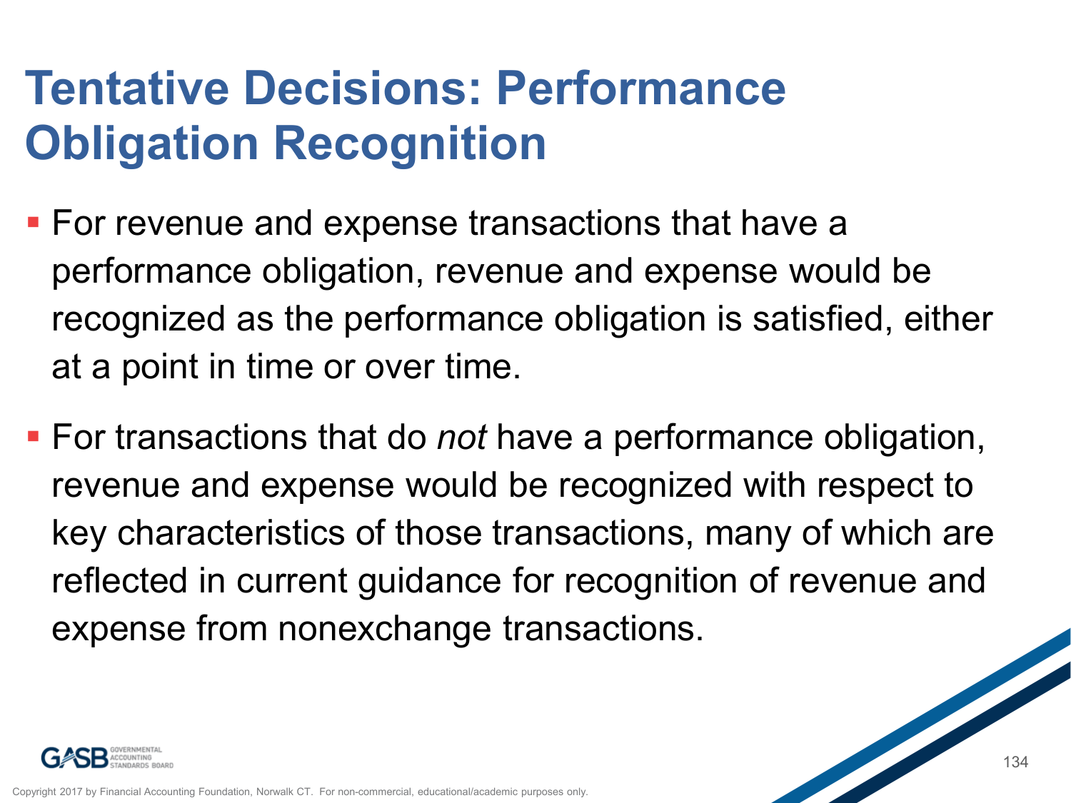#### **Tentative Decisions: Performance Obligation Recognition**

- **For revenue and expense transactions that have a** performance obligation, revenue and expense would be recognized as the performance obligation is satisfied, either at a point in time or over time.
- For transactions that do *not* have a performance obligation, revenue and expense would be recognized with respect to key characteristics of those transactions, many of which are reflected in current guidance for recognition of revenue and expense from nonexchange transactions.

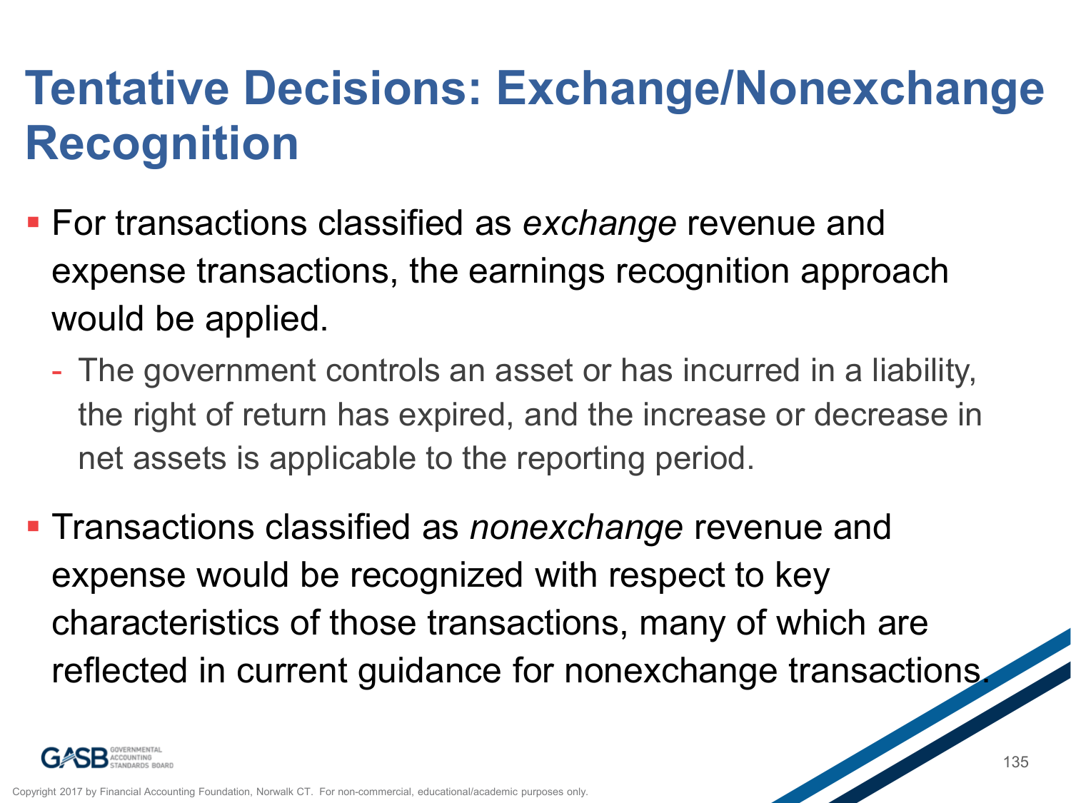### **Tentative Decisions: Exchange/Nonexchange Recognition**

- For transactions classified as *exchange* revenue and expense transactions, the earnings recognition approach would be applied.
	- The government controls an asset or has incurred in a liability, the right of return has expired, and the increase or decrease in net assets is applicable to the reporting period.
- **Transactions classified as** *nonexchange* revenue and expense would be recognized with respect to key characteristics of those transactions, many of which are reflected in current guidance for nonexchange transactions.

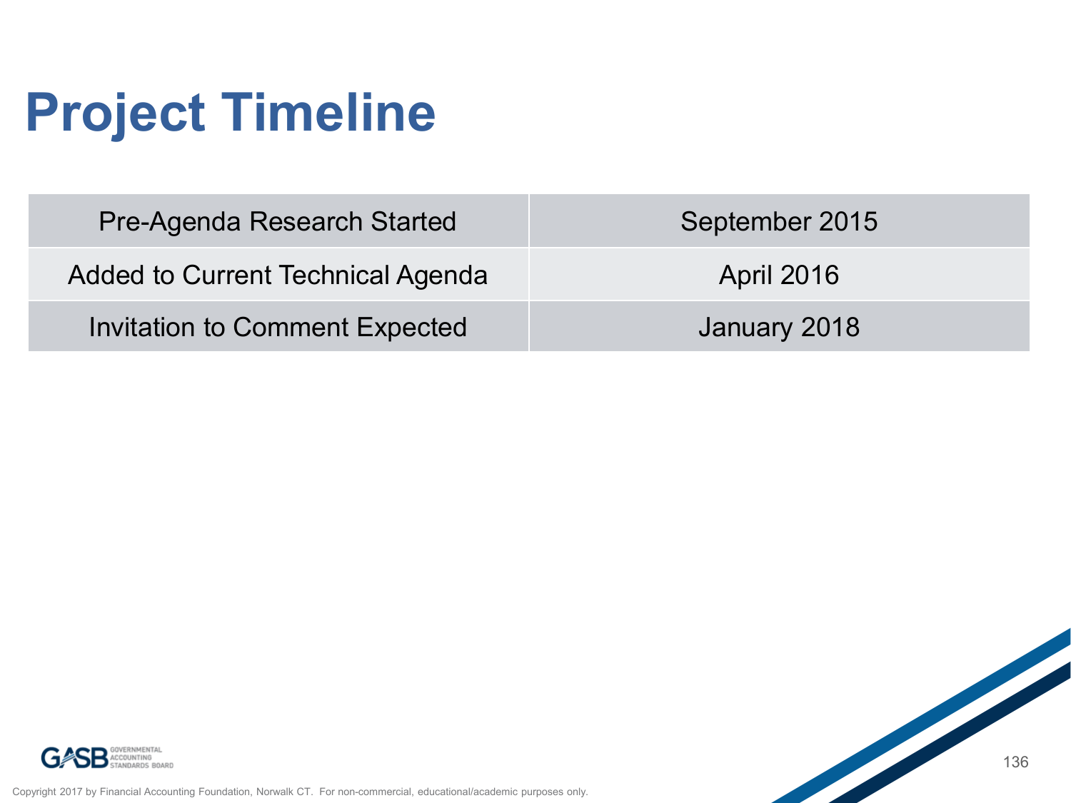# **Project Timeline**

| Pre-Agenda Research Started       | September 2015    |
|-----------------------------------|-------------------|
| Added to Current Technical Agenda | <b>April 2016</b> |
| Invitation to Comment Expected    | January 2018      |



Copyright 2017 by Financial Accounting Foundation, Norwalk CT. For non-commercial, educational/academic purposes only.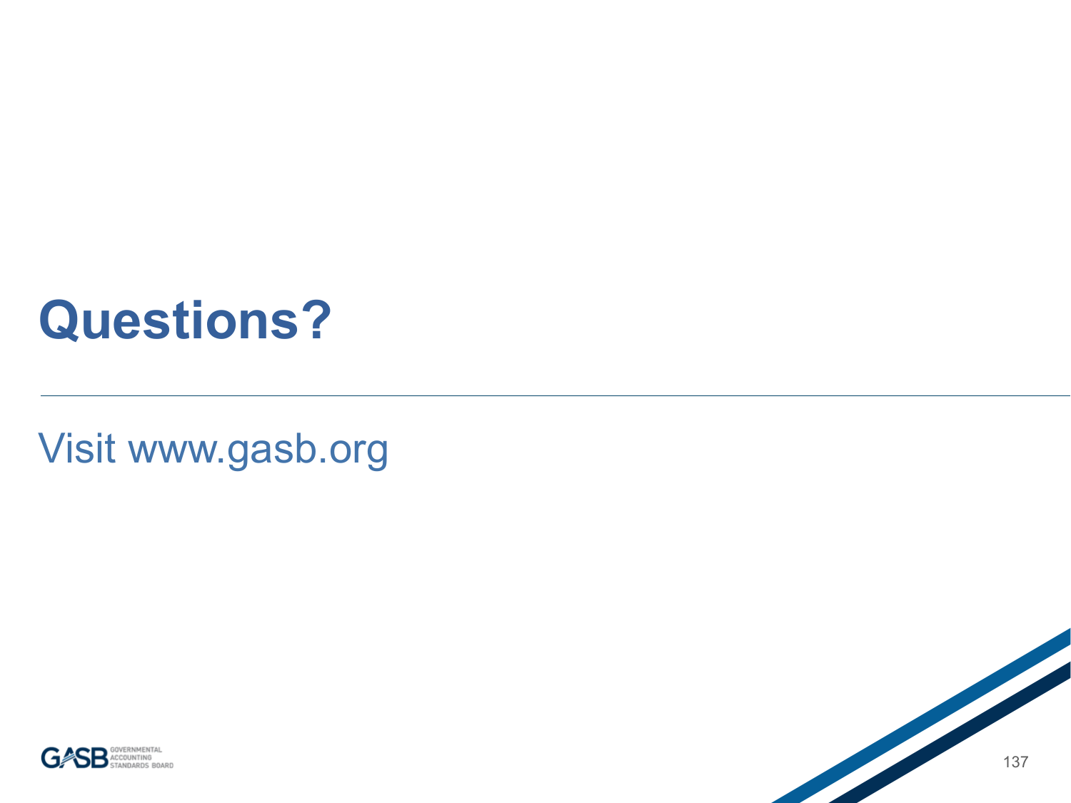### **Questions?**

Visit www.gasb.org



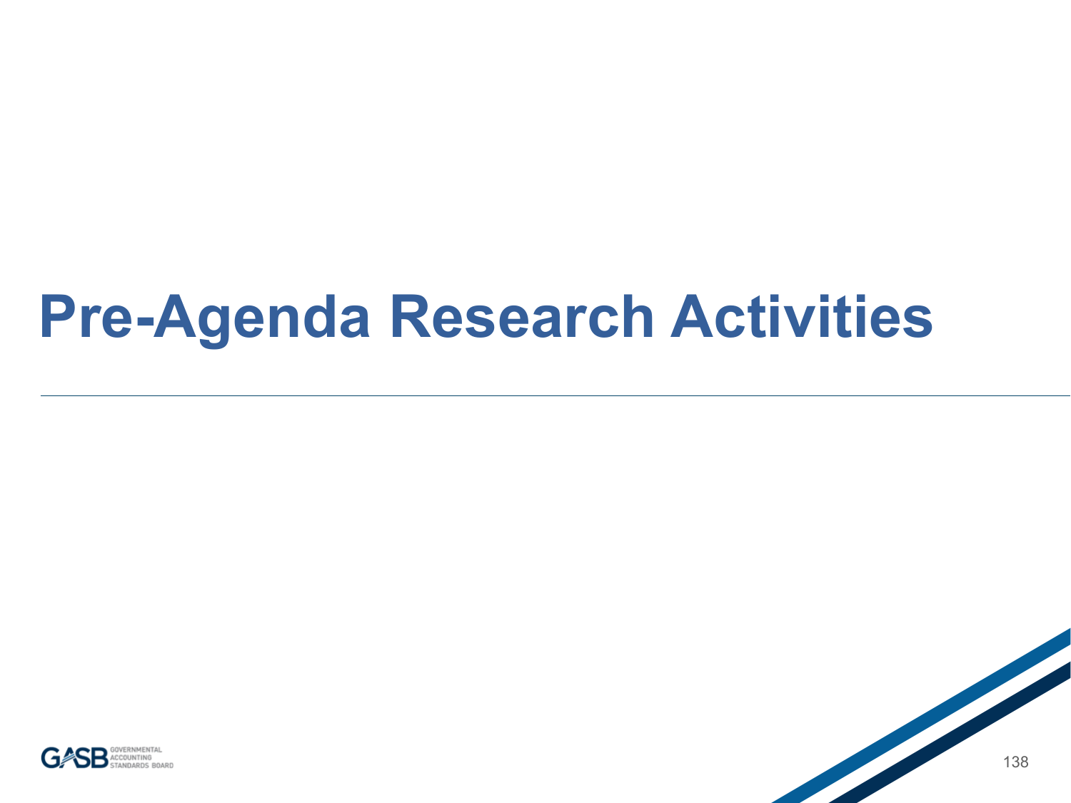## **Pre-Agenda Research Activities**



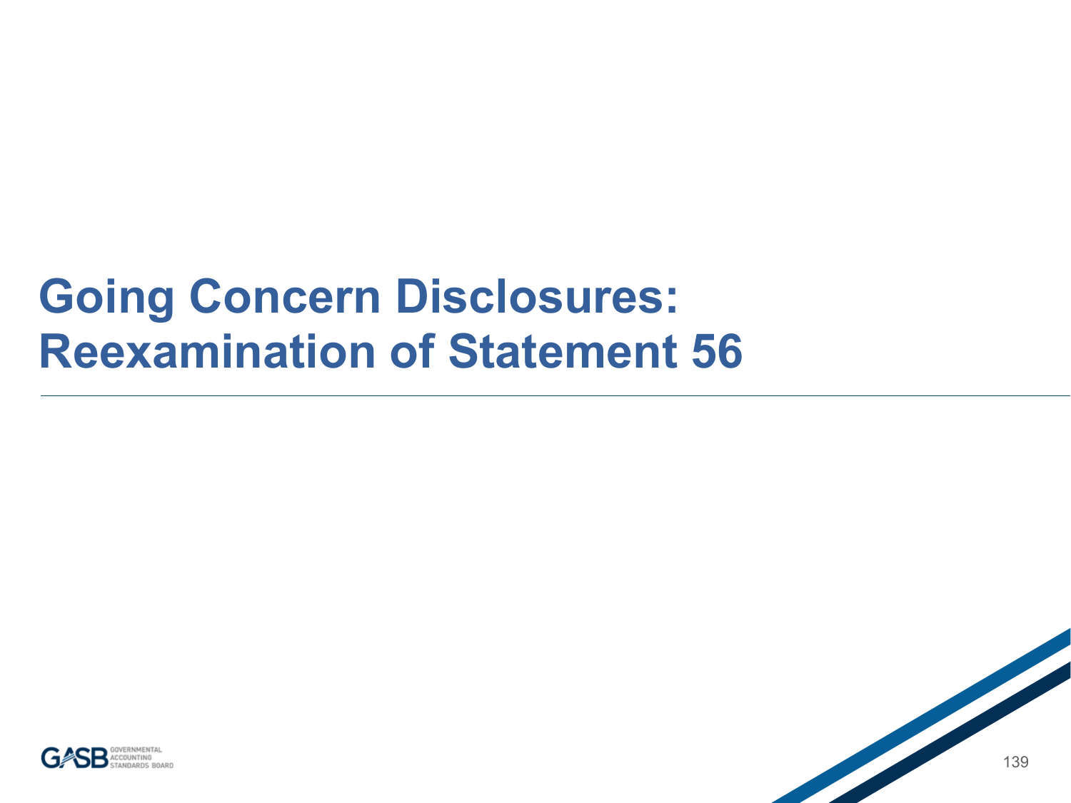#### **Going Concern Disclosures: Reexamination of Statement 56**

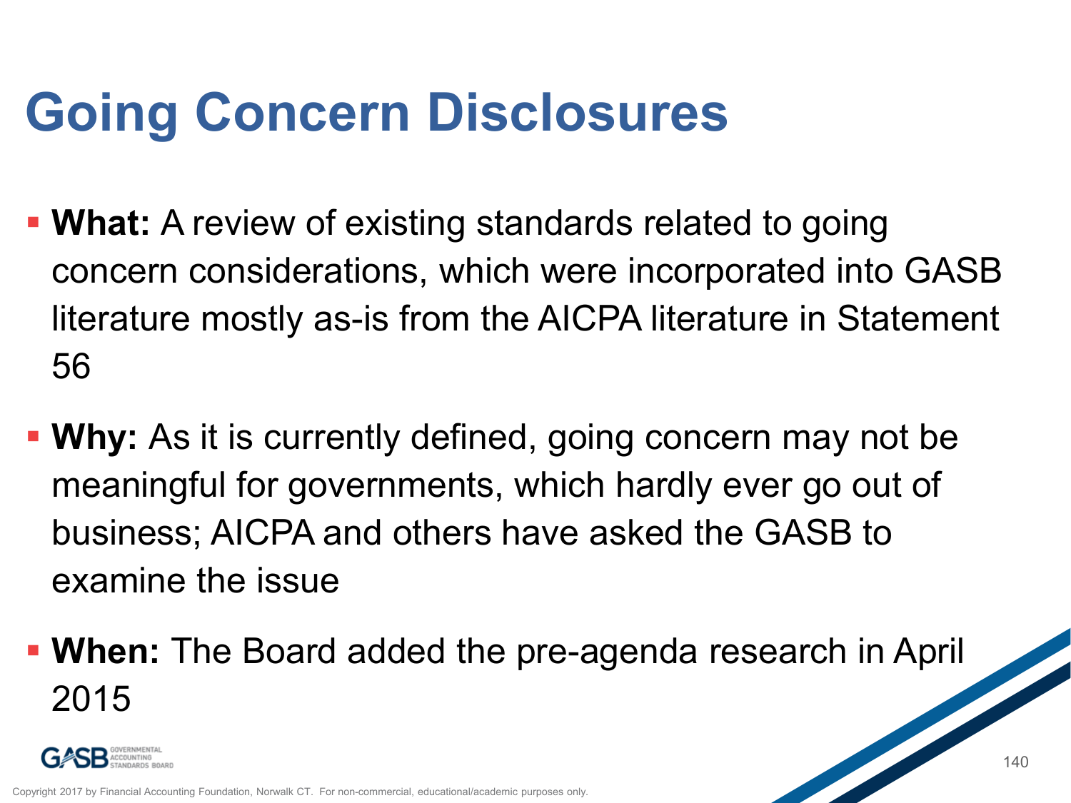## **Going Concern Disclosures**

- **What:** A review of existing standards related to going concern considerations, which were incorporated into GASB literature mostly as-is from the AICPA literature in Statement 56
- **Why:** As it is currently defined, going concern may not be meaningful for governments, which hardly ever go out of business; AICPA and others have asked the GASB to examine the issue
- **When:** The Board added the pre-agenda research in April 2015

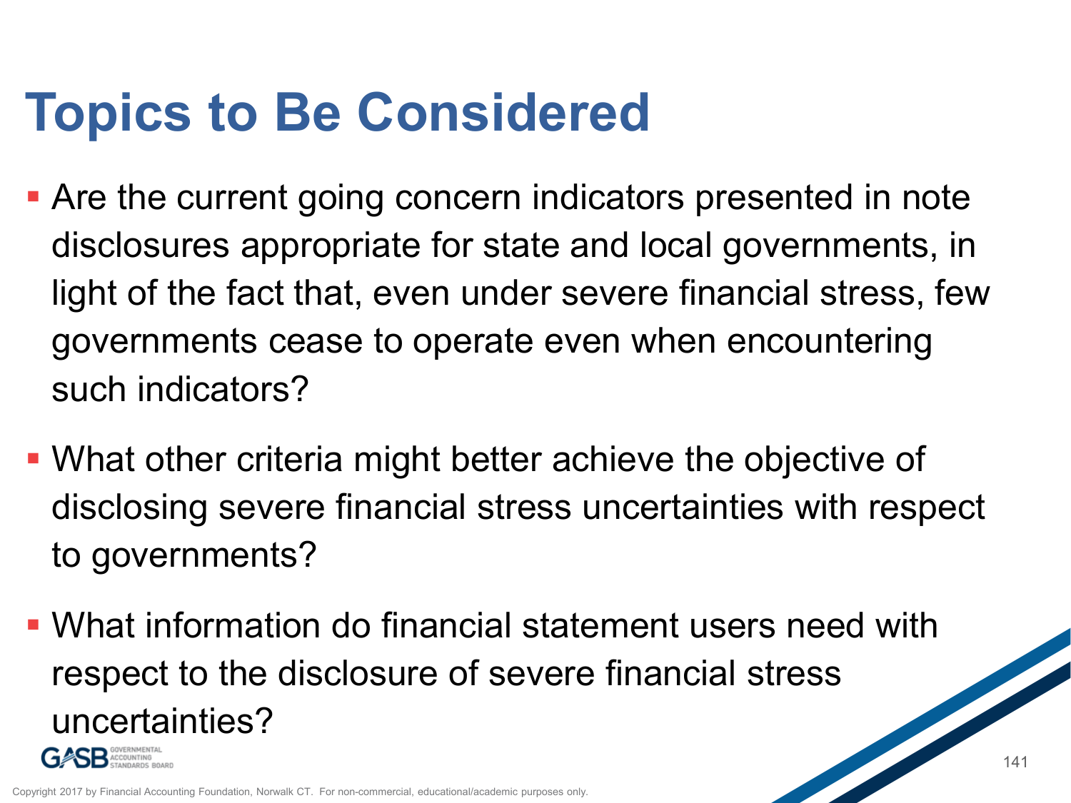## **Topics to Be Considered**

- Are the current going concern indicators presented in note disclosures appropriate for state and local governments, in light of the fact that, even under severe financial stress, few governments cease to operate even when encountering such indicators?
- What other criteria might better achieve the objective of disclosing severe financial stress uncertainties with respect to governments?
- What information do financial statement users need with respect to the disclosure of severe financial stress uncertainties?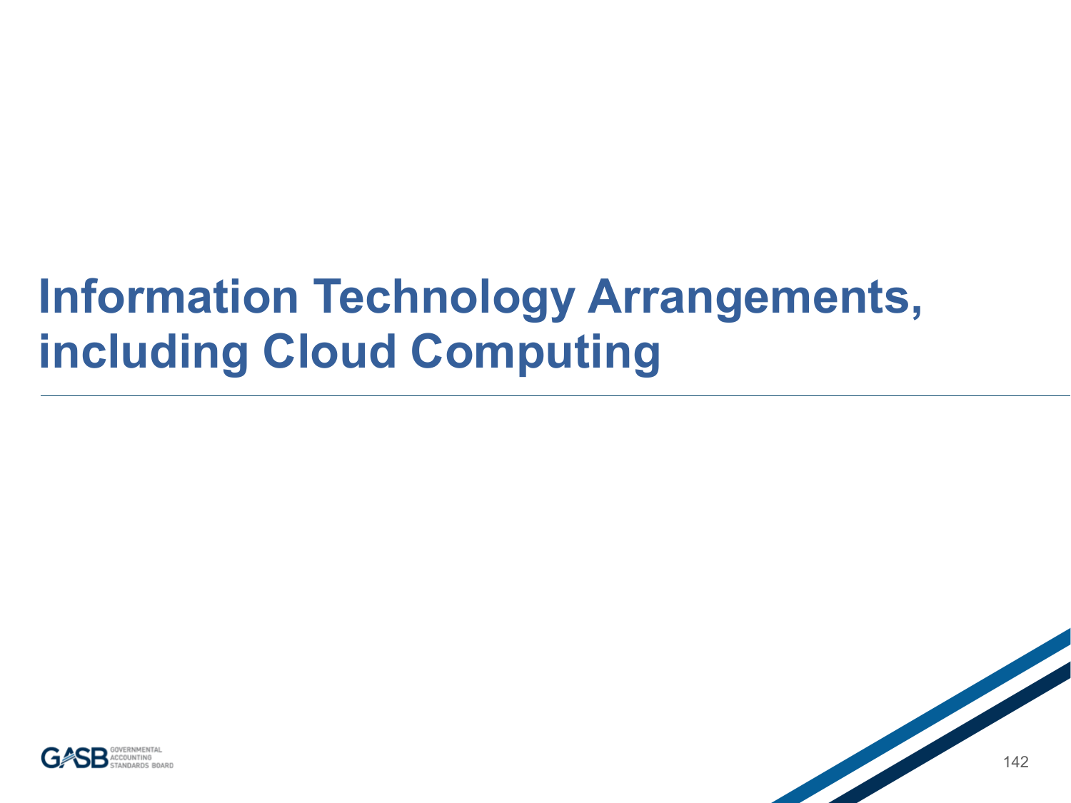#### **Information Technology Arrangements, including Cloud Computing**

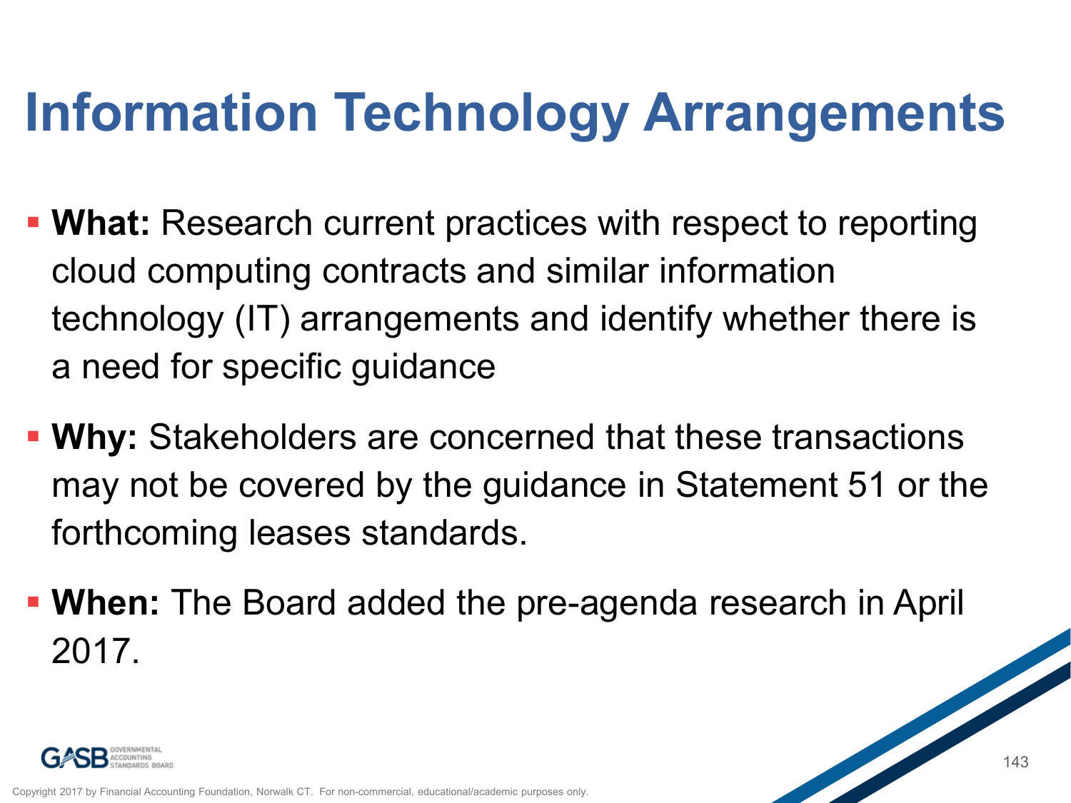# **Information Technology Arrangements**

- **What:** Research current practices with respect to reporting cloud computing contracts and similar information technology (IT) arrangements and identify whether there is a need for specific guidance
- **Why:** Stakeholders are concerned that these transactions may not be covered by the guidance in Statement 51 or the forthcoming leases standards.
- **When:** The Board added the pre-agenda research in April 2017.

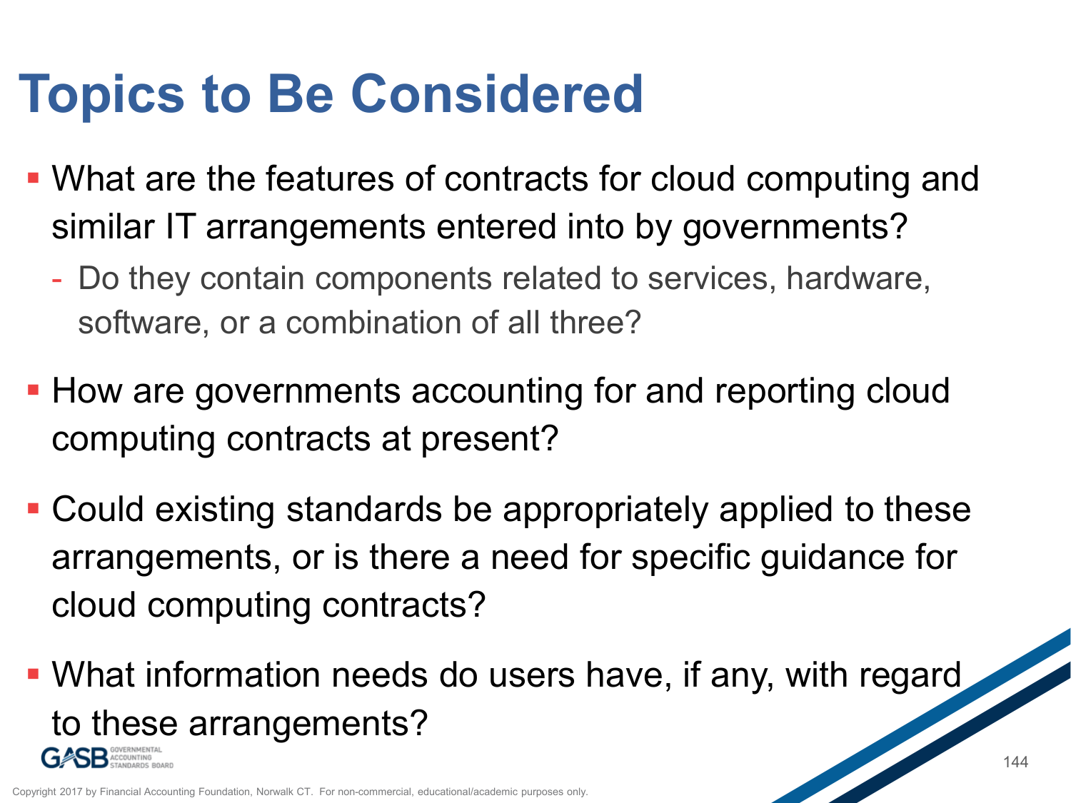### **Topics to Be Considered**

- What are the features of contracts for cloud computing and similar IT arrangements entered into by governments?
	- Do they contain components related to services, hardware, software, or a combination of all three?
- **How are governments accounting for and reporting cloud** computing contracts at present?
- Could existing standards be appropriately applied to these arrangements, or is there a need for specific guidance for cloud computing contracts?
- What information needs do users have, if any, with regard to these arrangements?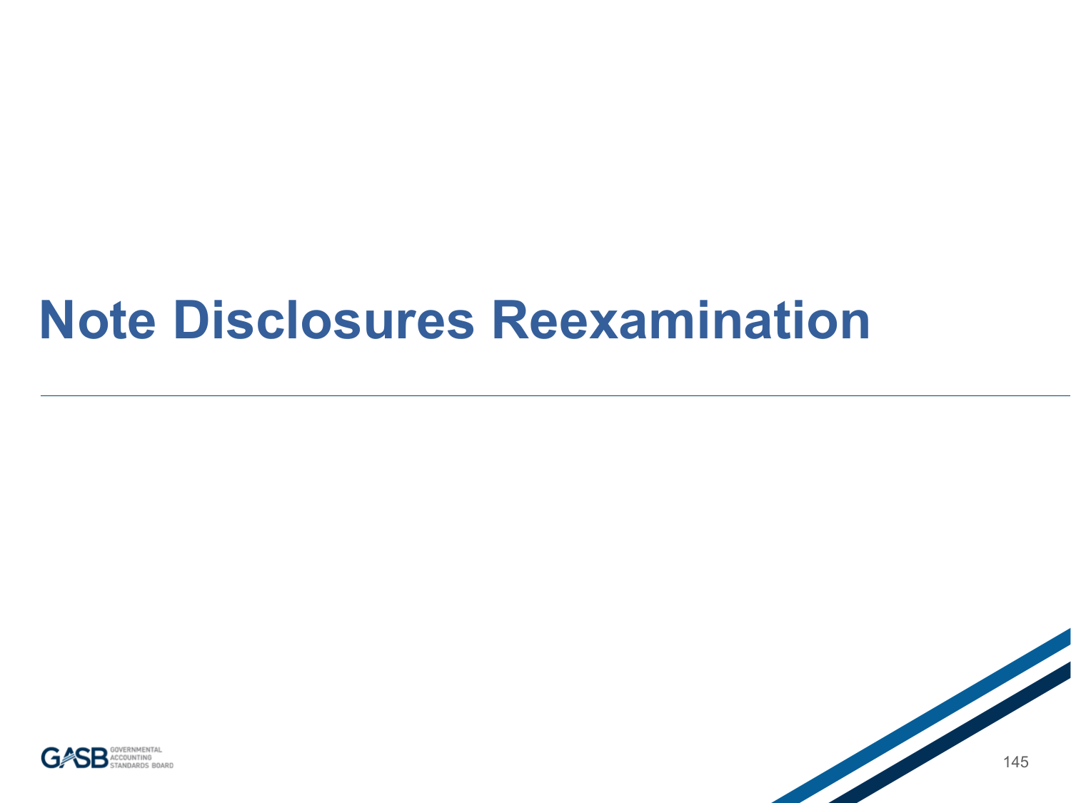### **Note Disclosures Reexamination**

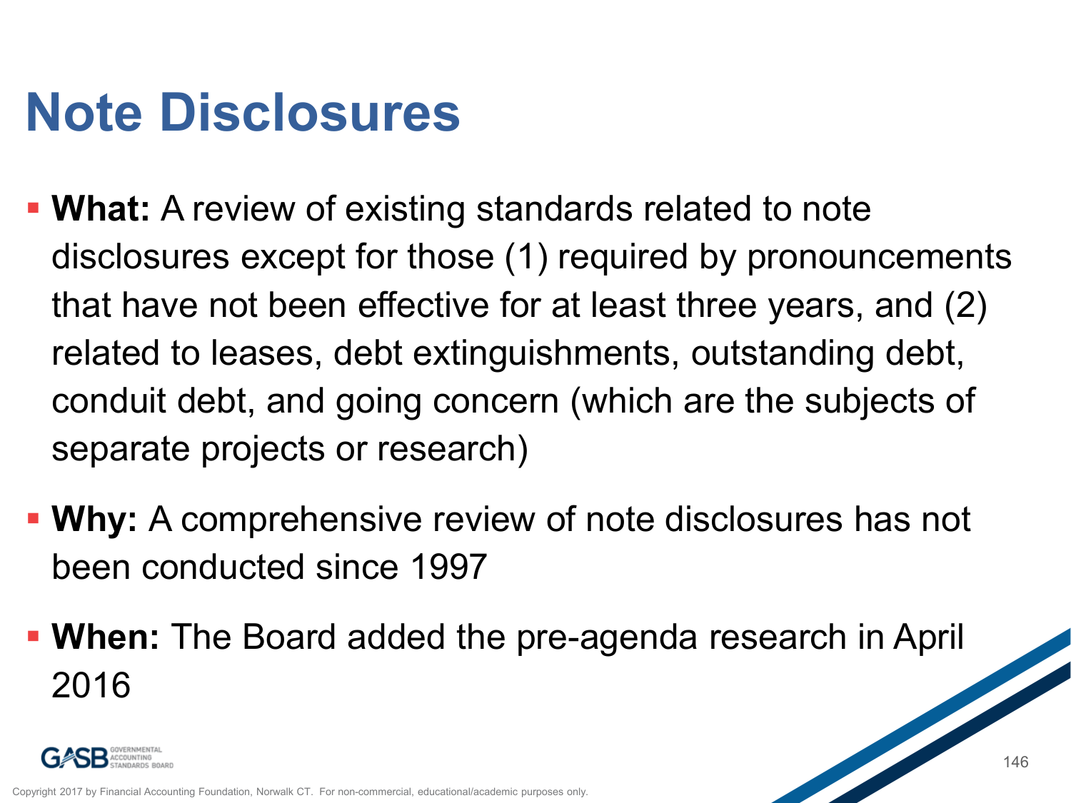# **Note Disclosures**

- **What:** A review of existing standards related to note disclosures except for those (1) required by pronouncements that have not been effective for at least three years, and (2) related to leases, debt extinguishments, outstanding debt, conduit debt, and going concern (which are the subjects of separate projects or research)
- **Why:** A comprehensive review of note disclosures has not been conducted since 1997
- **When:** The Board added the pre-agenda research in April 2016

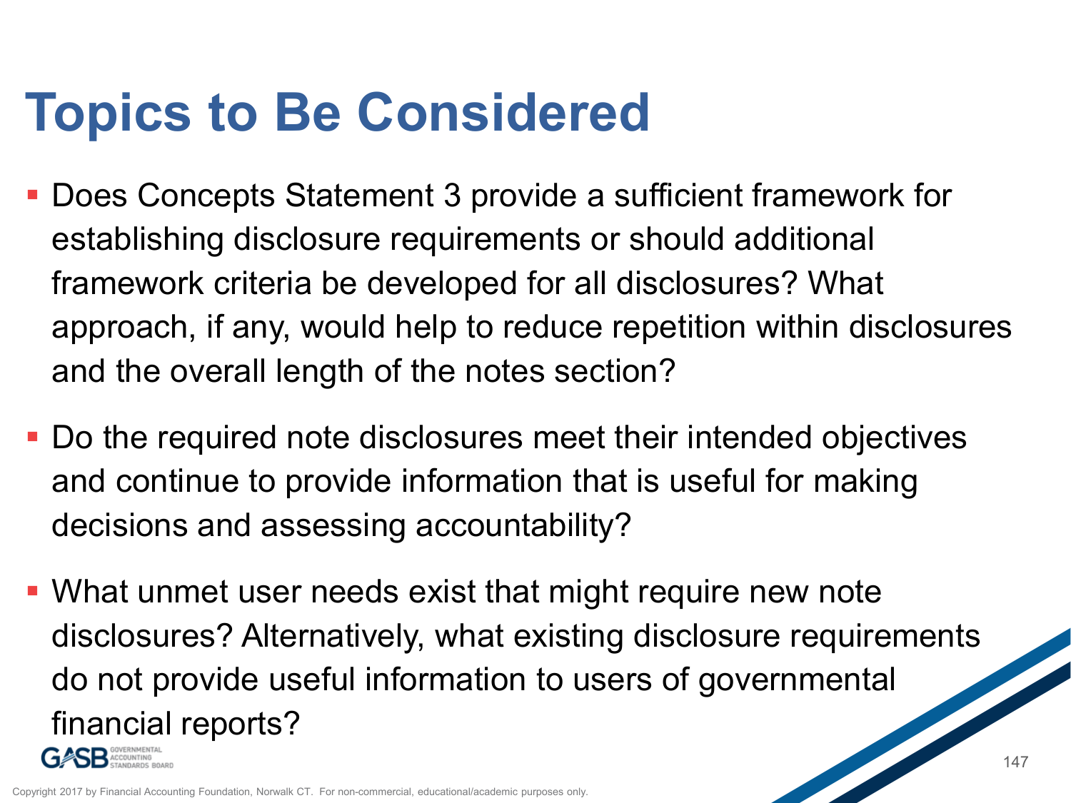## **Topics to Be Considered**

- Does Concepts Statement 3 provide a sufficient framework for establishing disclosure requirements or should additional framework criteria be developed for all disclosures? What approach, if any, would help to reduce repetition within disclosures and the overall length of the notes section?
- Do the required note disclosures meet their intended objectives and continue to provide information that is useful for making decisions and assessing accountability?
- What unmet user needs exist that might require new note disclosures? Alternatively, what existing disclosure requirements do not provide useful information to users of governmental financial reports?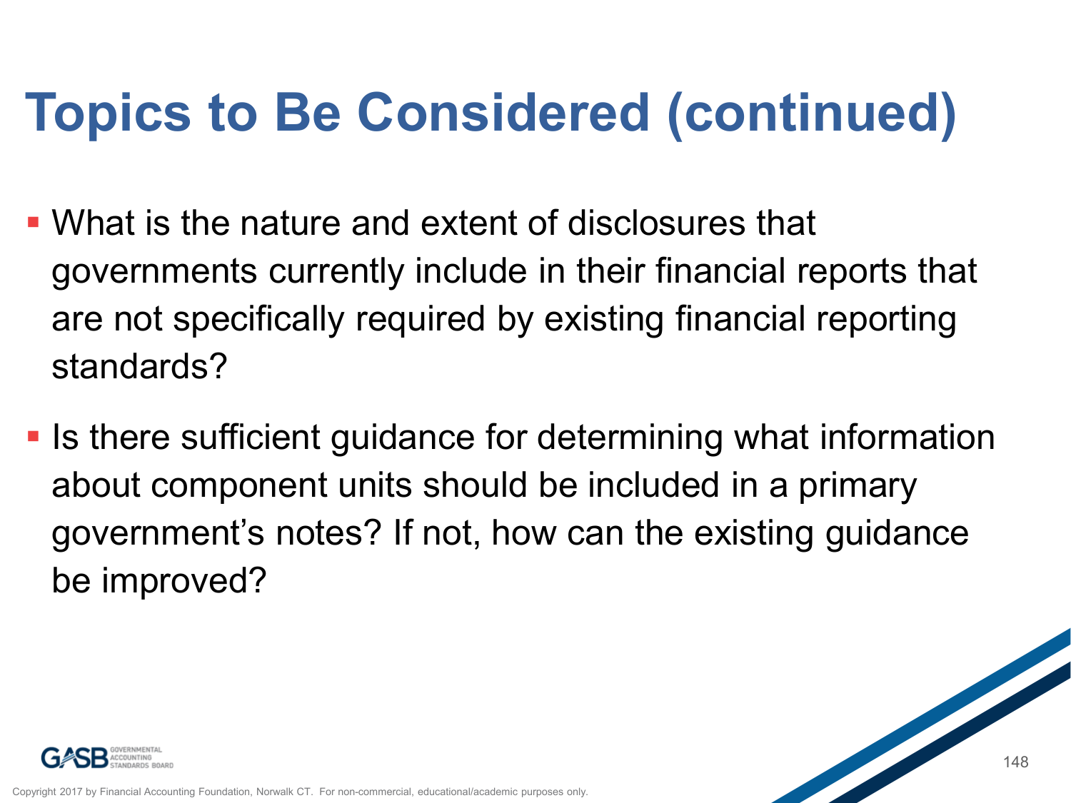# **Topics to Be Considered (continued)**

- What is the nature and extent of disclosures that governments currently include in their financial reports that are not specifically required by existing financial reporting standards?
- **In the analysis is the readily in the sufficient guidance for determining what information** about component units should be included in a primary government's notes? If not, how can the existing guidance be improved?

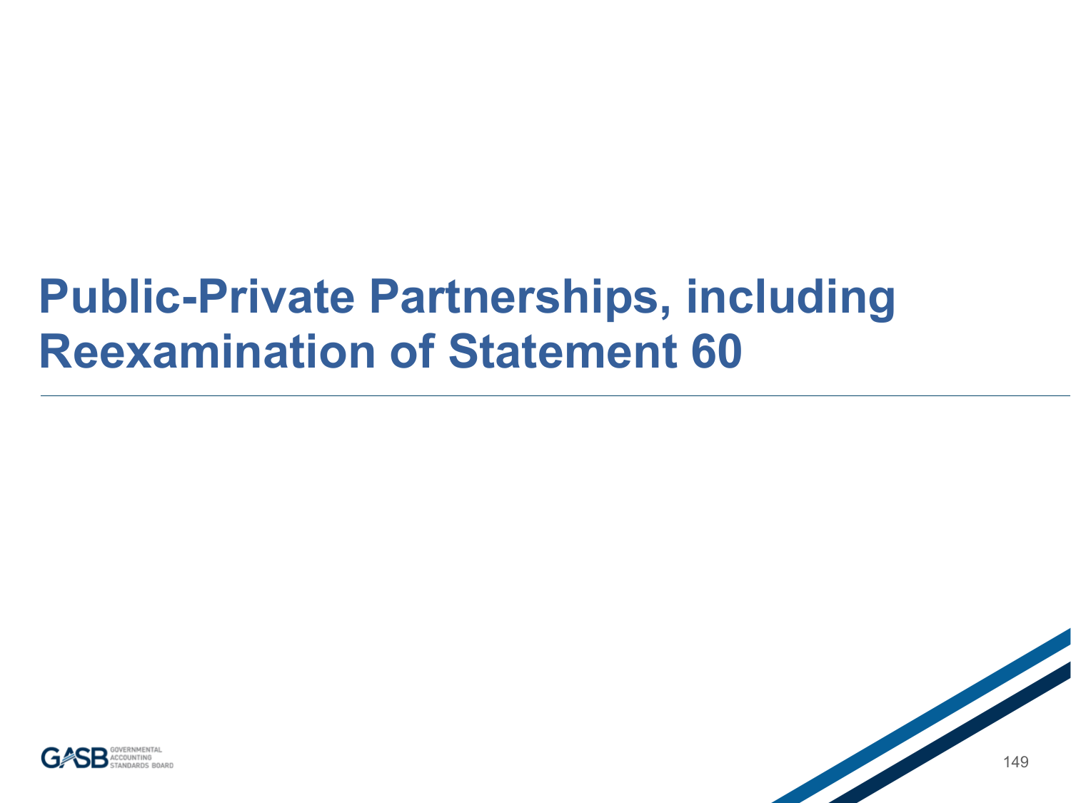#### **Public-Private Partnerships, including Reexamination of Statement 60**

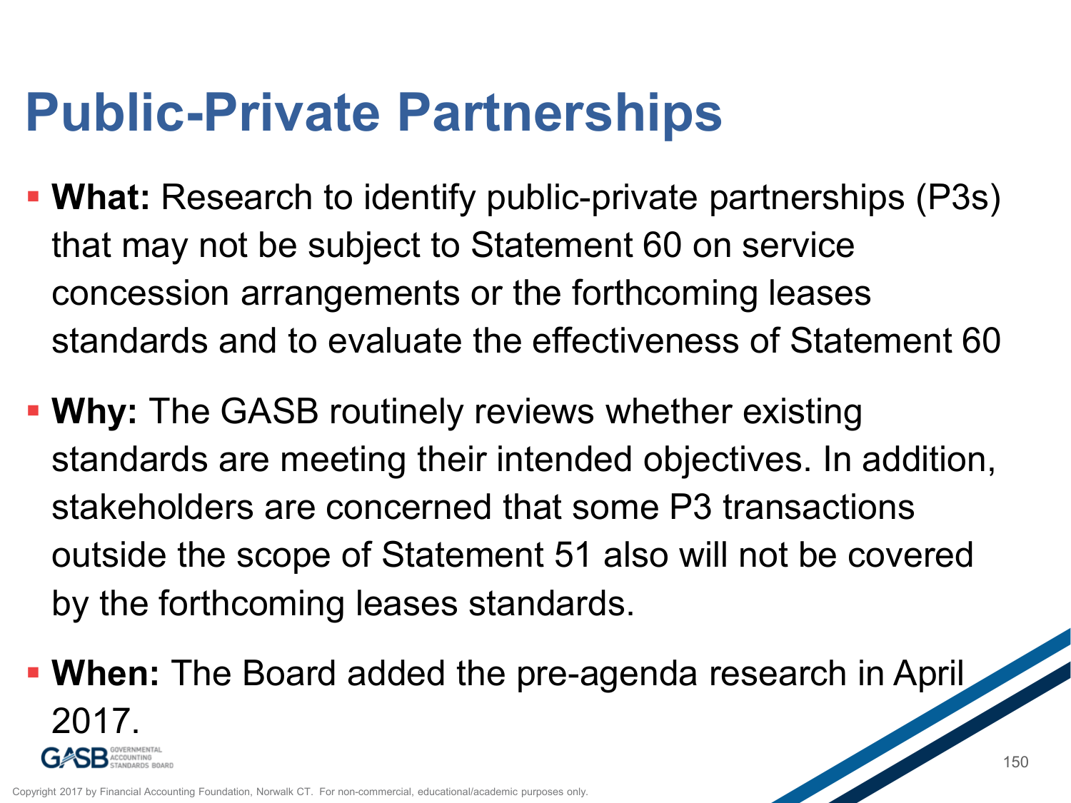### **Public-Private Partnerships**

- **What:** Research to identify public-private partnerships (P3s) that may not be subject to Statement 60 on service concession arrangements or the forthcoming leases standards and to evaluate the effectiveness of Statement 60
- **Why:** The GASB routinely reviews whether existing standards are meeting their intended objectives. In addition, stakeholders are concerned that some P3 transactions outside the scope of Statement 51 also will not be covered by the forthcoming leases standards.
- **When:** The Board added the pre-agenda research in April  $2117$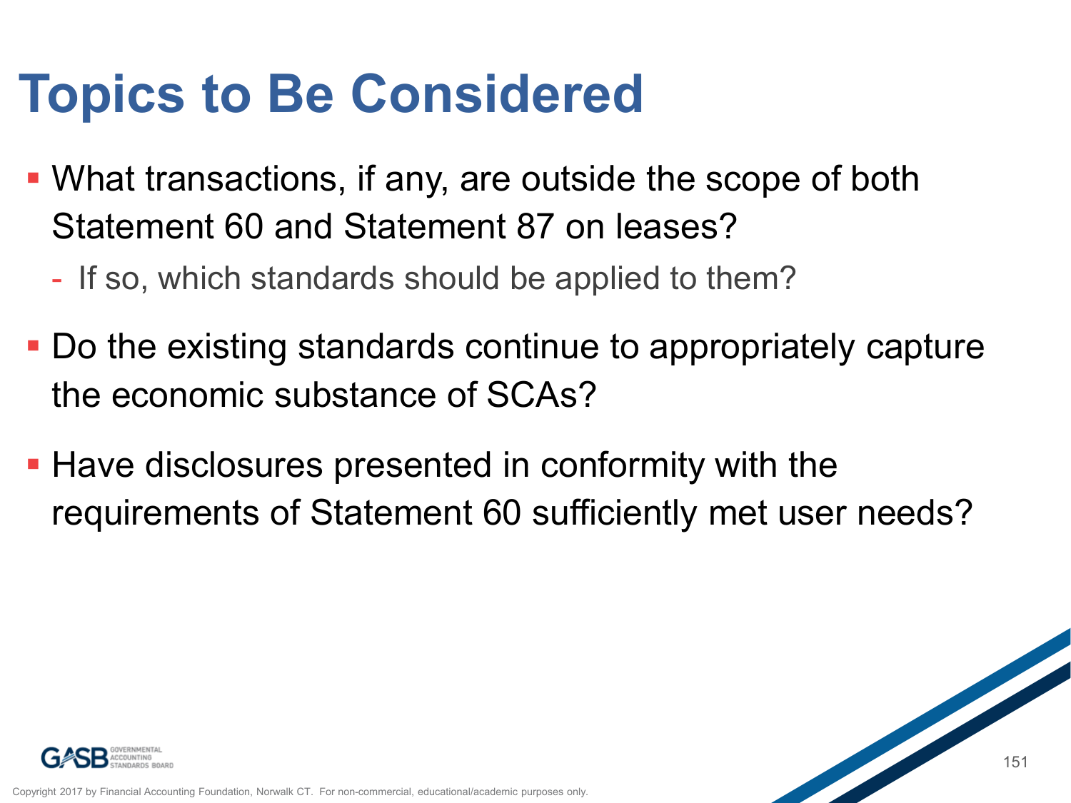### **Topics to Be Considered**

- What transactions, if any, are outside the scope of both Statement 60 and Statement 87 on leases?
	- If so, which standards should be applied to them?
- Do the existing standards continue to appropriately capture the economic substance of SCAs?
- **Have disclosures presented in conformity with the** requirements of Statement 60 sufficiently met user needs?

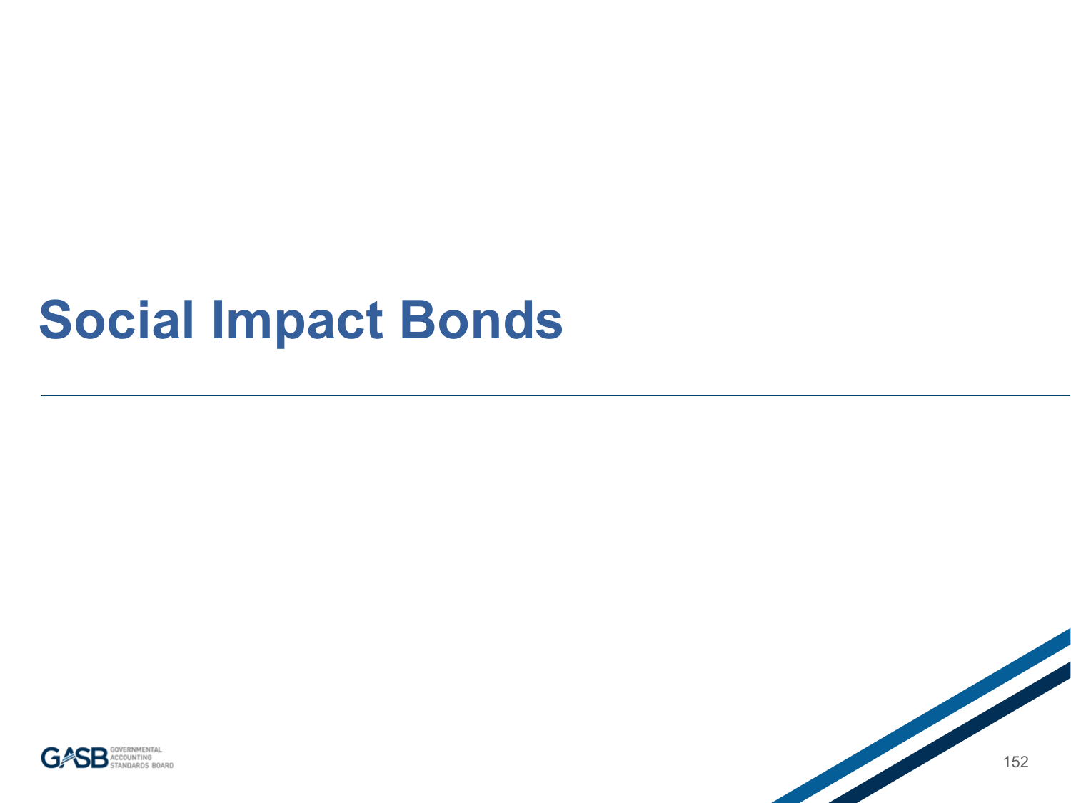### **Social Impact Bonds**



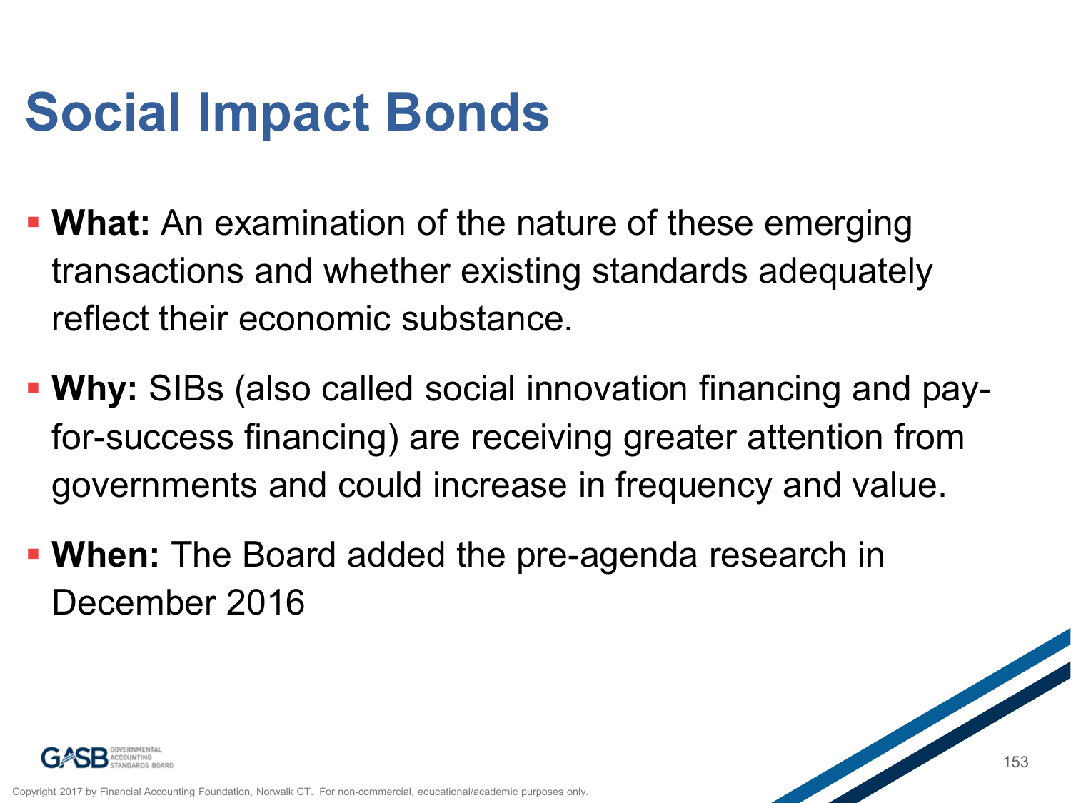# **Social Impact Bonds**

- **What:** An examination of the nature of these emerging transactions and whether existing standards adequately reflect their economic substance.
- **Why:** SIBs (also called social innovation financing and payfor-success financing) are receiving greater attention from governments and could increase in frequency and value.
- **When:** The Board added the pre-agenda research in December 2016

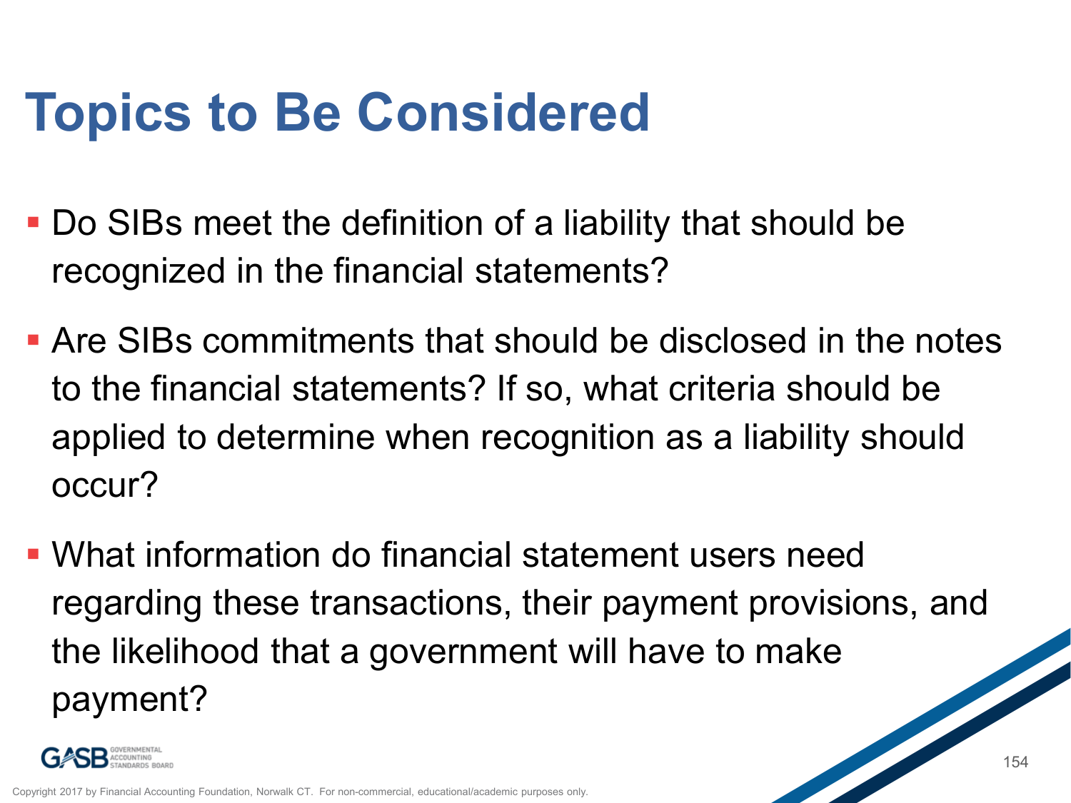# **Topics to Be Considered**

- Do SIBs meet the definition of a liability that should be recognized in the financial statements?
- Are SIBs commitments that should be disclosed in the notes to the financial statements? If so, what criteria should be applied to determine when recognition as a liability should occur?
- What information do financial statement users need regarding these transactions, their payment provisions, and the likelihood that a government will have to make payment?

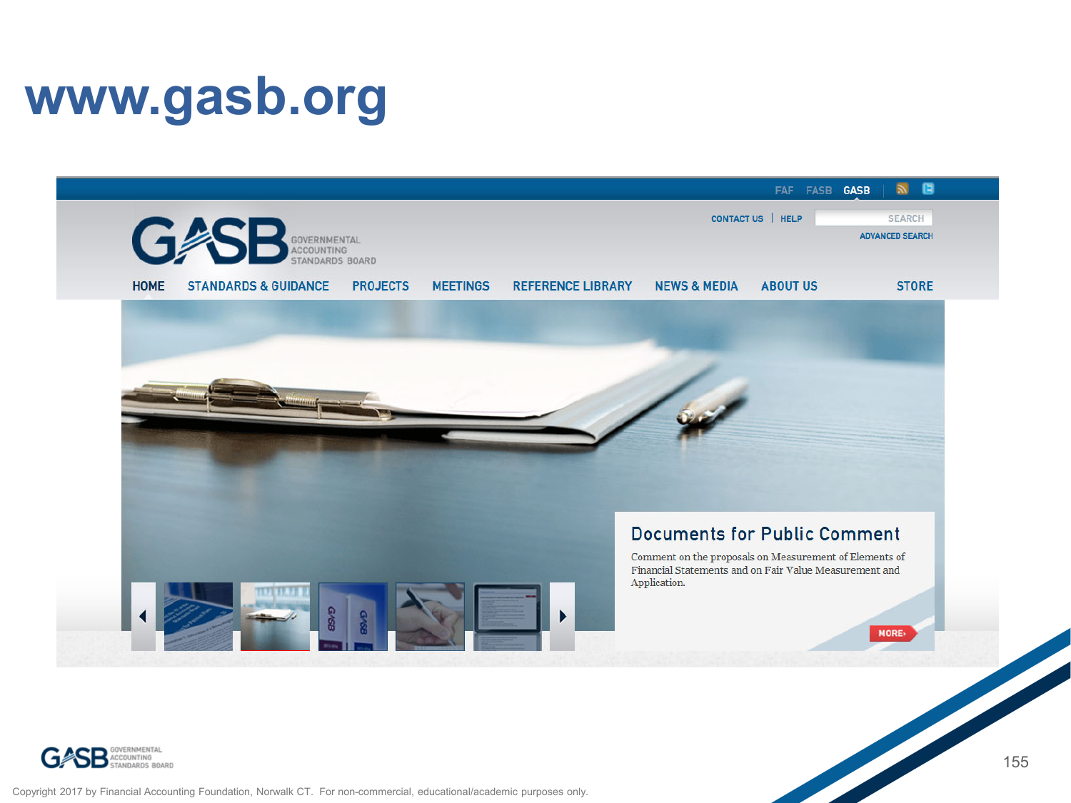### **www.gasb.org**





Copyright 2017 by Financial Accounting Foundation, Norwalk CT. For non-commercial, educational/academic purposes only.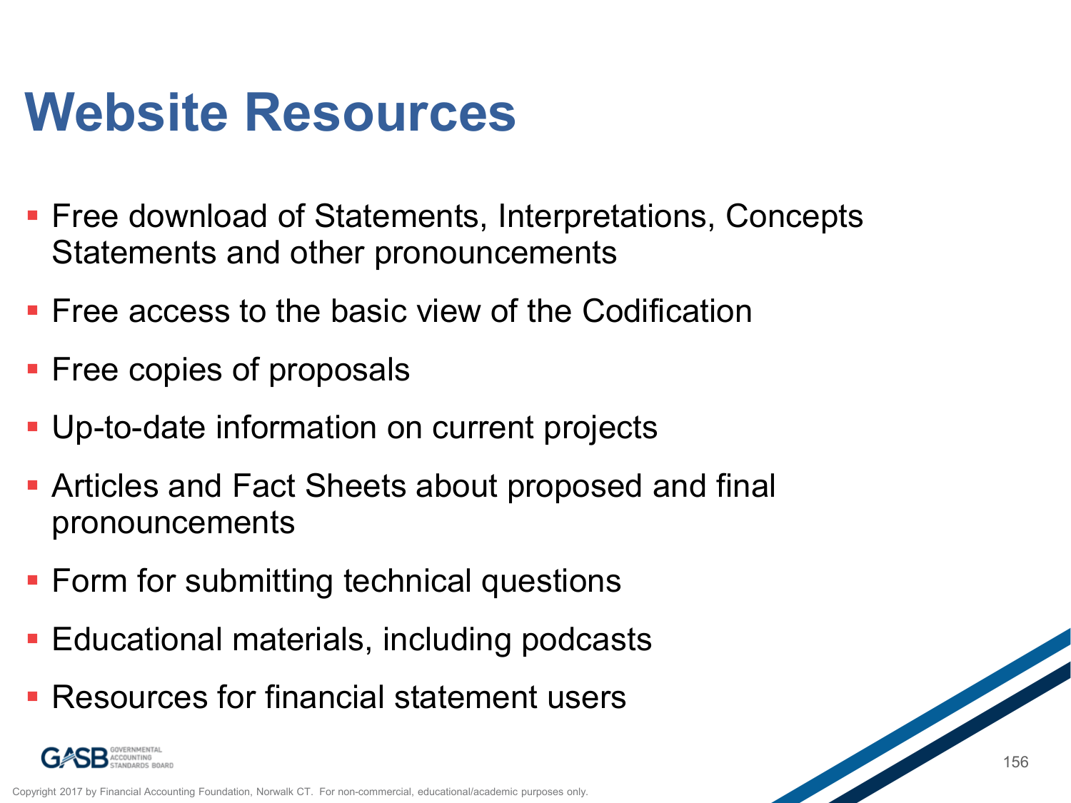### **Website Resources**

- **Free download of Statements, Interpretations, Concepts** Statements and other pronouncements
- **Figure 2** Free access to the basic view of the Codification
- **Free copies of proposals**
- Up-to-date information on current projects
- Articles and Fact Sheets about proposed and final pronouncements
- **Form for submitting technical questions**
- **Educational materials, including podcasts**
- **Resources for financial statement users**



Copyright 2017 by Financial Accounting Foundation, Norwalk CT. For non-commercial, educational